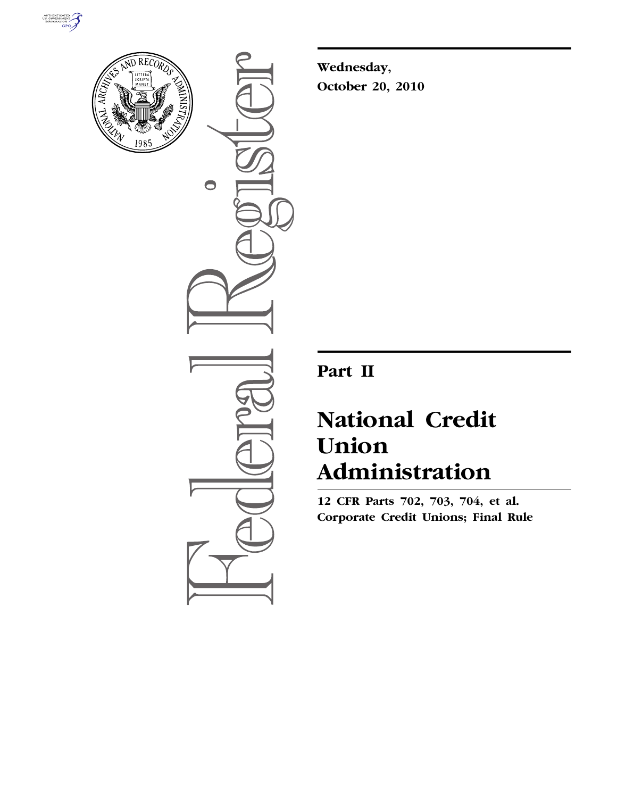



 $\bullet$ 

**Wednesday, October 20, 2010** 

## **Part II**

# **National Credit Union Administration**

**12 CFR Parts 702, 703, 704, et al. Corporate Credit Unions; Final Rule**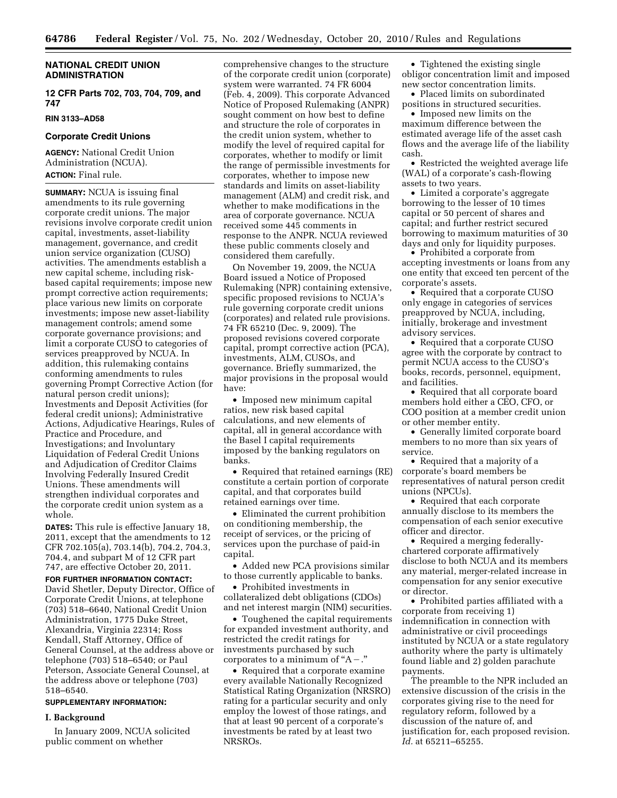#### **NATIONAL CREDIT UNION ADMINISTRATION**

**12 CFR Parts 702, 703, 704, 709, and 747** 

#### **RIN 3133–AD58**

#### **Corporate Credit Unions**

**AGENCY:** National Credit Union Administration (NCUA). **ACTION:** Final rule.

**SUMMARY:** NCUA is issuing final amendments to its rule governing corporate credit unions. The major revisions involve corporate credit union capital, investments, asset-liability management, governance, and credit union service organization (CUSO) activities. The amendments establish a new capital scheme, including riskbased capital requirements; impose new prompt corrective action requirements; place various new limits on corporate investments; impose new asset-liability management controls; amend some corporate governance provisions; and limit a corporate CUSO to categories of services preapproved by NCUA. In addition, this rulemaking contains conforming amendments to rules governing Prompt Corrective Action (for natural person credit unions); Investments and Deposit Activities (for federal credit unions); Administrative Actions, Adjudicative Hearings, Rules of Practice and Procedure, and Investigations; and Involuntary Liquidation of Federal Credit Unions and Adjudication of Creditor Claims Involving Federally Insured Credit Unions. These amendments will strengthen individual corporates and the corporate credit union system as a whole.

**DATES:** This rule is effective January 18, 2011, except that the amendments to 12 CFR 702.105(a), 703.14(b), 704.2, 704.3, 704.4, and subpart M of 12 CFR part 747, are effective October 20, 2011.

**FOR FURTHER INFORMATION CONTACT:**  David Shetler, Deputy Director, Office of Corporate Credit Unions, at telephone (703) 518–6640, National Credit Union Administration, 1775 Duke Street, Alexandria, Virginia 22314; Ross Kendall, Staff Attorney, Office of General Counsel, at the address above or telephone (703) 518–6540; or Paul Peterson, Associate General Counsel, at the address above or telephone (703) 518–6540.

#### **SUPPLEMENTARY INFORMATION:**

#### **I. Background**

In January 2009, NCUA solicited public comment on whether

comprehensive changes to the structure of the corporate credit union (corporate) system were warranted. 74 FR 6004 (Feb. 4, 2009). This corporate Advanced Notice of Proposed Rulemaking (ANPR) sought comment on how best to define and structure the role of corporates in the credit union system, whether to modify the level of required capital for corporates, whether to modify or limit the range of permissible investments for corporates, whether to impose new standards and limits on asset-liability management (ALM) and credit risk, and whether to make modifications in the area of corporate governance. NCUA received some 445 comments in response to the ANPR. NCUA reviewed these public comments closely and considered them carefully.

On November 19, 2009, the NCUA Board issued a Notice of Proposed Rulemaking (NPR) containing extensive, specific proposed revisions to NCUA's rule governing corporate credit unions (corporates) and related rule provisions. 74 FR 65210 (Dec. 9, 2009). The proposed revisions covered corporate capital, prompt corrective action (PCA), investments, ALM, CUSOs, and governance. Briefly summarized, the major provisions in the proposal would have:

• Imposed new minimum capital ratios, new risk based capital calculations, and new elements of capital, all in general accordance with the Basel I capital requirements imposed by the banking regulators on banks.

• Required that retained earnings (RE) constitute a certain portion of corporate capital, and that corporates build retained earnings over time.

• Eliminated the current prohibition on conditioning membership, the receipt of services, or the pricing of services upon the purchase of paid-in capital.

• Added new PCA provisions similar to those currently applicable to banks.

• Prohibited investments in collateralized debt obligations (CDOs) and net interest margin (NIM) securities.

• Toughened the capital requirements for expanded investment authority, and restricted the credit ratings for investments purchased by such corporates to a minimum of " $A -$ ."

• Required that a corporate examine every available Nationally Recognized Statistical Rating Organization (NRSRO) rating for a particular security and only employ the lowest of those ratings, and that at least 90 percent of a corporate's investments be rated by at least two NRSROs.

• Tightened the existing single obligor concentration limit and imposed new sector concentration limits.

• Placed limits on subordinated positions in structured securities.

• Imposed new limits on the maximum difference between the estimated average life of the asset cash flows and the average life of the liability cash.

• Restricted the weighted average life (WAL) of a corporate's cash-flowing assets to two years.

• Limited a corporate's aggregate borrowing to the lesser of 10 times capital or 50 percent of shares and capital; and further restrict secured borrowing to maximum maturities of 30 days and only for liquidity purposes.

• Prohibited a corporate from accepting investments or loans from any one entity that exceed ten percent of the corporate's assets.

• Required that a corporate CUSO only engage in categories of services preapproved by NCUA, including, initially, brokerage and investment advisory services.

• Required that a corporate CUSO agree with the corporate by contract to permit NCUA access to the CUSO's books, records, personnel, equipment, and facilities.

• Required that all corporate board members hold either a CEO, CFO, or COO position at a member credit union or other member entity.

• Generally limited corporate board members to no more than six years of service.

• Required that a majority of a corporate's board members be representatives of natural person credit unions (NPCUs).

• Required that each corporate annually disclose to its members the compensation of each senior executive officer and director.

• Required a merging federallychartered corporate affirmatively disclose to both NCUA and its members any material, merger-related increase in compensation for any senior executive or director.

• Prohibited parties affiliated with a corporate from receiving 1) indemnification in connection with administrative or civil proceedings instituted by NCUA or a state regulatory authority where the party is ultimately found liable and 2) golden parachute payments.

The preamble to the NPR included an extensive discussion of the crisis in the corporates giving rise to the need for regulatory reform, followed by a discussion of the nature of, and justification for, each proposed revision. *Id.* at 65211–65255.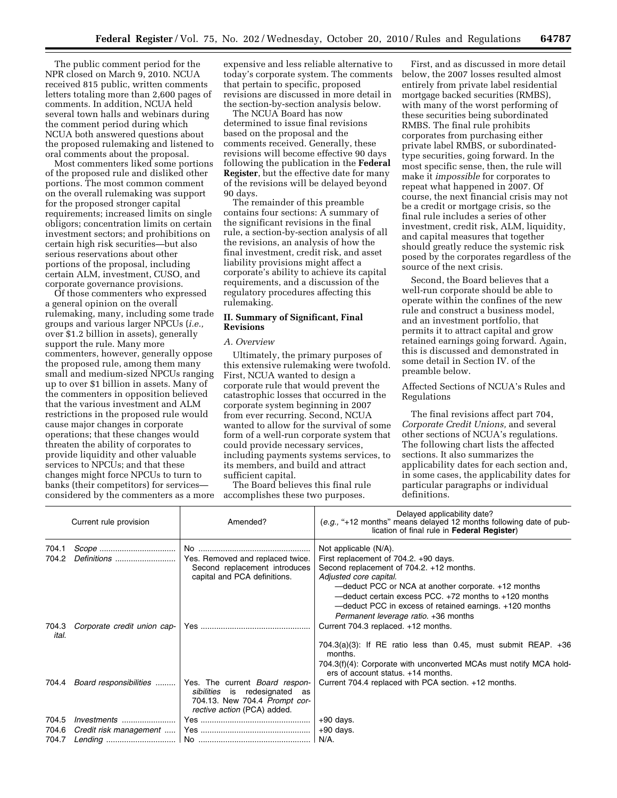The public comment period for the NPR closed on March 9, 2010. NCUA received 815 public, written comments letters totaling more than 2,600 pages of comments. In addition, NCUA held several town halls and webinars during the comment period during which NCUA both answered questions about the proposed rulemaking and listened to oral comments about the proposal.

Most commenters liked some portions of the proposed rule and disliked other portions. The most common comment on the overall rulemaking was support for the proposed stronger capital requirements; increased limits on single obligors; concentration limits on certain investment sectors; and prohibitions on certain high risk securities—but also serious reservations about other portions of the proposal, including certain ALM, investment, CUSO, and corporate governance provisions.

Of those commenters who expressed a general opinion on the overall rulemaking, many, including some trade groups and various larger NPCUs (*i.e.,*  over \$1.2 billion in assets), generally support the rule. Many more commenters, however, generally oppose the proposed rule, among them many small and medium-sized NPCUs ranging up to over \$1 billion in assets. Many of the commenters in opposition believed that the various investment and ALM restrictions in the proposed rule would cause major changes in corporate operations; that these changes would threaten the ability of corporates to provide liquidity and other valuable services to NPCUs; and that these changes might force NPCUs to turn to banks (their competitors) for services considered by the commenters as a more

expensive and less reliable alternative to today's corporate system. The comments that pertain to specific, proposed revisions are discussed in more detail in the section-by-section analysis below.

The NCUA Board has now determined to issue final revisions based on the proposal and the comments received. Generally, these revisions will become effective 90 days following the publication in the **Federal Register**, but the effective date for many of the revisions will be delayed beyond 90 days.

The remainder of this preamble contains four sections: A summary of the significant revisions in the final rule, a section-by-section analysis of all the revisions, an analysis of how the final investment, credit risk, and asset liability provisions might affect a corporate's ability to achieve its capital requirements, and a discussion of the regulatory procedures affecting this rulemaking.

#### **II. Summary of Significant, Final Revisions**

#### *A. Overview*

Ultimately, the primary purposes of this extensive rulemaking were twofold. First, NCUA wanted to design a corporate rule that would prevent the catastrophic losses that occurred in the corporate system beginning in 2007 from ever recurring. Second, NCUA wanted to allow for the survival of some form of a well-run corporate system that could provide necessary services, including payments systems services, to its members, and build and attract sufficient capital.

The Board believes this final rule accomplishes these two purposes.

First, and as discussed in more detail below, the 2007 losses resulted almost entirely from private label residential mortgage backed securities (RMBS), with many of the worst performing of these securities being subordinated RMBS. The final rule prohibits corporates from purchasing either private label RMBS, or subordinatedtype securities, going forward. In the most specific sense, then, the rule will make it *impossible* for corporates to repeat what happened in 2007. Of course, the next financial crisis may not be a credit or mortgage crisis, so the final rule includes a series of other investment, credit risk, ALM, liquidity, and capital measures that together should greatly reduce the systemic risk posed by the corporates regardless of the source of the next crisis.

Second, the Board believes that a well-run corporate should be able to operate within the confines of the new rule and construct a business model, and an investment portfolio, that permits it to attract capital and grow retained earnings going forward. Again, this is discussed and demonstrated in some detail in Section IV. of the preamble below.

Affected Sections of NCUA's Rules and Regulations

The final revisions affect part 704, *Corporate Credit Unions,* and several other sections of NCUA's regulations. The following chart lists the affected sections. It also summarizes the applicability dates for each section and, in some cases, the applicability dates for particular paragraphs or individual definitions.

|                        |                             |                                                                                                                                        | Delayed applicability date?                                                                                                                                                                                                                                                                   |  |  |
|------------------------|-----------------------------|----------------------------------------------------------------------------------------------------------------------------------------|-----------------------------------------------------------------------------------------------------------------------------------------------------------------------------------------------------------------------------------------------------------------------------------------------|--|--|
| Current rule provision |                             | Amended?                                                                                                                               | (e.g., "+12 months" means delayed 12 months following date of pub-<br>lication of final rule in Federal Register)                                                                                                                                                                             |  |  |
| 704.1                  |                             |                                                                                                                                        | Not applicable (N/A).                                                                                                                                                                                                                                                                         |  |  |
| 704.2                  | Definitions                 | Yes. Removed and replaced twice.<br>Second replacement introduces<br>capital and PCA definitions.                                      | First replacement of 704.2. +90 days.<br>Second replacement of 704.2. +12 months.<br>Adjusted core capital.<br>-deduct PCC or NCA at another corporate. +12 months<br>$-$ deduct certain excess PCC, $+72$ months to $+120$ months<br>-deduct PCC in excess of retained earnings. +120 months |  |  |
| 704.3<br>ital.         | Corporate credit union cap- |                                                                                                                                        | Permanent leverage ratio. +36 months<br>Current 704.3 replaced. +12 months.                                                                                                                                                                                                                   |  |  |
|                        |                             |                                                                                                                                        | $704.3(a)(3)$ : If RE ratio less than 0.45, must submit REAP. $+36$<br>months.                                                                                                                                                                                                                |  |  |
|                        |                             |                                                                                                                                        | 704.3(f)(4): Corporate with unconverted MCAs must notify MCA hold-<br>ers of account status. +14 months.                                                                                                                                                                                      |  |  |
| 704.4                  | Board responsibilities      | Yes. The current <i>Board respon-</i><br>sibilities is redesignated as<br>704.13. New 704.4 Prompt cor-<br>rective action (PCA) added. | Current 704.4 replaced with PCA section. +12 months.                                                                                                                                                                                                                                          |  |  |
| 704.5                  | Investments                 |                                                                                                                                        | $+90$ days.                                                                                                                                                                                                                                                                                   |  |  |
| 704.6                  | Credit risk management      |                                                                                                                                        | $+90$ days.                                                                                                                                                                                                                                                                                   |  |  |
| 704.7                  |                             |                                                                                                                                        |                                                                                                                                                                                                                                                                                               |  |  |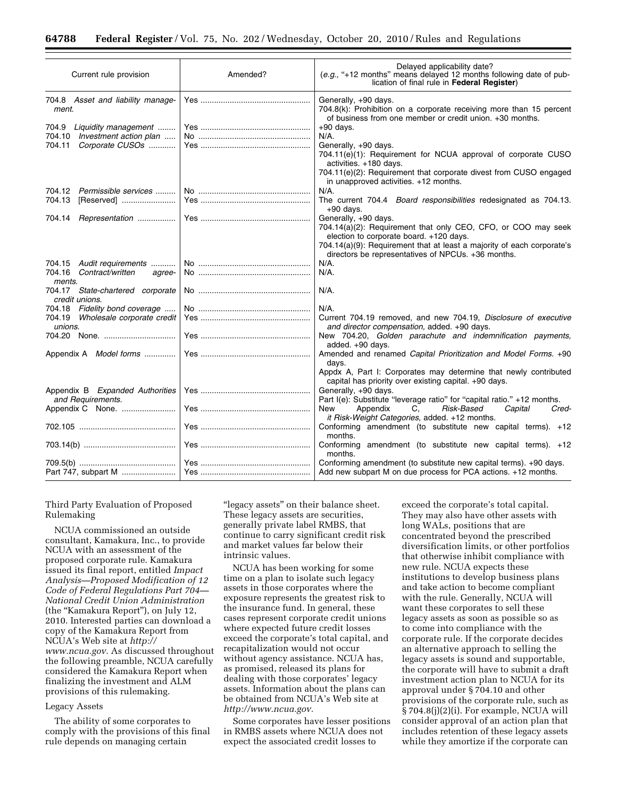| Current rule provision                                            | Amended? | Delayed applicability date?<br>(e.g., "+12 months" means delayed 12 months following date of pub-<br>lication of final rule in Federal Register)        |
|-------------------------------------------------------------------|----------|---------------------------------------------------------------------------------------------------------------------------------------------------------|
| 704.8 Asset and liability manage-<br>ment.                        |          | Generally, +90 days.<br>704.8(k): Prohibition on a corporate receiving more than 15 percent<br>of business from one member or credit union. +30 months. |
| 704.9<br>Liquidity management<br>704.10<br>Investment action plan |          | $+90$ days.<br>N/A.                                                                                                                                     |
| 704.11<br>Corporate CUSOs                                         |          | Generally, +90 days.<br>704.11(e)(1): Requirement for NCUA approval of corporate CUSO<br>activities. +180 days.                                         |
|                                                                   |          | 704.11(e)(2): Requirement that corporate divest from CUSO engaged<br>in unapproved activities. +12 months.                                              |
| 704.12 Permissible services                                       |          | N/A.                                                                                                                                                    |
| 704.13<br>[Reserved]                                              |          | The current 704.4 Board responsibilities redesignated as 704.13.<br>$+90$ days.                                                                         |
| Representation<br>704.14                                          |          | Generally, +90 days.                                                                                                                                    |
|                                                                   |          | 704.14(a)(2): Requirement that only CEO, CFO, or COO may seek<br>election to corporate board. +120 days.                                                |
|                                                                   |          | 704.14(a)(9): Requirement that at least a majority of each corporate's<br>directors be representatives of NPCUs. +36 months.                            |
| 704.15 Audit requirements                                         |          | $N/A$ .                                                                                                                                                 |
| 704.16 Contract/written<br>agree-<br>ments.                       |          | $N/A$ .                                                                                                                                                 |
| 704.17 State-chartered corporate<br>credit unions.                |          | N/A.                                                                                                                                                    |
| 704.18 Fidelity bond coverage                                     |          | $N/A$ .                                                                                                                                                 |
| 704.19 Wholesale corporate credit                                 |          | Current 704.19 removed, and new 704.19, Disclosure of executive                                                                                         |
| unions.                                                           |          | and director compensation, added. +90 days.                                                                                                             |
| 704.20 None.                                                      |          | New 704.20, Golden parachute and indemnification payments,<br>added. +90 days.                                                                          |
| Appendix A Model forms                                            |          | Amended and renamed Capital Prioritization and Model Forms. +90<br>days.                                                                                |
|                                                                   |          | Appdx A, Part I: Corporates may determine that newly contributed<br>capital has priority over existing capital. +90 days.                               |
| Appendix B Expanded Authorities<br>and Requirements.              |          | Generally, +90 days.<br>Part I(e): Substitute "leverage ratio" for "capital ratio." +12 months.                                                         |
| Appendix C None.                                                  |          | Risk-Based<br>Capital<br>New<br>Appendix<br>Cred-<br>C,<br>it Risk-Weight Categories, added. +12 months.                                                |
|                                                                   |          | Conforming amendment (to substitute new capital terms). +12                                                                                             |
|                                                                   |          | months.<br>Conforming amendment (to substitute new capital terms). +12<br>months.                                                                       |
| Part 747, subpart M                                               |          | Conforming amendment (to substitute new capital terms). +90 days.<br>Add new subpart M on due process for PCA actions. +12 months.                      |
|                                                                   |          |                                                                                                                                                         |

Third Party Evaluation of Proposed Rulemaking

NCUA commissioned an outside consultant, Kamakura, Inc., to provide NCUA with an assessment of the proposed corporate rule. Kamakura issued its final report, entitled *Impact Analysis—Proposed Modification of 12 Code of Federal Regulations Part 704— National Credit Union Administration*  (the ''Kamakura Report''), on July 12, 2010. Interested parties can download a copy of the Kamakura Report from NCUA's Web site at *[http://](http://www.ncua.gov) [www.ncua.gov.](http://www.ncua.gov)* As discussed throughout the following preamble, NCUA carefully considered the Kamakura Report when finalizing the investment and ALM provisions of this rulemaking.

#### Legacy Assets

The ability of some corporates to comply with the provisions of this final rule depends on managing certain

"legacy assets" on their balance sheet. These legacy assets are securities, generally private label RMBS, that continue to carry significant credit risk and market values far below their intrinsic values.

NCUA has been working for some time on a plan to isolate such legacy assets in those corporates where the exposure represents the greatest risk to the insurance fund. In general, these cases represent corporate credit unions where expected future credit losses exceed the corporate's total capital, and recapitalization would not occur without agency assistance. NCUA has, as promised, released its plans for dealing with those corporates' legacy assets. Information about the plans can be obtained from NCUA's Web site at *[http://www.ncua.gov.](http://www.ncua.gov)* 

Some corporates have lesser positions in RMBS assets where NCUA does not expect the associated credit losses to

exceed the corporate's total capital. They may also have other assets with long WALs, positions that are concentrated beyond the prescribed diversification limits, or other portfolios that otherwise inhibit compliance with new rule. NCUA expects these institutions to develop business plans and take action to become compliant with the rule. Generally, NCUA will want these corporates to sell these legacy assets as soon as possible so as to come into compliance with the corporate rule. If the corporate decides an alternative approach to selling the legacy assets is sound and supportable, the corporate will have to submit a draft investment action plan to NCUA for its approval under § 704.10 and other provisions of the corporate rule, such as § 704.8(j)(2)(i). For example, NCUA will consider approval of an action plan that includes retention of these legacy assets while they amortize if the corporate can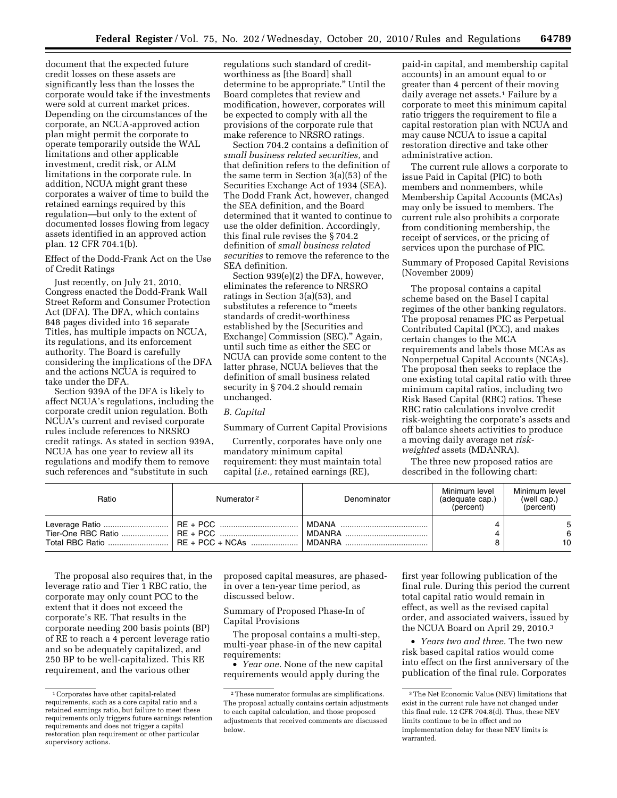document that the expected future credit losses on these assets are significantly less than the losses the corporate would take if the investments were sold at current market prices. Depending on the circumstances of the corporate, an NCUA-approved action plan might permit the corporate to operate temporarily outside the WAL limitations and other applicable investment, credit risk, or ALM limitations in the corporate rule. In addition, NCUA might grant these corporates a waiver of time to build the retained earnings required by this regulation—but only to the extent of documented losses flowing from legacy assets identified in an approved action plan. 12 CFR 704.1(b).

Effect of the Dodd-Frank Act on the Use of Credit Ratings

Just recently, on July 21, 2010, Congress enacted the Dodd-Frank Wall Street Reform and Consumer Protection Act (DFA). The DFA, which contains 848 pages divided into 16 separate Titles, has multiple impacts on NCUA, its regulations, and its enforcement authority. The Board is carefully considering the implications of the DFA and the actions NCUA is required to take under the DFA.

Section 939A of the DFA is likely to affect NCUA's regulations, including the corporate credit union regulation. Both NCUA's current and revised corporate rules include references to NRSRO credit ratings. As stated in section 939A, NCUA has one year to review all its regulations and modify them to remove such references and ''substitute in such

regulations such standard of creditworthiness as [the Board] shall determine to be appropriate.'' Until the Board completes that review and modification, however, corporates will be expected to comply with all the provisions of the corporate rule that make reference to NRSRO ratings.

Section 704.2 contains a definition of *small business related securities,* and that definition refers to the definition of the same term in Section 3(a)(53) of the Securities Exchange Act of 1934 (SEA). The Dodd Frank Act, however, changed the SEA definition, and the Board determined that it wanted to continue to use the older definition. Accordingly, this final rule revises the § 704.2 definition of *small business related securities* to remove the reference to the SEA definition.

Section 939(e)(2) the DFA, however, eliminates the reference to NRSRO ratings in Section 3(a)(53), and substitutes a reference to "meets standards of credit-worthiness established by the [Securities and Exchange] Commission (SEC).'' Again, until such time as either the SEC or NCUA can provide some content to the latter phrase, NCUA believes that the definition of small business related security in § 704.2 should remain unchanged.

#### *B. Capital*

Summary of Current Capital Provisions

Currently, corporates have only one mandatory minimum capital requirement: they must maintain total capital (*i.e.,* retained earnings (RE),

paid-in capital, and membership capital accounts) in an amount equal to or greater than 4 percent of their moving daily average net assets.<sup>1</sup> Failure by a corporate to meet this minimum capital ratio triggers the requirement to file a capital restoration plan with NCUA and may cause NCUA to issue a capital restoration directive and take other administrative action.

The current rule allows a corporate to issue Paid in Capital (PIC) to both members and nonmembers, while Membership Capital Accounts (MCAs) may only be issued to members. The current rule also prohibits a corporate from conditioning membership, the receipt of services, or the pricing of services upon the purchase of PIC.

Summary of Proposed Capital Revisions (November 2009)

The proposal contains a capital scheme based on the Basel I capital regimes of the other banking regulators. The proposal renames PIC as Perpetual Contributed Capital (PCC), and makes certain changes to the MCA requirements and labels those MCAs as Nonperpetual Capital Accounts (NCAs). The proposal then seeks to replace the one existing total capital ratio with three minimum capital ratios, including two Risk Based Capital (RBC) ratios. These RBC ratio calculations involve credit risk-weighting the corporate's assets and off balance sheets activities to produce a moving daily average net *riskweighted* assets (MDANRA).

The three new proposed ratios are described in the following chart:

| Ratio | Numerator <sup>2</sup> | Denominator | Minimum level<br>(adequate cap.)<br>(percent) | Minimum level<br>(well cap.)<br>(percent) |
|-------|------------------------|-------------|-----------------------------------------------|-------------------------------------------|
|       |                        |             |                                               | 6<br>10                                   |

The proposal also requires that, in the leverage ratio and Tier 1 RBC ratio, the corporate may only count PCC to the extent that it does not exceed the corporate's RE. That results in the corporate needing 200 basis points (BP) of RE to reach a 4 percent leverage ratio and so be adequately capitalized, and 250 BP to be well-capitalized. This RE requirement, and the various other

proposed capital measures, are phasedin over a ten-year time period, as discussed below.

#### Summary of Proposed Phase-In of Capital Provisions

The proposal contains a multi-step, multi-year phase-in of the new capital requirements:

• *Year one.* None of the new capital requirements would apply during the

first year following publication of the final rule. During this period the current total capital ratio would remain in effect, as well as the revised capital order, and associated waivers, issued by the NCUA Board on April 29, 2010.3

• *Years two and three.* The two new risk based capital ratios would come into effect on the first anniversary of the publication of the final rule. Corporates

<sup>1</sup>Corporates have other capital-related requirements, such as a core capital ratio and a retained earnings ratio, but failure to meet these requirements only triggers future earnings retention requirements and does not trigger a capital restoration plan requirement or other particular supervisory actions.

<sup>2</sup>These numerator formulas are simplifications. The proposal actually contains certain adjustments to each capital calculation, and those proposed adjustments that received comments are discussed below.

<sup>3</sup>The Net Economic Value (NEV) limitations that exist in the current rule have not changed under this final rule. 12 CFR 704.8(d). Thus, these NEV limits continue to be in effect and no implementation delay for these NEV limits is warranted.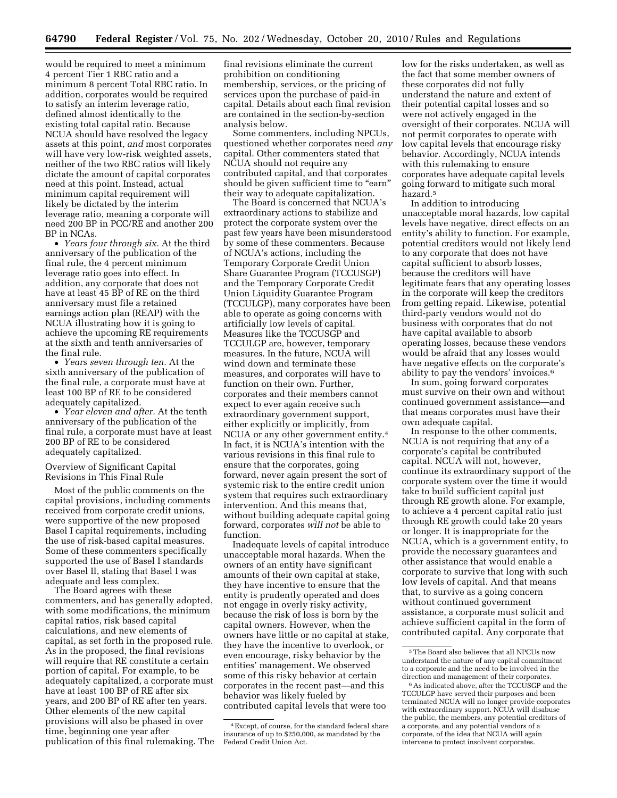would be required to meet a minimum 4 percent Tier 1 RBC ratio and a minimum 8 percent Total RBC ratio. In addition, corporates would be required to satisfy an interim leverage ratio, defined almost identically to the existing total capital ratio. Because NCUA should have resolved the legacy assets at this point, *and* most corporates will have very low-risk weighted assets, neither of the two RBC ratios will likely dictate the amount of capital corporates need at this point. Instead, actual minimum capital requirement will likely be dictated by the interim leverage ratio, meaning a corporate will need 200 BP in PCC/RE and another 200 BP in NCAs.

• *Years four through six.* At the third anniversary of the publication of the final rule, the 4 percent minimum leverage ratio goes into effect. In addition, any corporate that does not have at least 45 BP of RE on the third anniversary must file a retained earnings action plan (REAP) with the NCUA illustrating how it is going to achieve the upcoming RE requirements at the sixth and tenth anniversaries of the final rule.

• *Years seven through ten.* At the sixth anniversary of the publication of the final rule, a corporate must have at least 100 BP of RE to be considered adequately capitalized.

• *Year eleven and after.* At the tenth anniversary of the publication of the final rule, a corporate must have at least 200 BP of RE to be considered adequately capitalized.

#### Overview of Significant Capital Revisions in This Final Rule

Most of the public comments on the capital provisions, including comments received from corporate credit unions, were supportive of the new proposed Basel I capital requirements, including the use of risk-based capital measures. Some of these commenters specifically supported the use of Basel I standards over Basel II, stating that Basel I was adequate and less complex.

The Board agrees with these commenters, and has generally adopted, with some modifications, the minimum capital ratios, risk based capital calculations, and new elements of capital, as set forth in the proposed rule. As in the proposed, the final revisions will require that RE constitute a certain portion of capital. For example, to be adequately capitalized, a corporate must have at least 100 BP of RE after six years, and 200 BP of RE after ten years. Other elements of the new capital provisions will also be phased in over time, beginning one year after publication of this final rulemaking. The

final revisions eliminate the current prohibition on conditioning membership, services, or the pricing of services upon the purchase of paid-in capital. Details about each final revision are contained in the section-by-section analysis below.

Some commenters, including NPCUs, questioned whether corporates need *any*  capital. Other commenters stated that NCUA should not require any contributed capital, and that corporates should be given sufficient time to "earn" their way to adequate capitalization.

The Board is concerned that NCUA's extraordinary actions to stabilize and protect the corporate system over the past few years have been misunderstood by some of these commenters. Because of NCUA's actions, including the Temporary Corporate Credit Union Share Guarantee Program (TCCUSGP) and the Temporary Corporate Credit Union Liquidity Guarantee Program (TCCULGP), many corporates have been able to operate as going concerns with artificially low levels of capital. Measures like the TCCUSGP and TCCULGP are, however, temporary measures. In the future, NCUA will wind down and terminate these measures, and corporates will have to function on their own. Further, corporates and their members cannot expect to ever again receive such extraordinary government support, either explicitly or implicitly, from NCUA or any other government entity.4 In fact, it is NCUA's intention with the various revisions in this final rule to ensure that the corporates, going forward, never again present the sort of systemic risk to the entire credit union system that requires such extraordinary intervention. And this means that, without building adequate capital going forward, corporates *will not* be able to function.

Inadequate levels of capital introduce unacceptable moral hazards. When the owners of an entity have significant amounts of their own capital at stake, they have incentive to ensure that the entity is prudently operated and does not engage in overly risky activity, because the risk of loss is born by the capital owners. However, when the owners have little or no capital at stake, they have the incentive to overlook, or even encourage, risky behavior by the entities' management. We observed some of this risky behavior at certain corporates in the recent past—and this behavior was likely fueled by contributed capital levels that were too

low for the risks undertaken, as well as the fact that some member owners of these corporates did not fully understand the nature and extent of their potential capital losses and so were not actively engaged in the oversight of their corporates. NCUA will not permit corporates to operate with low capital levels that encourage risky behavior. Accordingly, NCUA intends with this rulemaking to ensure corporates have adequate capital levels going forward to mitigate such moral hazard.5

In addition to introducing unacceptable moral hazards, low capital levels have negative, direct effects on an entity's ability to function. For example, potential creditors would not likely lend to any corporate that does not have capital sufficient to absorb losses, because the creditors will have legitimate fears that any operating losses in the corporate will keep the creditors from getting repaid. Likewise, potential third-party vendors would not do business with corporates that do not have capital available to absorb operating losses, because these vendors would be afraid that any losses would have negative effects on the corporate's ability to pay the vendors' invoices.6

In sum, going forward corporates must survive on their own and without continued government assistance—and that means corporates must have their own adequate capital.

In response to the other comments, NCUA is not requiring that any of a corporate's capital be contributed capital. NCUA will not, however, continue its extraordinary support of the corporate system over the time it would take to build sufficient capital just through RE growth alone. For example, to achieve a 4 percent capital ratio just through RE growth could take 20 years or longer. It is inappropriate for the NCUA, which is a government entity, to provide the necessary guarantees and other assistance that would enable a corporate to survive that long with such low levels of capital. And that means that, to survive as a going concern without continued government assistance, a corporate must solicit and achieve sufficient capital in the form of contributed capital. Any corporate that

<sup>4</sup>Except, of course, for the standard federal share insurance of up to \$250,000, as mandated by the Federal Credit Union Act.

<sup>5</sup>The Board also believes that all NPCUs now understand the nature of any capital commitment to a corporate and the need to be involved in the direction and management of their corporates.

<sup>6</sup>As indicated above, after the TCCUSGP and the TCCULGP have served their purposes and been terminated NCUA will no longer provide corporates with extraordinary support. NCUA will disabuse the public, the members, any potential creditors of a corporate, and any potential vendors of a corporate, of the idea that NCUA will again intervene to protect insolvent corporates.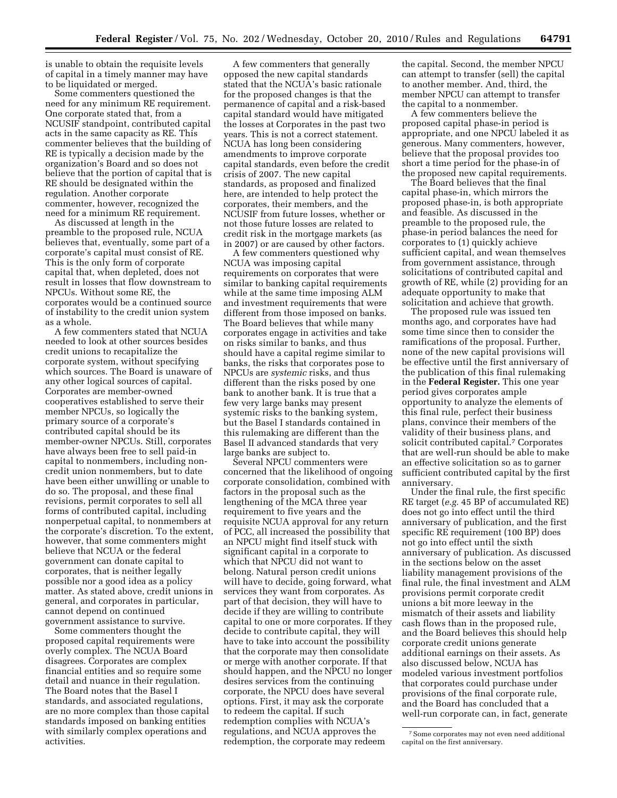is unable to obtain the requisite levels of capital in a timely manner may have to be liquidated or merged.

Some commenters questioned the need for any minimum RE requirement. One corporate stated that, from a NCUSIF standpoint, contributed capital acts in the same capacity as RE. This commenter believes that the building of RE is typically a decision made by the organization's Board and so does not believe that the portion of capital that is RE should be designated within the regulation. Another corporate commenter, however, recognized the need for a minimum RE requirement.

As discussed at length in the preamble to the proposed rule, NCUA believes that, eventually, some part of a corporate's capital must consist of RE. This is the only form of corporate capital that, when depleted, does not result in losses that flow downstream to NPCUs. Without some RE, the corporates would be a continued source of instability to the credit union system as a whole.

A few commenters stated that NCUA needed to look at other sources besides credit unions to recapitalize the corporate system, without specifying which sources. The Board is unaware of any other logical sources of capital. Corporates are member-owned cooperatives established to serve their member NPCUs, so logically the primary source of a corporate's contributed capital should be its member-owner NPCUs. Still, corporates have always been free to sell paid-in capital to nonmembers, including noncredit union nonmembers, but to date have been either unwilling or unable to do so. The proposal, and these final revisions, permit corporates to sell all forms of contributed capital, including nonperpetual capital, to nonmembers at the corporate's discretion. To the extent, however, that some commenters might believe that NCUA or the federal government can donate capital to corporates, that is neither legally possible nor a good idea as a policy matter. As stated above, credit unions in general, and corporates in particular, cannot depend on continued government assistance to survive.

Some commenters thought the proposed capital requirements were overly complex. The NCUA Board disagrees. Corporates are complex financial entities and so require some detail and nuance in their regulation. The Board notes that the Basel I standards, and associated regulations, are no more complex than those capital standards imposed on banking entities with similarly complex operations and activities.

A few commenters that generally opposed the new capital standards stated that the NCUA's basic rationale for the proposed changes is that the permanence of capital and a risk-based capital standard would have mitigated the losses at Corporates in the past two years. This is not a correct statement. NCUA has long been considering amendments to improve corporate capital standards, even before the credit crisis of 2007. The new capital standards, as proposed and finalized here, are intended to help protect the corporates, their members, and the NCUSIF from future losses, whether or not those future losses are related to credit risk in the mortgage markets (as in 2007) or are caused by other factors.

A few commenters questioned why NCUA was imposing capital requirements on corporates that were similar to banking capital requirements while at the same time imposing ALM and investment requirements that were different from those imposed on banks. The Board believes that while many corporates engage in activities and take on risks similar to banks, and thus should have a capital regime similar to banks, the risks that corporates pose to NPCUs are *systemic* risks, and thus different than the risks posed by one bank to another bank. It is true that a few very large banks may present systemic risks to the banking system, but the Basel I standards contained in this rulemaking are different than the Basel II advanced standards that very large banks are subject to.

Several NPCU commenters were concerned that the likelihood of ongoing corporate consolidation, combined with factors in the proposal such as the lengthening of the MCA three year requirement to five years and the requisite NCUA approval for any return of PCC, all increased the possibility that an NPCU might find itself stuck with significant capital in a corporate to which that NPCU did not want to belong. Natural person credit unions will have to decide, going forward, what services they want from corporates. As part of that decision, they will have to decide if they are willing to contribute capital to one or more corporates. If they decide to contribute capital, they will have to take into account the possibility that the corporate may then consolidate or merge with another corporate. If that should happen, and the NPCU no longer desires services from the continuing corporate, the NPCU does have several options. First, it may ask the corporate to redeem the capital. If such redemption complies with NCUA's regulations, and NCUA approves the redemption, the corporate may redeem

the capital. Second, the member NPCU can attempt to transfer (sell) the capital to another member. And, third, the member NPCU can attempt to transfer the capital to a nonmember.

A few commenters believe the proposed capital phase-in period is appropriate, and one NPCU labeled it as generous. Many commenters, however, believe that the proposal provides too short a time period for the phase-in of the proposed new capital requirements.

The Board believes that the final capital phase-in, which mirrors the proposed phase-in, is both appropriate and feasible. As discussed in the preamble to the proposed rule, the phase-in period balances the need for corporates to (1) quickly achieve sufficient capital, and wean themselves from government assistance, through solicitations of contributed capital and growth of RE, while (2) providing for an adequate opportunity to make that solicitation and achieve that growth.

The proposed rule was issued ten months ago, and corporates have had some time since then to consider the ramifications of the proposal. Further, none of the new capital provisions will be effective until the first anniversary of the publication of this final rulemaking in the **Federal Register.** This one year period gives corporates ample opportunity to analyze the elements of this final rule, perfect their business plans, convince their members of the validity of their business plans, and solicit contributed capital.7 Corporates that are well-run should be able to make an effective solicitation so as to garner sufficient contributed capital by the first anniversary.

Under the final rule, the first specific RE target (*e.g.* 45 BP of accumulated RE) does not go into effect until the third anniversary of publication, and the first specific RE requirement (100 BP) does not go into effect until the sixth anniversary of publication. As discussed in the sections below on the asset liability management provisions of the final rule, the final investment and ALM provisions permit corporate credit unions a bit more leeway in the mismatch of their assets and liability cash flows than in the proposed rule, and the Board believes this should help corporate credit unions generate additional earnings on their assets. As also discussed below, NCUA has modeled various investment portfolios that corporates could purchase under provisions of the final corporate rule, and the Board has concluded that a well-run corporate can, in fact, generate

<sup>7</sup>Some corporates may not even need additional capital on the first anniversary.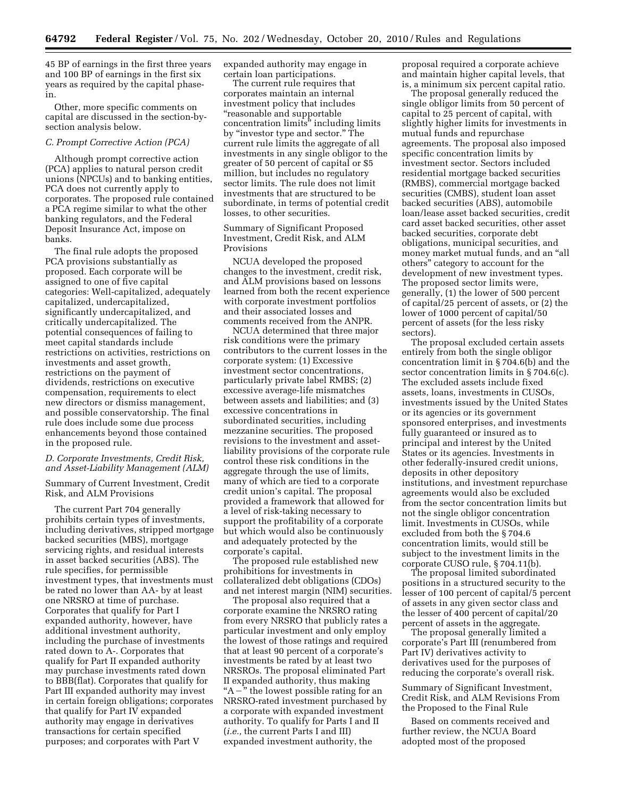45 BP of earnings in the first three years and 100 BP of earnings in the first six years as required by the capital phasein.

Other, more specific comments on capital are discussed in the section-bysection analysis below.

#### *C. Prompt Corrective Action (PCA)*

Although prompt corrective action (PCA) applies to natural person credit unions (NPCUs) and to banking entities, PCA does not currently apply to corporates. The proposed rule contained a PCA regime similar to what the other banking regulators, and the Federal Deposit Insurance Act, impose on banks.

The final rule adopts the proposed PCA provisions substantially as proposed. Each corporate will be assigned to one of five capital categories: Well-capitalized, adequately capitalized, undercapitalized, significantly undercapitalized, and critically undercapitalized. The potential consequences of failing to meet capital standards include restrictions on activities, restrictions on investments and asset growth, restrictions on the payment of dividends, restrictions on executive compensation, requirements to elect new directors or dismiss management, and possible conservatorship. The final rule does include some due process enhancements beyond those contained in the proposed rule.

#### *D. Corporate Investments, Credit Risk, and Asset-Liability Management (ALM)*

Summary of Current Investment, Credit Risk, and ALM Provisions

The current Part 704 generally prohibits certain types of investments, including derivatives, stripped mortgage backed securities (MBS), mortgage servicing rights, and residual interests in asset backed securities (ABS). The rule specifies, for permissible investment types, that investments must be rated no lower than AA- by at least one NRSRO at time of purchase. Corporates that qualify for Part I expanded authority, however, have additional investment authority, including the purchase of investments rated down to A-. Corporates that qualify for Part II expanded authority may purchase investments rated down to BBB(flat). Corporates that qualify for Part III expanded authority may invest in certain foreign obligations; corporates that qualify for Part IV expanded authority may engage in derivatives transactions for certain specified purposes; and corporates with Part V

expanded authority may engage in certain loan participations.

The current rule requires that corporates maintain an internal investment policy that includes ''reasonable and supportable concentration limits'' including limits by ''investor type and sector.'' The current rule limits the aggregate of all investments in any single obligor to the greater of 50 percent of capital or \$5 million, but includes no regulatory sector limits. The rule does not limit investments that are structured to be subordinate, in terms of potential credit losses, to other securities.

Summary of Significant Proposed Investment, Credit Risk, and ALM Provisions

NCUA developed the proposed changes to the investment, credit risk, and ALM provisions based on lessons learned from both the recent experience with corporate investment portfolios and their associated losses and comments received from the ANPR.

NCUA determined that three major risk conditions were the primary contributors to the current losses in the corporate system: (1) Excessive investment sector concentrations, particularly private label RMBS; (2) excessive average-life mismatches between assets and liabilities; and (3) excessive concentrations in subordinated securities, including mezzanine securities. The proposed revisions to the investment and assetliability provisions of the corporate rule control these risk conditions in the aggregate through the use of limits, many of which are tied to a corporate credit union's capital. The proposal provided a framework that allowed for a level of risk-taking necessary to support the profitability of a corporate but which would also be continuously and adequately protected by the corporate's capital.

The proposed rule established new prohibitions for investments in collateralized debt obligations (CDOs) and net interest margin (NIM) securities.

The proposal also required that a corporate examine the NRSRO rating from every NRSRO that publicly rates a particular investment and only employ the lowest of those ratings and required that at least 90 percent of a corporate's investments be rated by at least two NRSROs. The proposal eliminated Part II expanded authority, thus making " $A -$ " the lowest possible rating for an NRSRO-rated investment purchased by a corporate with expanded investment authority. To qualify for Parts I and II (*i.e.,* the current Parts I and III) expanded investment authority, the

proposal required a corporate achieve and maintain higher capital levels, that is, a minimum six percent capital ratio.

The proposal generally reduced the single obligor limits from 50 percent of capital to 25 percent of capital, with slightly higher limits for investments in mutual funds and repurchase agreements. The proposal also imposed specific concentration limits by investment sector. Sectors included residential mortgage backed securities (RMBS), commercial mortgage backed securities (CMBS), student loan asset backed securities (ABS), automobile loan/lease asset backed securities, credit card asset backed securities, other asset backed securities, corporate debt obligations, municipal securities, and money market mutual funds, and an ''all others'' category to account for the development of new investment types. The proposed sector limits were, generally, (1) the lower of 500 percent of capital/25 percent of assets, or (2) the lower of 1000 percent of capital/50 percent of assets (for the less risky sectors).

The proposal excluded certain assets entirely from both the single obligor concentration limit in § 704.6(b) and the sector concentration limits in § 704.6(c). The excluded assets include fixed assets, loans, investments in CUSOs, investments issued by the United States or its agencies or its government sponsored enterprises, and investments fully guaranteed or insured as to principal and interest by the United States or its agencies. Investments in other federally-insured credit unions, deposits in other depository institutions, and investment repurchase agreements would also be excluded from the sector concentration limits but not the single obligor concentration limit. Investments in CUSOs, while excluded from both the § 704.6 concentration limits, would still be subject to the investment limits in the corporate CUSO rule, § 704.11(b).

The proposal limited subordinated positions in a structured security to the lesser of 100 percent of capital/5 percent of assets in any given sector class and the lesser of 400 percent of capital/20 percent of assets in the aggregate.

The proposal generally limited a corporate's Part III (renumbered from Part IV) derivatives activity to derivatives used for the purposes of reducing the corporate's overall risk.

Summary of Significant Investment, Credit Risk, and ALM Revisions From the Proposed to the Final Rule

Based on comments received and further review, the NCUA Board adopted most of the proposed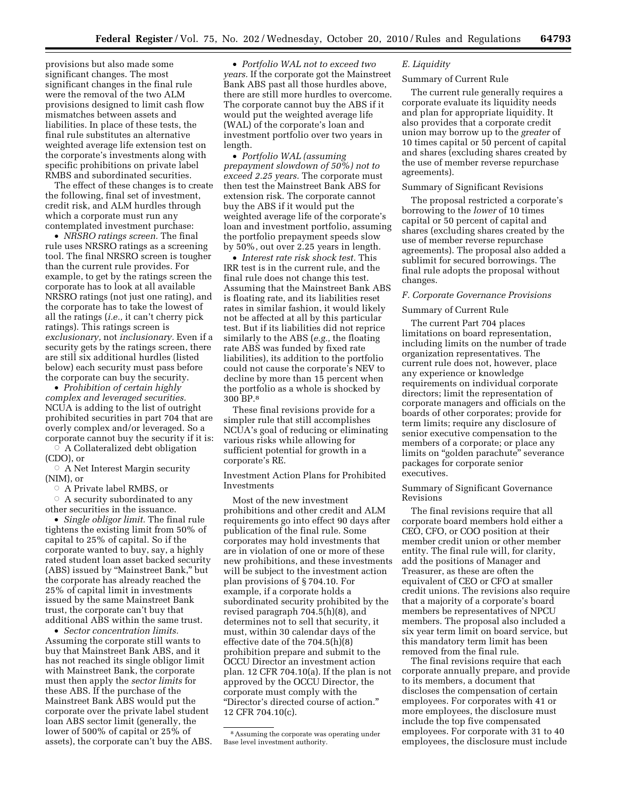provisions but also made some significant changes. The most significant changes in the final rule were the removal of the two ALM provisions designed to limit cash flow mismatches between assets and liabilities. In place of these tests, the final rule substitutes an alternative weighted average life extension test on the corporate's investments along with specific prohibitions on private label RMBS and subordinated securities.

The effect of these changes is to create the following, final set of investment, credit risk, and ALM hurdles through which a corporate must run any contemplated investment purchase:

• *NRSRO ratings screen.* The final rule uses NRSRO ratings as a screening tool. The final NRSRO screen is tougher than the current rule provides. For example, to get by the ratings screen the corporate has to look at all available NRSRO ratings (not just one rating), and the corporate has to take the lowest of all the ratings (*i.e.,* it can't cherry pick ratings). This ratings screen is *exclusionary,* not *inclusionary.* Even if a security gets by the ratings screen, there are still six additional hurdles (listed below) each security must pass before the corporate can buy the security.

• *Prohibition of certain highly complex and leveraged securities.*  NCUA is adding to the list of outright prohibited securities in part 704 that are overly complex and/or leveraged. So a corporate cannot buy the security if it is:

 $\overline{\circ}$  A Collateralized debt obligation (CDO), or

 $\circ$  A Net Interest Margin security (NIM), or

Æ A Private label RMBS, or

 $\circ$  A security subordinated to any other securities in the issuance.

• *Single obligor limit.* The final rule tightens the existing limit from 50% of capital to 25% of capital. So if the corporate wanted to buy, say, a highly rated student loan asset backed security (ABS) issued by ''Mainstreet Bank,'' but the corporate has already reached the 25% of capital limit in investments issued by the same Mainstreet Bank trust, the corporate can't buy that additional ABS within the same trust.

• *Sector concentration limits.*  Assuming the corporate still wants to buy that Mainstreet Bank ABS, and it has not reached its single obligor limit with Mainstreet Bank, the corporate must then apply the *sector limits* for these ABS. If the purchase of the Mainstreet Bank ABS would put the corporate over the private label student loan ABS sector limit (generally, the lower of 500% of capital or 25% of assets), the corporate can't buy the ABS.

• *Portfolio WAL not to exceed two years.* If the corporate got the Mainstreet Bank ABS past all those hurdles above, there are still more hurdles to overcome. The corporate cannot buy the ABS if it would put the weighted average life (WAL) of the corporate's loan and investment portfolio over two years in length.

• *Portfolio WAL (assuming prepayment slowdown of 50%) not to exceed 2.25 years.* The corporate must then test the Mainstreet Bank ABS for extension risk. The corporate cannot buy the ABS if it would put the weighted average life of the corporate's loan and investment portfolio, assuming the portfolio prepayment speeds slow by 50%, out over 2.25 years in length.

• *Interest rate risk shock test.* This IRR test is in the current rule, and the final rule does not change this test. Assuming that the Mainstreet Bank ABS is floating rate, and its liabilities reset rates in similar fashion, it would likely not be affected at all by this particular test. But if its liabilities did not reprice similarly to the ABS (*e.g.,* the floating rate ABS was funded by fixed rate liabilities), its addition to the portfolio could not cause the corporate's NEV to decline by more than 15 percent when the portfolio as a whole is shocked by 300 BP.8

These final revisions provide for a simpler rule that still accomplishes NCUA's goal of reducing or eliminating various risks while allowing for sufficient potential for growth in a corporate's RE.

Investment Action Plans for Prohibited Investments

Most of the new investment prohibitions and other credit and ALM requirements go into effect 90 days after publication of the final rule. Some corporates may hold investments that are in violation of one or more of these new prohibitions, and these investments will be subject to the investment action plan provisions of § 704.10. For example, if a corporate holds a subordinated security prohibited by the revised paragraph 704.5(h)(8), and determines not to sell that security, it must, within 30 calendar days of the effective date of the 704.5(h)(8) prohibition prepare and submit to the OCCU Director an investment action plan. 12 CFR 704.10(a). If the plan is not approved by the OCCU Director, the corporate must comply with the ''Director's directed course of action.'' 12 CFR 704.10(c).

#### *E. Liquidity*

#### Summary of Current Rule

The current rule generally requires a corporate evaluate its liquidity needs and plan for appropriate liquidity. It also provides that a corporate credit union may borrow up to the *greater* of 10 times capital or 50 percent of capital and shares (excluding shares created by the use of member reverse repurchase agreements).

#### Summary of Significant Revisions

The proposal restricted a corporate's borrowing to the *lower* of 10 times capital or 50 percent of capital and shares (excluding shares created by the use of member reverse repurchase agreements). The proposal also added a sublimit for secured borrowings. The final rule adopts the proposal without changes.

#### *F. Corporate Governance Provisions*

#### Summary of Current Rule

The current Part 704 places limitations on board representation, including limits on the number of trade organization representatives. The current rule does not, however, place any experience or knowledge requirements on individual corporate directors; limit the representation of corporate managers and officials on the boards of other corporates; provide for term limits; require any disclosure of senior executive compensation to the members of a corporate; or place any limits on ''golden parachute'' severance packages for corporate senior executives.

#### Summary of Significant Governance Revisions

The final revisions require that all corporate board members hold either a CEO, CFO, or COO position at their member credit union or other member entity. The final rule will, for clarity, add the positions of Manager and Treasurer, as these are often the equivalent of CEO or CFO at smaller credit unions. The revisions also require that a majority of a corporate's board members be representatives of NPCU members. The proposal also included a six year term limit on board service, but this mandatory term limit has been removed from the final rule.

The final revisions require that each corporate annually prepare, and provide to its members, a document that discloses the compensation of certain employees. For corporates with 41 or more employees, the disclosure must include the top five compensated employees. For corporate with 31 to 40 employees, the disclosure must include

<sup>8</sup>Assuming the corporate was operating under Base level investment authority.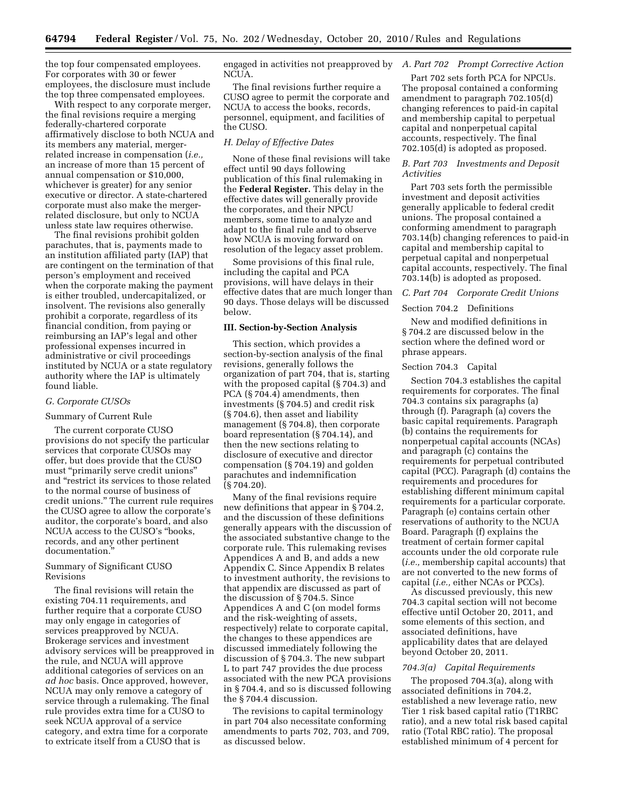the top four compensated employees. For corporates with 30 or fewer employees, the disclosure must include the top three compensated employees.

With respect to any corporate merger, the final revisions require a merging federally-chartered corporate affirmatively disclose to both NCUA and its members any material, mergerrelated increase in compensation (*i.e.,*  an increase of more than 15 percent of annual compensation or \$10,000, whichever is greater) for any senior executive or director. A state-chartered corporate must also make the mergerrelated disclosure, but only to NCUA unless state law requires otherwise.

The final revisions prohibit golden parachutes, that is, payments made to an institution affiliated party (IAP) that are contingent on the termination of that person's employment and received when the corporate making the payment is either troubled, undercapitalized, or insolvent. The revisions also generally prohibit a corporate, regardless of its financial condition, from paying or reimbursing an IAP's legal and other professional expenses incurred in administrative or civil proceedings instituted by NCUA or a state regulatory authority where the IAP is ultimately found liable.

#### *G. Corporate CUSOs*

#### Summary of Current Rule

The current corporate CUSO provisions do not specify the particular services that corporate CUSOs may offer, but does provide that the CUSO must ''primarily serve credit unions'' and ''restrict its services to those related to the normal course of business of credit unions.'' The current rule requires the CUSO agree to allow the corporate's auditor, the corporate's board, and also NCUA access to the CUSO's ''books, records, and any other pertinent documentation.''

#### Summary of Significant CUSO Revisions

The final revisions will retain the existing 704.11 requirements, and further require that a corporate CUSO may only engage in categories of services preapproved by NCUA. Brokerage services and investment advisory services will be preapproved in the rule, and NCUA will approve additional categories of services on an *ad hoc* basis. Once approved, however, NCUA may only remove a category of service through a rulemaking. The final rule provides extra time for a CUSO to seek NCUA approval of a service category, and extra time for a corporate to extricate itself from a CUSO that is

engaged in activities not preapproved by *A. Part 702 Prompt Corrective Action*  NCUA.

The final revisions further require a CUSO agree to permit the corporate and NCUA to access the books, records, personnel, equipment, and facilities of the CUSO.

#### *H. Delay of Effective Dates*

None of these final revisions will take effect until 90 days following publication of this final rulemaking in the **Federal Register.** This delay in the effective dates will generally provide the corporates, and their NPCU members, some time to analyze and adapt to the final rule and to observe how NCUA is moving forward on resolution of the legacy asset problem.

Some provisions of this final rule, including the capital and PCA provisions, will have delays in their effective dates that are much longer than 90 days. Those delays will be discussed below.

#### **III. Section-by-Section Analysis**

This section, which provides a section-by-section analysis of the final revisions, generally follows the organization of part 704, that is, starting with the proposed capital (§ 704.3) and PCA (§ 704.4) amendments, then investments (§ 704.5) and credit risk (§ 704.6), then asset and liability management (§ 704.8), then corporate board representation (§ 704.14), and then the new sections relating to disclosure of executive and director compensation (§ 704.19) and golden parachutes and indemnification (§ 704.20).

Many of the final revisions require new definitions that appear in § 704.2, and the discussion of these definitions generally appears with the discussion of the associated substantive change to the corporate rule. This rulemaking revises Appendices A and B, and adds a new Appendix C. Since Appendix B relates to investment authority, the revisions to that appendix are discussed as part of the discussion of § 704.5. Since Appendices A and C (on model forms and the risk-weighting of assets, respectively) relate to corporate capital, the changes to these appendices are discussed immediately following the discussion of § 704.3. The new subpart L to part 747 provides the due process associated with the new PCA provisions in § 704.4, and so is discussed following the § 704.4 discussion.

The revisions to capital terminology in part 704 also necessitate conforming amendments to parts 702, 703, and 709, as discussed below.

Part 702 sets forth PCA for NPCUs. The proposal contained a conforming amendment to paragraph 702.105(d) changing references to paid-in capital and membership capital to perpetual capital and nonperpetual capital accounts, respectively. The final 702.105(d) is adopted as proposed.

#### *B. Part 703 Investments and Deposit Activities*

Part 703 sets forth the permissible investment and deposit activities generally applicable to federal credit unions. The proposal contained a conforming amendment to paragraph 703.14(b) changing references to paid-in capital and membership capital to perpetual capital and nonperpetual capital accounts, respectively. The final 703.14(b) is adopted as proposed.

#### *C. Part 704 Corporate Credit Unions*

#### Section 704.2 Definitions

New and modified definitions in § 704.2 are discussed below in the section where the defined word or phrase appears.

#### Section 704.3 Capital

Section 704.3 establishes the capital requirements for corporates. The final 704.3 contains six paragraphs (a) through (f). Paragraph (a) covers the basic capital requirements. Paragraph (b) contains the requirements for nonperpetual capital accounts (NCAs) and paragraph (c) contains the requirements for perpetual contributed capital (PCC). Paragraph (d) contains the requirements and procedures for establishing different minimum capital requirements for a particular corporate. Paragraph (e) contains certain other reservations of authority to the NCUA Board. Paragraph (f) explains the treatment of certain former capital accounts under the old corporate rule (*i.e.,* membership capital accounts) that are not converted to the new forms of capital (*i.e.,* either NCAs or PCCs).

As discussed previously, this new 704.3 capital section will not become effective until October 20, 2011, and some elements of this section, and associated definitions, have applicability dates that are delayed beyond October 20, 2011.

#### *704.3(a) Capital Requirements*

The proposed 704.3(a), along with associated definitions in 704.2, established a new leverage ratio, new Tier 1 risk based capital ratio (T1RBC ratio), and a new total risk based capital ratio (Total RBC ratio). The proposal established minimum of 4 percent for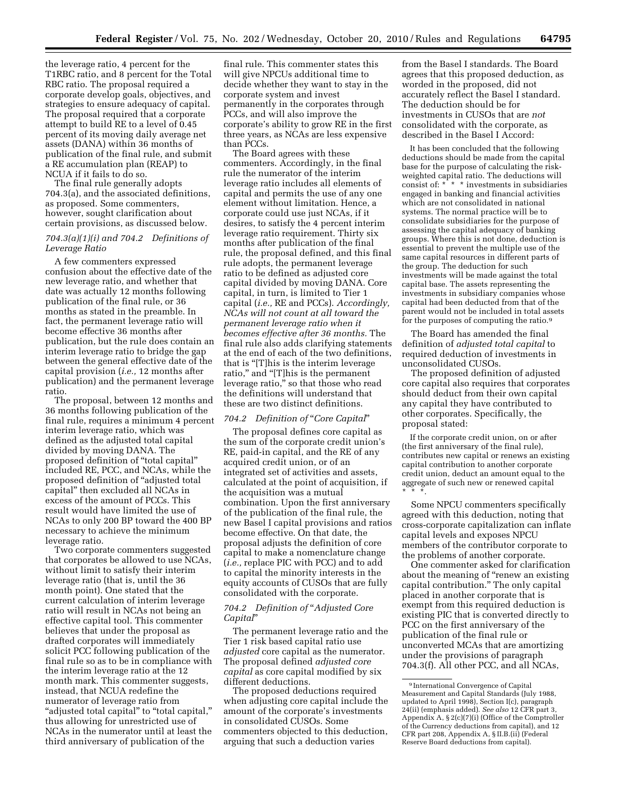the leverage ratio, 4 percent for the T1RBC ratio, and 8 percent for the Total RBC ratio. The proposal required a corporate develop goals, objectives, and strategies to ensure adequacy of capital. The proposal required that a corporate attempt to build RE to a level of 0.45 percent of its moving daily average net assets (DANA) within 36 months of publication of the final rule, and submit a RE accumulation plan (REAP) to NCUA if it fails to do so.

The final rule generally adopts 704.3(a), and the associated definitions, as proposed. Some commenters, however, sought clarification about certain provisions, as discussed below.

#### *704.3(a)(1)(i) and 704.2 Definitions of Leverage Ratio*

A few commenters expressed confusion about the effective date of the new leverage ratio, and whether that date was actually 12 months following publication of the final rule, or 36 months as stated in the preamble. In fact, the permanent leverage ratio will become effective 36 months after publication, but the rule does contain an interim leverage ratio to bridge the gap between the general effective date of the capital provision (*i.e.,* 12 months after publication) and the permanent leverage ratio.

The proposal, between 12 months and 36 months following publication of the final rule, requires a minimum 4 percent interim leverage ratio, which was defined as the adjusted total capital divided by moving DANA. The proposed definition of ''total capital'' included RE, PCC, and NCAs, while the proposed definition of ''adjusted total capital'' then excluded all NCAs in excess of the amount of PCCs. This result would have limited the use of NCAs to only 200 BP toward the 400 BP necessary to achieve the minimum leverage ratio.

Two corporate commenters suggested that corporates be allowed to use NCAs, without limit to satisfy their interim leverage ratio (that is, until the 36 month point). One stated that the current calculation of interim leverage ratio will result in NCAs not being an effective capital tool. This commenter believes that under the proposal as drafted corporates will immediately solicit PCC following publication of the final rule so as to be in compliance with the interim leverage ratio at the 12 month mark. This commenter suggests, instead, that NCUA redefine the numerator of leverage ratio from "adjusted total capital" to "total capital," thus allowing for unrestricted use of NCAs in the numerator until at least the third anniversary of publication of the

final rule. This commenter states this will give NPCUs additional time to decide whether they want to stay in the corporate system and invest permanently in the corporates through PCCs, and will also improve the corporate's ability to grow RE in the first three years, as NCAs are less expensive than PCCs.

The Board agrees with these commenters. Accordingly, in the final rule the numerator of the interim leverage ratio includes all elements of capital and permits the use of any one element without limitation. Hence, a corporate could use just NCAs, if it desires, to satisfy the 4 percent interim leverage ratio requirement. Thirty six months after publication of the final rule, the proposal defined, and this final rule adopts, the permanent leverage ratio to be defined as adjusted core capital divided by moving DANA. Core capital, in turn, is limited to Tier 1 capital (*i.e.,* RE and PCCs). *Accordingly, NCAs will not count at all toward the permanent leverage ratio when it becomes effective after 36 months.* The final rule also adds clarifying statements at the end of each of the two definitions, that is "[T]his is the interim leverage ratio," and "[T]his is the permanent leverage ratio,'' so that those who read the definitions will understand that these are two distinct definitions.

#### *704.2 Definition of* ''*Core Capital*''

The proposal defines core capital as the sum of the corporate credit union's RE, paid-in capital, and the RE of any acquired credit union, or of an integrated set of activities and assets, calculated at the point of acquisition, if the acquisition was a mutual combination. Upon the first anniversary of the publication of the final rule, the new Basel I capital provisions and ratios become effective. On that date, the proposal adjusts the definition of core capital to make a nomenclature change (*i.e.,* replace PIC with PCC) and to add to capital the minority interests in the equity accounts of CUSOs that are fully consolidated with the corporate.

#### *704.2 Definition of* ''*Adjusted Core Capital*''

The permanent leverage ratio and the Tier 1 risk based capital ratio use *adjusted* core capital as the numerator. The proposal defined *adjusted core capital* as core capital modified by six different deductions.

The proposed deductions required when adjusting core capital include the amount of the corporate's investments in consolidated CUSOs. Some commenters objected to this deduction, arguing that such a deduction varies

from the Basel I standards. The Board agrees that this proposed deduction, as worded in the proposed, did not accurately reflect the Basel I standard. The deduction should be for investments in CUSOs that are *not*  consolidated with the corporate, as described in the Basel I Accord:

It has been concluded that the following deductions should be made from the capital base for the purpose of calculating the riskweighted capital ratio. The deductions will consist of: \* \* \* investments in subsidiaries engaged in banking and financial activities which are not consolidated in national systems. The normal practice will be to consolidate subsidiaries for the purpose of assessing the capital adequacy of banking groups. Where this is not done, deduction is essential to prevent the multiple use of the same capital resources in different parts of the group. The deduction for such investments will be made against the total capital base. The assets representing the investments in subsidiary companies whose capital had been deducted from that of the parent would not be included in total assets for the purposes of computing the ratio.9

The Board has amended the final definition of *adjusted total capital* to required deduction of investments in unconsolidated CUSOs.

The proposed definition of adjusted core capital also requires that corporates should deduct from their own capital any capital they have contributed to other corporates. Specifically, the proposal stated:

If the corporate credit union, on or after (the first anniversary of the final rule), contributes new capital or renews an existing capital contribution to another corporate credit union, deduct an amount equal to the aggregate of such new or renewed capital \* \* \*.

Some NPCU commenters specifically agreed with this deduction, noting that cross-corporate capitalization can inflate capital levels and exposes NPCU members of the contributor corporate to the problems of another corporate.

One commenter asked for clarification about the meaning of "renew an existing capital contribution.'' The only capital placed in another corporate that is exempt from this required deduction is existing PIC that is converted directly to PCC on the first anniversary of the publication of the final rule or unconverted MCAs that are amortizing under the provisions of paragraph 704.3(f). All other PCC, and all NCAs,

<sup>9</sup> International Convergence of Capital Measurement and Capital Standards (July 1988, updated to April 1998), Section I(c), paragraph 24(ii) (emphasis added). *See also* 12 CFR part 3, Appendix A, § 2(c)(7)(i) (Office of the Comptroller of the Currency deductions from capital), and 12 CFR part 208, Appendix A, § II.B.(ii) (Federal Reserve Board deductions from capital).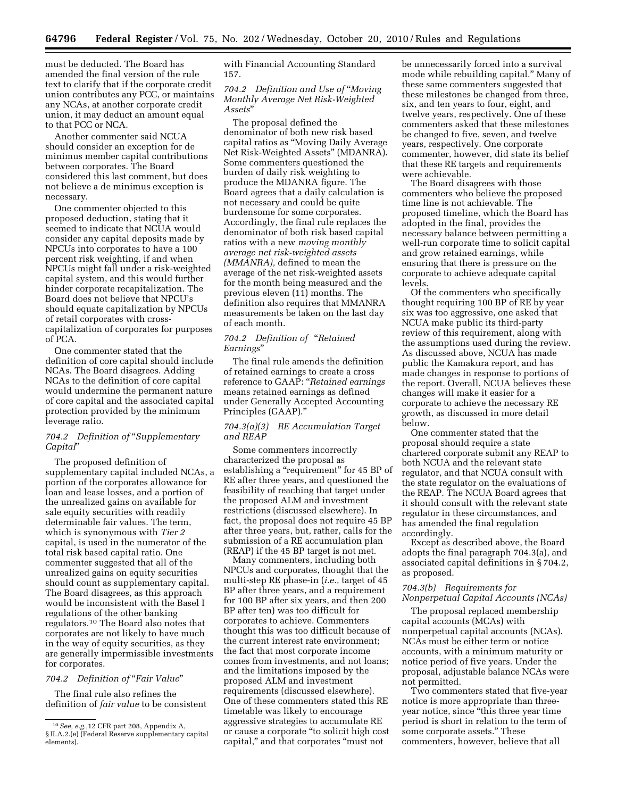must be deducted. The Board has amended the final version of the rule text to clarify that if the corporate credit union contributes any PCC, or maintains any NCAs, at another corporate credit union, it may deduct an amount equal to that PCC or NCA.

Another commenter said NCUA should consider an exception for de minimus member capital contributions between corporates. The Board considered this last comment, but does not believe a de minimus exception is necessary.

One commenter objected to this proposed deduction, stating that it seemed to indicate that NCUA would consider any capital deposits made by NPCUs into corporates to have a 100 percent risk weighting, if and when NPCUs might fall under a risk-weighted capital system, and this would further hinder corporate recapitalization. The Board does not believe that NPCU's should equate capitalization by NPCUs of retail corporates with crosscapitalization of corporates for purposes of PCA.

One commenter stated that the definition of core capital should include NCAs. The Board disagrees. Adding NCAs to the definition of core capital would undermine the permanent nature of core capital and the associated capital protection provided by the minimum leverage ratio.

#### *704.2 Definition of* ''*Supplementary Capital*''

The proposed definition of supplementary capital included NCAs, a portion of the corporates allowance for loan and lease losses, and a portion of the unrealized gains on available for sale equity securities with readily determinable fair values. The term, which is synonymous with *Tier 2*  capital, is used in the numerator of the total risk based capital ratio. One commenter suggested that all of the unrealized gains on equity securities should count as supplementary capital. The Board disagrees, as this approach would be inconsistent with the Basel I regulations of the other banking regulators.10 The Board also notes that corporates are not likely to have much in the way of equity securities, as they are generally impermissible investments for corporates.

#### *704.2 Definition of* ''*Fair Value*''

The final rule also refines the definition of *fair value* to be consistent with Financial Accounting Standard 157.

#### *704.2 Definition and Use of* ''*Moving Monthly Average Net Risk-Weighted Assets*''

The proposal defined the denominator of both new risk based capital ratios as ''Moving Daily Average Net Risk-Weighted Assets'' (MDANRA). Some commenters questioned the burden of daily risk weighting to produce the MDANRA figure. The Board agrees that a daily calculation is not necessary and could be quite burdensome for some corporates. Accordingly, the final rule replaces the denominator of both risk based capital ratios with a new *moving monthly average net risk-weighted assets (MMANRA),* defined to mean the average of the net risk-weighted assets for the month being measured and the previous eleven (11) months. The definition also requires that MMANRA measurements be taken on the last day of each month.

#### *704.2 Definition of* ''*Retained Earnings*''

The final rule amends the definition of retained earnings to create a cross reference to GAAP: ''*Retained earnings*  means retained earnings as defined under Generally Accepted Accounting Principles (GAAP).''

#### *704.3(a)(3) RE Accumulation Target and REAP*

Some commenters incorrectly characterized the proposal as establishing a "requirement" for 45 BP of RE after three years, and questioned the feasibility of reaching that target under the proposed ALM and investment restrictions (discussed elsewhere). In fact, the proposal does not require 45 BP after three years, but, rather, calls for the submission of a RE accumulation plan (REAP) if the 45 BP target is not met.

Many commenters, including both NPCUs and corporates, thought that the multi-step RE phase-in (*i.e.,* target of 45 BP after three years, and a requirement for 100 BP after six years, and then 200 BP after ten) was too difficult for corporates to achieve. Commenters thought this was too difficult because of the current interest rate environment; the fact that most corporate income comes from investments, and not loans; and the limitations imposed by the proposed ALM and investment requirements (discussed elsewhere). One of these commenters stated this RE timetable was likely to encourage aggressive strategies to accumulate RE or cause a corporate ''to solicit high cost capital,'' and that corporates ''must not

be unnecessarily forced into a survival mode while rebuilding capital.'' Many of these same commenters suggested that these milestones be changed from three, six, and ten years to four, eight, and twelve years, respectively. One of these commenters asked that these milestones be changed to five, seven, and twelve years, respectively. One corporate commenter, however, did state its belief that these RE targets and requirements were achievable.

The Board disagrees with those commenters who believe the proposed time line is not achievable. The proposed timeline, which the Board has adopted in the final, provides the necessary balance between permitting a well-run corporate time to solicit capital and grow retained earnings, while ensuring that there is pressure on the corporate to achieve adequate capital levels.

Of the commenters who specifically thought requiring 100 BP of RE by year six was too aggressive, one asked that NCUA make public its third-party review of this requirement, along with the assumptions used during the review. As discussed above, NCUA has made public the Kamakura report, and has made changes in response to portions of the report. Overall, NCUA believes these changes will make it easier for a corporate to achieve the necessary RE growth, as discussed in more detail below.

One commenter stated that the proposal should require a state chartered corporate submit any REAP to both NCUA and the relevant state regulator, and that NCUA consult with the state regulator on the evaluations of the REAP. The NCUA Board agrees that it should consult with the relevant state regulator in these circumstances, and has amended the final regulation accordingly.

Except as described above, the Board adopts the final paragraph 704.3(a), and associated capital definitions in § 704.2, as proposed.

#### *704.3(b) Requirements for Nonperpetual Capital Accounts (NCAs)*

The proposal replaced membership capital accounts (MCAs) with nonperpetual capital accounts (NCAs). NCAs must be either term or notice accounts, with a minimum maturity or notice period of five years. Under the proposal, adjustable balance NCAs were not permitted.

Two commenters stated that five-year notice is more appropriate than threeyear notice, since ''this three year time period is short in relation to the term of some corporate assets.'' These commenters, however, believe that all

<sup>10</sup>*See, e.g.,*12 CFR part 208, Appendix A, § II.A.2.(e) (Federal Reserve supplementary capital elements).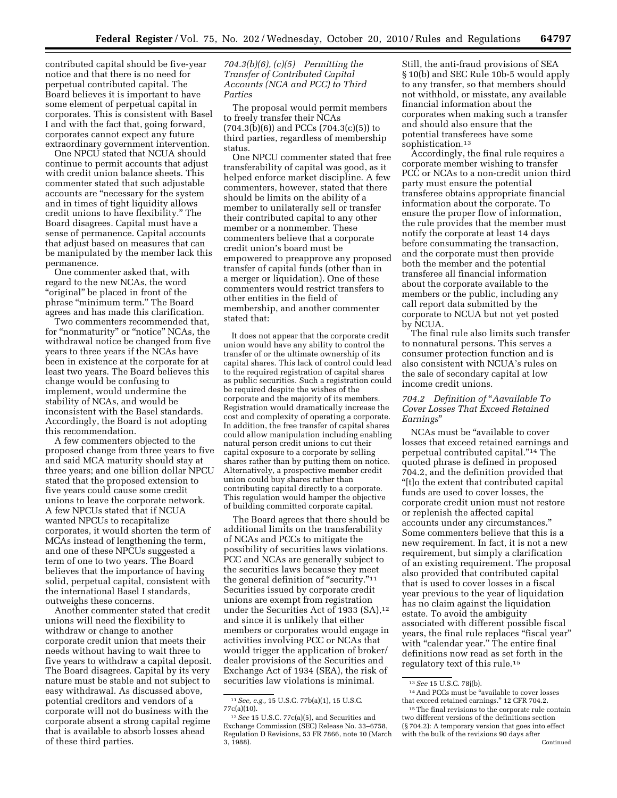contributed capital should be five-year notice and that there is no need for perpetual contributed capital. The Board believes it is important to have some element of perpetual capital in corporates. This is consistent with Basel I and with the fact that, going forward, corporates cannot expect any future extraordinary government intervention.

One NPCU stated that NCUA should continue to permit accounts that adjust with credit union balance sheets. This commenter stated that such adjustable accounts are ''necessary for the system and in times of tight liquidity allows credit unions to have flexibility.'' The Board disagrees. Capital must have a sense of permanence. Capital accounts that adjust based on measures that can be manipulated by the member lack this permanence.

One commenter asked that, with regard to the new NCAs, the word "original" be placed in front of the phrase ''minimum term.'' The Board agrees and has made this clarification.

Two commenters recommended that, for "nonmaturity" or "notice" NCAs, the withdrawal notice be changed from five years to three years if the NCAs have been in existence at the corporate for at least two years. The Board believes this change would be confusing to implement, would undermine the stability of NCAs, and would be inconsistent with the Basel standards. Accordingly, the Board is not adopting this recommendation.

A few commenters objected to the proposed change from three years to five and said MCA maturity should stay at three years; and one billion dollar NPCU stated that the proposed extension to five years could cause some credit unions to leave the corporate network. A few NPCUs stated that if NCUA wanted NPCUs to recapitalize corporates, it would shorten the term of MCAs instead of lengthening the term, and one of these NPCUs suggested a term of one to two years. The Board believes that the importance of having solid, perpetual capital, consistent with the international Basel I standards, outweighs these concerns.

Another commenter stated that credit unions will need the flexibility to withdraw or change to another corporate credit union that meets their needs without having to wait three to five years to withdraw a capital deposit. The Board disagrees. Capital by its very nature must be stable and not subject to easy withdrawal. As discussed above, potential creditors and vendors of a corporate will not do business with the corporate absent a strong capital regime that is available to absorb losses ahead of these third parties.

#### *704.3(b)(6), (c)(5) Permitting the Transfer of Contributed Capital Accounts (NCA and PCC) to Third Parties*

The proposal would permit members to freely transfer their NCAs  $(704.3(b)(6))$  and PCCs  $(704.3(c)(5))$  to third parties, regardless of membership status.

One NPCU commenter stated that free transferability of capital was good, as it helped enforce market discipline. A few commenters, however, stated that there should be limits on the ability of a member to unilaterally sell or transfer their contributed capital to any other member or a nonmember. These commenters believe that a corporate credit union's board must be empowered to preapprove any proposed transfer of capital funds (other than in a merger or liquidation). One of these commenters would restrict transfers to other entities in the field of membership, and another commenter stated that:

It does not appear that the corporate credit union would have any ability to control the transfer of or the ultimate ownership of its capital shares. This lack of control could lead to the required registration of capital shares as public securities. Such a registration could be required despite the wishes of the corporate and the majority of its members. Registration would dramatically increase the cost and complexity of operating a corporate. In addition, the free transfer of capital shares could allow manipulation including enabling natural person credit unions to cut their capital exposure to a corporate by selling shares rather than by putting them on notice. Alternatively, a prospective member credit union could buy shares rather than contributing capital directly to a corporate. This regulation would hamper the objective of building committed corporate capital.

The Board agrees that there should be additional limits on the transferability of NCAs and PCCs to mitigate the possibility of securities laws violations. PCC and NCAs are generally subject to the securities laws because they meet the general definition of "security."<sup>11</sup> Securities issued by corporate credit unions are exempt from registration under the Securities Act of 1933 (SA), $12$ and since it is unlikely that either members or corporates would engage in activities involving PCC or NCAs that would trigger the application of broker/ dealer provisions of the Securities and Exchange Act of 1934 (SEA), the risk of securities law violations is minimal.

Still, the anti-fraud provisions of SEA § 10(b) and SEC Rule 10b-5 would apply to any transfer, so that members should not withhold, or misstate, any available financial information about the corporates when making such a transfer and should also ensure that the potential transferees have some sophistication.<sup>13</sup>

Accordingly, the final rule requires a corporate member wishing to transfer PCC or NCAs to a non-credit union third party must ensure the potential transferee obtains appropriate financial information about the corporate. To ensure the proper flow of information, the rule provides that the member must notify the corporate at least 14 days before consummating the transaction, and the corporate must then provide both the member and the potential transferee all financial information about the corporate available to the members or the public, including any call report data submitted by the corporate to NCUA but not yet posted by NCUA.

The final rule also limits such transfer to nonnatural persons. This serves a consumer protection function and is also consistent with NCUA's rules on the sale of secondary capital at low income credit unions.

#### *704.2 Definition of* ''*Aavailable To Cover Losses That Exceed Retained Earnings*''

NCAs must be ''available to cover losses that exceed retained earnings and perpetual contributed capital.''14 The quoted phrase is defined in proposed 704.2, and the definition provided that ''[t]o the extent that contributed capital funds are used to cover losses, the corporate credit union must not restore or replenish the affected capital accounts under any circumstances.'' Some commenters believe that this is a new requirement. In fact, it is not a new requirement, but simply a clarification of an existing requirement. The proposal also provided that contributed capital that is used to cover losses in a fiscal year previous to the year of liquidation has no claim against the liquidation estate. To avoid the ambiguity associated with different possible fiscal years, the final rule replaces "fiscal year" with "calendar year." The entire final definitions now read as set forth in the regulatory text of this rule.15

<sup>11</sup>*See, e.g.,* 15 U.S.C. 77b(a)(1), 15 U.S.C. 77c(a)(10).

<sup>12</sup>*See* 15 U.S.C. 77c(a)(5), and Securities and Exchange Commission (SEC) Release No. 33–6758, Regulation D Revisions, 53 FR 7866, note 10 (March 3, 1988).

<sup>13</sup>*See* 15 U.S.C. 78j(b).

<sup>&</sup>lt;sup>14</sup> And PCCs must be "available to cover losses that exceed retained earnings.'' 12 CFR 704.2.

<sup>&</sup>lt;sup>15</sup>The final revisions to the corporate rule contain two different versions of the definitions section (§ 704.2): A temporary version that goes into effect with the bulk of the revisions 90 days after Continued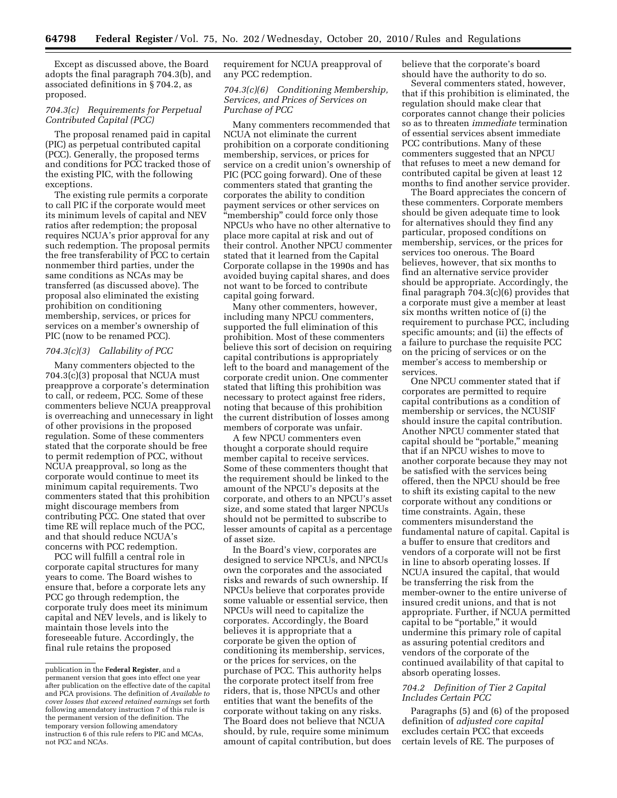Except as discussed above, the Board adopts the final paragraph 704.3(b), and associated definitions in § 704.2, as proposed.

#### *704.3(c) Requirements for Perpetual Contributed Capital (PCC)*

The proposal renamed paid in capital (PIC) as perpetual contributed capital (PCC). Generally, the proposed terms and conditions for PCC tracked those of the existing PIC, with the following exceptions.

The existing rule permits a corporate to call PIC if the corporate would meet its minimum levels of capital and NEV ratios after redemption; the proposal requires NCUA's prior approval for any such redemption. The proposal permits the free transferability of PCC to certain nonmember third parties, under the same conditions as NCAs may be transferred (as discussed above). The proposal also eliminated the existing prohibition on conditioning membership, services, or prices for services on a member's ownership of PIC (now to be renamed PCC).

#### *704.3(c)(3) Callability of PCC*

Many commenters objected to the 704.3(c)(3) proposal that NCUA must preapprove a corporate's determination to call, or redeem, PCC. Some of these commenters believe NCUA preapproval is overreaching and unnecessary in light of other provisions in the proposed regulation. Some of these commenters stated that the corporate should be free to permit redemption of PCC, without NCUA preapproval, so long as the corporate would continue to meet its minimum capital requirements. Two commenters stated that this prohibition might discourage members from contributing PCC. One stated that over time RE will replace much of the PCC, and that should reduce NCUA's concerns with PCC redemption.

PCC will fulfill a central role in corporate capital structures for many years to come. The Board wishes to ensure that, before a corporate lets any PCC go through redemption, the corporate truly does meet its minimum capital and NEV levels, and is likely to maintain those levels into the foreseeable future. Accordingly, the final rule retains the proposed

requirement for NCUA preapproval of any PCC redemption.

#### *704.3(c)(6) Conditioning Membership, Services, and Prices of Services on Purchase of PCC*

Many commenters recommended that NCUA not eliminate the current prohibition on a corporate conditioning membership, services, or prices for service on a credit union's ownership of PIC (PCC going forward). One of these commenters stated that granting the corporates the ability to condition payment services or other services on "membership" could force only those NPCUs who have no other alternative to place more capital at risk and out of their control. Another NPCU commenter stated that it learned from the Capital Corporate collapse in the 1990s and has avoided buying capital shares, and does not want to be forced to contribute capital going forward.

Many other commenters, however, including many NPCU commenters, supported the full elimination of this prohibition. Most of these commenters believe this sort of decision on requiring capital contributions is appropriately left to the board and management of the corporate credit union. One commenter stated that lifting this prohibition was necessary to protect against free riders, noting that because of this prohibition the current distribution of losses among members of corporate was unfair.

A few NPCU commenters even thought a corporate should require member capital to receive services. Some of these commenters thought that the requirement should be linked to the amount of the NPCU's deposits at the corporate, and others to an NPCU's asset size, and some stated that larger NPCUs should not be permitted to subscribe to lesser amounts of capital as a percentage of asset size.

In the Board's view, corporates are designed to service NPCUs, and NPCUs own the corporates and the associated risks and rewards of such ownership. If NPCUs believe that corporates provide some valuable or essential service, then NPCUs will need to capitalize the corporates. Accordingly, the Board believes it is appropriate that a corporate be given the option of conditioning its membership, services, or the prices for services, on the purchase of PCC. This authority helps the corporate protect itself from free riders, that is, those NPCUs and other entities that want the benefits of the corporate without taking on any risks. The Board does not believe that NCUA should, by rule, require some minimum amount of capital contribution, but does believe that the corporate's board should have the authority to do so.

Several commenters stated, however, that if this prohibition is eliminated, the regulation should make clear that corporates cannot change their policies so as to threaten *immediate* termination of essential services absent immediate PCC contributions. Many of these commenters suggested that an NPCU that refuses to meet a new demand for contributed capital be given at least 12 months to find another service provider.

The Board appreciates the concern of these commenters. Corporate members should be given adequate time to look for alternatives should they find any particular, proposed conditions on membership, services, or the prices for services too onerous. The Board believes, however, that six months to find an alternative service provider should be appropriate. Accordingly, the final paragraph 704.3(c)(6) provides that a corporate must give a member at least six months written notice of (i) the requirement to purchase PCC, including specific amounts; and (ii) the effects of a failure to purchase the requisite PCC on the pricing of services or on the member's access to membership or services.

One NPCU commenter stated that if corporates are permitted to require capital contributions as a condition of membership or services, the NCUSIF should insure the capital contribution. Another NPCU commenter stated that capital should be "portable," meaning that if an NPCU wishes to move to another corporate because they may not be satisfied with the services being offered, then the NPCU should be free to shift its existing capital to the new corporate without any conditions or time constraints. Again, these commenters misunderstand the fundamental nature of capital. Capital is a buffer to ensure that creditors and vendors of a corporate will not be first in line to absorb operating losses. If NCUA insured the capital, that would be transferring the risk from the member-owner to the entire universe of insured credit unions, and that is not appropriate. Further, if NCUA permitted capital to be "portable," it would undermine this primary role of capital as assuring potential creditors and vendors of the corporate of the continued availability of that capital to absorb operating losses.

#### *704.2 Definition of Tier 2 Capital Includes Certain PCC*

Paragraphs (5) and (6) of the proposed definition of *adjusted core capital*  excludes certain PCC that exceeds certain levels of RE. The purposes of

publication in the **Federal Register**, and a permanent version that goes into effect one year after publication on the effective date of the capital and PCA provisions. The definition of *Available to cover losses that exceed retained earnings* set forth following amendatory instruction 7 of this rule is the permanent version of the definition. The temporary version following amendatory instruction 6 of this rule refers to PIC and MCAs, not PCC and NCAs.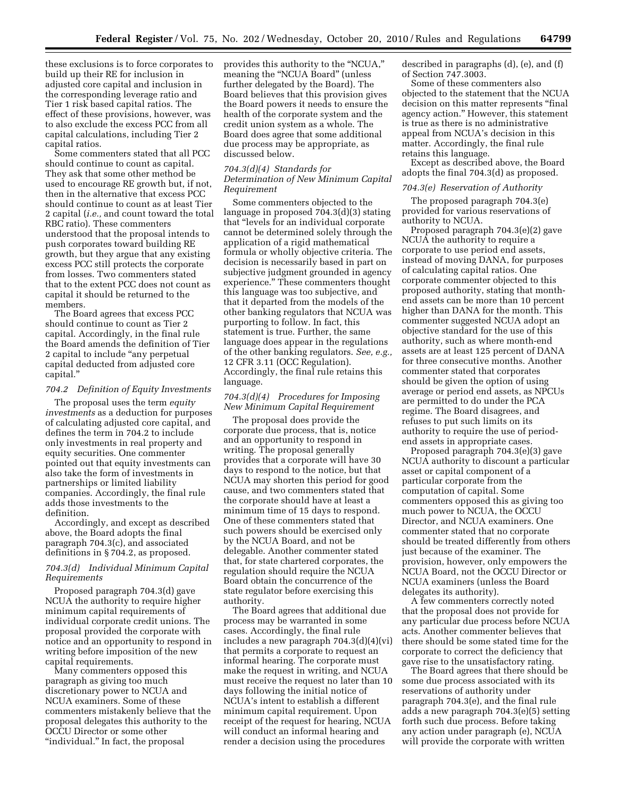these exclusions is to force corporates to build up their RE for inclusion in adjusted core capital and inclusion in the corresponding leverage ratio and Tier 1 risk based capital ratios. The effect of these provisions, however, was to also exclude the excess PCC from all capital calculations, including Tier 2 capital ratios.

Some commenters stated that all PCC should continue to count as capital. They ask that some other method be used to encourage RE growth but, if not, then in the alternative that excess PCC should continue to count as at least Tier 2 capital (*i.e.,* and count toward the total RBC ratio). These commenters understood that the proposal intends to push corporates toward building RE growth, but they argue that any existing excess PCC still protects the corporate from losses. Two commenters stated that to the extent PCC does not count as capital it should be returned to the members.

The Board agrees that excess PCC should continue to count as Tier 2 capital. Accordingly, in the final rule the Board amends the definition of Tier 2 capital to include ''any perpetual capital deducted from adjusted core capital.''

#### *704.2 Definition of Equity Investments*

The proposal uses the term *equity investments* as a deduction for purposes of calculating adjusted core capital, and defines the term in 704.2 to include only investments in real property and equity securities. One commenter pointed out that equity investments can also take the form of investments in partnerships or limited liability companies. Accordingly, the final rule adds those investments to the definition.

Accordingly, and except as described above, the Board adopts the final paragraph 704.3(c), and associated definitions in § 704.2, as proposed.

#### *704.3(d) Individual Minimum Capital Requirements*

Proposed paragraph 704.3(d) gave NCUA the authority to require higher minimum capital requirements of individual corporate credit unions. The proposal provided the corporate with notice and an opportunity to respond in writing before imposition of the new capital requirements.

Many commenters opposed this paragraph as giving too much discretionary power to NCUA and NCUA examiners. Some of these commenters mistakenly believe that the proposal delegates this authority to the OCCU Director or some other "individual." In fact, the proposal

provides this authority to the ''NCUA,'' meaning the "NCUA Board" (unless further delegated by the Board). The Board believes that this provision gives the Board powers it needs to ensure the health of the corporate system and the credit union system as a whole. The Board does agree that some additional due process may be appropriate, as discussed below.

#### *704.3(d)(4) Standards for Determination of New Minimum Capital Requirement*

Some commenters objected to the language in proposed 704.3(d)(3) stating that ''levels for an individual corporate cannot be determined solely through the application of a rigid mathematical formula or wholly objective criteria. The decision is necessarily based in part on subjective judgment grounded in agency experience.'' These commenters thought this language was too subjective, and that it departed from the models of the other banking regulators that NCUA was purporting to follow. In fact, this statement is true. Further, the same language does appear in the regulations of the other banking regulators. *See, e.g.,*  12 CFR 3.11 (OCC Regulation). Accordingly, the final rule retains this language.

#### *704.3(d)(4) Procedures for Imposing New Minimum Capital Requirement*

The proposal does provide the corporate due process, that is, notice and an opportunity to respond in writing. The proposal generally provides that a corporate will have 30 days to respond to the notice, but that NCUA may shorten this period for good cause, and two commenters stated that the corporate should have at least a minimum time of 15 days to respond. One of these commenters stated that such powers should be exercised only by the NCUA Board, and not be delegable. Another commenter stated that, for state chartered corporates, the regulation should require the NCUA Board obtain the concurrence of the state regulator before exercising this authority.

The Board agrees that additional due process may be warranted in some cases. Accordingly, the final rule includes a new paragraph 704.3(d)(4)(vi) that permits a corporate to request an informal hearing. The corporate must make the request in writing, and NCUA must receive the request no later than 10 days following the initial notice of NCUA's intent to establish a different minimum capital requirement. Upon receipt of the request for hearing, NCUA will conduct an informal hearing and render a decision using the procedures

described in paragraphs (d), (e), and (f) of Section 747.3003.

Some of these commenters also objected to the statement that the NCUA decision on this matter represents ''final agency action.'' However, this statement is true as there is no administrative appeal from NCUA's decision in this matter. Accordingly, the final rule retains this language.

Except as described above, the Board adopts the final 704.3(d) as proposed.

#### *704.3(e) Reservation of Authority*

The proposed paragraph 704.3(e) provided for various reservations of authority to NCUA.

Proposed paragraph 704.3(e)(2) gave NCUA the authority to require a corporate to use period end assets, instead of moving DANA, for purposes of calculating capital ratios. One corporate commenter objected to this proposed authority, stating that monthend assets can be more than 10 percent higher than DANA for the month. This commenter suggested NCUA adopt an objective standard for the use of this authority, such as where month-end assets are at least 125 percent of DANA for three consecutive months. Another commenter stated that corporates should be given the option of using average or period end assets, as NPCUs are permitted to do under the PCA regime. The Board disagrees, and refuses to put such limits on its authority to require the use of periodend assets in appropriate cases.

Proposed paragraph 704.3(e)(3) gave NCUA authority to discount a particular asset or capital component of a particular corporate from the computation of capital. Some commenters opposed this as giving too much power to NCUA, the OCCU Director, and NCUA examiners. One commenter stated that no corporate should be treated differently from others just because of the examiner. The provision, however, only empowers the NCUA Board, not the OCCU Director or NCUA examiners (unless the Board delegates its authority).

A few commenters correctly noted that the proposal does not provide for any particular due process before NCUA acts. Another commenter believes that there should be some stated time for the corporate to correct the deficiency that gave rise to the unsatisfactory rating.

The Board agrees that there should be some due process associated with its reservations of authority under paragraph 704.3(e), and the final rule adds a new paragraph 704.3(e)(5) setting forth such due process. Before taking any action under paragraph (e), NCUA will provide the corporate with written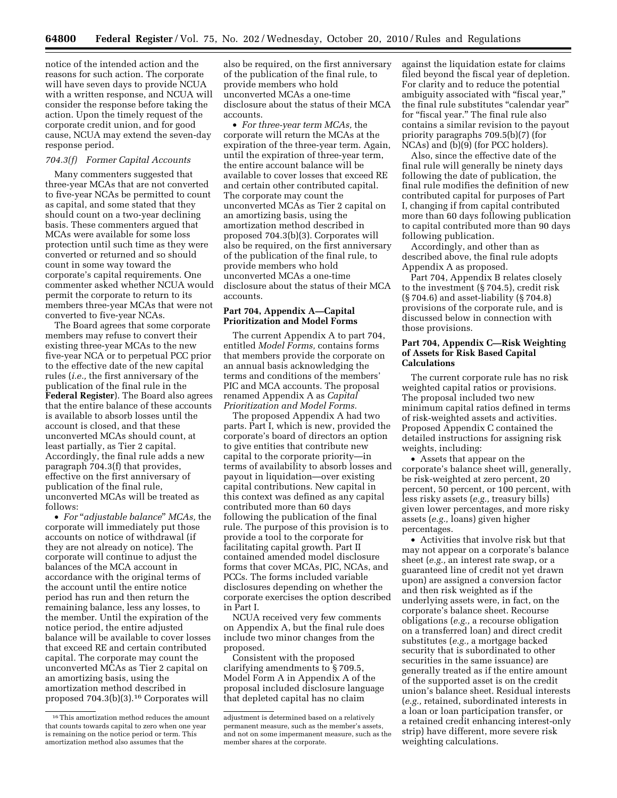notice of the intended action and the reasons for such action. The corporate will have seven days to provide NCUA with a written response, and NCUA will consider the response before taking the action. Upon the timely request of the corporate credit union, and for good cause, NCUA may extend the seven-day response period.

#### *704.3(f) Former Capital Accounts*

Many commenters suggested that three-year MCAs that are not converted to five-year NCAs be permitted to count as capital, and some stated that they should count on a two-year declining basis. These commenters argued that MCAs were available for some loss protection until such time as they were converted or returned and so should count in some way toward the corporate's capital requirements. One commenter asked whether NCUA would permit the corporate to return to its members three-year MCAs that were not converted to five-year NCAs.

The Board agrees that some corporate members may refuse to convert their existing three-year MCAs to the new five-year NCA or to perpetual PCC prior to the effective date of the new capital rules (*i.e.,* the first anniversary of the publication of the final rule in the **Federal Register**). The Board also agrees that the entire balance of these accounts is available to absorb losses until the account is closed, and that these unconverted MCAs should count, at least partially, as Tier 2 capital. Accordingly, the final rule adds a new paragraph 704.3(f) that provides, effective on the first anniversary of publication of the final rule, unconverted MCAs will be treated as follows:

• *For* "*adjustable balance" MCAs, the* corporate will immediately put those accounts on notice of withdrawal (if they are not already on notice). The corporate will continue to adjust the balances of the MCA account in accordance with the original terms of the account until the entire notice period has run and then return the remaining balance, less any losses, to the member. Until the expiration of the notice period, the entire adjusted balance will be available to cover losses that exceed RE and certain contributed capital. The corporate may count the unconverted MCAs as Tier 2 capital on an amortizing basis, using the amortization method described in proposed 704.3(b)(3).16 Corporates will

also be required, on the first anniversary of the publication of the final rule, to provide members who hold unconverted MCAs a one-time disclosure about the status of their MCA accounts.

• *For three-year term MCAs,* the corporate will return the MCAs at the expiration of the three-year term. Again, until the expiration of three-year term, the entire account balance will be available to cover losses that exceed RE and certain other contributed capital. The corporate may count the unconverted MCAs as Tier 2 capital on an amortizing basis, using the amortization method described in proposed 704.3(b)(3). Corporates will also be required, on the first anniversary of the publication of the final rule, to provide members who hold unconverted MCAs a one-time disclosure about the status of their MCA accounts.

#### **Part 704, Appendix A—Capital Prioritization and Model Forms**

The current Appendix A to part 704, entitled *Model Forms,* contains forms that members provide the corporate on an annual basis acknowledging the terms and conditions of the members' PIC and MCA accounts. The proposal renamed Appendix A as *Capital Prioritization and Model Forms.* 

The proposed Appendix A had two parts. Part I, which is new, provided the corporate's board of directors an option to give entities that contribute new capital to the corporate priority—in terms of availability to absorb losses and payout in liquidation—over existing capital contributions. New capital in this context was defined as any capital contributed more than 60 days following the publication of the final rule. The purpose of this provision is to provide a tool to the corporate for facilitating capital growth. Part II contained amended model disclosure forms that cover MCAs, PIC, NCAs, and PCCs. The forms included variable disclosures depending on whether the corporate exercises the option described in Part I.

NCUA received very few comments on Appendix A, but the final rule does include two minor changes from the proposed.

Consistent with the proposed clarifying amendments to § 709.5, Model Form A in Appendix A of the proposal included disclosure language that depleted capital has no claim

against the liquidation estate for claims filed beyond the fiscal year of depletion. For clarity and to reduce the potential ambiguity associated with "fiscal year," the final rule substitutes ''calendar year'' for "fiscal year." The final rule also contains a similar revision to the payout priority paragraphs 709.5(b)(7) (for NCAs) and (b)(9) (for PCC holders).

Also, since the effective date of the final rule will generally be ninety days following the date of publication, the final rule modifies the definition of new contributed capital for purposes of Part I, changing if from capital contributed more than 60 days following publication to capital contributed more than 90 days following publication.

Accordingly, and other than as described above, the final rule adopts Appendix A as proposed.

Part 704, Appendix B relates closely to the investment (§ 704.5), credit risk (§ 704.6) and asset-liability (§ 704.8) provisions of the corporate rule, and is discussed below in connection with those provisions.

#### **Part 704, Appendix C—Risk Weighting of Assets for Risk Based Capital Calculations**

The current corporate rule has no risk weighted capital ratios or provisions. The proposal included two new minimum capital ratios defined in terms of risk-weighted assets and activities. Proposed Appendix C contained the detailed instructions for assigning risk weights, including:

• Assets that appear on the corporate's balance sheet will, generally, be risk-weighted at zero percent, 20 percent, 50 percent, or 100 percent, with less risky assets (*e.g.,* treasury bills) given lower percentages, and more risky assets (*e.g.,* loans) given higher percentages.

• Activities that involve risk but that may not appear on a corporate's balance sheet (*e.g.,* an interest rate swap, or a guaranteed line of credit not yet drawn upon) are assigned a conversion factor and then risk weighted as if the underlying assets were, in fact, on the corporate's balance sheet. Recourse obligations (*e.g.,* a recourse obligation on a transferred loan) and direct credit substitutes (*e.g.,* a mortgage backed security that is subordinated to other securities in the same issuance) are generally treated as if the entire amount of the supported asset is on the credit union's balance sheet. Residual interests (*e.g.,* retained, subordinated interests in a loan or loan participation transfer, or a retained credit enhancing interest-only strip) have different, more severe risk weighting calculations.

<sup>16</sup>This amortization method reduces the amount that counts towards capital to zero when one year is remaining on the notice period or term. This amortization method also assumes that the

adjustment is determined based on a relatively permanent measure, such as the member's assets, and not on some impermanent measure, such as the member shares at the corporate.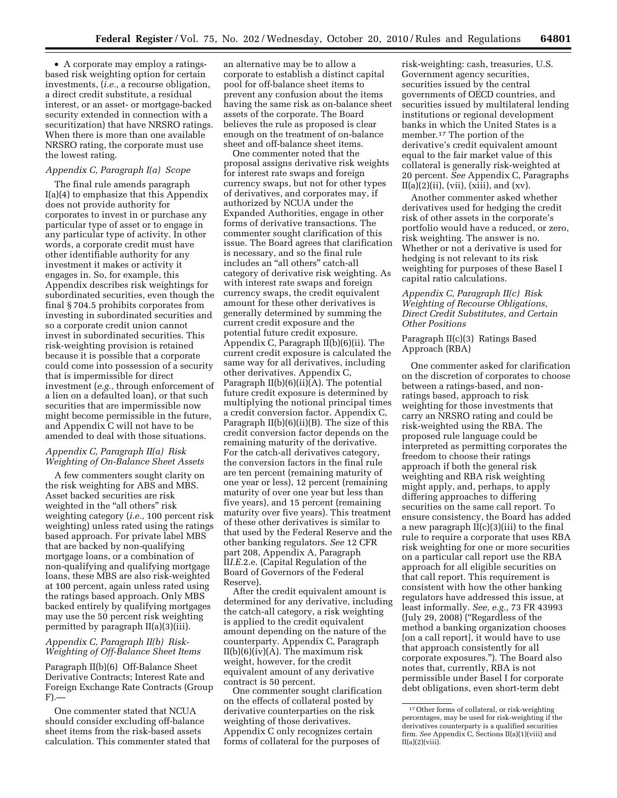• A corporate may employ a ratingsbased risk weighting option for certain investments, (*i.e.,* a recourse obligation, a direct credit substitute, a residual interest, or an asset- or mortgage-backed security extended in connection with a securitization) that have NRSRO ratings. When there is more than one available NRSRO rating, the corporate must use the lowest rating.

#### *Appendix C, Paragraph I(a) Scope*

The final rule amends paragraph I(a)(4) to emphasize that this Appendix does not provide authority for corporates to invest in or purchase any particular type of asset or to engage in any particular type of activity. In other words, a corporate credit must have other identifiable authority for any investment it makes or activity it engages in. So, for example, this Appendix describes risk weightings for subordinated securities, even though the final § 704.5 prohibits corporates from investing in subordinated securities and so a corporate credit union cannot invest in subordinated securities. This risk-weighting provision is retained because it is possible that a corporate could come into possession of a security that is impermissible for direct investment (*e.g.,* through enforcement of a lien on a defaulted loan), or that such securities that are impermissible now might become permissible in the future, and Appendix C will not have to be amended to deal with those situations.

#### *Appendix C, Paragraph II(a) Risk Weighting of On-Balance Sheet Assets*

A few commenters sought clarity on the risk weighting for ABS and MBS. Asset backed securities are risk weighted in the "all others" risk weighting category (*i.e.,* 100 percent risk weighting) unless rated using the ratings based approach. For private label MBS that are backed by non-qualifying mortgage loans, or a combination of non-qualifying and qualifying mortgage loans, these MBS are also risk-weighted at 100 percent, again unless rated using the ratings based approach. Only MBS backed entirely by qualifying mortgages may use the 50 percent risk weighting permitted by paragraph II(a)(3)(iii).

#### *Appendix C, Paragraph II(b) Risk-Weighting of Off-Balance Sheet Items*

Paragraph II(b)(6) Off-Balance Sheet Derivative Contracts; Interest Rate and Foreign Exchange Rate Contracts (Group F).—

One commenter stated that NCUA should consider excluding off-balance sheet items from the risk-based assets calculation. This commenter stated that

an alternative may be to allow a corporate to establish a distinct capital pool for off-balance sheet items to prevent any confusion about the items having the same risk as on-balance sheet assets of the corporate. The Board believes the rule as proposed is clear enough on the treatment of on-balance sheet and off-balance sheet items.

One commenter noted that the proposal assigns derivative risk weights for interest rate swaps and foreign currency swaps, but not for other types of derivatives, and corporates may, if authorized by NCUA under the Expanded Authorities, engage in other forms of derivative transactions. The commenter sought clarification of this issue. The Board agrees that clarification is necessary, and so the final rule includes an ''all others'' catch-all category of derivative risk weighting. As with interest rate swaps and foreign currency swaps, the credit equivalent amount for these other derivatives is generally determined by summing the current credit exposure and the potential future credit exposure. Appendix C, Paragraph II(b)(6)(ii). The current credit exposure is calculated the same way for all derivatives, including other derivatives. Appendix C, Paragraph II(b)(6)(ii)(A). The potential future credit exposure is determined by multiplying the notional principal times a credit conversion factor. Appendix C, Paragraph II(b)(6)(ii)(B). The size of this credit conversion factor depends on the remaining maturity of the derivative. For the catch-all derivatives category, the conversion factors in the final rule are ten percent (remaining maturity of one year or less), 12 percent (remaining maturity of over one year but less than five years), and 15 percent (remaining maturity over five years). This treatment of these other derivatives is similar to that used by the Federal Reserve and the other banking regulators. *See* 12 CFR part 208, Appendix A, Paragraph II*I.E.*2.e. (Capital Regulation of the Board of Governors of the Federal Reserve).

After the credit equivalent amount is determined for any derivative, including the catch-all category, a risk weighting is applied to the credit equivalent amount depending on the nature of the counterparty. Appendix C, Paragraph  $II(b)(6)(iv)(A)$ . The maximum risk weight, however, for the credit equivalent amount of any derivative contract is 50 percent.

One commenter sought clarification on the effects of collateral posted by derivative counterparties on the risk weighting of those derivatives. Appendix C only recognizes certain forms of collateral for the purposes of

risk-weighting: cash, treasuries, U.S. Government agency securities, securities issued by the central governments of OECD countries, and securities issued by multilateral lending institutions or regional development banks in which the United States is a member.17 The portion of the derivative's credit equivalent amount equal to the fair market value of this collateral is generally risk-weighted at 20 percent. *See* Appendix C, Paragraphs  $II(a)(2)(ii)$ , (vii), (xiii), and (xv).

Another commenter asked whether derivatives used for hedging the credit risk of other assets in the corporate's portfolio would have a reduced, or zero, risk weighting. The answer is no. Whether or not a derivative is used for hedging is not relevant to its risk weighting for purposes of these Basel I capital ratio calculations.

#### *Appendix C, Paragraph II(c) Risk Weighting of Recourse Obligations, Direct Credit Substitutes, and Certain Other Positions*

Paragraph II(c)(3) Ratings Based Approach (RBA)

One commenter asked for clarification on the discretion of corporates to choose between a ratings-based, and nonratings based, approach to risk weighting for those investments that carry an NRSRO rating and could be risk-weighted using the RBA. The proposed rule language could be interpreted as permitting corporates the freedom to choose their ratings approach if both the general risk weighting and RBA risk weighting might apply, and, perhaps, to apply differing approaches to differing securities on the same call report. To ensure consistency, the Board has added a new paragraph II(c)(3)(iii) to the final rule to require a corporate that uses RBA risk weighting for one or more securities on a particular call report use the RBA approach for all eligible securities on that call report. This requirement is consistent with how the other banking regulators have addressed this issue, at least informally. *See, e.g.,* 73 FR 43993 (July 29, 2008) (''Regardless of the method a banking organization chooses [on a call report], it would have to use that approach consistently for all corporate exposures.''). The Board also notes that, currently, RBA is not permissible under Basel I for corporate debt obligations, even short-term debt

<sup>17</sup>Other forms of collateral, or risk-weighting percentages, may be used for risk-weighting if the derivatives counterparty is a qualified securities firm. *See* Appendix C, Sections II(a)(1)(viii) and  $II(a)(2)(viii)$ .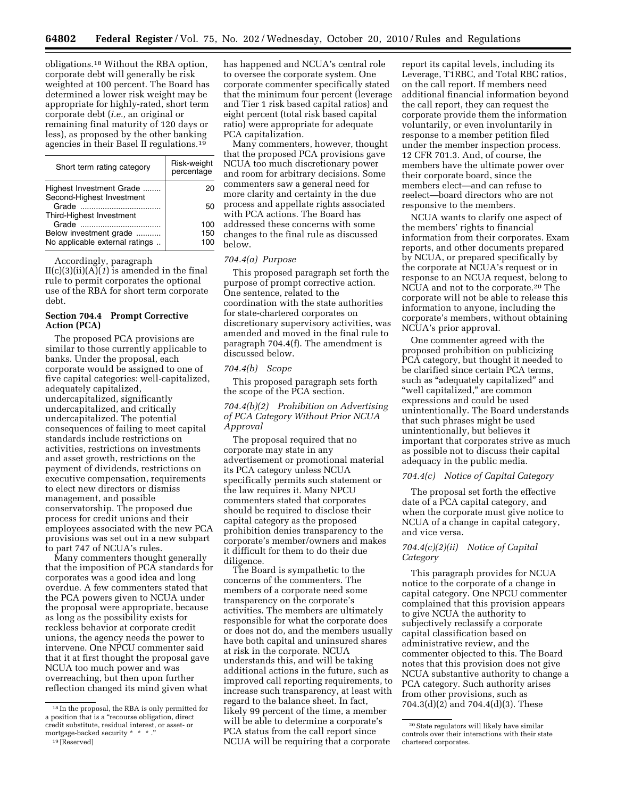obligations.18 Without the RBA option, corporate debt will generally be risk weighted at 100 percent. The Board has determined a lower risk weight may be appropriate for highly-rated, short term corporate debt (*i.e.,* an original or remaining final maturity of 120 days or less), as proposed by the other banking agencies in their Basel II regulations.19

| Short term rating category                            | Risk-weight<br>percentage |
|-------------------------------------------------------|---------------------------|
| Highest Investment Grade<br>Second-Highest Investment | 20                        |
| Third-Highest Investment                              | 50                        |
|                                                       | 100                       |
| Below investment grade                                | 150                       |
| No applicable external ratings                        | 100                       |

Accordingly, paragraph

 $II(c)(3)(ii)(A)(1)$  is amended in the final rule to permit corporates the optional use of the RBA for short term corporate debt.

#### **Section 704.4 Prompt Corrective Action (PCA)**

The proposed PCA provisions are similar to those currently applicable to banks. Under the proposal, each corporate would be assigned to one of five capital categories: well-capitalized, adequately capitalized, undercapitalized, significantly undercapitalized, and critically undercapitalized. The potential consequences of failing to meet capital standards include restrictions on activities, restrictions on investments and asset growth, restrictions on the payment of dividends, restrictions on executive compensation, requirements to elect new directors or dismiss management, and possible conservatorship. The proposed due process for credit unions and their employees associated with the new PCA provisions was set out in a new subpart to part 747 of NCUA's rules.

Many commenters thought generally that the imposition of PCA standards for corporates was a good idea and long overdue. A few commenters stated that the PCA powers given to NCUA under the proposal were appropriate, because as long as the possibility exists for reckless behavior at corporate credit unions, the agency needs the power to intervene. One NPCU commenter said that it at first thought the proposal gave NCUA too much power and was overreaching, but then upon further reflection changed its mind given what

has happened and NCUA's central role to oversee the corporate system. One corporate commenter specifically stated that the minimum four percent (leverage and Tier 1 risk based capital ratios) and eight percent (total risk based capital ratio) were appropriate for adequate PCA capitalization.

Many commenters, however, thought that the proposed PCA provisions gave NCUA too much discretionary power and room for arbitrary decisions. Some commenters saw a general need for more clarity and certainty in the due process and appellate rights associated with PCA actions. The Board has addressed these concerns with some changes to the final rule as discussed below.

#### *704.4(a) Purpose*

This proposed paragraph set forth the purpose of prompt corrective action. One sentence, related to the coordination with the state authorities for state-chartered corporates on discretionary supervisory activities, was amended and moved in the final rule to paragraph 704.4(f). The amendment is discussed below.

#### *704.4(b) Scope*

This proposed paragraph sets forth the scope of the PCA section.

#### *704.4(b)(2) Prohibition on Advertising of PCA Category Without Prior NCUA Approval*

The proposal required that no corporate may state in any advertisement or promotional material its PCA category unless NCUA specifically permits such statement or the law requires it. Many NPCU commenters stated that corporates should be required to disclose their capital category as the proposed prohibition denies transparency to the corporate's member/owners and makes it difficult for them to do their due diligence.

The Board is sympathetic to the concerns of the commenters. The members of a corporate need some transparency on the corporate's activities. The members are ultimately responsible for what the corporate does or does not do, and the members usually have both capital and uninsured shares at risk in the corporate. NCUA understands this, and will be taking additional actions in the future, such as improved call reporting requirements, to increase such transparency, at least with regard to the balance sheet. In fact, likely 99 percent of the time, a member will be able to determine a corporate's PCA status from the call report since NCUA will be requiring that a corporate

report its capital levels, including its Leverage, T1RBC, and Total RBC ratios, on the call report. If members need additional financial information beyond the call report, they can request the corporate provide them the information voluntarily, or even involuntarily in response to a member petition filed under the member inspection process. 12 CFR 701.3. And, of course, the members have the ultimate power over their corporate board, since the members elect—and can refuse to reelect—board directors who are not responsive to the members.

NCUA wants to clarify one aspect of the members' rights to financial information from their corporates. Exam reports, and other documents prepared by NCUA, or prepared specifically by the corporate at NCUA's request or in response to an NCUA request, belong to NCUA and not to the corporate.20 The corporate will not be able to release this information to anyone, including the corporate's members, without obtaining NCUA's prior approval.

One commenter agreed with the proposed prohibition on publicizing PCA category, but thought it needed to be clarified since certain PCA terms, such as ''adequately capitalized'' and ''well capitalized,'' are common expressions and could be used unintentionally. The Board understands that such phrases might be used unintentionally, but believes it important that corporates strive as much as possible not to discuss their capital adequacy in the public media.

#### *704.4(c) Notice of Capital Category*

The proposal set forth the effective date of a PCA capital category, and when the corporate must give notice to NCUA of a change in capital category, and vice versa.

#### *704.4(c)(2)(ii) Notice of Capital Category*

This paragraph provides for NCUA notice to the corporate of a change in capital category. One NPCU commenter complained that this provision appears to give NCUA the authority to subjectively reclassify a corporate capital classification based on administrative review, and the commenter objected to this. The Board notes that this provision does not give NCUA substantive authority to change a PCA category. Such authority arises from other provisions, such as 704.3(d)(2) and 704.4(d)(3). These

<sup>18</sup> In the proposal, the RBA is only permitted for a position that is a ''recourse obligation, direct credit substitute, residual interest, or asset- or mortgage-backed security \*

<sup>19</sup> [Reserved]

<sup>20</sup>State regulators will likely have similar controls over their interactions with their state chartered corporates.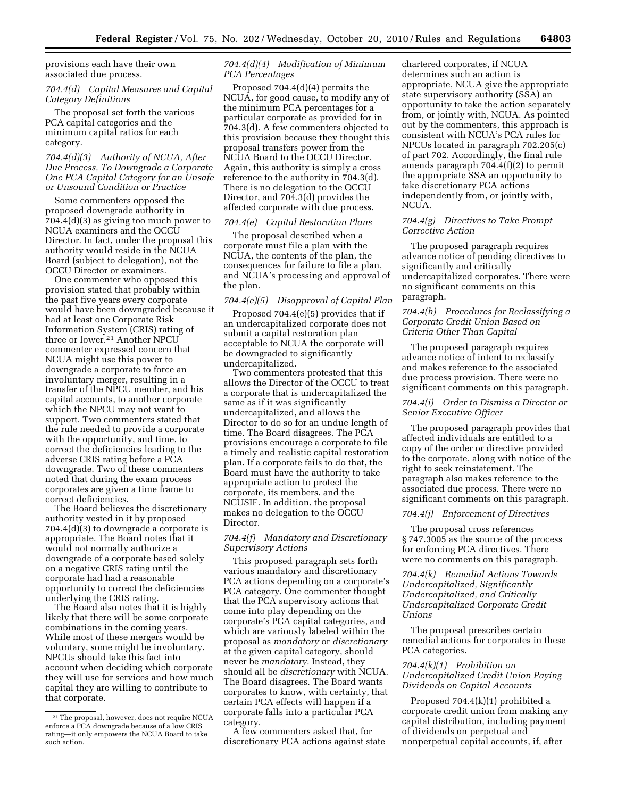provisions each have their own associated due process.

#### *704.4(d) Capital Measures and Capital Category Definitions*

The proposal set forth the various PCA capital categories and the minimum capital ratios for each category.

#### *704.4(d)(3) Authority of NCUA, After Due Process, To Downgrade a Corporate One PCA Capital Category for an Unsafe or Unsound Condition or Practice*

Some commenters opposed the proposed downgrade authority in 704.4(d)(3) as giving too much power to NCUA examiners and the OCCU Director. In fact, under the proposal this authority would reside in the NCUA Board (subject to delegation), not the OCCU Director or examiners.

One commenter who opposed this provision stated that probably within the past five years every corporate would have been downgraded because it had at least one Corporate Risk Information System (CRIS) rating of three or lower.21 Another NPCU commenter expressed concern that NCUA might use this power to downgrade a corporate to force an involuntary merger, resulting in a transfer of the NPCU member, and his capital accounts, to another corporate which the NPCU may not want to support. Two commenters stated that the rule needed to provide a corporate with the opportunity, and time, to correct the deficiencies leading to the adverse CRIS rating before a PCA downgrade. Two of these commenters noted that during the exam process corporates are given a time frame to correct deficiencies.

The Board believes the discretionary authority vested in it by proposed 704.4(d)(3) to downgrade a corporate is appropriate. The Board notes that it would not normally authorize a downgrade of a corporate based solely on a negative CRIS rating until the corporate had had a reasonable opportunity to correct the deficiencies underlying the CRIS rating.

The Board also notes that it is highly likely that there will be some corporate combinations in the coming years. While most of these mergers would be voluntary, some might be involuntary. NPCUs should take this fact into account when deciding which corporate they will use for services and how much capital they are willing to contribute to that corporate.

#### *704.4(d)(4) Modification of Minimum PCA Percentages*

Proposed 704.4(d)(4) permits the NCUA, for good cause, to modify any of the minimum PCA percentages for a particular corporate as provided for in 704.3(d). A few commenters objected to this provision because they thought this proposal transfers power from the NCUA Board to the OCCU Director. Again, this authority is simply a cross reference to the authority in 704.3(d). There is no delegation to the OCCU Director, and 704.3(d) provides the affected corporate with due process.

#### *704.4(e) Capital Restoration Plans*

The proposal described when a corporate must file a plan with the NCUA, the contents of the plan, the consequences for failure to file a plan, and NCUA's processing and approval of the plan.

#### *704.4(e)(5) Disapproval of Capital Plan*

Proposed 704.4(e)(5) provides that if an undercapitalized corporate does not submit a capital restoration plan acceptable to NCUA the corporate will be downgraded to significantly undercapitalized.

Two commenters protested that this allows the Director of the OCCU to treat a corporate that is undercapitalized the same as if it was significantly undercapitalized, and allows the Director to do so for an undue length of time. The Board disagrees. The PCA provisions encourage a corporate to file a timely and realistic capital restoration plan. If a corporate fails to do that, the Board must have the authority to take appropriate action to protect the corporate, its members, and the NCUSIF. In addition, the proposal makes no delegation to the OCCU Director.

#### *704.4(f) Mandatory and Discretionary Supervisory Actions*

This proposed paragraph sets forth various mandatory and discretionary PCA actions depending on a corporate's PCA category. One commenter thought that the PCA supervisory actions that come into play depending on the corporate's PCA capital categories, and which are variously labeled within the proposal as *mandatory* or *discretionary*  at the given capital category, should never be *mandatory.* Instead, they should all be *discretionary* with NCUA. The Board disagrees. The Board wants corporates to know, with certainty, that certain PCA effects will happen if a corporate falls into a particular PCA category.

A few commenters asked that, for discretionary PCA actions against state

chartered corporates, if NCUA determines such an action is appropriate, NCUA give the appropriate state supervisory authority (SSA) an opportunity to take the action separately from, or jointly with, NCUA. As pointed out by the commenters, this approach is consistent with NCUA's PCA rules for NPCUs located in paragraph 702.205(c) of part 702. Accordingly, the final rule amends paragraph 704.4(f)(2) to permit the appropriate SSA an opportunity to take discretionary PCA actions independently from, or jointly with, NCUA.

#### *704.4(g) Directives to Take Prompt Corrective Action*

The proposed paragraph requires advance notice of pending directives to significantly and critically undercapitalized corporates. There were no significant comments on this paragraph.

#### *704.4(h) Procedures for Reclassifying a Corporate Credit Union Based on Criteria Other Than Capital*

The proposed paragraph requires advance notice of intent to reclassify and makes reference to the associated due process provision. There were no significant comments on this paragraph.

#### *704.4(i) Order to Dismiss a Director or Senior Executive Officer*

The proposed paragraph provides that affected individuals are entitled to a copy of the order or directive provided to the corporate, along with notice of the right to seek reinstatement. The paragraph also makes reference to the associated due process. There were no significant comments on this paragraph.

#### *704.4(j) Enforcement of Directives*

The proposal cross references § 747.3005 as the source of the process for enforcing PCA directives. There were no comments on this paragraph.

*704.4(k) Remedial Actions Towards Undercapitalized, Significantly Undercapitalized, and Critically Undercapitalized Corporate Credit Unions* 

The proposal prescribes certain remedial actions for corporates in these PCA categories.

#### *704.4(k)(1) Prohibition on Undercapitalized Credit Union Paying Dividends on Capital Accounts*

Proposed 704.4(k)(1) prohibited a corporate credit union from making any capital distribution, including payment of dividends on perpetual and nonperpetual capital accounts, if, after

<sup>21</sup>The proposal, however, does not require NCUA enforce a PCA downgrade because of a low CRIS rating—it only empowers the NCUA Board to take such action.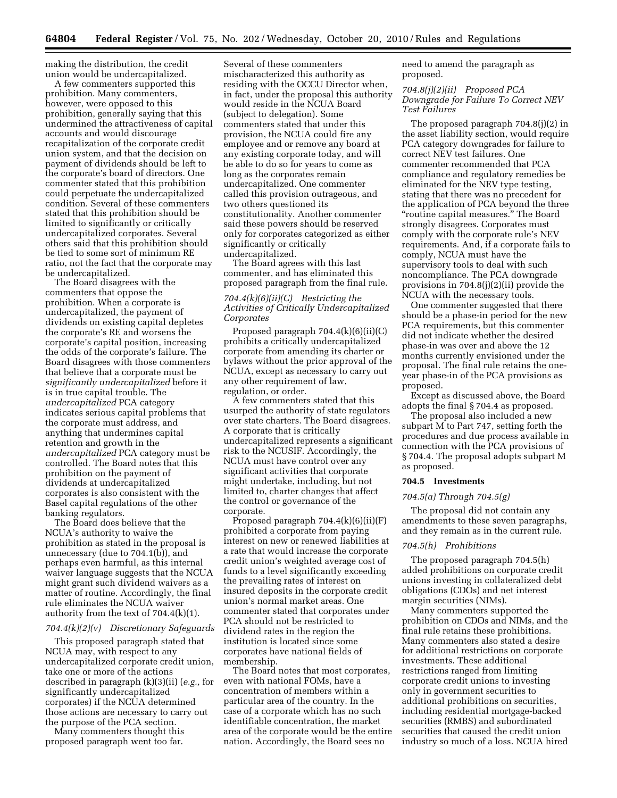making the distribution, the credit union would be undercapitalized.

A few commenters supported this prohibition. Many commenters, however, were opposed to this prohibition, generally saying that this undermined the attractiveness of capital accounts and would discourage recapitalization of the corporate credit union system, and that the decision on payment of dividends should be left to the corporate's board of directors. One commenter stated that this prohibition could perpetuate the undercapitalized condition. Several of these commenters stated that this prohibition should be limited to significantly or critically undercapitalized corporates. Several others said that this prohibition should be tied to some sort of minimum RE ratio, not the fact that the corporate may be undercapitalized.

The Board disagrees with the commenters that oppose the prohibition. When a corporate is undercapitalized, the payment of dividends on existing capital depletes the corporate's RE and worsens the corporate's capital position, increasing the odds of the corporate's failure. The Board disagrees with those commenters that believe that a corporate must be *significantly undercapitalized* before it is in true capital trouble. The *undercapitalized* PCA category indicates serious capital problems that the corporate must address, and anything that undermines capital retention and growth in the *undercapitalized* PCA category must be controlled. The Board notes that this prohibition on the payment of dividends at undercapitalized corporates is also consistent with the Basel capital regulations of the other banking regulators.

The Board does believe that the NCUA's authority to waive the prohibition as stated in the proposal is unnecessary (due to 704.1(b)), and perhaps even harmful, as this internal waiver language suggests that the NCUA might grant such dividend waivers as a matter of routine. Accordingly, the final rule eliminates the NCUA waiver authority from the text of 704.4(k)(1).

#### *704.4(k)(2)(v) Discretionary Safeguards*

This proposed paragraph stated that NCUA may, with respect to any undercapitalized corporate credit union, take one or more of the actions described in paragraph (k)(3)(ii) (*e.g.,* for significantly undercapitalized corporates) if the NCUA determined those actions are necessary to carry out the purpose of the PCA section.

Many commenters thought this proposed paragraph went too far.

Several of these commenters mischaracterized this authority as residing with the OCCU Director when, in fact, under the proposal this authority would reside in the NCUA Board (subject to delegation). Some commenters stated that under this provision, the NCUA could fire any employee and or remove any board at any existing corporate today, and will be able to do so for years to come as long as the corporates remain undercapitalized. One commenter called this provision outrageous, and two others questioned its constitutionality. Another commenter said these powers should be reserved only for corporates categorized as either significantly or critically undercapitalized.

The Board agrees with this last commenter, and has eliminated this proposed paragraph from the final rule.

#### *704.4(k)(6)(ii)(C) Restricting the Activities of Critically Undercapitalized Corporates*

Proposed paragraph 704.4(k)(6)(ii)(C) prohibits a critically undercapitalized corporate from amending its charter or bylaws without the prior approval of the NCUA, except as necessary to carry out any other requirement of law, regulation, or order.

A few commenters stated that this usurped the authority of state regulators over state charters. The Board disagrees. A corporate that is critically undercapitalized represents a significant risk to the NCUSIF. Accordingly, the NCUA must have control over any significant activities that corporate might undertake, including, but not limited to, charter changes that affect the control or governance of the corporate.

Proposed paragraph  $704.4(k)(6)(ii)(F)$ prohibited a corporate from paying interest on new or renewed liabilities at a rate that would increase the corporate credit union's weighted average cost of funds to a level significantly exceeding the prevailing rates of interest on insured deposits in the corporate credit union's normal market areas. One commenter stated that corporates under PCA should not be restricted to dividend rates in the region the institution is located since some corporates have national fields of membership.

The Board notes that most corporates, even with national FOMs, have a concentration of members within a particular area of the country. In the case of a corporate which has no such identifiable concentration, the market area of the corporate would be the entire nation. Accordingly, the Board sees no

need to amend the paragraph as proposed.

*704.8(j)(2)(ii) Proposed PCA Downgrade for Failure To Correct NEV Test Failures* 

The proposed paragraph 704.8(j)(2) in the asset liability section, would require PCA category downgrades for failure to correct NEV test failures. One commenter recommended that PCA compliance and regulatory remedies be eliminated for the NEV type testing, stating that there was no precedent for the application of PCA beyond the three ''routine capital measures.'' The Board strongly disagrees. Corporates must comply with the corporate rule's NEV requirements. And, if a corporate fails to comply, NCUA must have the supervisory tools to deal with such noncompliance. The PCA downgrade provisions in 704.8(j)(2)(ii) provide the NCUA with the necessary tools.

One commenter suggested that there should be a phase-in period for the new PCA requirements, but this commenter did not indicate whether the desired phase-in was over and above the 12 months currently envisioned under the proposal. The final rule retains the oneyear phase-in of the PCA provisions as proposed.

Except as discussed above, the Board adopts the final § 704.4 as proposed.

The proposal also included a new subpart M to Part 747, setting forth the procedures and due process available in connection with the PCA provisions of § 704.4. The proposal adopts subpart M as proposed.

#### **704.5 Investments**

#### *704.5(a) Through 704.5(g)*

The proposal did not contain any amendments to these seven paragraphs, and they remain as in the current rule.

#### *704.5(h) Prohibitions*

The proposed paragraph 704.5(h) added prohibitions on corporate credit unions investing in collateralized debt obligations (CDOs) and net interest margin securities (NIMs).

Many commenters supported the prohibition on CDOs and NIMs, and the final rule retains these prohibitions. Many commenters also stated a desire for additional restrictions on corporate investments. These additional restrictions ranged from limiting corporate credit unions to investing only in government securities to additional prohibitions on securities, including residential mortgage-backed securities (RMBS) and subordinated securities that caused the credit union industry so much of a loss. NCUA hired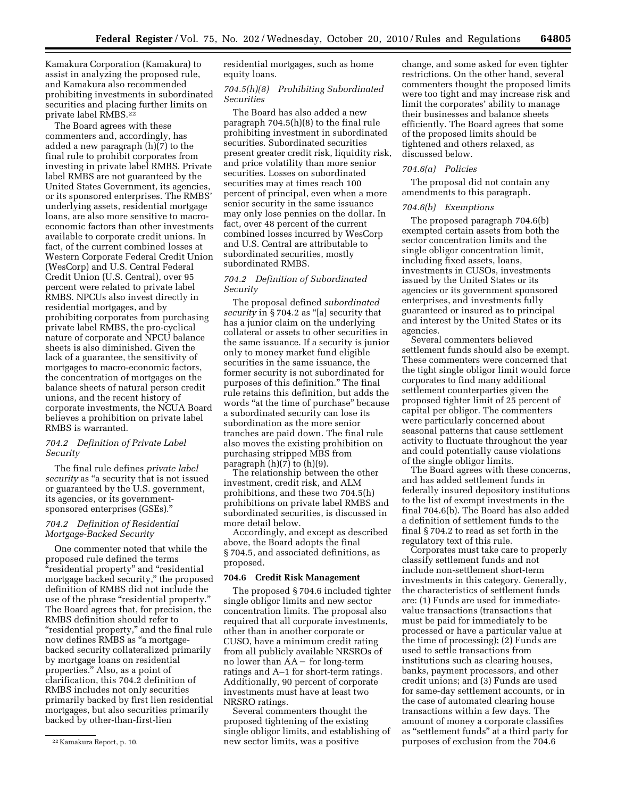Kamakura Corporation (Kamakura) to assist in analyzing the proposed rule, and Kamakura also recommended prohibiting investments in subordinated securities and placing further limits on private label RMBS.22

The Board agrees with these commenters and, accordingly, has added a new paragraph (h)(7) to the final rule to prohibit corporates from investing in private label RMBS. Private label RMBS are not guaranteed by the United States Government, its agencies, or its sponsored enterprises. The RMBS' underlying assets, residential mortgage loans, are also more sensitive to macroeconomic factors than other investments available to corporate credit unions. In fact, of the current combined losses at Western Corporate Federal Credit Union (WesCorp) and U.S. Central Federal Credit Union (U.S. Central), over 95 percent were related to private label RMBS. NPCUs also invest directly in residential mortgages, and by prohibiting corporates from purchasing private label RMBS, the pro-cyclical nature of corporate and NPCU balance sheets is also diminished. Given the lack of a guarantee, the sensitivity of mortgages to macro-economic factors, the concentration of mortgages on the balance sheets of natural person credit unions, and the recent history of corporate investments, the NCUA Board believes a prohibition on private label RMBS is warranted.

#### *704.2 Definition of Private Label Security*

The final rule defines *private label*  security as "a security that is not issued or guaranteed by the U.S. government, its agencies, or its governmentsponsored enterprises (GSEs).''

#### *704.2 Definition of Residential Mortgage-Backed Security*

One commenter noted that while the proposed rule defined the terms ''residential property'' and ''residential mortgage backed security,'' the proposed definition of RMBS did not include the use of the phrase "residential property." The Board agrees that, for precision, the RMBS definition should refer to ''residential property,'' and the final rule now defines RMBS as ''a mortgagebacked security collateralized primarily by mortgage loans on residential properties.'' Also, as a point of clarification, this 704.2 definition of RMBS includes not only securities primarily backed by first lien residential mortgages, but also securities primarily backed by other-than-first-lien

residential mortgages, such as home equity loans.

#### *704.5(h)(8) Prohibiting Subordinated Securities*

The Board has also added a new paragraph 704.5(h)(8) to the final rule prohibiting investment in subordinated securities. Subordinated securities present greater credit risk, liquidity risk, and price volatility than more senior securities. Losses on subordinated securities may at times reach 100 percent of principal, even when a more senior security in the same issuance may only lose pennies on the dollar. In fact, over 48 percent of the current combined losses incurred by WesCorp and U.S. Central are attributable to subordinated securities, mostly subordinated RMBS.

#### *704.2 Definition of Subordinated Security*

The proposal defined *subordinated security* in § 704.2 as ''[a] security that has a junior claim on the underlying collateral or assets to other securities in the same issuance. If a security is junior only to money market fund eligible securities in the same issuance, the former security is not subordinated for purposes of this definition.'' The final rule retains this definition, but adds the words "at the time of purchase" because a subordinated security can lose its subordination as the more senior tranches are paid down. The final rule also moves the existing prohibition on purchasing stripped MBS from paragraph  $(h)(7)$  to  $(h)(9)$ .

The relationship between the other investment, credit risk, and ALM prohibitions, and these two 704.5(h) prohibitions on private label RMBS and subordinated securities, is discussed in more detail below.

Accordingly, and except as described above, the Board adopts the final § 704.5, and associated definitions, as proposed.

#### **704.6 Credit Risk Management**

The proposed § 704.6 included tighter single obligor limits and new sector concentration limits. The proposal also required that all corporate investments, other than in another corporate or CUSO, have a minimum credit rating from all publicly available NRSROs of no lower than  $AA -$  for long-term ratings and A–1 for short-term ratings. Additionally, 90 percent of corporate investments must have at least two NRSRO ratings.

Several commenters thought the proposed tightening of the existing single obligor limits, and establishing of new sector limits, was a positive

change, and some asked for even tighter restrictions. On the other hand, several commenters thought the proposed limits were too tight and may increase risk and limit the corporates' ability to manage their businesses and balance sheets efficiently. The Board agrees that some of the proposed limits should be tightened and others relaxed, as discussed below.

#### *704.6(a) Policies*

The proposal did not contain any amendments to this paragraph.

#### *704.6(b) Exemptions*

The proposed paragraph 704.6(b) exempted certain assets from both the sector concentration limits and the single obligor concentration limit, including fixed assets, loans, investments in CUSOs, investments issued by the United States or its agencies or its government sponsored enterprises, and investments fully guaranteed or insured as to principal and interest by the United States or its agencies.

Several commenters believed settlement funds should also be exempt. These commenters were concerned that the tight single obligor limit would force corporates to find many additional settlement counterparties given the proposed tighter limit of 25 percent of capital per obligor. The commenters were particularly concerned about seasonal patterns that cause settlement activity to fluctuate throughout the year and could potentially cause violations of the single obligor limits.

The Board agrees with these concerns, and has added settlement funds in federally insured depository institutions to the list of exempt investments in the final 704.6(b). The Board has also added a definition of settlement funds to the final § 704.2 to read as set forth in the regulatory text of this rule.

Corporates must take care to properly classify settlement funds and not include non-settlement short-term investments in this category. Generally, the characteristics of settlement funds are: (1) Funds are used for immediatevalue transactions (transactions that must be paid for immediately to be processed or have a particular value at the time of processing); (2) Funds are used to settle transactions from institutions such as clearing houses, banks, payment processors, and other credit unions; and (3) Funds are used for same-day settlement accounts, or in the case of automated clearing house transactions within a few days. The amount of money a corporate classifies as ''settlement funds'' at a third party for purposes of exclusion from the 704.6

<sup>22</sup> Kamakura Report, p. 10.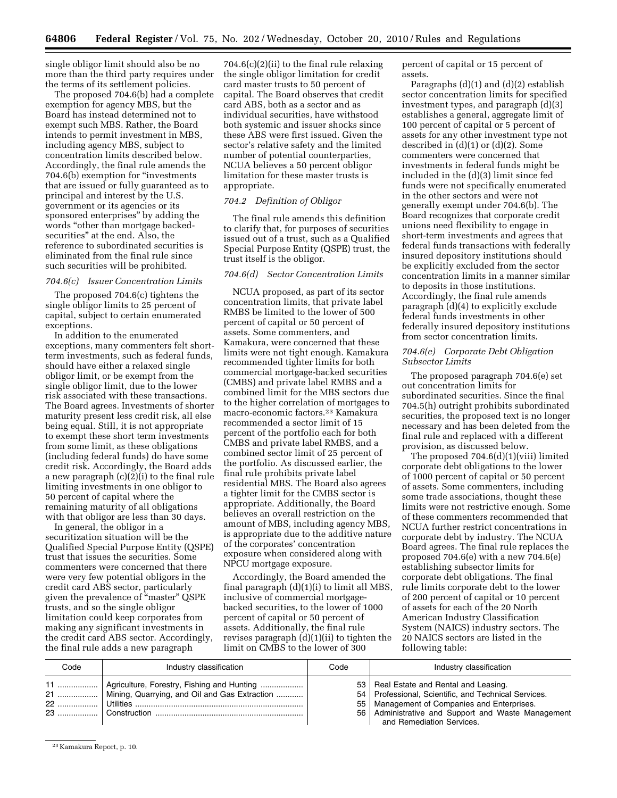single obligor limit should also be no more than the third party requires under the terms of its settlement policies.

The proposed 704.6(b) had a complete exemption for agency MBS, but the Board has instead determined not to exempt such MBS. Rather, the Board intends to permit investment in MBS, including agency MBS, subject to concentration limits described below. Accordingly, the final rule amends the 704.6(b) exemption for ''investments that are issued or fully guaranteed as to principal and interest by the U.S. government or its agencies or its sponsored enterprises'' by adding the words ''other than mortgage backedsecurities'' at the end. Also, the reference to subordinated securities is eliminated from the final rule since such securities will be prohibited.

#### *704.6(c) Issuer Concentration Limits*

The proposed 704.6(c) tightens the single obligor limits to 25 percent of capital, subject to certain enumerated exceptions.

In addition to the enumerated exceptions, many commenters felt shortterm investments, such as federal funds, should have either a relaxed single obligor limit, or be exempt from the single obligor limit, due to the lower risk associated with these transactions. The Board agrees. Investments of shorter maturity present less credit risk, all else being equal. Still, it is not appropriate to exempt these short term investments from some limit, as these obligations (including federal funds) do have some credit risk. Accordingly, the Board adds a new paragraph  $(c)(2)(i)$  to the final rule limiting investments in one obligor to 50 percent of capital where the remaining maturity of all obligations with that obligor are less than 30 days.

In general, the obligor in a securitization situation will be the Qualified Special Purpose Entity (QSPE) trust that issues the securities. Some commenters were concerned that there were very few potential obligors in the credit card ABS sector, particularly given the prevalence of ''master'' QSPE trusts, and so the single obligor limitation could keep corporates from making any significant investments in the credit card ABS sector. Accordingly, the final rule adds a new paragraph

704.6(c)(2)(ii) to the final rule relaxing the single obligor limitation for credit card master trusts to 50 percent of capital. The Board observes that credit card ABS, both as a sector and as individual securities, have withstood both systemic and issuer shocks since these ABS were first issued. Given the sector's relative safety and the limited number of potential counterparties, NCUA believes a 50 percent obligor limitation for these master trusts is appropriate.

#### *704.2 Definition of Obligor*

The final rule amends this definition to clarify that, for purposes of securities issued out of a trust, such as a Qualified Special Purpose Entity (QSPE) trust, the trust itself is the obligor.

#### *704.6(d) Sector Concentration Limits*

NCUA proposed, as part of its sector concentration limits, that private label RMBS be limited to the lower of 500 percent of capital or 50 percent of assets. Some commenters, and Kamakura, were concerned that these limits were not tight enough. Kamakura recommended tighter limits for both commercial mortgage-backed securities (CMBS) and private label RMBS and a combined limit for the MBS sectors due to the higher correlation of mortgages to macro-economic factors.23 Kamakura recommended a sector limit of 15 percent of the portfolio each for both CMBS and private label RMBS, and a combined sector limit of 25 percent of the portfolio. As discussed earlier, the final rule prohibits private label residential MBS. The Board also agrees a tighter limit for the CMBS sector is appropriate. Additionally, the Board believes an overall restriction on the amount of MBS, including agency MBS, is appropriate due to the additive nature of the corporates' concentration exposure when considered along with NPCU mortgage exposure.

Accordingly, the Board amended the final paragraph (d)(1)(i) to limit all MBS, inclusive of commercial mortgagebacked securities, to the lower of 1000 percent of capital or 50 percent of assets. Additionally, the final rule revises paragraph  $(d)(1)(ii)$  to tighten the limit on CMBS to the lower of 300

percent of capital or 15 percent of assets.

Paragraphs (d)(1) and (d)(2) establish sector concentration limits for specified investment types, and paragraph (d)(3) establishes a general, aggregate limit of 100 percent of capital or 5 percent of assets for any other investment type not described in (d)(1) or (d)(2). Some commenters were concerned that investments in federal funds might be included in the (d)(3) limit since fed funds were not specifically enumerated in the other sectors and were not generally exempt under 704.6(b). The Board recognizes that corporate credit unions need flexibility to engage in short-term investments and agrees that federal funds transactions with federally insured depository institutions should be explicitly excluded from the sector concentration limits in a manner similar to deposits in those institutions. Accordingly, the final rule amends paragraph (d)(4) to explicitly exclude federal funds investments in other federally insured depository institutions from sector concentration limits.

#### *704.6(e) Corporate Debt Obligation Subsector Limits*

The proposed paragraph 704.6(e) set out concentration limits for subordinated securities. Since the final 704.5(h) outright prohibits subordinated securities, the proposed text is no longer necessary and has been deleted from the final rule and replaced with a different provision, as discussed below.

The proposed 704.6(d)(1)(viii) limited corporate debt obligations to the lower of 1000 percent of capital or 50 percent of assets. Some commenters, including some trade associations, thought these limits were not restrictive enough. Some of these commenters recommended that NCUA further restrict concentrations in corporate debt by industry. The NCUA Board agrees. The final rule replaces the proposed 704.6(e) with a new 704.6(e) establishing subsector limits for corporate debt obligations. The final rule limits corporate debt to the lower of 200 percent of capital or 10 percent of assets for each of the 20 North American Industry Classification System (NAICS) industry sectors. The 20 NAICS sectors are listed in the following table:

| Code | Industry classification                                                                                 | Code | Industry classification                                                                                                                                                                                                                |
|------|---------------------------------------------------------------------------------------------------------|------|----------------------------------------------------------------------------------------------------------------------------------------------------------------------------------------------------------------------------------------|
| 22   | 11    Agriculture, Forestry, Fishing and Hunting<br>21    Mining, Quarrying, and Oil and Gas Extraction |      | 53   Real Estate and Rental and Leasing.<br>54   Professional, Scientific, and Technical Services.<br>55   Management of Companies and Enterprises.<br>56 Administrative and Support and Waste Management<br>and Remediation Services. |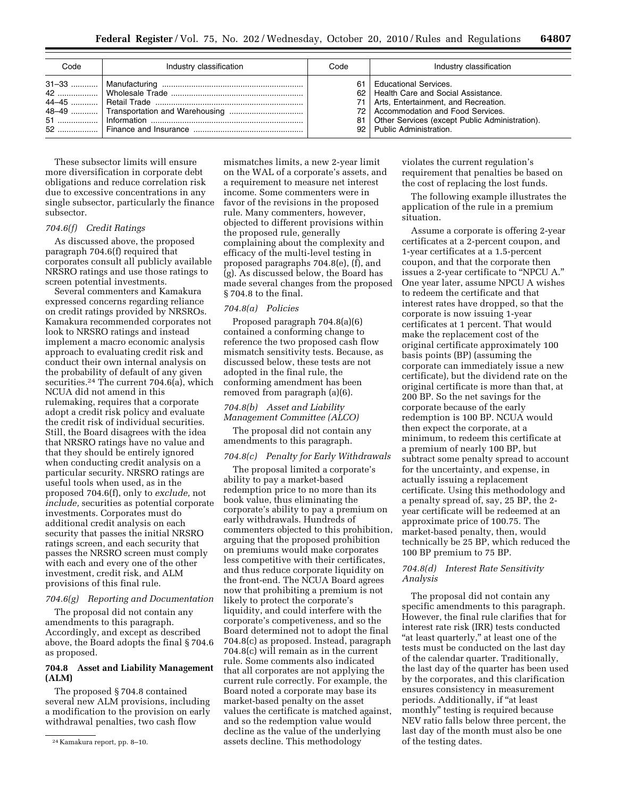| Code | Industry classification | Code | Industry classification                                                                                                                                                                                                                     |
|------|-------------------------|------|---------------------------------------------------------------------------------------------------------------------------------------------------------------------------------------------------------------------------------------------|
|      |                         |      | 61 Educational Services.<br>62   Health Care and Social Assistance.<br>71   Arts, Entertainment, and Recreation.<br>72 Accommodation and Food Services.<br>81   Other Services (except Public Administration).<br>92 Public Administration. |

These subsector limits will ensure more diversification in corporate debt obligations and reduce correlation risk due to excessive concentrations in any single subsector, particularly the finance subsector.

#### *704.6(f) Credit Ratings*

As discussed above, the proposed paragraph 704.6(f) required that corporates consult all publicly available NRSRO ratings and use those ratings to screen potential investments.

Several commenters and Kamakura expressed concerns regarding reliance on credit ratings provided by NRSROs. Kamakura recommended corporates not look to NRSRO ratings and instead implement a macro economic analysis approach to evaluating credit risk and conduct their own internal analysis on the probability of default of any given securities.24 The current 704.6(a), which NCUA did not amend in this rulemaking, requires that a corporate adopt a credit risk policy and evaluate the credit risk of individual securities. Still, the Board disagrees with the idea that NRSRO ratings have no value and that they should be entirely ignored when conducting credit analysis on a particular security. NRSRO ratings are useful tools when used, as in the proposed 704.6(f), only to *exclude,* not *include,* securities as potential corporate investments. Corporates must do additional credit analysis on each security that passes the initial NRSRO ratings screen, and each security that passes the NRSRO screen must comply with each and every one of the other investment, credit risk, and ALM provisions of this final rule.

#### *704.6(g) Reporting and Documentation*

The proposal did not contain any amendments to this paragraph. Accordingly, and except as described above, the Board adopts the final § 704.6 as proposed.

#### **704.8 Asset and Liability Management (ALM)**

The proposed § 704.8 contained several new ALM provisions, including a modification to the provision on early withdrawal penalties, two cash flow

mismatches limits, a new 2-year limit on the WAL of a corporate's assets, and a requirement to measure net interest income. Some commenters were in favor of the revisions in the proposed rule. Many commenters, however, objected to different provisions within the proposed rule, generally complaining about the complexity and efficacy of the multi-level testing in proposed paragraphs 704.8(e), (f), and (g). As discussed below, the Board has made several changes from the proposed § 704.8 to the final.

#### *704.8(a) Policies*

Proposed paragraph 704.8(a)(6) contained a conforming change to reference the two proposed cash flow mismatch sensitivity tests. Because, as discussed below, these tests are not adopted in the final rule, the conforming amendment has been removed from paragraph (a)(6).

#### *704.8(b) Asset and Liability Management Committee (ALCO)*

The proposal did not contain any amendments to this paragraph.

#### *704.8(c) Penalty for Early Withdrawals*

The proposal limited a corporate's ability to pay a market-based redemption price to no more than its book value, thus eliminating the corporate's ability to pay a premium on early withdrawals. Hundreds of commenters objected to this prohibition, arguing that the proposed prohibition on premiums would make corporates less competitive with their certificates, and thus reduce corporate liquidity on the front-end. The NCUA Board agrees now that prohibiting a premium is not likely to protect the corporate's liquidity, and could interfere with the corporate's competiveness, and so the Board determined not to adopt the final 704.8(c) as proposed. Instead, paragraph 704.8(c) will remain as in the current rule. Some comments also indicated that all corporates are not applying the current rule correctly. For example, the Board noted a corporate may base its market-based penalty on the asset values the certificate is matched against, and so the redemption value would decline as the value of the underlying assets decline. This methodology

violates the current regulation's requirement that penalties be based on the cost of replacing the lost funds.

The following example illustrates the application of the rule in a premium situation.

Assume a corporate is offering 2-year certificates at a 2-percent coupon, and 1-year certificates at a 1.5-percent coupon, and that the corporate then issues a 2-year certificate to ''NPCU A.'' One year later, assume NPCU A wishes to redeem the certificate and that interest rates have dropped, so that the corporate is now issuing 1-year certificates at 1 percent. That would make the replacement cost of the original certificate approximately 100 basis points (BP) (assuming the corporate can immediately issue a new certificate), but the dividend rate on the original certificate is more than that, at 200 BP. So the net savings for the corporate because of the early redemption is 100 BP. NCUA would then expect the corporate, at a minimum, to redeem this certificate at a premium of nearly 100 BP, but subtract some penalty spread to account for the uncertainty, and expense, in actually issuing a replacement certificate. Using this methodology and a penalty spread of, say, 25 BP, the 2 year certificate will be redeemed at an approximate price of 100.75. The market-based penalty, then, would technically be 25 BP, which reduced the 100 BP premium to 75 BP.

#### *704.8(d) Interest Rate Sensitivity Analysis*

The proposal did not contain any specific amendments to this paragraph. However, the final rule clarifies that for interest rate risk (IRR) tests conducted "at least quarterly," at least one of the tests must be conducted on the last day of the calendar quarter. Traditionally, the last day of the quarter has been used by the corporates, and this clarification ensures consistency in measurement periods. Additionally, if ''at least monthly'' testing is required because NEV ratio falls below three percent, the last day of the month must also be one of the testing dates.

<sup>24</sup> Kamakura report, pp. 8–10.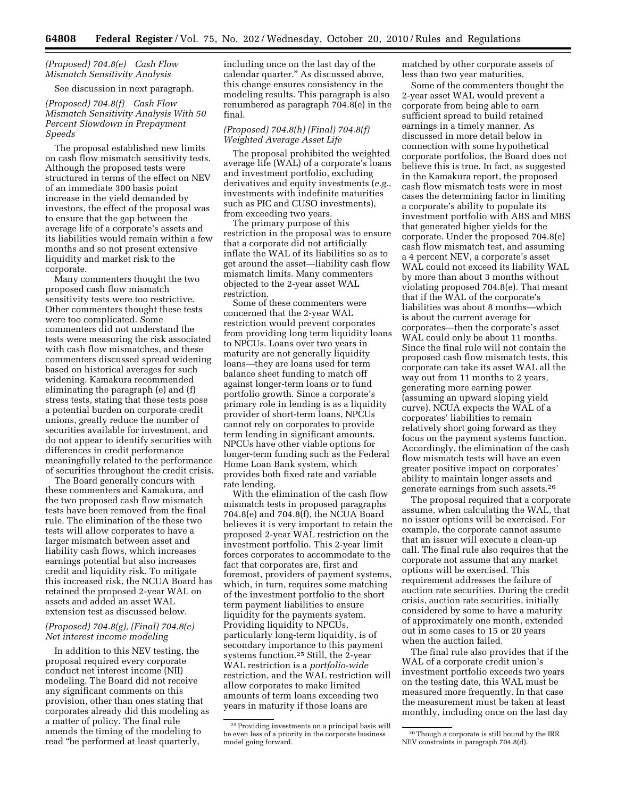### *(Proposed) 704.8(e) Cash Flow Mismatch Sensitivity Analysis*

See discussion in next paragraph.

#### *(Proposed) 704.8(f) Cash Flow Mismatch Sensitivity Analysis With 50 Percent Slowdown in Prepayment Speeds*

The proposal established new limits on cash flow mismatch sensitivity tests. Although the proposed tests were structured in terms of the effect on NEV of an immediate 300 basis point increase in the yield demanded by investors, the effect of the proposal was to ensure that the gap between the average life of a corporate's assets and its liabilities would remain within a few months and so not present extensive liquidity and market risk to the corporate.

Many commenters thought the two proposed cash flow mismatch sensitivity tests were too restrictive. Other commenters thought these tests were too complicated. Some commenters did not understand the tests were measuring the risk associated with cash flow mismatches, and these commenters discussed spread widening based on historical averages for such widening. Kamakura recommended eliminating the paragraph (e) and (f) stress tests, stating that these tests pose a potential burden on corporate credit unions, greatly reduce the number of securities available for investment, and do not appear to identify securities with differences in credit performance meaningfully related to the performance of securities throughout the credit crisis.

The Board generally concurs with these commenters and Kamakura, and the two proposed cash flow mismatch tests have been removed from the final rule. The elimination of the these two tests will allow corporates to have a larger mismatch between asset and liability cash flows, which increases earnings potential but also increases credit and liquidity risk. To mitigate this increased risk, the NCUA Board has retained the proposed 2-year WAL on assets and added an asset WAL extension test as discussed below.

#### *(Proposed) 704.8(g), (Final) 704.8(e) Net interest income modeling*

In addition to this NEV testing, the proposal required every corporate conduct net interest income (NII) modeling. The Board did not receive any significant comments on this provision, other than ones stating that corporates already did this modeling as a matter of policy. The final rule amends the timing of the modeling to read ''be performed at least quarterly,

including once on the last day of the calendar quarter.'' As discussed above, this change ensures consistency in the modeling results. This paragraph is also renumbered as paragraph 704.8(e) in the final.

#### *(Proposed) 704.8(h) (Final) 704.8(f) Weighted Average Asset Life*

The proposal prohibited the weighted average life (WAL) of a corporate's loans and investment portfolio, excluding derivatives and equity investments (*e.g.,*  investments with indefinite maturities such as PIC and CUSO investments), from exceeding two years.

The primary purpose of this restriction in the proposal was to ensure that a corporate did not artificially inflate the WAL of its liabilities so as to get around the asset—liability cash flow mismatch limits. Many commenters objected to the 2-year asset WAL restriction.

Some of these commenters were concerned that the 2-year WAL restriction would prevent corporates from providing long term liquidity loans to NPCUs. Loans over two years in maturity are not generally liquidity loans—they are loans used for term balance sheet funding to match off against longer-term loans or to fund portfolio growth. Since a corporate's primary role in lending is as a liquidity provider of short-term loans, NPCUs cannot rely on corporates to provide term lending in significant amounts. NPCUs have other viable options for longer-term funding such as the Federal Home Loan Bank system, which provides both fixed rate and variable rate lending.

With the elimination of the cash flow mismatch tests in proposed paragraphs 704.8(e) and 704.8(f), the NCUA Board believes it is very important to retain the proposed 2-year WAL restriction on the investment portfolio. This 2-year limit forces corporates to accommodate to the fact that corporates are, first and foremost, providers of payment systems, which, in turn, requires some matching of the investment portfolio to the short term payment liabilities to ensure liquidity for the payments system. Providing liquidity to NPCUs, particularly long-term liquidity, is of secondary importance to this payment systems function.25 Still, the 2-year WAL restriction is a *portfolio-wide*  restriction, and the WAL restriction will allow corporates to make limited amounts of term loans exceeding two years in maturity if those loans are

matched by other corporate assets of less than two year maturities.

Some of the commenters thought the 2-year asset WAL would prevent a corporate from being able to earn sufficient spread to build retained earnings in a timely manner. As discussed in more detail below in connection with some hypothetical corporate portfolios, the Board does not believe this is true. In fact, as suggested in the Kamakura report, the proposed cash flow mismatch tests were in most cases the determining factor in limiting a corporate's ability to populate its investment portfolio with ABS and MBS that generated higher yields for the corporate. Under the proposed 704.8(e) cash flow mismatch test, and assuming a 4 percent NEV, a corporate's asset WAL could not exceed its liability WAL by more than about 3 months without violating proposed 704.8(e). That meant that if the WAL of the corporate's liabilities was about 8 months—which is about the current average for corporates—then the corporate's asset WAL could only be about 11 months. Since the final rule will not contain the proposed cash flow mismatch tests, this corporate can take its asset WAL all the way out from 11 months to 2 years, generating more earning power (assuming an upward sloping yield curve). NCUA expects the WAL of a corporates' liabilities to remain relatively short going forward as they focus on the payment systems function. Accordingly, the elimination of the cash flow mismatch tests will have an even greater positive impact on corporates' ability to maintain longer assets and generate earnings from such assets.26

The proposal required that a corporate assume, when calculating the WAL, that no issuer options will be exercised. For example, the corporate cannot assume that an issuer will execute a clean-up call. The final rule also requires that the corporate not assume that any market options will be exercised. This requirement addresses the failure of auction rate securities. During the credit crisis, auction rate securities, initially considered by some to have a maturity of approximately one month, extended out in some cases to 15 or 20 years when the auction failed.

The final rule also provides that if the WAL of a corporate credit union's investment portfolio exceeds two years on the testing date, this WAL must be measured more frequently. In that case the measurement must be taken at least monthly, including once on the last day

<sup>&</sup>lt;sup>25</sup> Providing investments on a principal basis will be even less of a priority in the corporate business model going forward.

<sup>26</sup>Though a corporate is still bound by the IRR NEV constraints in paragraph 704.8(d).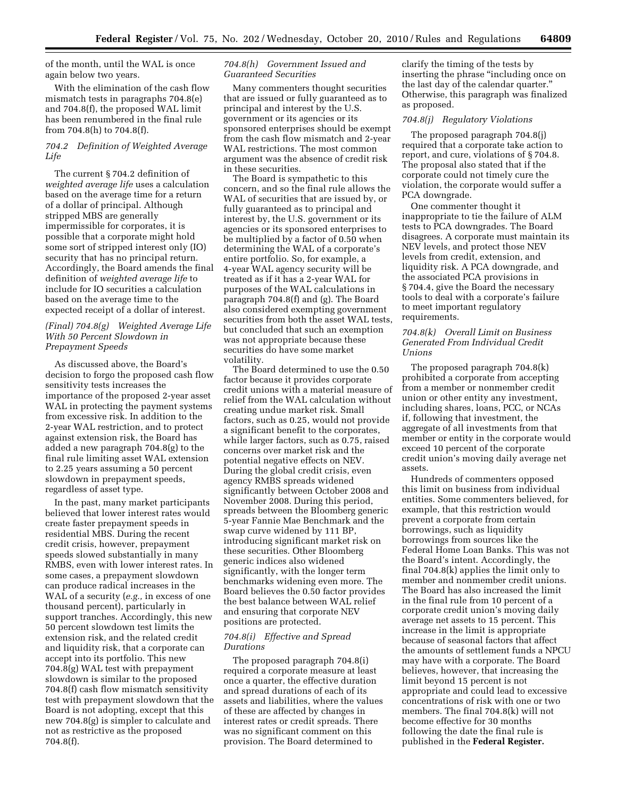of the month, until the WAL is once again below two years.

With the elimination of the cash flow mismatch tests in paragraphs 704.8(e) and 704.8(f), the proposed WAL limit has been renumbered in the final rule from 704.8(h) to 704.8(f).

#### *704.2 Definition of Weighted Average Life*

The current § 704.2 definition of *weighted average life* uses a calculation based on the average time for a return of a dollar of principal. Although stripped MBS are generally impermissible for corporates, it is possible that a corporate might hold some sort of stripped interest only (IO) security that has no principal return. Accordingly, the Board amends the final definition of *weighted average life* to include for IO securities a calculation based on the average time to the expected receipt of a dollar of interest.

#### *(Final) 704.8(g) Weighted Average Life With 50 Percent Slowdown in Prepayment Speeds*

As discussed above, the Board's decision to forgo the proposed cash flow sensitivity tests increases the importance of the proposed 2-year asset WAL in protecting the payment systems from excessive risk. In addition to the 2-year WAL restriction, and to protect against extension risk, the Board has added a new paragraph 704.8(g) to the final rule limiting asset WAL extension to 2.25 years assuming a 50 percent slowdown in prepayment speeds, regardless of asset type.

In the past, many market participants believed that lower interest rates would create faster prepayment speeds in residential MBS. During the recent credit crisis, however, prepayment speeds slowed substantially in many RMBS, even with lower interest rates. In some cases, a prepayment slowdown can produce radical increases in the WAL of a security (*e.g.,* in excess of one thousand percent), particularly in support tranches. Accordingly, this new 50 percent slowdown test limits the extension risk, and the related credit and liquidity risk, that a corporate can accept into its portfolio. This new 704.8(g) WAL test with prepayment slowdown is similar to the proposed 704.8(f) cash flow mismatch sensitivity test with prepayment slowdown that the Board is not adopting, except that this new 704.8(g) is simpler to calculate and not as restrictive as the proposed 704.8(f).

#### *704.8(h) Government Issued and Guaranteed Securities*

Many commenters thought securities that are issued or fully guaranteed as to principal and interest by the U.S. government or its agencies or its sponsored enterprises should be exempt from the cash flow mismatch and 2-year WAL restrictions. The most common argument was the absence of credit risk in these securities.

The Board is sympathetic to this concern, and so the final rule allows the WAL of securities that are issued by, or fully guaranteed as to principal and interest by, the U.S. government or its agencies or its sponsored enterprises to be multiplied by a factor of 0.50 when determining the WAL of a corporate's entire portfolio. So, for example, a 4-year WAL agency security will be treated as if it has a 2-year WAL for purposes of the WAL calculations in paragraph 704.8(f) and (g). The Board also considered exempting government securities from both the asset WAL tests, but concluded that such an exemption was not appropriate because these securities do have some market volatility.

The Board determined to use the 0.50 factor because it provides corporate credit unions with a material measure of relief from the WAL calculation without creating undue market risk. Small factors, such as 0.25, would not provide a significant benefit to the corporates, while larger factors, such as 0.75, raised concerns over market risk and the potential negative effects on NEV. During the global credit crisis, even agency RMBS spreads widened significantly between October 2008 and November 2008. During this period, spreads between the Bloomberg generic 5-year Fannie Mae Benchmark and the swap curve widened by 111 BP, introducing significant market risk on these securities. Other Bloomberg generic indices also widened significantly, with the longer term benchmarks widening even more. The Board believes the 0.50 factor provides the best balance between WAL relief and ensuring that corporate NEV positions are protected.

#### *704.8(i) Effective and Spread Durations*

The proposed paragraph 704.8(i) required a corporate measure at least once a quarter, the effective duration and spread durations of each of its assets and liabilities, where the values of these are affected by changes in interest rates or credit spreads. There was no significant comment on this provision. The Board determined to

clarify the timing of the tests by inserting the phrase "including once on the last day of the calendar quarter.'' Otherwise, this paragraph was finalized as proposed.

#### *704.8(j) Regulatory Violations*

The proposed paragraph 704.8(j) required that a corporate take action to report, and cure, violations of § 704.8. The proposal also stated that if the corporate could not timely cure the violation, the corporate would suffer a PCA downgrade.

One commenter thought it inappropriate to tie the failure of ALM tests to PCA downgrades. The Board disagrees. A corporate must maintain its NEV levels, and protect those NEV levels from credit, extension, and liquidity risk. A PCA downgrade, and the associated PCA provisions in § 704.4, give the Board the necessary tools to deal with a corporate's failure to meet important regulatory requirements.

#### *704.8(k) Overall Limit on Business Generated From Individual Credit Unions*

The proposed paragraph 704.8(k) prohibited a corporate from accepting from a member or nonmember credit union or other entity any investment, including shares, loans, PCC, or NCAs if, following that investment, the aggregate of all investments from that member or entity in the corporate would exceed 10 percent of the corporate credit union's moving daily average net assets.

Hundreds of commenters opposed this limit on business from individual entities. Some commenters believed, for example, that this restriction would prevent a corporate from certain borrowings, such as liquidity borrowings from sources like the Federal Home Loan Banks. This was not the Board's intent. Accordingly, the final 704.8(k) applies the limit only to member and nonmember credit unions. The Board has also increased the limit in the final rule from 10 percent of a corporate credit union's moving daily average net assets to 15 percent. This increase in the limit is appropriate because of seasonal factors that affect the amounts of settlement funds a NPCU may have with a corporate. The Board believes, however, that increasing the limit beyond 15 percent is not appropriate and could lead to excessive concentrations of risk with one or two members. The final 704.8(k) will not become effective for 30 months following the date the final rule is published in the **Federal Register.**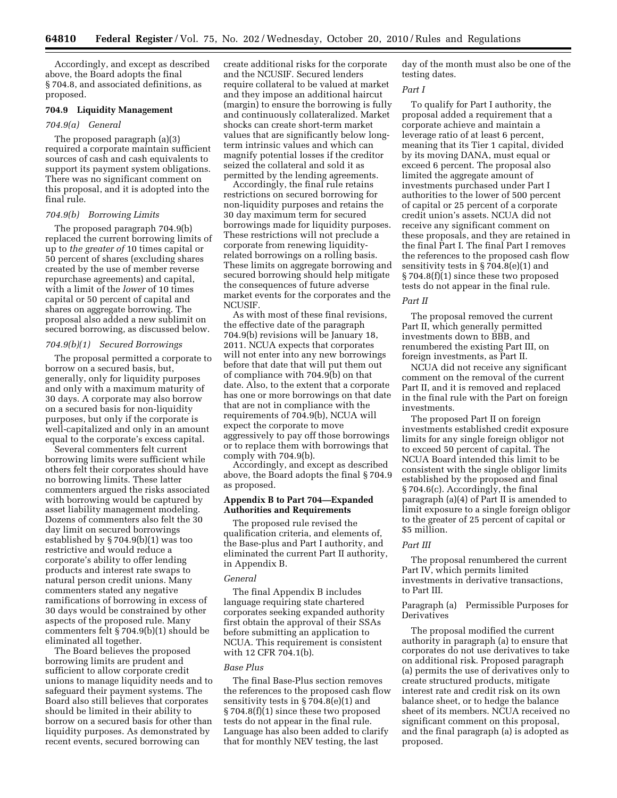Accordingly, and except as described above, the Board adopts the final § 704.8, and associated definitions, as proposed.

#### **704.9 Liquidity Management**

#### *704.9(a) General*

The proposed paragraph (a)(3) required a corporate maintain sufficient sources of cash and cash equivalents to support its payment system obligations. There was no significant comment on this proposal, and it is adopted into the final rule.

#### *704.9(b) Borrowing Limits*

The proposed paragraph 704.9(b) replaced the current borrowing limits of up to *the greater of* 10 times capital or 50 percent of shares (excluding shares created by the use of member reverse repurchase agreements) and capital, with a limit of the *lower* of 10 times capital or 50 percent of capital and shares on aggregate borrowing. The proposal also added a new sublimit on secured borrowing, as discussed below.

#### *704.9(b)(1) Secured Borrowings*

The proposal permitted a corporate to borrow on a secured basis, but, generally, only for liquidity purposes and only with a maximum maturity of 30 days. A corporate may also borrow on a secured basis for non-liquidity purposes, but only if the corporate is well-capitalized and only in an amount equal to the corporate's excess capital.

Several commenters felt current borrowing limits were sufficient while others felt their corporates should have no borrowing limits. These latter commenters argued the risks associated with borrowing would be captured by asset liability management modeling. Dozens of commenters also felt the 30 day limit on secured borrowings established by § 704.9(b)(1) was too restrictive and would reduce a corporate's ability to offer lending products and interest rate swaps to natural person credit unions. Many commenters stated any negative ramifications of borrowing in excess of 30 days would be constrained by other aspects of the proposed rule. Many commenters felt § 704.9(b)(1) should be eliminated all together.

The Board believes the proposed borrowing limits are prudent and sufficient to allow corporate credit unions to manage liquidity needs and to safeguard their payment systems. The Board also still believes that corporates should be limited in their ability to borrow on a secured basis for other than liquidity purposes. As demonstrated by recent events, secured borrowing can

create additional risks for the corporate and the NCUSIF. Secured lenders require collateral to be valued at market and they impose an additional haircut (margin) to ensure the borrowing is fully and continuously collateralized. Market shocks can create short-term market values that are significantly below longterm intrinsic values and which can magnify potential losses if the creditor seized the collateral and sold it as permitted by the lending agreements.

Accordingly, the final rule retains restrictions on secured borrowing for non-liquidity purposes and retains the 30 day maximum term for secured borrowings made for liquidity purposes. These restrictions will not preclude a corporate from renewing liquidityrelated borrowings on a rolling basis. These limits on aggregate borrowing and secured borrowing should help mitigate the consequences of future adverse market events for the corporates and the NCUSIF.

As with most of these final revisions, the effective date of the paragraph 704.9(b) revisions will be January 18, 2011. NCUA expects that corporates will not enter into any new borrowings before that date that will put them out of compliance with 704.9(b) on that date. Also, to the extent that a corporate has one or more borrowings on that date that are not in compliance with the requirements of 704.9(b), NCUA will expect the corporate to move aggressively to pay off those borrowings or to replace them with borrowings that comply with 704.9(b).

Accordingly, and except as described above, the Board adopts the final § 704.9 as proposed.

#### **Appendix B to Part 704—Expanded Authorities and Requirements**

The proposed rule revised the qualification criteria, and elements of, the Base-plus and Part I authority, and eliminated the current Part II authority, in Appendix B.

#### *General*

The final Appendix B includes language requiring state chartered corporates seeking expanded authority first obtain the approval of their SSAs before submitting an application to NCUA. This requirement is consistent with 12 CFR 704.1(b).

#### *Base Plus*

The final Base-Plus section removes the references to the proposed cash flow sensitivity tests in § 704.8(e)(1) and § 704.8(f)(1) since these two proposed tests do not appear in the final rule. Language has also been added to clarify that for monthly NEV testing, the last

day of the month must also be one of the testing dates.

#### *Part I*

To qualify for Part I authority, the proposal added a requirement that a corporate achieve and maintain a leverage ratio of at least 6 percent, meaning that its Tier 1 capital, divided by its moving DANA, must equal or exceed 6 percent. The proposal also limited the aggregate amount of investments purchased under Part I authorities to the lower of 500 percent of capital or 25 percent of a corporate credit union's assets. NCUA did not receive any significant comment on these proposals, and they are retained in the final Part I. The final Part I removes the references to the proposed cash flow sensitivity tests in § 704.8(e)(1) and § 704.8(f)(1) since these two proposed tests do not appear in the final rule.

#### *Part II*

The proposal removed the current Part II, which generally permitted investments down to BBB, and renumbered the existing Part III, on foreign investments, as Part II.

NCUA did not receive any significant comment on the removal of the current Part II, and it is removed and replaced in the final rule with the Part on foreign investments.

The proposed Part II on foreign investments established credit exposure limits for any single foreign obligor not to exceed 50 percent of capital. The NCUA Board intended this limit to be consistent with the single obligor limits established by the proposed and final § 704.6(c). Accordingly, the final paragraph (a)(4) of Part II is amended to limit exposure to a single foreign obligor to the greater of 25 percent of capital or \$5 million.

#### *Part III*

The proposal renumbered the current Part IV, which permits limited investments in derivative transactions, to Part III.

#### Paragraph (a) Permissible Purposes for Derivatives

The proposal modified the current authority in paragraph (a) to ensure that corporates do not use derivatives to take on additional risk. Proposed paragraph (a) permits the use of derivatives only to create structured products, mitigate interest rate and credit risk on its own balance sheet, or to hedge the balance sheet of its members. NCUA received no significant comment on this proposal, and the final paragraph (a) is adopted as proposed.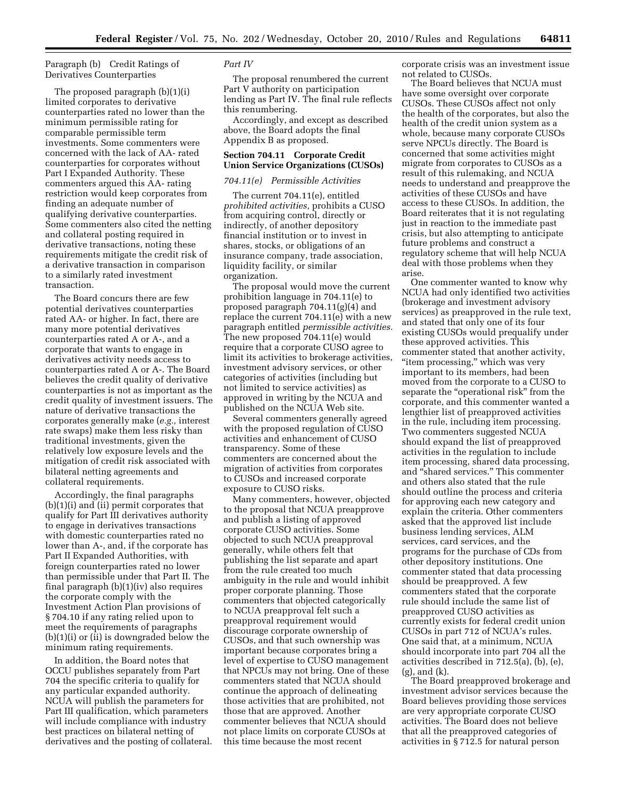Paragraph (b) Credit Ratings of Derivatives Counterparties

The proposed paragraph (b)(1)(i) limited corporates to derivative counterparties rated no lower than the minimum permissible rating for comparable permissible term investments. Some commenters were concerned with the lack of AA- rated counterparties for corporates without Part I Expanded Authority. These commenters argued this AA- rating restriction would keep corporates from finding an adequate number of qualifying derivative counterparties. Some commenters also cited the netting and collateral posting required in derivative transactions, noting these requirements mitigate the credit risk of a derivative transaction in comparison to a similarly rated investment transaction.

The Board concurs there are few potential derivatives counterparties rated AA- or higher. In fact, there are many more potential derivatives counterparties rated A or A-, and a corporate that wants to engage in derivatives activity needs access to counterparties rated A or A-. The Board believes the credit quality of derivative counterparties is not as important as the credit quality of investment issuers. The nature of derivative transactions the corporates generally make (*e.g.,* interest rate swaps) make them less risky than traditional investments, given the relatively low exposure levels and the mitigation of credit risk associated with bilateral netting agreements and collateral requirements.

Accordingly, the final paragraphs (b)(1)(i) and (ii) permit corporates that qualify for Part III derivatives authority to engage in derivatives transactions with domestic counterparties rated no lower than A-, and, if the corporate has Part II Expanded Authorities, with foreign counterparties rated no lower than permissible under that Part II. The final paragraph (b)(1)(iv) also requires the corporate comply with the Investment Action Plan provisions of § 704.10 if any rating relied upon to meet the requirements of paragraphs (b)(1)(i) or (ii) is downgraded below the minimum rating requirements.

In addition, the Board notes that OCCU publishes separately from Part 704 the specific criteria to qualify for any particular expanded authority. NCUA will publish the parameters for Part III qualification, which parameters will include compliance with industry best practices on bilateral netting of derivatives and the posting of collateral.

#### *Part IV*

The proposal renumbered the current Part V authority on participation lending as Part IV. The final rule reflects this renumbering.

Accordingly, and except as described above, the Board adopts the final Appendix B as proposed.

#### **Section 704.11 Corporate Credit Union Service Organizations (CUSOs)**

#### *704.11(e) Permissible Activities*

The current 704.11(e), entitled *prohibited activities,* prohibits a CUSO from acquiring control, directly or indirectly, of another depository financial institution or to invest in shares, stocks, or obligations of an insurance company, trade association, liquidity facility, or similar organization.

The proposal would move the current prohibition language in 704.11(e) to proposed paragraph 704.11(g)(4) and replace the current 704.11(e) with a new paragraph entitled *permissible activities.*  The new proposed 704.11(e) would require that a corporate CUSO agree to limit its activities to brokerage activities, investment advisory services, or other categories of activities (including but not limited to service activities) as approved in writing by the NCUA and published on the NCUA Web site.

Several commenters generally agreed with the proposed regulation of CUSO activities and enhancement of CUSO transparency. Some of these commenters are concerned about the migration of activities from corporates to CUSOs and increased corporate exposure to CUSO risks.

Many commenters, however, objected to the proposal that NCUA preapprove and publish a listing of approved corporate CUSO activities. Some objected to such NCUA preapproval generally, while others felt that publishing the list separate and apart from the rule created too much ambiguity in the rule and would inhibit proper corporate planning. Those commenters that objected categorically to NCUA preapproval felt such a preapproval requirement would discourage corporate ownership of CUSOs, and that such ownership was important because corporates bring a level of expertise to CUSO management that NPCUs may not bring. One of these commenters stated that NCUA should continue the approach of delineating those activities that are prohibited, not those that are approved. Another commenter believes that NCUA should not place limits on corporate CUSOs at this time because the most recent

corporate crisis was an investment issue not related to CUSOs.

The Board believes that NCUA must have some oversight over corporate CUSOs. These CUSOs affect not only the health of the corporates, but also the health of the credit union system as a whole, because many corporate CUSOs serve NPCUs directly. The Board is concerned that some activities might migrate from corporates to CUSOs as a result of this rulemaking, and NCUA needs to understand and preapprove the activities of these CUSOs and have access to these CUSOs. In addition, the Board reiterates that it is not regulating just in reaction to the immediate past crisis, but also attempting to anticipate future problems and construct a regulatory scheme that will help NCUA deal with those problems when they arise.

One commenter wanted to know why NCUA had only identified two activities (brokerage and investment advisory services) as preapproved in the rule text, and stated that only one of its four existing CUSOs would prequalify under these approved activities. This commenter stated that another activity, "item processing," which was very important to its members, had been moved from the corporate to a CUSO to separate the "operational risk" from the corporate, and this commenter wanted a lengthier list of preapproved activities in the rule, including item processing. Two commenters suggested NCUA should expand the list of preapproved activities in the regulation to include item processing, shared data processing, and ''shared services.'' This commenter and others also stated that the rule should outline the process and criteria for approving each new category and explain the criteria. Other commenters asked that the approved list include business lending services, ALM services, card services, and the programs for the purchase of CDs from other depository institutions. One commenter stated that data processing should be preapproved. A few commenters stated that the corporate rule should include the same list of preapproved CUSO activities as currently exists for federal credit union CUSOs in part 712 of NCUA's rules. One said that, at a minimum, NCUA should incorporate into part 704 all the activities described in 712.5(a), (b), (e), (g), and (k).

The Board preapproved brokerage and investment advisor services because the Board believes providing those services are very appropriate corporate CUSO activities. The Board does not believe that all the preapproved categories of activities in § 712.5 for natural person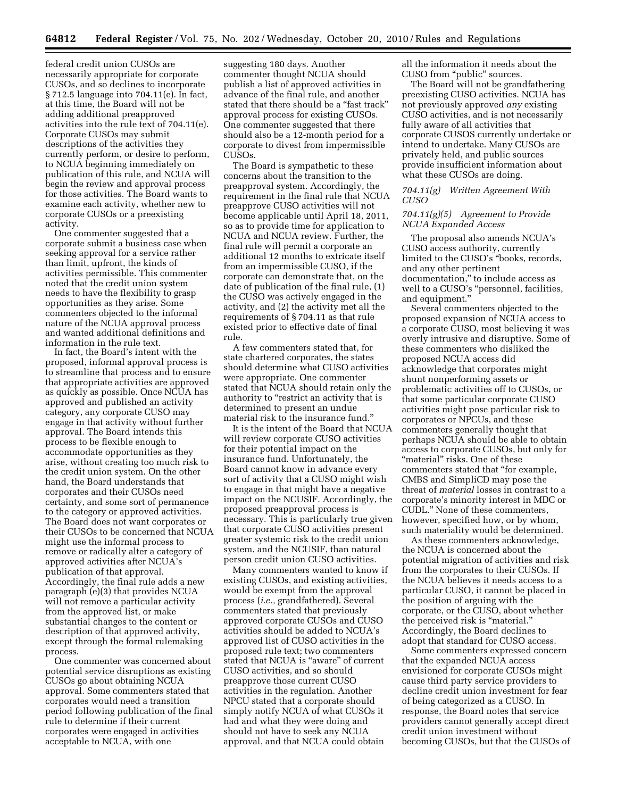federal credit union CUSOs are necessarily appropriate for corporate CUSOs, and so declines to incorporate § 712.5 language into 704.11(e). In fact, at this time, the Board will not be adding additional preapproved activities into the rule text of 704.11(e). Corporate CUSOs may submit descriptions of the activities they currently perform, or desire to perform, to NCUA beginning immediately on publication of this rule, and NCUA will begin the review and approval process for those activities. The Board wants to examine each activity, whether new to corporate CUSOs or a preexisting activity.

One commenter suggested that a corporate submit a business case when seeking approval for a service rather than limit, upfront, the kinds of activities permissible. This commenter noted that the credit union system needs to have the flexibility to grasp opportunities as they arise. Some commenters objected to the informal nature of the NCUA approval process and wanted additional definitions and information in the rule text.

In fact, the Board's intent with the proposed, informal approval process is to streamline that process and to ensure that appropriate activities are approved as quickly as possible. Once NCUA has approved and published an activity category, any corporate CUSO may engage in that activity without further approval. The Board intends this process to be flexible enough to accommodate opportunities as they arise, without creating too much risk to the credit union system. On the other hand, the Board understands that corporates and their CUSOs need certainty, and some sort of permanence to the category or approved activities. The Board does not want corporates or their CUSOs to be concerned that NCUA might use the informal process to remove or radically alter a category of approved activities after NCUA's publication of that approval. Accordingly, the final rule adds a new paragraph (e)(3) that provides NCUA will not remove a particular activity from the approved list, or make substantial changes to the content or description of that approved activity, except through the formal rulemaking process.

One commenter was concerned about potential service disruptions as existing CUSOs go about obtaining NCUA approval. Some commenters stated that corporates would need a transition period following publication of the final rule to determine if their current corporates were engaged in activities acceptable to NCUA, with one

suggesting 180 days. Another commenter thought NCUA should publish a list of approved activities in advance of the final rule, and another stated that there should be a ''fast track'' approval process for existing CUSOs. One commenter suggested that there should also be a 12-month period for a corporate to divest from impermissible CUSOs.

The Board is sympathetic to these concerns about the transition to the preapproval system. Accordingly, the requirement in the final rule that NCUA preapprove CUSO activities will not become applicable until April 18, 2011, so as to provide time for application to NCUA and NCUA review. Further, the final rule will permit a corporate an additional 12 months to extricate itself from an impermissible CUSO, if the corporate can demonstrate that, on the date of publication of the final rule, (1) the CUSO was actively engaged in the activity, and (2) the activity met all the requirements of § 704.11 as that rule existed prior to effective date of final rule.

A few commenters stated that, for state chartered corporates, the states should determine what CUSO activities were appropriate. One commenter stated that NCUA should retain only the authority to "restrict an activity that is determined to present an undue material risk to the insurance fund.''

It is the intent of the Board that NCUA will review corporate CUSO activities for their potential impact on the insurance fund. Unfortunately, the Board cannot know in advance every sort of activity that a CUSO might wish to engage in that might have a negative impact on the NCUSIF. Accordingly, the proposed preapproval process is necessary. This is particularly true given that corporate CUSO activities present greater systemic risk to the credit union system, and the NCUSIF, than natural person credit union CUSO activities.

Many commenters wanted to know if existing CUSOs, and existing activities, would be exempt from the approval process (*i.e.,* grandfathered). Several commenters stated that previously approved corporate CUSOs and CUSO activities should be added to NCUA's approved list of CUSO activities in the proposed rule text; two commenters stated that NCUA is ''aware'' of current CUSO activities, and so should preapprove those current CUSO activities in the regulation. Another NPCU stated that a corporate should simply notify NCUA of what CUSOs it had and what they were doing and should not have to seek any NCUA approval, and that NCUA could obtain

all the information it needs about the CUSO from ''public'' sources.

The Board will not be grandfathering preexisting CUSO activities. NCUA has not previously approved *any* existing CUSO activities, and is not necessarily fully aware of all activities that corporate CUSOS currently undertake or intend to undertake. Many CUSOs are privately held, and public sources provide insufficient information about what these CUSOs are doing.

#### *704.11(g) Written Agreement With CUSO*

#### *704.11(g)(5) Agreement to Provide NCUA Expanded Access*

The proposal also amends NCUA's CUSO access authority, currently limited to the CUSO's ''books, records, and any other pertinent documentation,'' to include access as well to a CUSO's ''personnel, facilities, and equipment.''

Several commenters objected to the proposed expansion of NCUA access to a corporate CUSO, most believing it was overly intrusive and disruptive. Some of these commenters who disliked the proposed NCUA access did acknowledge that corporates might shunt nonperforming assets or problematic activities off to CUSOs, or that some particular corporate CUSO activities might pose particular risk to corporates or NPCUs, and these commenters generally thought that perhaps NCUA should be able to obtain access to corporate CUSOs, but only for "material" risks. One of these commenters stated that ''for example, CMBS and SimpliCD may pose the threat of *material* losses in contrast to a corporate's minority interest in MDC or CUDL.'' None of these commenters, however, specified how, or by whom, such materiality would be determined.

As these commenters acknowledge, the NCUA is concerned about the potential migration of activities and risk from the corporates to their CUSOs. If the NCUA believes it needs access to a particular CUSO, it cannot be placed in the position of arguing with the corporate, or the CUSO, about whether the perceived risk is "material." Accordingly, the Board declines to adopt that standard for CUSO access.

Some commenters expressed concern that the expanded NCUA access envisioned for corporate CUSOs might cause third party service providers to decline credit union investment for fear of being categorized as a CUSO. In response, the Board notes that service providers cannot generally accept direct credit union investment without becoming CUSOs, but that the CUSOs of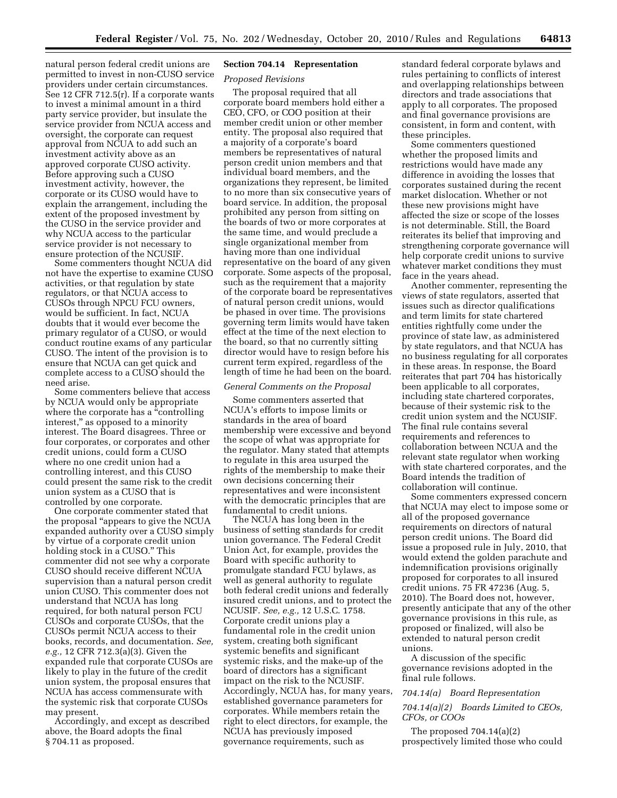natural person federal credit unions are permitted to invest in non-CUSO service providers under certain circumstances. See 12 CFR 712.5(r). If a corporate wants to invest a minimal amount in a third party service provider, but insulate the service provider from NCUA access and oversight, the corporate can request approval from NCUA to add such an investment activity above as an approved corporate CUSO activity. Before approving such a CUSO investment activity, however, the corporate or its CUSO would have to explain the arrangement, including the extent of the proposed investment by the CUSO in the service provider and why NCUA access to the particular service provider is not necessary to ensure protection of the NCUSIF.

Some commenters thought NCUA did not have the expertise to examine CUSO activities, or that regulation by state regulators, or that NCUA access to CUSOs through NPCU FCU owners, would be sufficient. In fact, NCUA doubts that it would ever become the primary regulator of a CUSO, or would conduct routine exams of any particular CUSO. The intent of the provision is to ensure that NCUA can get quick and complete access to a CUSO should the need arise.

Some commenters believe that access by NCUA would only be appropriate where the corporate has a "controlling" interest,'' as opposed to a minority interest. The Board disagrees. Three or four corporates, or corporates and other credit unions, could form a CUSO where no one credit union had a controlling interest, and this CUSO could present the same risk to the credit union system as a CUSO that is controlled by one corporate.

One corporate commenter stated that the proposal ''appears to give the NCUA expanded authority over a CUSO simply by virtue of a corporate credit union holding stock in a CUSO.'' This commenter did not see why a corporate CUSO should receive different NCUA supervision than a natural person credit union CUSO. This commenter does not understand that NCUA has long required, for both natural person FCU CUSOs and corporate CUSOs, that the CUSOs permit NCUA access to their books, records, and documentation. *See, e.g.,* 12 CFR 712.3(a)(3). Given the expanded rule that corporate CUSOs are likely to play in the future of the credit union system, the proposal ensures that NCUA has access commensurate with the systemic risk that corporate CUSOs may present.

Accordingly, and except as described above, the Board adopts the final § 704.11 as proposed.

#### **Section 704.14 Representation**

#### *Proposed Revisions*

The proposal required that all corporate board members hold either a CEO, CFO, or COO position at their member credit union or other member entity. The proposal also required that a majority of a corporate's board members be representatives of natural person credit union members and that individual board members, and the organizations they represent, be limited to no more than six consecutive years of board service. In addition, the proposal prohibited any person from sitting on the boards of two or more corporates at the same time, and would preclude a single organizational member from having more than one individual representative on the board of any given corporate. Some aspects of the proposal, such as the requirement that a majority of the corporate board be representatives of natural person credit unions, would be phased in over time. The provisions governing term limits would have taken effect at the time of the next election to the board, so that no currently sitting director would have to resign before his current term expired, regardless of the length of time he had been on the board.

#### *General Comments on the Proposal*

Some commenters asserted that NCUA's efforts to impose limits or standards in the area of board membership were excessive and beyond the scope of what was appropriate for the regulator. Many stated that attempts to regulate in this area usurped the rights of the membership to make their own decisions concerning their representatives and were inconsistent with the democratic principles that are fundamental to credit unions.

The NCUA has long been in the business of setting standards for credit union governance. The Federal Credit Union Act, for example, provides the Board with specific authority to promulgate standard FCU bylaws, as well as general authority to regulate both federal credit unions and federally insured credit unions, and to protect the NCUSIF. *See, e.g.,* 12 U.S.C. 1758. Corporate credit unions play a fundamental role in the credit union system, creating both significant systemic benefits and significant systemic risks, and the make-up of the board of directors has a significant impact on the risk to the NCUSIF. Accordingly, NCUA has, for many years, established governance parameters for corporates. While members retain the right to elect directors, for example, the NCUA has previously imposed governance requirements, such as

standard federal corporate bylaws and rules pertaining to conflicts of interest and overlapping relationships between directors and trade associations that apply to all corporates. The proposed and final governance provisions are consistent, in form and content, with these principles.

Some commenters questioned whether the proposed limits and restrictions would have made any difference in avoiding the losses that corporates sustained during the recent market dislocation. Whether or not these new provisions might have affected the size or scope of the losses is not determinable. Still, the Board reiterates its belief that improving and strengthening corporate governance will help corporate credit unions to survive whatever market conditions they must face in the years ahead.

Another commenter, representing the views of state regulators, asserted that issues such as director qualifications and term limits for state chartered entities rightfully come under the province of state law, as administered by state regulators, and that NCUA has no business regulating for all corporates in these areas. In response, the Board reiterates that part 704 has historically been applicable to all corporates, including state chartered corporates, because of their systemic risk to the credit union system and the NCUSIF. The final rule contains several requirements and references to collaboration between NCUA and the relevant state regulator when working with state chartered corporates, and the Board intends the tradition of collaboration will continue.

Some commenters expressed concern that NCUA may elect to impose some or all of the proposed governance requirements on directors of natural person credit unions. The Board did issue a proposed rule in July, 2010, that would extend the golden parachute and indemnification provisions originally proposed for corporates to all insured credit unions. 75 FR 47236 (Aug. 5, 2010). The Board does not, however, presently anticipate that any of the other governance provisions in this rule, as proposed or finalized, will also be extended to natural person credit unions.

A discussion of the specific governance revisions adopted in the final rule follows.

#### *704.14(a) Board Representation*

#### *704.14(a)(2) Boards Limited to CEOs, CFOs, or COOs*

The proposed  $704.14(a)(2)$ prospectively limited those who could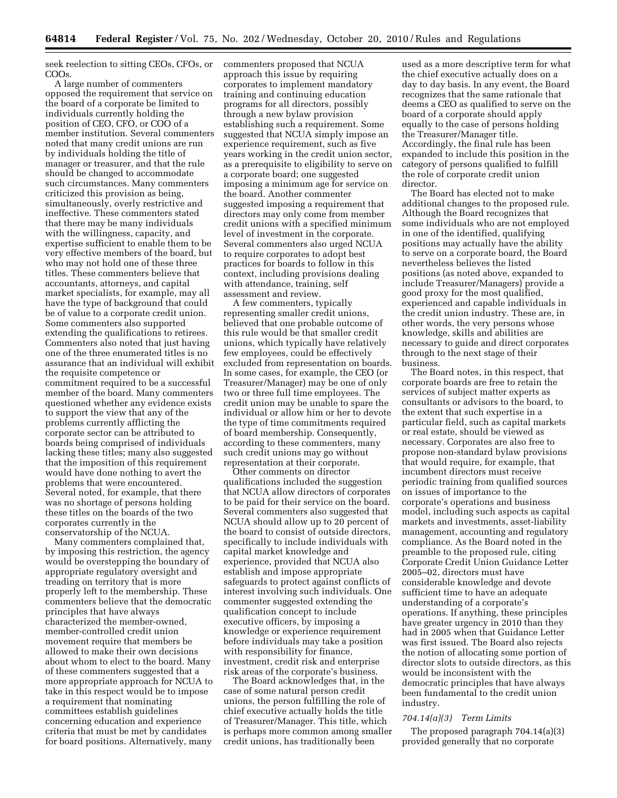seek reelection to sitting CEOs, CFOs, or COOs.

A large number of commenters opposed the requirement that service on the board of a corporate be limited to individuals currently holding the position of CEO, CFO, or COO of a member institution. Several commenters noted that many credit unions are run by individuals holding the title of manager or treasurer, and that the rule should be changed to accommodate such circumstances. Many commenters criticized this provision as being, simultaneously, overly restrictive and ineffective. These commenters stated that there may be many individuals with the willingness, capacity, and expertise sufficient to enable them to be very effective members of the board, but who may not hold one of these three titles. These commenters believe that accountants, attorneys, and capital market specialists, for example, may all have the type of background that could be of value to a corporate credit union. Some commenters also supported extending the qualifications to retirees. Commenters also noted that just having one of the three enumerated titles is no assurance that an individual will exhibit the requisite competence or commitment required to be a successful member of the board. Many commenters questioned whether any evidence exists to support the view that any of the problems currently afflicting the corporate sector can be attributed to boards being comprised of individuals lacking these titles; many also suggested that the imposition of this requirement would have done nothing to avert the problems that were encountered. Several noted, for example, that there was no shortage of persons holding these titles on the boards of the two corporates currently in the conservatorship of the NCUA.

Many commenters complained that, by imposing this restriction, the agency would be overstepping the boundary of appropriate regulatory oversight and treading on territory that is more properly left to the membership. These commenters believe that the democratic principles that have always characterized the member-owned, member-controlled credit union movement require that members be allowed to make their own decisions about whom to elect to the board. Many of these commenters suggested that a more appropriate approach for NCUA to take in this respect would be to impose a requirement that nominating committees establish guidelines concerning education and experience criteria that must be met by candidates for board positions. Alternatively, many

commenters proposed that NCUA approach this issue by requiring corporates to implement mandatory training and continuing education programs for all directors, possibly through a new bylaw provision establishing such a requirement. Some suggested that NCUA simply impose an experience requirement, such as five years working in the credit union sector, as a prerequisite to eligibility to serve on a corporate board; one suggested imposing a minimum age for service on the board. Another commenter suggested imposing a requirement that directors may only come from member credit unions with a specified minimum level of investment in the corporate. Several commenters also urged NCUA to require corporates to adopt best practices for boards to follow in this context, including provisions dealing with attendance, training, self assessment and review.

A few commenters, typically representing smaller credit unions, believed that one probable outcome of this rule would be that smaller credit unions, which typically have relatively few employees, could be effectively excluded from representation on boards. In some cases, for example, the CEO (or Treasurer/Manager) may be one of only two or three full time employees. The credit union may be unable to spare the individual or allow him or her to devote the type of time commitments required of board membership. Consequently, according to these commenters, many such credit unions may go without representation at their corporate.

Other comments on director qualifications included the suggestion that NCUA allow directors of corporates to be paid for their service on the board. Several commenters also suggested that NCUA should allow up to 20 percent of the board to consist of outside directors, specifically to include individuals with capital market knowledge and experience, provided that NCUA also establish and impose appropriate safeguards to protect against conflicts of interest involving such individuals. One commenter suggested extending the qualification concept to include executive officers, by imposing a knowledge or experience requirement before individuals may take a position with responsibility for finance, investment, credit risk and enterprise risk areas of the corporate's business.

The Board acknowledges that, in the case of some natural person credit unions, the person fulfilling the role of chief executive actually holds the title of Treasurer/Manager. This title, which is perhaps more common among smaller credit unions, has traditionally been

used as a more descriptive term for what the chief executive actually does on a day to day basis. In any event, the Board recognizes that the same rationale that deems a CEO as qualified to serve on the board of a corporate should apply equally to the case of persons holding the Treasurer/Manager title. Accordingly, the final rule has been expanded to include this position in the category of persons qualified to fulfill the role of corporate credit union director.

The Board has elected not to make additional changes to the proposed rule. Although the Board recognizes that some individuals who are not employed in one of the identified, qualifying positions may actually have the ability to serve on a corporate board, the Board nevertheless believes the listed positions (as noted above, expanded to include Treasurer/Managers) provide a good proxy for the most qualified, experienced and capable individuals in the credit union industry. These are, in other words, the very persons whose knowledge, skills and abilities are necessary to guide and direct corporates through to the next stage of their business.

The Board notes, in this respect, that corporate boards are free to retain the services of subject matter experts as consultants or advisors to the board, to the extent that such expertise in a particular field, such as capital markets or real estate, should be viewed as necessary. Corporates are also free to propose non-standard bylaw provisions that would require, for example, that incumbent directors must receive periodic training from qualified sources on issues of importance to the corporate's operations and business model, including such aspects as capital markets and investments, asset-liability management, accounting and regulatory compliance. As the Board noted in the preamble to the proposed rule, citing Corporate Credit Union Guidance Letter 2005–02, directors must have considerable knowledge and devote sufficient time to have an adequate understanding of a corporate's operations. If anything, these principles have greater urgency in 2010 than they had in 2005 when that Guidance Letter was first issued. The Board also rejects the notion of allocating some portion of director slots to outside directors, as this would be inconsistent with the democratic principles that have always been fundamental to the credit union industry.

#### *704.14(a)(3) Term Limits*

The proposed paragraph 704.14(a)(3) provided generally that no corporate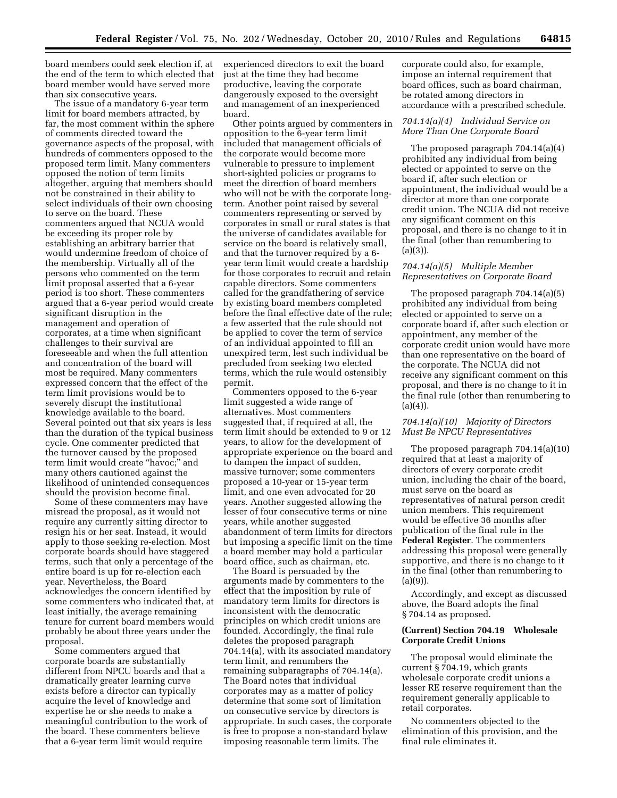board members could seek election if, at the end of the term to which elected that board member would have served more than six consecutive years.

The issue of a mandatory 6-year term limit for board members attracted, by far, the most comment within the sphere of comments directed toward the governance aspects of the proposal, with hundreds of commenters opposed to the proposed term limit. Many commenters opposed the notion of term limits altogether, arguing that members should not be constrained in their ability to select individuals of their own choosing to serve on the board. These commenters argued that NCUA would be exceeding its proper role by establishing an arbitrary barrier that would undermine freedom of choice of the membership. Virtually all of the persons who commented on the term limit proposal asserted that a 6-year period is too short. These commenters argued that a 6-year period would create significant disruption in the management and operation of corporates, at a time when significant challenges to their survival are foreseeable and when the full attention and concentration of the board will most be required. Many commenters expressed concern that the effect of the term limit provisions would be to severely disrupt the institutional knowledge available to the board. Several pointed out that six years is less than the duration of the typical business cycle. One commenter predicted that the turnover caused by the proposed term limit would create ''havoc;'' and many others cautioned against the likelihood of unintended consequences should the provision become final.

Some of these commenters may have misread the proposal, as it would not require any currently sitting director to resign his or her seat. Instead, it would apply to those seeking re-election. Most corporate boards should have staggered terms, such that only a percentage of the entire board is up for re-election each year. Nevertheless, the Board acknowledges the concern identified by some commenters who indicated that, at least initially, the average remaining tenure for current board members would probably be about three years under the proposal.

Some commenters argued that corporate boards are substantially different from NPCU boards and that a dramatically greater learning curve exists before a director can typically acquire the level of knowledge and expertise he or she needs to make a meaningful contribution to the work of the board. These commenters believe that a 6-year term limit would require

experienced directors to exit the board just at the time they had become productive, leaving the corporate dangerously exposed to the oversight and management of an inexperienced board.

Other points argued by commenters in opposition to the 6-year term limit included that management officials of the corporate would become more vulnerable to pressure to implement short-sighted policies or programs to meet the direction of board members who will not be with the corporate longterm. Another point raised by several commenters representing or served by corporates in small or rural states is that the universe of candidates available for service on the board is relatively small, and that the turnover required by a 6 year term limit would create a hardship for those corporates to recruit and retain capable directors. Some commenters called for the grandfathering of service by existing board members completed before the final effective date of the rule; a few asserted that the rule should not be applied to cover the term of service of an individual appointed to fill an unexpired term, lest such individual be precluded from seeking two elected terms, which the rule would ostensibly permit.

Commenters opposed to the 6-year limit suggested a wide range of alternatives. Most commenters suggested that, if required at all, the term limit should be extended to 9 or 12 years, to allow for the development of appropriate experience on the board and to dampen the impact of sudden, massive turnover; some commenters proposed a 10-year or 15-year term limit, and one even advocated for 20 years. Another suggested allowing the lesser of four consecutive terms or nine years, while another suggested abandonment of term limits for directors but imposing a specific limit on the time a board member may hold a particular board office, such as chairman, etc.

The Board is persuaded by the arguments made by commenters to the effect that the imposition by rule of mandatory term limits for directors is inconsistent with the democratic principles on which credit unions are founded. Accordingly, the final rule deletes the proposed paragraph 704.14(a), with its associated mandatory term limit, and renumbers the remaining subparagraphs of 704.14(a). The Board notes that individual corporates may as a matter of policy determine that some sort of limitation on consecutive service by directors is appropriate. In such cases, the corporate is free to propose a non-standard bylaw imposing reasonable term limits. The

corporate could also, for example, impose an internal requirement that board offices, such as board chairman, be rotated among directors in accordance with a prescribed schedule.

#### *704.14(a)(4) Individual Service on More Than One Corporate Board*

The proposed paragraph 704.14(a)(4) prohibited any individual from being elected or appointed to serve on the board if, after such election or appointment, the individual would be a director at more than one corporate credit union. The NCUA did not receive any significant comment on this proposal, and there is no change to it in the final (other than renumbering to  $(a)(3)$ ).

#### *704.14(a)(5) Multiple Member Representatives on Corporate Board*

The proposed paragraph 704.14(a)(5) prohibited any individual from being elected or appointed to serve on a corporate board if, after such election or appointment, any member of the corporate credit union would have more than one representative on the board of the corporate. The NCUA did not receive any significant comment on this proposal, and there is no change to it in the final rule (other than renumbering to  $(a)(4)$ ).

#### *704.14(a)(10) Majority of Directors Must Be NPCU Representatives*

The proposed paragraph 704.14(a)(10) required that at least a majority of directors of every corporate credit union, including the chair of the board, must serve on the board as representatives of natural person credit union members. This requirement would be effective 36 months after publication of the final rule in the **Federal Register**. The commenters addressing this proposal were generally supportive, and there is no change to it in the final (other than renumbering to  $(a)(9)$ ).

Accordingly, and except as discussed above, the Board adopts the final § 704.14 as proposed.

#### **(Current) Section 704.19 Wholesale Corporate Credit Unions**

The proposal would eliminate the current § 704.19, which grants wholesale corporate credit unions a lesser RE reserve requirement than the requirement generally applicable to retail corporates.

No commenters objected to the elimination of this provision, and the final rule eliminates it.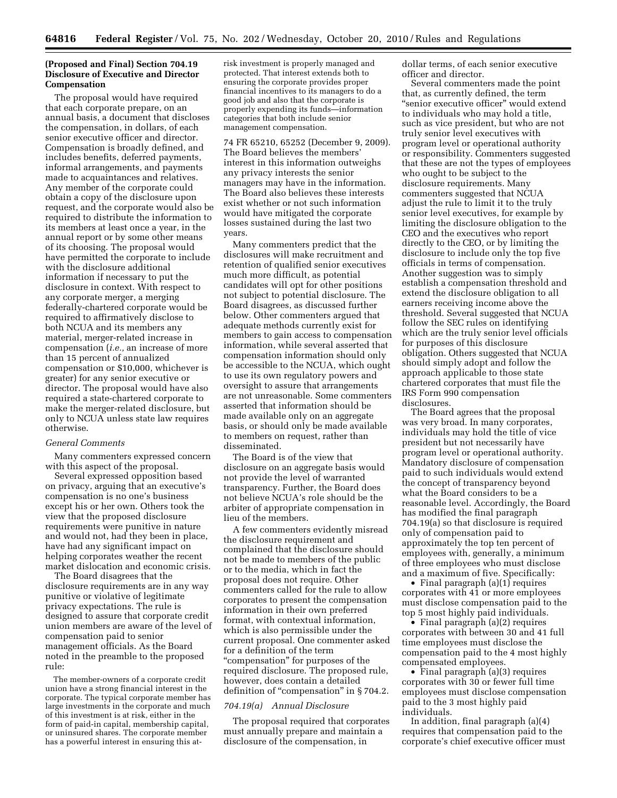#### **(Proposed and Final) Section 704.19 Disclosure of Executive and Director Compensation**

The proposal would have required that each corporate prepare, on an annual basis, a document that discloses the compensation, in dollars, of each senior executive officer and director. Compensation is broadly defined, and includes benefits, deferred payments, informal arrangements, and payments made to acquaintances and relatives. Any member of the corporate could obtain a copy of the disclosure upon request, and the corporate would also be required to distribute the information to its members at least once a year, in the annual report or by some other means of its choosing. The proposal would have permitted the corporate to include with the disclosure additional information if necessary to put the disclosure in context. With respect to any corporate merger, a merging federally-chartered corporate would be required to affirmatively disclose to both NCUA and its members any material, merger-related increase in compensation (*i.e.,* an increase of more than 15 percent of annualized compensation or \$10,000, whichever is greater) for any senior executive or director. The proposal would have also required a state-chartered corporate to make the merger-related disclosure, but only to NCUA unless state law requires otherwise.

#### *General Comments*

Many commenters expressed concern with this aspect of the proposal.

Several expressed opposition based on privacy, arguing that an executive's compensation is no one's business except his or her own. Others took the view that the proposed disclosure requirements were punitive in nature and would not, had they been in place, have had any significant impact on helping corporates weather the recent market dislocation and economic crisis.

The Board disagrees that the disclosure requirements are in any way punitive or violative of legitimate privacy expectations. The rule is designed to assure that corporate credit union members are aware of the level of compensation paid to senior management officials. As the Board noted in the preamble to the proposed rule:

The member-owners of a corporate credit union have a strong financial interest in the corporate. The typical corporate member has large investments in the corporate and much of this investment is at risk, either in the form of paid-in capital, membership capital, or uninsured shares. The corporate member has a powerful interest in ensuring this atrisk investment is properly managed and protected. That interest extends both to ensuring the corporate provides proper financial incentives to its managers to do a good job and also that the corporate is properly expending its funds—information categories that both include senior management compensation.

74 FR 65210, 65252 (December 9, 2009). The Board believes the members' interest in this information outweighs any privacy interests the senior managers may have in the information. The Board also believes these interests exist whether or not such information would have mitigated the corporate losses sustained during the last two years.

Many commenters predict that the disclosures will make recruitment and retention of qualified senior executives much more difficult, as potential candidates will opt for other positions not subject to potential disclosure. The Board disagrees, as discussed further below. Other commenters argued that adequate methods currently exist for members to gain access to compensation information, while several asserted that compensation information should only be accessible to the NCUA, which ought to use its own regulatory powers and oversight to assure that arrangements are not unreasonable. Some commenters asserted that information should be made available only on an aggregate basis, or should only be made available to members on request, rather than disseminated.

The Board is of the view that disclosure on an aggregate basis would not provide the level of warranted transparency. Further, the Board does not believe NCUA's role should be the arbiter of appropriate compensation in lieu of the members.

A few commenters evidently misread the disclosure requirement and complained that the disclosure should not be made to members of the public or to the media, which in fact the proposal does not require. Other commenters called for the rule to allow corporates to present the compensation information in their own preferred format, with contextual information, which is also permissible under the current proposal. One commenter asked for a definition of the term "compensation" for purposes of the required disclosure. The proposed rule, however, does contain a detailed definition of "compensation" in §704.2.

#### *704.19(a) Annual Disclosure*

The proposal required that corporates must annually prepare and maintain a disclosure of the compensation, in

dollar terms, of each senior executive officer and director.

Several commenters made the point that, as currently defined, the term ''senior executive officer'' would extend to individuals who may hold a title, such as vice president, but who are not truly senior level executives with program level or operational authority or responsibility. Commenters suggested that these are not the types of employees who ought to be subject to the disclosure requirements. Many commenters suggested that NCUA adjust the rule to limit it to the truly senior level executives, for example by limiting the disclosure obligation to the CEO and the executives who report directly to the CEO, or by limiting the disclosure to include only the top five officials in terms of compensation. Another suggestion was to simply establish a compensation threshold and extend the disclosure obligation to all earners receiving income above the threshold. Several suggested that NCUA follow the SEC rules on identifying which are the truly senior level officials for purposes of this disclosure obligation. Others suggested that NCUA should simply adopt and follow the approach applicable to those state chartered corporates that must file the IRS Form 990 compensation disclosures.

The Board agrees that the proposal was very broad. In many corporates, individuals may hold the title of vice president but not necessarily have program level or operational authority. Mandatory disclosure of compensation paid to such individuals would extend the concept of transparency beyond what the Board considers to be a reasonable level. Accordingly, the Board has modified the final paragraph 704.19(a) so that disclosure is required only of compensation paid to approximately the top ten percent of employees with, generally, a minimum of three employees who must disclose and a maximum of five. Specifically:

• Final paragraph (a)(1) requires corporates with 41 or more employees must disclose compensation paid to the top 5 most highly paid individuals.

• Final paragraph (a)(2) requires corporates with between 30 and 41 full time employees must disclose the compensation paid to the 4 most highly compensated employees.

• Final paragraph (a)(3) requires corporates with 30 or fewer full time employees must disclose compensation paid to the 3 most highly paid individuals.

In addition, final paragraph (a)(4) requires that compensation paid to the corporate's chief executive officer must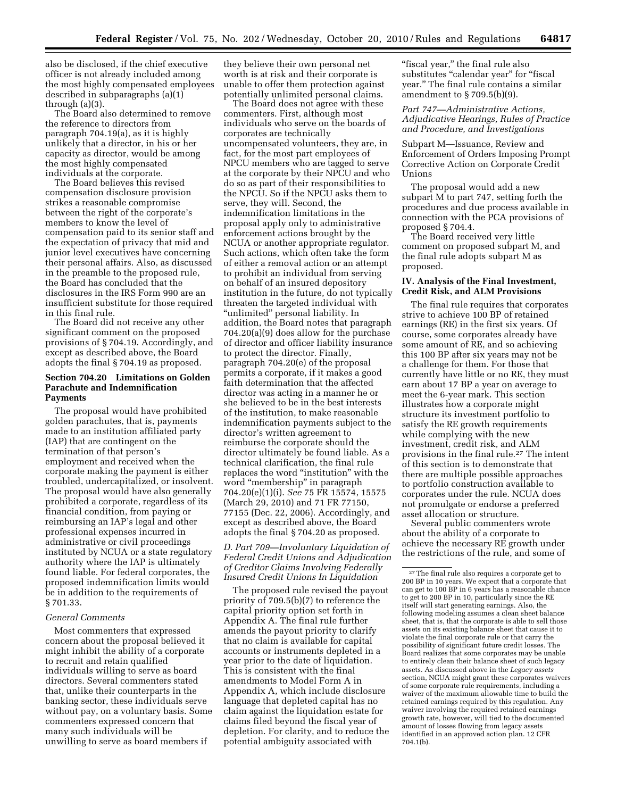also be disclosed, if the chief executive officer is not already included among the most highly compensated employees described in subparagraphs (a)(1) through (a)(3).

The Board also determined to remove the reference to directors from paragraph 704.19(a), as it is highly unlikely that a director, in his or her capacity as director, would be among the most highly compensated individuals at the corporate.

The Board believes this revised compensation disclosure provision strikes a reasonable compromise between the right of the corporate's members to know the level of compensation paid to its senior staff and the expectation of privacy that mid and junior level executives have concerning their personal affairs. Also, as discussed in the preamble to the proposed rule, the Board has concluded that the disclosures in the IRS Form 990 are an insufficient substitute for those required in this final rule.

The Board did not receive any other significant comment on the proposed provisions of § 704.19. Accordingly, and except as described above, the Board adopts the final § 704.19 as proposed.

#### **Section 704.20 Limitations on Golden Parachute and Indemnification Payments**

The proposal would have prohibited golden parachutes, that is, payments made to an institution affiliated party (IAP) that are contingent on the termination of that person's employment and received when the corporate making the payment is either troubled, undercapitalized, or insolvent. The proposal would have also generally prohibited a corporate, regardless of its financial condition, from paying or reimbursing an IAP's legal and other professional expenses incurred in administrative or civil proceedings instituted by NCUA or a state regulatory authority where the IAP is ultimately found liable. For federal corporates, the proposed indemnification limits would be in addition to the requirements of § 701.33.

#### *General Comments*

Most commenters that expressed concern about the proposal believed it might inhibit the ability of a corporate to recruit and retain qualified individuals willing to serve as board directors. Several commenters stated that, unlike their counterparts in the banking sector, these individuals serve without pay, on a voluntary basis. Some commenters expressed concern that many such individuals will be unwilling to serve as board members if

they believe their own personal net worth is at risk and their corporate is unable to offer them protection against potentially unlimited personal claims.

The Board does not agree with these commenters. First, although most individuals who serve on the boards of corporates are technically uncompensated volunteers, they are, in fact, for the most part employees of NPCU members who are tagged to serve at the corporate by their NPCU and who do so as part of their responsibilities to the NPCU. So if the NPCU asks them to serve, they will. Second, the indemnification limitations in the proposal apply only to administrative enforcement actions brought by the NCUA or another appropriate regulator. Such actions, which often take the form of either a removal action or an attempt to prohibit an individual from serving on behalf of an insured depository institution in the future, do not typically threaten the targeted individual with ''unlimited'' personal liability. In addition, the Board notes that paragraph 704.20(a)(9) does allow for the purchase of director and officer liability insurance to protect the director. Finally, paragraph 704.20(e) of the proposal permits a corporate, if it makes a good faith determination that the affected director was acting in a manner he or she believed to be in the best interests of the institution, to make reasonable indemnification payments subject to the director's written agreement to reimburse the corporate should the director ultimately be found liable. As a technical clarification, the final rule replaces the word ''institution'' with the word "membership" in paragraph 704.20(e)(1)(i). *See* 75 FR 15574, 15575 (March 29, 2010) and 71 FR 77150, 77155 (Dec. 22, 2006). Accordingly, and except as described above, the Board adopts the final § 704.20 as proposed.

*D. Part 709—Involuntary Liquidation of Federal Credit Unions and Adjudication of Creditor Claims Involving Federally Insured Credit Unions In Liquidation* 

The proposed rule revised the payout priority of 709.5(b)(7) to reference the capital priority option set forth in Appendix A. The final rule further amends the payout priority to clarify that no claim is available for capital accounts or instruments depleted in a year prior to the date of liquidation. This is consistent with the final amendments to Model Form A in Appendix A, which include disclosure language that depleted capital has no claim against the liquidation estate for claims filed beyond the fiscal year of depletion. For clarity, and to reduce the potential ambiguity associated with

"fiscal year," the final rule also substitutes "calendar year" for "fiscal year.'' The final rule contains a similar amendment to  $\S 709.5(b)(9)$ .

#### *Part 747—Administrative Actions, Adjudicative Hearings, Rules of Practice and Procedure, and Investigations*

Subpart M—Issuance, Review and Enforcement of Orders Imposing Prompt Corrective Action on Corporate Credit Unions

The proposal would add a new subpart M to part 747, setting forth the procedures and due process available in connection with the PCA provisions of proposed § 704.4.

The Board received very little comment on proposed subpart M, and the final rule adopts subpart M as proposed.

#### **IV. Analysis of the Final Investment, Credit Risk, and ALM Provisions**

The final rule requires that corporates strive to achieve 100 BP of retained earnings (RE) in the first six years. Of course, some corporates already have some amount of RE, and so achieving this 100 BP after six years may not be a challenge for them. For those that currently have little or no RE, they must earn about 17 BP a year on average to meet the 6-year mark. This section illustrates how a corporate might structure its investment portfolio to satisfy the RE growth requirements while complying with the new investment, credit risk, and ALM provisions in the final rule.27 The intent of this section is to demonstrate that there are multiple possible approaches to portfolio construction available to corporates under the rule. NCUA does not promulgate or endorse a preferred asset allocation or structure.

Several public commenters wrote about the ability of a corporate to achieve the necessary RE growth under the restrictions of the rule, and some of

<sup>27</sup>The final rule also requires a corporate get to 200 BP in 10 years. We expect that a corporate that can get to 100 BP in 6 years has a reasonable chance to get to 200 BP in 10, particularly since the RE itself will start generating earnings. Also, the following modeling assumes a clean sheet balance sheet, that is, that the corporate is able to sell those assets on its existing balance sheet that cause it to violate the final corporate rule or that carry the possibility of significant future credit losses. The Board realizes that some corporates may be unable to entirely clean their balance sheet of such legacy assets. As discussed above in the *Legacy assets*  section, NCUA might grant these corporates waivers of some corporate rule requirements, including a waiver of the maximum allowable time to build the retained earnings required by this regulation. Any waiver involving the required retained earnings growth rate, however, will tied to the documented amount of losses flowing from legacy assets identified in an approved action plan. 12 CFR 704.1(b).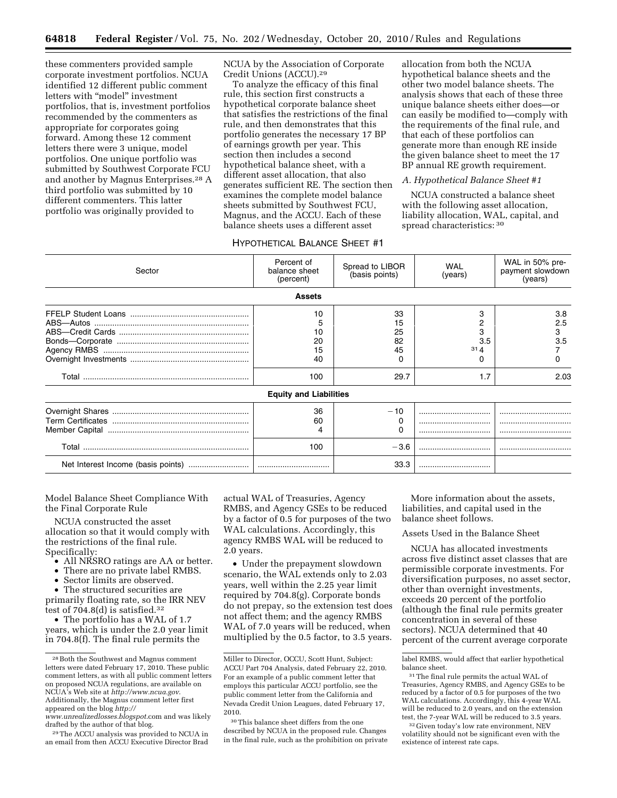these commenters provided sample corporate investment portfolios. NCUA identified 12 different public comment letters with "model" investment portfolios, that is, investment portfolios recommended by the commenters as appropriate for corporates going forward. Among these 12 comment letters there were 3 unique, model portfolios. One unique portfolio was submitted by Southwest Corporate FCU and another by Magnus Enterprises.28 A third portfolio was submitted by 10 different commenters. This latter portfolio was originally provided to

NCUA by the Association of Corporate Credit Unions (ACCU).29

To analyze the efficacy of this final rule, this section first constructs a hypothetical corporate balance sheet that satisfies the restrictions of the final rule, and then demonstrates that this portfolio generates the necessary 17 BP of earnings growth per year. This section then includes a second hypothetical balance sheet, with a different asset allocation, that also generates sufficient RE. The section then examines the complete model balance sheets submitted by Southwest FCU, Magnus, and the ACCU. Each of these balance sheets uses a different asset

allocation from both the NCUA hypothetical balance sheets and the other two model balance sheets. The analysis shows that each of these three unique balance sheets either does—or can easily be modified to—comply with the requirements of the final rule, and that each of these portfolios can generate more than enough RE inside the given balance sheet to meet the 17 BP annual RE growth requirement.

#### *A. Hypothetical Balance Sheet #1*

NCUA constructed a balance sheet with the following asset allocation, liability allocation, WAL, capital, and spread characteristics: 30

#### HYPOTHETICAL BALANCE SHEET #1

| Sector | Percent of<br>balance sheet<br>(percent) | Spread to LIBOR<br>(basis points)       | <b>WAL</b><br>(years)                        | WAL in 50% pre-<br>payment slowdown<br>(years) |
|--------|------------------------------------------|-----------------------------------------|----------------------------------------------|------------------------------------------------|
|        | <b>Assets</b>                            |                                         |                                              |                                                |
|        | 10<br>20<br>15<br>40<br>100              | 33<br>15<br>25<br>82<br>45<br>0<br>29.7 | 3<br>З<br>3.5<br>31 <sub>4</sub><br>O<br>1.7 | 3.8<br>2.5<br>3<br>3.5<br>0<br>2.03            |
|        | <b>Equity and Liabilities</b>            |                                         |                                              |                                                |
|        | 36<br>60<br>4                            | $-10$<br>$\Omega$                       |                                              | <br>                                           |
|        | 100                                      | $-3.6$                                  |                                              |                                                |
|        |                                          | 33.3                                    |                                              |                                                |

Model Balance Sheet Compliance With the Final Corporate Rule

NCUA constructed the asset allocation so that it would comply with the restrictions of the final rule. Specifically:

- All NRSRO ratings are AA or better.
- There are no private label RMBS.
- Sector limits are observed.

• The structured securities are primarily floating rate, so the IRR NEV test of 704.8(d) is satisfied.32

• The portfolio has a WAL of 1.7 years, which is under the 2.0 year limit in 704.8(f). The final rule permits the

actual WAL of Treasuries, Agency RMBS, and Agency GSEs to be reduced by a factor of 0.5 for purposes of the two WAL calculations. Accordingly, this agency RMBS WAL will be reduced to 2.0 years.

• Under the prepayment slowdown scenario, the WAL extends only to 2.03 years, well within the 2.25 year limit required by 704.8(g). Corporate bonds do not prepay, so the extension test does not affect them; and the agency RMBS WAL of 7.0 years will be reduced, when multiplied by the 0.5 factor, to 3.5 years.

More information about the assets, liabilities, and capital used in the balance sheet follows.

#### Assets Used in the Balance Sheet

NCUA has allocated investments across five distinct asset classes that are permissible corporate investments. For diversification purposes, no asset sector, other than overnight investments, exceeds 20 percent of the portfolio (although the final rule permits greater concentration in several of these sectors). NCUA determined that 40 percent of the current average corporate

<sup>28</sup>Both the Southwest and Magnus comment letters were dated February 17, 2010. These public comment letters, as with all public comment letters on proposed NCUA regulations, are available on NCUA's Web site at *<http://www.ncua.gov>*. Additionally, the Magnus comment letter first appeared on the blog *[http://](http://www.unrealizedlosses.blogspot)* 

*[www.unrealizedlosses.blogspot](http://www.unrealizedlosses.blogspot)*.com and was likely drafted by the author of that blog.

<sup>29</sup>The ACCU analysis was provided to NCUA in an email from then ACCU Executive Director Brad

Miller to Director, OCCU, Scott Hunt, Subject: ACCU Part 704 Analysis, dated February 22, 2010. For an example of a public comment letter that employs this particular ACCU portfolio, see the public comment letter from the California and Nevada Credit Union Leagues, dated February 17, 2010.

<sup>30</sup>This balance sheet differs from the one described by NCUA in the proposed rule. Changes in the final rule, such as the prohibition on private

label RMBS, would affect that earlier hypothetical balance sheet.

<sup>&</sup>lt;sup>31</sup>The final rule permits the actual WAL of Treasuries, Agency RMBS, and Agency GSEs to be reduced by a factor of 0.5 for purposes of the two WAL calculations. Accordingly, this 4-year WAL will be reduced to 2.0 years, and on the extension test, the 7-year WAL will be reduced to 3.5 years.

 $\rm ^{32}Given$  today's low rate environment, NEV volatility should not be significant even with the existence of interest rate caps.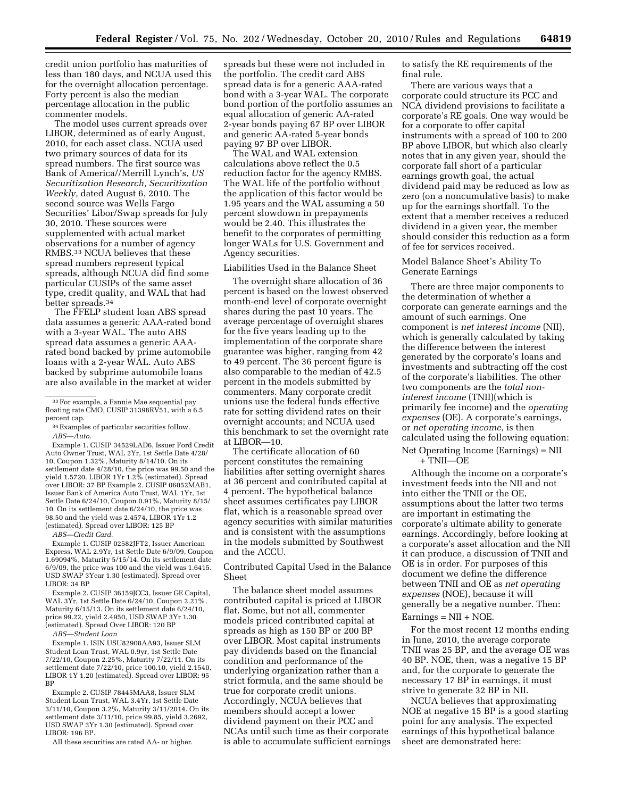credit union portfolio has maturities of less than 180 days, and NCUA used this for the overnight allocation percentage. Forty percent is also the median percentage allocation in the public commenter models.

The model uses current spreads over LIBOR, determined as of early August, 2010, for each asset class. NCUA used two primary sources of data for its spread numbers. The first source was Bank of America//Merrill Lynch's, *US Securitization Research, Securitization Weekly,* dated August 6, 2010. The second source was Wells Fargo Securities' Libor/Swap spreads for July 30, 2010. These sources were supplemented with actual market observations for a number of agency RMBS.33 NCUA believes that these spread numbers represent typical spreads, although NCUA did find some particular CUSIPs of the same asset type, credit quality, and WAL that had better spreads.34

The FFELP student loan ABS spread data assumes a generic AAA-rated bond with a 3-year WAL. The auto ABS spread data assumes a generic AAArated bond backed by prime automobile loans with a 2-year WAL. Auto ABS backed by subprime automobile loans are also available in the market at wider

Example 1. CUSIP 34529LAD6, Issuer Ford Credit Auto Owner Trust, WAL 2Yr, 1st Settle Date 4/28/ 10, Coupon 1.32%, Maturity 8/14/10. On its settlement date 4/28/10, the price was 99.50 and the yield 1.5720. LIBOR 1Yr 1.2% (estimated). Spread over LIBOR: 37 BP Example 2. CUSIP 06052MAB1, Issuer Bank of America Auto Trust, WAL 1Yr, 1st Settle Date 6/24/10, Coupon 0.91%, Maturity 8/15/ 10. On its settlement date 6/24/10, the price was 98.50 and the yield was 2.4574, LIBOR 1Yr 1.2 (estimated). Spread over LIBOR: 125 BP

*ABS—Credit Card.* 

Example 1. CUSIP 02582JFT2, Issuer American Express, WAL 2.9Yr, 1st Settle Date 6/9/09, Coupon 1.69094%, Maturity 5/15/14. On its settlement date 6/9/09, the price was 100 and the yield was 1.6415. USD SWAP 3Year 1.30 (estimated). Spread over LIBOR: 34 BP

Example 2. CUSIP 36159JCC3, Issuer GE Capital, WAL 3Yr, 1st Settle Date 6/24/10, Coupon 2.21%, Maturity 6/15/13. On its settlement date 6/24/10, price 99.22, yield 2.4950, USD SWAP 3Yr 1.30 (estimated). Spread Over LIBOR: 120 BP

*ABS—Student Loan* 

Example 1. ISIN USU82908AA93, Issuer SLM Student Loan Trust, WAL 0.9yr, 1st Settle Date 7/22/10, Coupon 2.25%, Maturity 7/22/11. On its settlement date 7/22/10, price 100.10, yield 2.1540, LIBOR 1Y 1.20 (estimated). Spread over LIBOR: 95 BP

Example 2. CUSIP 78445MAA8, Issuer SLM Student Loan Trust, WAL 3.4Yr, 1st Settle Date 3/11/10, Coupon 3.2%, Maturity 3/11/2014. On its settlement date 3/11/10, price 99.85, yield 3.2692, USD SWAP 3Yr 1.30 (estimated). Spread over LIBOR: 196 BP.

All these securities are rated AA- or higher.

spreads but these were not included in the portfolio. The credit card ABS spread data is for a generic AAA-rated bond with a 3-year WAL. The corporate bond portion of the portfolio assumes an equal allocation of generic AA-rated 2-year bonds paying 67 BP over LIBOR and generic AA-rated 5-year bonds paying 97 BP over LIBOR.

The WAL and WAL extension calculations above reflect the 0.5 reduction factor for the agency RMBS. The WAL life of the portfolio without the application of this factor would be 1.95 years and the WAL assuming a 50 percent slowdown in prepayments would be 2.40. This illustrates the benefit to the corporates of permitting longer WALs for U.S. Government and Agency securities.

Liabilities Used in the Balance Sheet

The overnight share allocation of 36 percent is based on the lowest observed month-end level of corporate overnight shares during the past 10 years. The average percentage of overnight shares for the five years leading up to the implementation of the corporate share guarantee was higher, ranging from 42 to 49 percent. The 36 percent figure is also comparable to the median of 42.5 percent in the models submitted by commenters. Many corporate credit unions use the federal funds effective rate for setting dividend rates on their overnight accounts; and NCUA used this benchmark to set the overnight rate at LIBOR—10.

The certificate allocation of 60 percent constitutes the remaining liabilities after setting overnight shares at 36 percent and contributed capital at 4 percent. The hypothetical balance sheet assumes certificates pay LIBOR flat, which is a reasonable spread over agency securities with similar maturities and is consistent with the assumptions in the models submitted by Southwest and the ACCU.

Contributed Capital Used in the Balance Sheet

The balance sheet model assumes contributed capital is priced at LIBOR flat. Some, but not all, commenter models priced contributed capital at spreads as high as 150 BP or 200 BP over LIBOR. Most capital instruments pay dividends based on the financial condition and performance of the underlying organization rather than a strict formula, and the same should be true for corporate credit unions. Accordingly, NCUA believes that members should accept a lower dividend payment on their PCC and NCAs until such time as their corporate is able to accumulate sufficient earnings to satisfy the RE requirements of the final rule.

There are various ways that a corporate could structure its PCC and NCA dividend provisions to facilitate a corporate's RE goals. One way would be for a corporate to offer capital instruments with a spread of 100 to 200 BP above LIBOR, but which also clearly notes that in any given year, should the corporate fall short of a particular earnings growth goal, the actual dividend paid may be reduced as low as zero (on a noncumulative basis) to make up for the earnings shortfall. To the extent that a member receives a reduced dividend in a given year, the member should consider this reduction as a form of fee for services received.

#### Model Balance Sheet's Ability To Generate Earnings

There are three major components to the determination of whether a corporate can generate earnings and the amount of such earnings. One component is *net interest income* (NII), which is generally calculated by taking the difference between the interest generated by the corporate's loans and investments and subtracting off the cost of the corporate's liabilities. The other two components are the *total noninterest income* (TNII)(which is primarily fee income) and the *operating expenses* (OE). A corporate's earnings, or *net operating income,* is then calculated using the following equation: Net Operating Income (Earnings) = NII

+ TNII—OE

Although the income on a corporate's investment feeds into the NII and not into either the TNII or the OE, assumptions about the latter two terms are important in estimating the corporate's ultimate ability to generate earnings. Accordingly, before looking at a corporate's asset allocation and the NII it can produce, a discussion of TNII and OE is in order. For purposes of this document we define the difference between TNII and OE as *net operating expenses* (NOE), because it will generally be a negative number. Then:  $Earnings = NII + NOE.$ 

For the most recent 12 months ending in June, 2010, the average corporate TNII was 25 BP, and the average OE was 40 BP. NOE, then, was a negative 15 BP and, for the corporate to generate the necessary 17 BP in earnings, it must strive to generate 32 BP in NII.

NCUA believes that approximating NOE at negative 15 BP is a good starting point for any analysis. The expected earnings of this hypothetical balance sheet are demonstrated here:

<sup>33</sup>For example, a Fannie Mae sequential pay floating rate CMO, CUSIP 31398RV<sub>51</sub>, with a 6.5 percent cap.

<sup>34</sup>Examples of particular securities follow. *ABS—Auto.*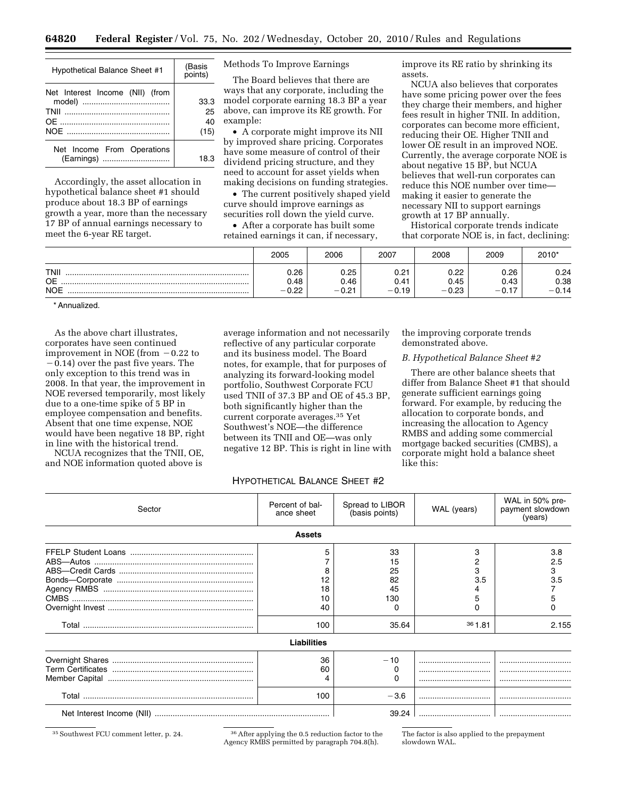| <b>Hypothetical Balance Sheet #1</b>     | (Basis<br>points)        |
|------------------------------------------|--------------------------|
| Net Interest Income (NII) (from          | 33.3<br>25<br>40<br>(15) |
| Net Income From Operations<br>(Earnings) | 18.3                     |

Accordingly, the asset allocation in hypothetical balance sheet #1 should produce about 18.3 BP of earnings growth a year, more than the necessary 17 BP of annual earnings necessary to meet the 6-year RE target.

Methods To Improve Earnings

The Board believes that there are ways that any corporate, including the model corporate earning 18.3 BP a year above, can improve its RE growth. For example:

• A corporate might improve its NII by improved share pricing. Corporates have some measure of control of their dividend pricing structure, and they need to account for asset yields when making decisions on funding strategies.

• The current positively shaped yield curve should improve earnings as securities roll down the yield curve.

• After a corporate has built some retained earnings it can, if necessary, improve its RE ratio by shrinking its assets.

NCUA also believes that corporates have some pricing power over the fees they charge their members, and higher fees result in higher TNII. In addition, corporates can become more efficient, reducing their OE. Higher TNII and lower OE result in an improved NOE. Currently, the average corporate NOE is about negative 15 BP, but NCUA believes that well-run corporates can reduce this NOE number over time making it easier to generate the necessary NII to support earnings growth at 17 BP annually.

Historical corporate trends indicate that corporate NOE is, in fact, declining:

|                                        | 2005                         | 2006                    | 2007                     | 2008                         | 2009                | 2010*                   |
|----------------------------------------|------------------------------|-------------------------|--------------------------|------------------------------|---------------------|-------------------------|
| <b>TNII</b><br><b>OE</b><br><b>NOE</b> | 0.26<br>0.48<br>0.22<br>$-1$ | 0.25<br>0.46<br>$-0.21$ | 0.21<br>0.41<br>– v. I 9 | 0.22<br>0.45<br>0.23<br>$-1$ | 0.26<br>0.43<br>— I | 0.24<br>0.38<br>$-0.14$ |

\* Annualized.

As the above chart illustrates, corporates have seen continued improvement in NOE (from  $-0.22$  to  $-0.14$ ) over the past five years. The only exception to this trend was in 2008. In that year, the improvement in NOE reversed temporarily, most likely due to a one-time spike of 5 BP in employee compensation and benefits. Absent that one time expense, NOE would have been negative 18 BP, right in line with the historical trend.

NCUA recognizes that the TNII, OE, and NOE information quoted above is

average information and not necessarily reflective of any particular corporate and its business model. The Board notes, for example, that for purposes of analyzing its forward-looking model portfolio, Southwest Corporate FCU used TNII of 37.3 BP and OE of 45.3 BP, both significantly higher than the current corporate averages.35 Yet Southwest's NOE—the difference between its TNII and OE—was only negative 12 BP. This is right in line with the improving corporate trends demonstrated above.

#### *B. Hypothetical Balance Sheet #2*

There are other balance sheets that differ from Balance Sheet #1 that should generate sufficient earnings going forward. For example, by reducing the allocation to corporate bonds, and increasing the allocation to Agency RMBS and adding some commercial mortgage backed securities (CMBS), a corporate might hold a balance sheet like this:

#### HYPOTHETICAL BALANCE SHEET #2

| Sector        | Percent of bal-<br>Spread to LIBOR<br>(basis points)<br>ance sheet |                                            | WAL (years)                  | WAL in 50% pre-<br>payment slowdown<br>(years) |  |  |  |  |  |
|---------------|--------------------------------------------------------------------|--------------------------------------------|------------------------------|------------------------------------------------|--|--|--|--|--|
| <b>Assets</b> |                                                                    |                                            |                              |                                                |  |  |  |  |  |
|               | 5<br>18<br>40<br>100                                               | 33<br>15<br>25<br>82<br>45<br>130<br>35.64 | 3<br>2<br>3<br>3.5<br>361.81 | 3.8<br>2.5<br>3<br>3.5<br>5<br>2.155           |  |  |  |  |  |
|               | <b>Liabilities</b>                                                 |                                            |                              |                                                |  |  |  |  |  |
|               | 36<br>60<br>100                                                    | $-10$<br>$-3.6$                            |                              |                                                |  |  |  |  |  |
|               |                                                                    | 39.24                                      |                              |                                                |  |  |  |  |  |

<sup>35</sup> Southwest FCU comment letter, p. 24. <sup>36</sup> After applying the 0.5 reduction factor to the Agency RMBS permitted by paragraph 704.8(h).

The factor is also applied to the prepayment slowdown WAL.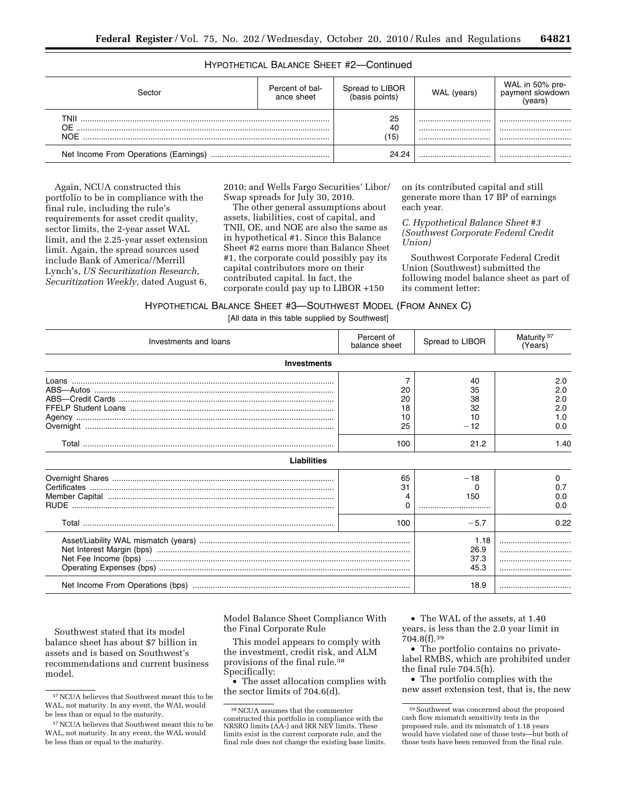# HYPOTHETICAL BALANCE SHEET #2—Continued

| Sector                     | Percent of bal-<br>ance sheet | Spread to LIBOR<br>(basis points) | WAL (years) | WAL in 50% pre-<br>payment slowdown<br>(years) |
|----------------------------|-------------------------------|-----------------------------------|-------------|------------------------------------------------|
| TNII<br>$\Omega$ F<br>NOF. |                               | 25<br>40<br>'15)                  | <br><br>    | <br><br>                                       |
|                            |                               | 24.24                             |             |                                                |

Again, NCUA constructed this portfolio to be in compliance with the final rule, including the rule's requirements for asset credit quality, sector limits, the 2-year asset WAL limit, and the 2.25-year asset extension limit. Again, the spread sources used include Bank of America//Merrill Lynch's, *US Securitization Research, Securitization Weekly,* dated August 6,

2010; and Wells Fargo Securities' Libor/ Swap spreads for July 30, 2010.

The other general assumptions about assets, liabilities, cost of capital, and TNII, OE, and NOE are also the same as in hypothetical #1. Since this Balance Sheet #2 earns more than Balance Sheet #1, the corporate could possibly pay its capital contributors more on their contributed capital. In fact, the corporate could pay up to LIBOR +150

on its contributed capital and still generate more than 17 BP of earnings each year.

*C. Hypothetical Balance Sheet #3 (Southwest Corporate Federal Credit Union)* 

Southwest Corporate Federal Credit Union (Southwest) submitted the following model balance sheet as part of its comment letter:

HYPOTHETICAL BALANCE SHEET #3—SOUTHWEST MODEL (FROM ANNEX C)

[All data in this table supplied by Southwest]

| Investments and loans | Percent of<br>balance sheet       | Spread to LIBOR                             | Maturity <sup>37</sup><br>(Years)              |
|-----------------------|-----------------------------------|---------------------------------------------|------------------------------------------------|
| Investments           |                                   |                                             |                                                |
|                       | 20<br>20<br>18<br>10<br>25<br>100 | 40<br>35<br>38<br>32<br>10<br>$-12$<br>21.2 | 2.0<br>2.0<br>2.0<br>2.0<br>1.0<br>0.0<br>1.40 |
| Liabilities           |                                   |                                             |                                                |
|                       | 65<br>31                          | $-18$<br>150                                | <sup>0</sup><br>0.7<br>0.0<br>0.0              |
|                       | 100                               | $-5.7$                                      | 0.22                                           |
|                       |                                   | 1.18<br>26.9<br>37.3<br>45.3                | <br>                                           |
|                       |                                   | 18.9                                        |                                                |

Southwest stated that its model balance sheet has about \$7 billion in assets and is based on Southwest's recommendations and current business model.

Model Balance Sheet Compliance With the Final Corporate Rule

This model appears to comply with the investment, credit risk, and ALM provisions of the final rule.38 Specifically:

• The asset allocation complies with the sector limits of 704.6(d).

• The WAL of the assets, at 1.40 years, is less than the 2.0 year limit in 704.8(f).39

• The portfolio contains no privatelabel RMBS, which are prohibited under the final rule 704.5(h).

• The portfolio complies with the new asset extension test, that is, the new

<sup>37</sup>NCUA believes that Southwest meant this to be WAL, not maturity. In any event, the WAL would be less than or equal to the maturity.

<sup>37</sup>NCUA believes that Southwest meant this to be WAL, not maturity. In any event, the WAL would be less than or equal to the maturity.

<sup>38</sup>NCUA assumes that the commenter constructed this portfolio in compliance with the NRSRO limits (AA-) and IRR NEV limits. These limits exist in the current corporate rule, and the final rule does not change the existing base limits.

<sup>39</sup>Southwest was concerned about the proposed cash flow mismatch sensitivity tests in the proposed rule, and its mismatch of 1.18 years would have violated one of those tests—but both of those tests have been removed from the final rule.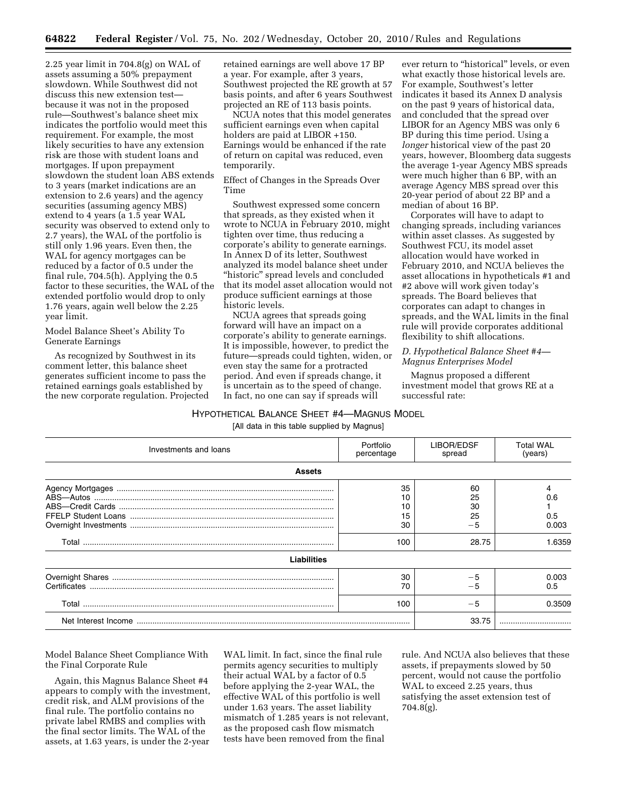2.25 year limit in 704.8(g) on WAL of assets assuming a 50% prepayment slowdown. While Southwest did not discuss this new extension test because it was not in the proposed rule—Southwest's balance sheet mix indicates the portfolio would meet this requirement. For example, the most likely securities to have any extension risk are those with student loans and mortgages. If upon prepayment slowdown the student loan ABS extends to 3 years (market indications are an extension to 2.6 years) and the agency securities (assuming agency MBS) extend to 4 years (a 1.5 year WAL security was observed to extend only to 2.7 years), the WAL of the portfolio is still only 1.96 years. Even then, the WAL for agency mortgages can be reduced by a factor of 0.5 under the final rule, 704.5(h). Applying the 0.5 factor to these securities, the WAL of the extended portfolio would drop to only 1.76 years, again well below the 2.25 year limit.

Model Balance Sheet's Ability To Generate Earnings

As recognized by Southwest in its comment letter, this balance sheet generates sufficient income to pass the retained earnings goals established by the new corporate regulation. Projected retained earnings are well above 17 BP a year. For example, after 3 years, Southwest projected the RE growth at 57 basis points, and after 6 years Southwest projected an RE of 113 basis points.

NCUA notes that this model generates sufficient earnings even when capital holders are paid at LIBOR  $+150$ . Earnings would be enhanced if the rate of return on capital was reduced, even temporarily.

Effect of Changes in the Spreads Over Time

Southwest expressed some concern that spreads, as they existed when it wrote to NCUA in February 2010, might tighten over time, thus reducing a corporate's ability to generate earnings. In Annex D of its letter, Southwest analyzed its model balance sheet under "historic" spread levels and concluded that its model asset allocation would not produce sufficient earnings at those historic levels.

NCUA agrees that spreads going forward will have an impact on a corporate's ability to generate earnings. It is impossible, however, to predict the future—spreads could tighten, widen, or even stay the same for a protracted period. And even if spreads change, it is uncertain as to the speed of change. In fact, no one can say if spreads will

ever return to "historical" levels, or even what exactly those historical levels are. For example, Southwest's letter indicates it based its Annex D analysis on the past 9 years of historical data, and concluded that the spread over LIBOR for an Agency MBS was only 6 BP during this time period. Using a *longer* historical view of the past 20 years, however, Bloomberg data suggests the average 1-year Agency MBS spreads were much higher than 6 BP, with an average Agency MBS spread over this 20-year period of about 22 BP and a median of about 16 BP.

Corporates will have to adapt to changing spreads, including variances within asset classes. As suggested by Southwest FCU, its model asset allocation would have worked in February 2010, and NCUA believes the asset allocations in hypotheticals #1 and #2 above will work given today's spreads. The Board believes that corporates can adapt to changes in spreads, and the WAL limits in the final rule will provide corporates additional flexibility to shift allocations.

# *D. Hypothetical Balance Sheet #4— Magnus Enterprises Model*

Magnus proposed a different investment model that grows RE at a successful rate:

# HYPOTHETICAL BALANCE SHEET #4—MAGNUS MODEL

[All data in this table supplied by Magnus]

| Investments and loans | Portfolio<br>percentage     | LIBOR/EDSF<br>spread                  | Total WAL<br>(years)          |
|-----------------------|-----------------------------|---------------------------------------|-------------------------------|
| <b>Assets</b>         |                             |                                       |                               |
|                       | 35<br>10<br>15<br>30<br>100 | 60<br>25<br>30<br>25<br>$-5$<br>28.75 | 0.6<br>0.5<br>0.003<br>1.6359 |
| <b>Liabilities</b>    |                             |                                       |                               |
|                       | 30<br>70                    |                                       | 0.003<br>0.5                  |
|                       | 100                         | $-5$                                  | 0.3509                        |
|                       |                             | 33.75                                 |                               |

Model Balance Sheet Compliance With the Final Corporate Rule

Again, this Magnus Balance Sheet #4 appears to comply with the investment, credit risk, and ALM provisions of the final rule. The portfolio contains no private label RMBS and complies with the final sector limits. The WAL of the assets, at 1.63 years, is under the 2-year

WAL limit. In fact, since the final rule permits agency securities to multiply their actual WAL by a factor of 0.5 before applying the 2-year WAL, the effective WAL of this portfolio is well under 1.63 years. The asset liability mismatch of 1.285 years is not relevant, as the proposed cash flow mismatch tests have been removed from the final

rule. And NCUA also believes that these assets, if prepayments slowed by 50 percent, would not cause the portfolio WAL to exceed 2.25 years, thus satisfying the asset extension test of 704.8(g).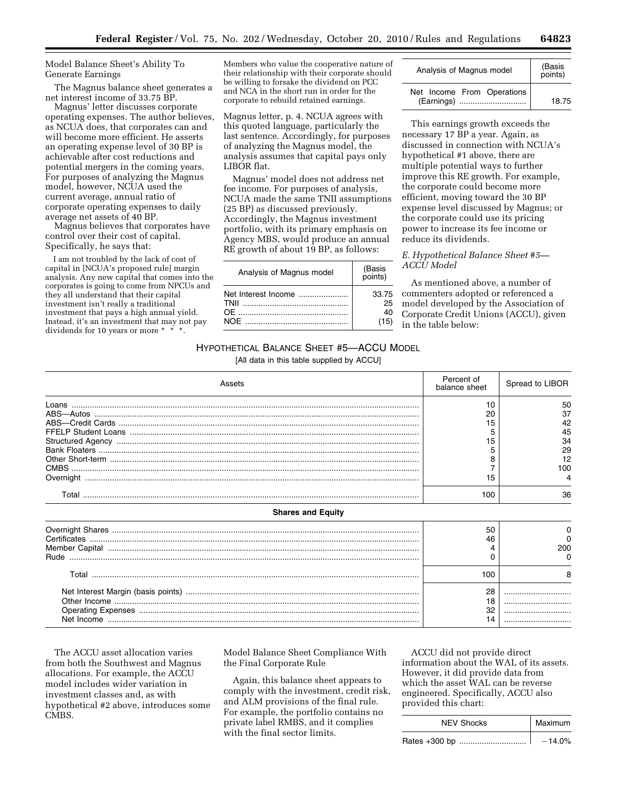Model Balance Sheet's Ability To Generate Earnings

The Magnus balance sheet generates a net interest income of 33.75 BP.

Magnus' letter discusses corporate operating expenses. The author believes, as NCUA does, that corporates can and will become more efficient. He asserts an operating expense level of 30 BP is achievable after cost reductions and potential mergers in the coming years. For purposes of analyzing the Magnus model, however, NCUA used the current average, annual ratio of corporate operating expenses to daily average net assets of 40 BP.

Magnus believes that corporates have control over their cost of capital. Specifically, he says that:

I am not troubled by the lack of cost of capital in [NCUA's proposed rule] margin analysis. Any new capital that comes into the corporates is going to come from NPCUs and they all understand that their capital investment isn't really a traditional investment that pays a high annual yield. Instead, it's an investment that may not pay dividends for 10 years or more \* \*

Members who value the cooperative nature of their relationship with their corporate should be willing to forsake the dividend on PCC and NCA in the short run in order for the corporate to rebuild retained earnings.

Magnus letter, p. 4. NCUA agrees with this quoted language, particularly the last sentence. Accordingly, for purposes of analyzing the Magnus model, the analysis assumes that capital pays only LIBOR flat.

Magnus' model does not address net fee income. For purposes of analysis, NCUA made the same TNII assumptions (25 BP) as discussed previously. Accordingly, the Magnus investment portfolio, with its primary emphasis on Agency MBS, would produce an annual RE growth of about 19 BP, as follows:

| Analysis of Magnus model    | (Basis<br>points)         |
|-----------------------------|---------------------------|
| Net Interest Income<br>TNII | 33.75<br>25<br>40<br>(15) |

| Analysis of Magnus model                 | (Basis<br>points) |
|------------------------------------------|-------------------|
| Net Income From Operations<br>(Earnings) | 18.75             |

This earnings growth exceeds the necessary 17 BP a year. Again, as discussed in connection with NCUA's hypothetical #1 above, there are multiple potential ways to further improve this RE growth. For example, the corporate could become more efficient, moving toward the 30 BP expense level discussed by Magnus; or the corporate could use its pricing power to increase its fee income or reduce its dividends.

# *E. Hypothetical Balance Sheet #5— ACCU Model*

As mentioned above, a number of commenters adopted or referenced a model developed by the Association of Corporate Credit Unions (ACCU), given in the table below:

# HYPOTHETICAL BALANCE SHEET #5—ACCU MODEL

[All data in this table supplied by ACCU]

| Assets                   | Percent of<br>balance sheet | Spread to LIBOR                               |
|--------------------------|-----------------------------|-----------------------------------------------|
| Loans                    | 10<br>20<br>15<br>15<br>15  | 50<br>37<br>42<br>45<br>34<br>29<br>12<br>100 |
| <b>Shares and Equity</b> | 100                         | 36                                            |
|                          | 50<br>46                    | 0<br><sup>0</sup><br>200                      |
|                          | 100<br>28<br>18<br>32       | 8<br>                                         |

The ACCU asset allocation varies from both the Southwest and Magnus allocations. For example, the ACCU model includes wider variation in investment classes and, as with hypothetical #2 above, introduces some CMBS.

Model Balance Sheet Compliance With the Final Corporate Rule

Again, this balance sheet appears to comply with the investment, credit risk, and ALM provisions of the final rule. For example, the portfolio contains no private label RMBS, and it complies with the final sector limits.

ACCU did not provide direct information about the WAL of its assets. However, it did provide data from which the asset WAL can be reverse engineered. Specifically, ACCU also provided this chart:

| <b>NEV Shocks</b> | Maximum  |
|-------------------|----------|
| Rates +300 bp     | $-14.0%$ |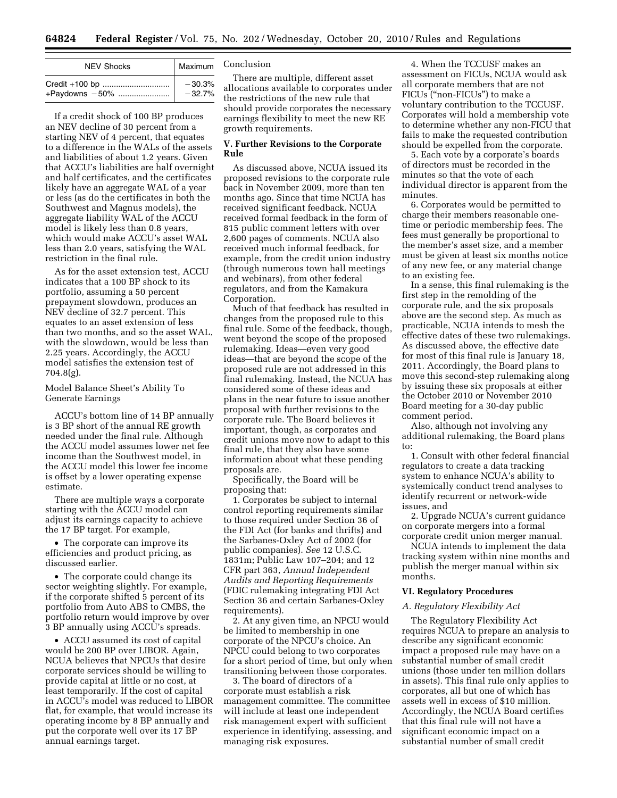| <b>NEV Shocks</b> | Maximum  |
|-------------------|----------|
| Credit +100 bp    | $-30.3%$ |
| +Paydowns -50%    | $-32.7%$ |

If a credit shock of 100 BP produces an NEV decline of 30 percent from a starting NEV of 4 percent, that equates to a difference in the WALs of the assets and liabilities of about 1.2 years. Given that ACCU's liabilities are half overnight and half certificates, and the certificates likely have an aggregate WAL of a year or less (as do the certificates in both the Southwest and Magnus models), the aggregate liability WAL of the ACCU model is likely less than 0.8 years, which would make ACCU's asset WAL less than 2.0 years, satisfying the WAL restriction in the final rule.

As for the asset extension test, ACCU indicates that a 100 BP shock to its portfolio, assuming a 50 percent prepayment slowdown, produces an NEV decline of 32.7 percent. This equates to an asset extension of less than two months, and so the asset WAL, with the slowdown, would be less than 2.25 years. Accordingly, the ACCU model satisfies the extension test of 704.8(g).

## Model Balance Sheet's Ability To Generate Earnings

ACCU's bottom line of 14 BP annually is 3 BP short of the annual RE growth needed under the final rule. Although the ACCU model assumes lower net fee income than the Southwest model, in the ACCU model this lower fee income is offset by a lower operating expense estimate.

There are multiple ways a corporate starting with the ACCU model can adjust its earnings capacity to achieve the 17 BP target. For example,

• The corporate can improve its efficiencies and product pricing, as discussed earlier.

• The corporate could change its sector weighting slightly. For example, if the corporate shifted 5 percent of its portfolio from Auto ABS to CMBS, the portfolio return would improve by over 3 BP annually using ACCU's spreads.

• ACCU assumed its cost of capital would be 200 BP over LIBOR. Again, NCUA believes that NPCUs that desire corporate services should be willing to provide capital at little or no cost, at least temporarily. If the cost of capital in ACCU's model was reduced to LIBOR flat, for example, that would increase its operating income by 8 BP annually and put the corporate well over its 17 BP annual earnings target.

# Conclusion

There are multiple, different asset allocations available to corporates under the restrictions of the new rule that should provide corporates the necessary earnings flexibility to meet the new RE growth requirements.

# **V. Further Revisions to the Corporate Rule**

As discussed above, NCUA issued its proposed revisions to the corporate rule back in November 2009, more than ten months ago. Since that time NCUA has received significant feedback. NCUA received formal feedback in the form of 815 public comment letters with over 2,600 pages of comments. NCUA also received much informal feedback, for example, from the credit union industry (through numerous town hall meetings and webinars), from other federal regulators, and from the Kamakura Corporation.

Much of that feedback has resulted in changes from the proposed rule to this final rule. Some of the feedback, though, went beyond the scope of the proposed rulemaking. Ideas—even very good ideas—that are beyond the scope of the proposed rule are not addressed in this final rulemaking. Instead, the NCUA has considered some of these ideas and plans in the near future to issue another proposal with further revisions to the corporate rule. The Board believes it important, though, as corporates and credit unions move now to adapt to this final rule, that they also have some information about what these pending proposals are.

Specifically, the Board will be proposing that:

1. Corporates be subject to internal control reporting requirements similar to those required under Section 36 of the FDI Act (for banks and thrifts) and the Sarbanes-Oxley Act of 2002 (for public companies). *See* 12 U.S.C. 1831m; Public Law 107–204; and 12 CFR part 363, *Annual Independent Audits and Reporting Requirements*  (FDIC rulemaking integrating FDI Act Section 36 and certain Sarbanes-Oxley requirements).

2. At any given time, an NPCU would be limited to membership in one corporate of the NPCU's choice. An NPCU could belong to two corporates for a short period of time, but only when transitioning between those corporates.

3. The board of directors of a corporate must establish a risk management committee. The committee will include at least one independent risk management expert with sufficient experience in identifying, assessing, and managing risk exposures.

4. When the TCCUSF makes an assessment on FICUs, NCUA would ask all corporate members that are not FICUs (''non-FICUs'') to make a voluntary contribution to the TCCUSF. Corporates will hold a membership vote to determine whether any non-FICU that fails to make the requested contribution should be expelled from the corporate.

5. Each vote by a corporate's boards of directors must be recorded in the minutes so that the vote of each individual director is apparent from the minutes.

6. Corporates would be permitted to charge their members reasonable onetime or periodic membership fees. The fees must generally be proportional to the member's asset size, and a member must be given at least six months notice of any new fee, or any material change to an existing fee.

In a sense, this final rulemaking is the first step in the remolding of the corporate rule, and the six proposals above are the second step. As much as practicable, NCUA intends to mesh the effective dates of these two rulemakings. As discussed above, the effective date for most of this final rule is January 18, 2011. Accordingly, the Board plans to move this second-step rulemaking along by issuing these six proposals at either the October 2010 or November 2010 Board meeting for a 30-day public comment period.

Also, although not involving any additional rulemaking, the Board plans to:

1. Consult with other federal financial regulators to create a data tracking system to enhance NCUA's ability to systemically conduct trend analyses to identify recurrent or network-wide issues, and

2. Upgrade NCUA's current guidance on corporate mergers into a formal corporate credit union merger manual.

NCUA intends to implement the data tracking system within nine months and publish the merger manual within six months.

#### **VI. Regulatory Procedures**

#### *A. Regulatory Flexibility Act*

The Regulatory Flexibility Act requires NCUA to prepare an analysis to describe any significant economic impact a proposed rule may have on a substantial number of small credit unions (those under ten million dollars in assets). This final rule only applies to corporates, all but one of which has assets well in excess of \$10 million. Accordingly, the NCUA Board certifies that this final rule will not have a significant economic impact on a substantial number of small credit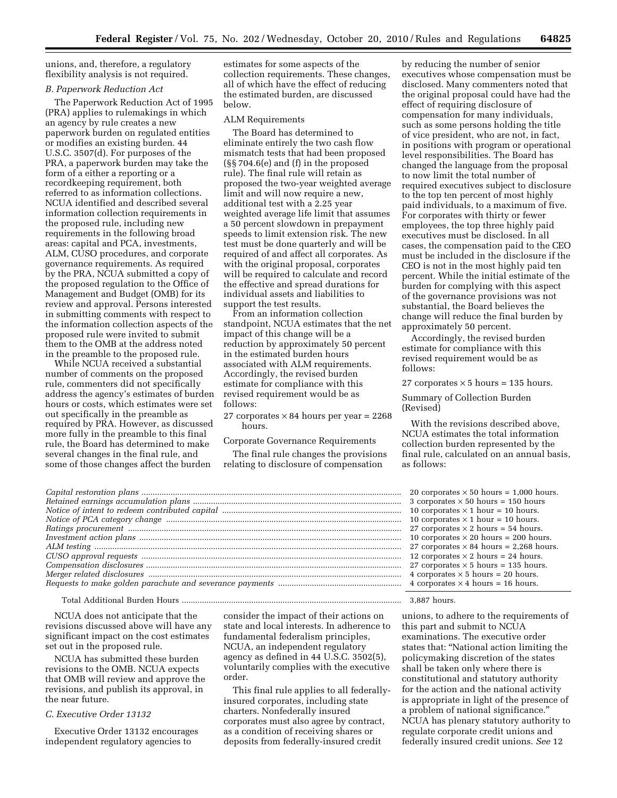unions, and, therefore, a regulatory flexibility analysis is not required.

# *B. Paperwork Reduction Act*

The Paperwork Reduction Act of 1995 (PRA) applies to rulemakings in which an agency by rule creates a new paperwork burden on regulated entities or modifies an existing burden. 44 U.S.C. 3507(d). For purposes of the PRA, a paperwork burden may take the form of a either a reporting or a recordkeeping requirement, both referred to as information collections. NCUA identified and described several information collection requirements in the proposed rule, including new requirements in the following broad areas: capital and PCA, investments, ALM, CUSO procedures, and corporate governance requirements. As required by the PRA, NCUA submitted a copy of the proposed regulation to the Office of Management and Budget (OMB) for its review and approval. Persons interested in submitting comments with respect to the information collection aspects of the proposed rule were invited to submit them to the OMB at the address noted in the preamble to the proposed rule.

While NCUA received a substantial number of comments on the proposed rule, commenters did not specifically address the agency's estimates of burden hours or costs, which estimates were set out specifically in the preamble as required by PRA. However, as discussed more fully in the preamble to this final rule, the Board has determined to make several changes in the final rule, and some of those changes affect the burden

estimates for some aspects of the collection requirements. These changes, all of which have the effect of reducing the estimated burden, are discussed below.

#### ALM Requirements

The Board has determined to eliminate entirely the two cash flow mismatch tests that had been proposed (§§ 704.6(e) and (f) in the proposed rule). The final rule will retain as proposed the two-year weighted average limit and will now require a new, additional test with a 2.25 year weighted average life limit that assumes a 50 percent slowdown in prepayment speeds to limit extension risk. The new test must be done quarterly and will be required of and affect all corporates. As with the original proposal, corporates will be required to calculate and record the effective and spread durations for individual assets and liabilities to support the test results.

From an information collection standpoint, NCUA estimates that the net impact of this change will be a reduction by approximately 50 percent in the estimated burden hours associated with ALM requirements. Accordingly, the revised burden estimate for compliance with this revised requirement would be as follows:

27 corporates  $\times$  84 hours per year = 2268 hours.

Corporate Governance Requirements

The final rule changes the provisions relating to disclosure of compensation

by reducing the number of senior executives whose compensation must be disclosed. Many commenters noted that the original proposal could have had the effect of requiring disclosure of compensation for many individuals, such as some persons holding the title of vice president, who are not, in fact, in positions with program or operational level responsibilities. The Board has changed the language from the proposal to now limit the total number of required executives subject to disclosure to the top ten percent of most highly paid individuals, to a maximum of five. For corporates with thirty or fewer employees, the top three highly paid executives must be disclosed. In all cases, the compensation paid to the CEO must be included in the disclosure if the CEO is not in the most highly paid ten percent. While the initial estimate of the burden for complying with this aspect of the governance provisions was not substantial, the Board believes the change will reduce the final burden by approximately 50 percent.

Accordingly, the revised burden estimate for compliance with this revised requirement would be as follows:

27 corporates  $\times$  5 hours = 135 hours.

Summary of Collection Burden (Revised)

With the revisions described above, NCUA estimates the total information collection burden represented by the final rule, calculated on an annual basis, as follows:

| . | 20 corporates $\times$ 50 hours = 1,000 hours. |
|---|------------------------------------------------|
| . | 3 corporates $\times$ 50 hours = 150 hours     |
|   | 10 corporates $\times$ 1 hour = 10 hours.      |
| . | 10 corporates $\times$ 1 hour = 10 hours.      |
| . | 27 corporates $\times$ 2 hours = 54 hours.     |
| . | 10 corporates $\times$ 20 hours = 200 hours.   |
| . | 27 corporates $\times$ 84 hours = 2,268 hours. |
| . | 12 corporates $\times$ 2 hours = 24 hours.     |
| . | 27 corporates $\times$ 5 hours = 135 hours.    |
|   | 4 corporates $\times$ 5 hours = 20 hours.      |
| . | 4 corporates $\times$ 4 hours = 16 hours.      |
|   |                                                |

*Notice of intent to redeem contributed capital* ................................................................................ 10 corporates × 1 hour = 10 hours. *Notice of PCA category change* ......................................................................................................... 10 corporates × 1 hour = 10 hours. *Ratings procurement* .......................................................................................................................... 27 corporates × 2 hours = 54 hours. *Investment action plans* ..................................................................................................................... 10 corporates × 20 hours = 200 hours. *ALM testing* ......................................................................................................................................... 27 corporates × 84 hours = 2,268 hours. *CUSO approval requests* .................................................................................................................... 12 corporates × 2 hours = 24 hours. *Compensation disclosures* .................................................................................................................. 27 corporates × 5 hours = 135 hours. *Merger related disclosures* ................................................................................................................. 4 corporates × 5 hours = 20 hours. *Requests to make golden parachute and severance payments* ....................................................... 4 corporates × 4 hours = 16 hours.

*Capital restoration plans* .................................................................................................................... 20 corporates × 50 hours = 1,000 hours. *Retained earnings accumulation plans* ............................................................................................. 3 corporates × 50 hours = 150 hours

Total Additional Burden Hours .................................................................................................. 3,887 hours.

NCUA does not anticipate that the revisions discussed above will have any significant impact on the cost estimates set out in the proposed rule.

NCUA has submitted these burden revisions to the OMB. NCUA expects that OMB will review and approve the revisions, and publish its approval, in the near future.

## *C. Executive Order 13132*

Executive Order 13132 encourages independent regulatory agencies to

consider the impact of their actions on state and local interests. In adherence to fundamental federalism principles, NCUA, an independent regulatory agency as defined in 44 U.S.C. 3502(5), voluntarily complies with the executive order.

This final rule applies to all federallyinsured corporates, including state charters. Nonfederally insured corporates must also agree by contract, as a condition of receiving shares or deposits from federally-insured credit

unions, to adhere to the requirements of this part and submit to NCUA examinations. The executive order states that: ''National action limiting the policymaking discretion of the states shall be taken only where there is constitutional and statutory authority for the action and the national activity is appropriate in light of the presence of a problem of national significance.'' NCUA has plenary statutory authority to regulate corporate credit unions and federally insured credit unions. *See* 12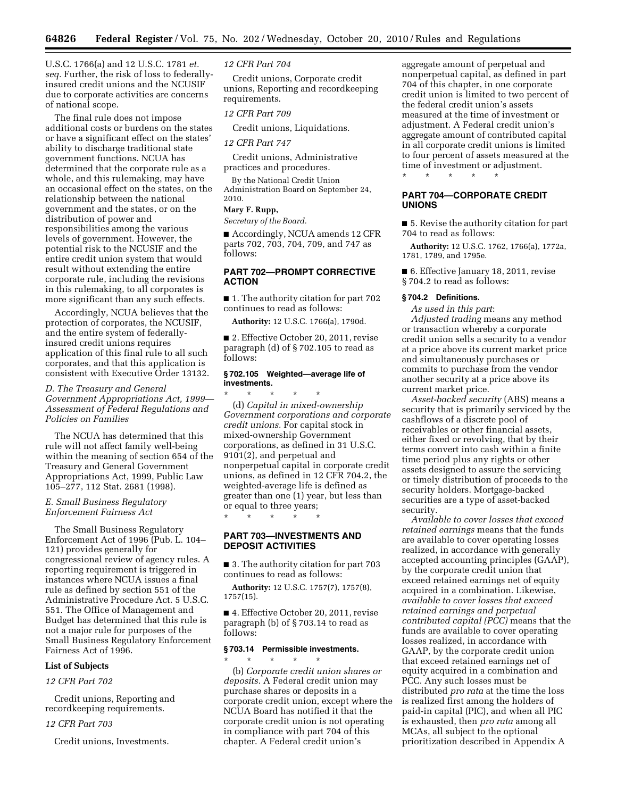U.S.C. 1766(a) and 12 U.S.C. 1781 *et. seq.* Further, the risk of loss to federallyinsured credit unions and the NCUSIF due to corporate activities are concerns of national scope.

The final rule does not impose additional costs or burdens on the states or have a significant effect on the states' ability to discharge traditional state government functions. NCUA has determined that the corporate rule as a whole, and this rulemaking, may have an occasional effect on the states, on the relationship between the national government and the states, or on the distribution of power and responsibilities among the various levels of government. However, the potential risk to the NCUSIF and the entire credit union system that would result without extending the entire corporate rule, including the revisions in this rulemaking, to all corporates is more significant than any such effects.

Accordingly, NCUA believes that the protection of corporates, the NCUSIF, and the entire system of federallyinsured credit unions requires application of this final rule to all such corporates, and that this application is consistent with Executive Order 13132.

# *D. The Treasury and General Government Appropriations Act, 1999— Assessment of Federal Regulations and Policies on Families*

The NCUA has determined that this rule will not affect family well-being within the meaning of section 654 of the Treasury and General Government Appropriations Act, 1999, Public Law 105–277, 112 Stat. 2681 (1998).

## *E. Small Business Regulatory Enforcement Fairness Act*

The Small Business Regulatory Enforcement Act of 1996 (Pub. L. 104– 121) provides generally for congressional review of agency rules. A reporting requirement is triggered in instances where NCUA issues a final rule as defined by section 551 of the Administrative Procedure Act. 5 U.S.C. 551. The Office of Management and Budget has determined that this rule is not a major rule for purposes of the Small Business Regulatory Enforcement Fairness Act of 1996.

## **List of Subjects**

# *12 CFR Part 702*

Credit unions, Reporting and recordkeeping requirements.

# *12 CFR Part 703*

Credit unions, Investments.

## *12 CFR Part 704*

Credit unions, Corporate credit unions, Reporting and recordkeeping requirements.

#### *12 CFR Part 709*

Credit unions, Liquidations.

#### *12 CFR Part 747*

Credit unions, Administrative practices and procedures.

By the National Credit Union Administration Board on September 24, 2010.

## **Mary F. Rupp,**

*Secretary of the Board.* 

■ Accordingly, NCUA amends 12 CFR parts 702, 703, 704, 709, and 747 as follows:

# **PART 702—PROMPT CORRECTIVE ACTION**

■ 1. The authority citation for part 702 continues to read as follows:

**Authority:** 12 U.S.C. 1766(a), 1790d.

■ 2. Effective October 20, 2011, revise paragraph (d) of § 702.105 to read as follows:

### **§ 702.105 Weighted—average life of investments.**

\* \* \* \* \* (d) *Capital in mixed-ownership Government corporations and corporate credit unions.* For capital stock in mixed-ownership Government corporations, as defined in 31 U.S.C. 9101(2), and perpetual and nonperpetual capital in corporate credit unions, as defined in 12 CFR 704.2, the weighted-average life is defined as greater than one (1) year, but less than or equal to three years;

\* \* \* \* \*

# **PART 703—INVESTMENTS AND DEPOSIT ACTIVITIES**

■ 3. The authority citation for part 703 continues to read as follows:

**Authority:** 12 U.S.C. 1757(7), 1757(8), 1757(15).

■ 4. Effective October 20, 2011, revise paragraph (b) of § 703.14 to read as follows:

### **§ 703.14 Permissible investments.**

\* \* \* \* \* (b) *Corporate credit union shares or deposits.* A Federal credit union may purchase shares or deposits in a corporate credit union, except where the NCUA Board has notified it that the corporate credit union is not operating in compliance with part 704 of this chapter. A Federal credit union's

aggregate amount of perpetual and nonperpetual capital, as defined in part 704 of this chapter, in one corporate credit union is limited to two percent of the federal credit union's assets measured at the time of investment or adjustment. A Federal credit union's aggregate amount of contributed capital in all corporate credit unions is limited to four percent of assets measured at the time of investment or adjustment. \* \* \* \* \*

# **PART 704—CORPORATE CREDIT UNIONS**

■ 5. Revise the authority citation for part 704 to read as follows:

**Authority:** 12 U.S.C. 1762, 1766(a), 1772a, 1781, 1789, and 1795e.

■ 6. Effective January 18, 2011, revise § 704.2 to read as follows:

## **§ 704.2 Definitions.**

*As used in this part*:

*Adjusted trading* means any method or transaction whereby a corporate credit union sells a security to a vendor at a price above its current market price and simultaneously purchases or commits to purchase from the vendor another security at a price above its current market price.

*Asset-backed security* (ABS) means a security that is primarily serviced by the cashflows of a discrete pool of receivables or other financial assets, either fixed or revolving, that by their terms convert into cash within a finite time period plus any rights or other assets designed to assure the servicing or timely distribution of proceeds to the security holders. Mortgage-backed securities are a type of asset-backed security.

*Available to cover losses that exceed retained earnings* means that the funds are available to cover operating losses realized, in accordance with generally accepted accounting principles (GAAP), by the corporate credit union that exceed retained earnings net of equity acquired in a combination. Likewise, *available to cover losses that exceed retained earnings and perpetual contributed capital (PCC)* means that the funds are available to cover operating losses realized, in accordance with GAAP, by the corporate credit union that exceed retained earnings net of equity acquired in a combination and PCC. Any such losses must be distributed *pro rata* at the time the loss is realized first among the holders of paid-in capital (PIC), and when all PIC is exhausted, then *pro rata* among all MCAs, all subject to the optional prioritization described in Appendix A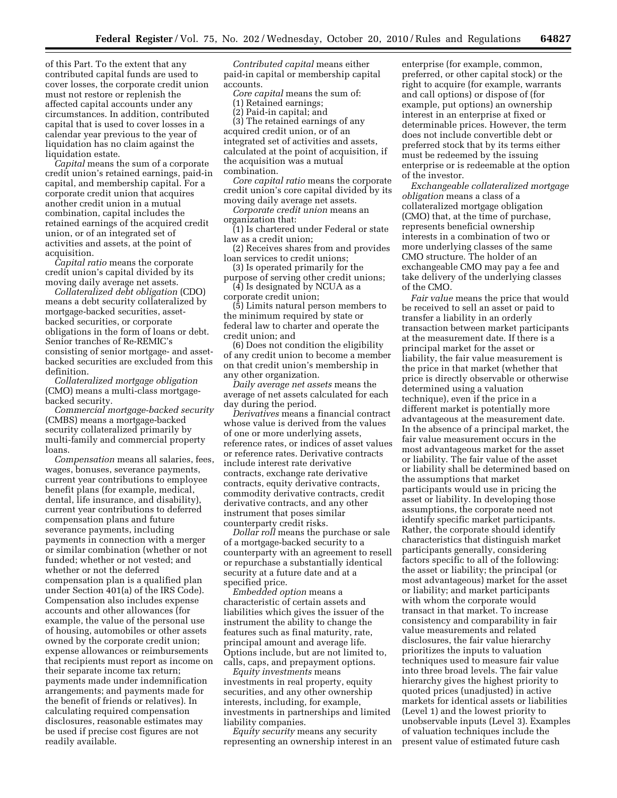of this Part. To the extent that any contributed capital funds are used to cover losses, the corporate credit union must not restore or replenish the affected capital accounts under any circumstances. In addition, contributed capital that is used to cover losses in a calendar year previous to the year of liquidation has no claim against the liquidation estate.

*Capital* means the sum of a corporate credit union's retained earnings, paid-in capital, and membership capital. For a corporate credit union that acquires another credit union in a mutual combination, capital includes the retained earnings of the acquired credit union, or of an integrated set of activities and assets, at the point of acquisition.

*Capital ratio* means the corporate credit union's capital divided by its moving daily average net assets.

*Collateralized debt obligation* (CDO) means a debt security collateralized by mortgage-backed securities, assetbacked securities, or corporate obligations in the form of loans or debt. Senior tranches of Re-REMIC's consisting of senior mortgage- and assetbacked securities are excluded from this definition.

*Collateralized mortgage obligation*  (CMO) means a multi-class mortgagebacked security.

*Commercial mortgage-backed security*  (CMBS) means a mortgage-backed security collateralized primarily by multi-family and commercial property loans.

*Compensation* means all salaries, fees, wages, bonuses, severance payments, current year contributions to employee benefit plans (for example, medical, dental, life insurance, and disability), current year contributions to deferred compensation plans and future severance payments, including payments in connection with a merger or similar combination (whether or not funded; whether or not vested; and whether or not the deferred compensation plan is a qualified plan under Section 401(a) of the IRS Code). Compensation also includes expense accounts and other allowances (for example, the value of the personal use of housing, automobiles or other assets owned by the corporate credit union; expense allowances or reimbursements that recipients must report as income on their separate income tax return; payments made under indemnification arrangements; and payments made for the benefit of friends or relatives). In calculating required compensation disclosures, reasonable estimates may be used if precise cost figures are not readily available.

*Contributed capital* means either paid-in capital or membership capital accounts.

*Core capital* means the sum of:

(1) Retained earnings;

(2) Paid-in capital; and

(3) The retained earnings of any acquired credit union, or of an integrated set of activities and assets, calculated at the point of acquisition, if the acquisition was a mutual combination.

*Core capital ratio* means the corporate credit union's core capital divided by its

moving daily average net assets. *Corporate credit union* means an organization that:

(1) Is chartered under Federal or state law as a credit union;

(2) Receives shares from and provides loan services to credit unions;

(3) Is operated primarily for the purpose of serving other credit unions;

(4) Is designated by NCUA as a corporate credit union;

(5) Limits natural person members to the minimum required by state or federal law to charter and operate the credit union; and

(6) Does not condition the eligibility of any credit union to become a member on that credit union's membership in any other organization.

*Daily average net assets* means the average of net assets calculated for each day during the period.

*Derivatives* means a financial contract whose value is derived from the values of one or more underlying assets, reference rates, or indices of asset values or reference rates. Derivative contracts include interest rate derivative contracts, exchange rate derivative contracts, equity derivative contracts, commodity derivative contracts, credit derivative contracts, and any other instrument that poses similar counterparty credit risks.

*Dollar roll* means the purchase or sale of a mortgage-backed security to a counterparty with an agreement to resell or repurchase a substantially identical security at a future date and at a specified price.

*Embedded option* means a characteristic of certain assets and liabilities which gives the issuer of the instrument the ability to change the features such as final maturity, rate, principal amount and average life. Options include, but are not limited to, calls, caps, and prepayment options.

*Equity investments* means investments in real property, equity securities, and any other ownership interests, including, for example, investments in partnerships and limited liability companies.

*Equity security* means any security representing an ownership interest in an enterprise (for example, common, preferred, or other capital stock) or the right to acquire (for example, warrants and call options) or dispose of (for example, put options) an ownership interest in an enterprise at fixed or determinable prices. However, the term does not include convertible debt or preferred stock that by its terms either must be redeemed by the issuing enterprise or is redeemable at the option of the investor.

*Exchangeable collateralized mortgage obligation* means a class of a collateralized mortgage obligation (CMO) that, at the time of purchase, represents beneficial ownership interests in a combination of two or more underlying classes of the same CMO structure. The holder of an exchangeable CMO may pay a fee and take delivery of the underlying classes of the CMO.

*Fair value* means the price that would be received to sell an asset or paid to transfer a liability in an orderly transaction between market participants at the measurement date. If there is a principal market for the asset or liability, the fair value measurement is the price in that market (whether that price is directly observable or otherwise determined using a valuation technique), even if the price in a different market is potentially more advantageous at the measurement date. In the absence of a principal market, the fair value measurement occurs in the most advantageous market for the asset or liability. The fair value of the asset or liability shall be determined based on the assumptions that market participants would use in pricing the asset or liability. In developing those assumptions, the corporate need not identify specific market participants. Rather, the corporate should identify characteristics that distinguish market participants generally, considering factors specific to all of the following: the asset or liability; the principal (or most advantageous) market for the asset or liability; and market participants with whom the corporate would transact in that market. To increase consistency and comparability in fair value measurements and related disclosures, the fair value hierarchy prioritizes the inputs to valuation techniques used to measure fair value into three broad levels. The fair value hierarchy gives the highest priority to quoted prices (unadjusted) in active markets for identical assets or liabilities (Level 1) and the lowest priority to unobservable inputs (Level 3). Examples of valuation techniques include the present value of estimated future cash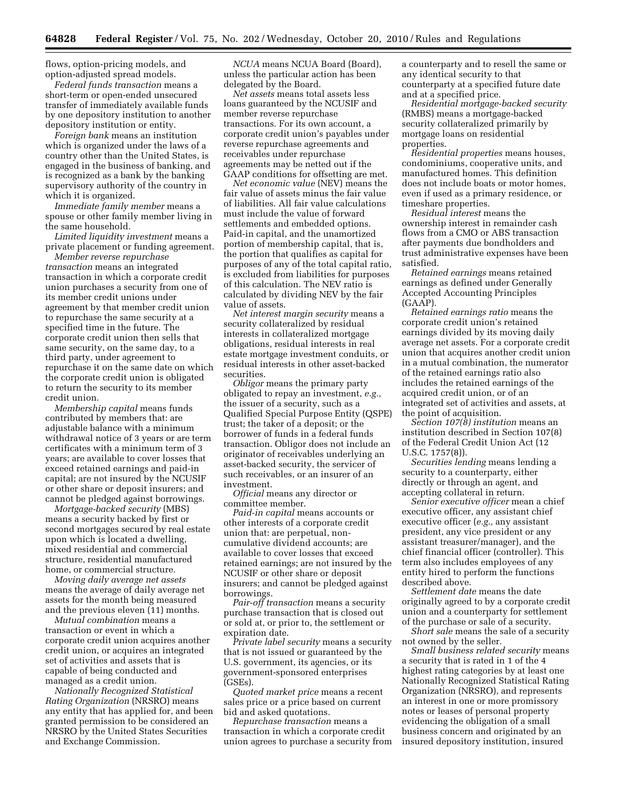flows, option-pricing models, and option-adjusted spread models.

*Federal funds transaction* means a short-term or open-ended unsecured transfer of immediately available funds by one depository institution to another depository institution or entity.

*Foreign bank* means an institution which is organized under the laws of a country other than the United States, is engaged in the business of banking, and is recognized as a bank by the banking supervisory authority of the country in which it is organized.

*Immediate family member* means a spouse or other family member living in the same household.

*Limited liquidity investment* means a private placement or funding agreement.

*Member reverse repurchase transaction* means an integrated transaction in which a corporate credit union purchases a security from one of its member credit unions under agreement by that member credit union to repurchase the same security at a specified time in the future. The corporate credit union then sells that same security, on the same day, to a third party, under agreement to repurchase it on the same date on which the corporate credit union is obligated to return the security to its member credit union.

*Membership capital* means funds contributed by members that: are adjustable balance with a minimum withdrawal notice of 3 years or are term certificates with a minimum term of 3 years; are available to cover losses that exceed retained earnings and paid-in capital; are not insured by the NCUSIF or other share or deposit insurers; and cannot be pledged against borrowings.

*Mortgage-backed security* (MBS) means a security backed by first or second mortgages secured by real estate upon which is located a dwelling, mixed residential and commercial structure, residential manufactured home, or commercial structure.

*Moving daily average net assets*  means the average of daily average net assets for the month being measured and the previous eleven (11) months.

*Mutual combination* means a transaction or event in which a corporate credit union acquires another credit union, or acquires an integrated set of activities and assets that is capable of being conducted and managed as a credit union.

*Nationally Recognized Statistical Rating Organization* (NRSRO) means any entity that has applied for, and been granted permission to be considered an NRSRO by the United States Securities and Exchange Commission.

*NCUA* means NCUA Board (Board), unless the particular action has been delegated by the Board.

*Net assets* means total assets less loans guaranteed by the NCUSIF and member reverse repurchase transactions. For its own account, a corporate credit union's payables under reverse repurchase agreements and receivables under repurchase agreements may be netted out if the GAAP conditions for offsetting are met.

*Net economic value* (NEV) means the fair value of assets minus the fair value of liabilities. All fair value calculations must include the value of forward settlements and embedded options. Paid-in capital, and the unamortized portion of membership capital, that is, the portion that qualifies as capital for purposes of any of the total capital ratio, is excluded from liabilities for purposes of this calculation. The NEV ratio is calculated by dividing NEV by the fair value of assets.

*Net interest margin security* means a security collateralized by residual interests in collateralized mortgage obligations, residual interests in real estate mortgage investment conduits, or residual interests in other asset-backed securities.

*Obligor* means the primary party obligated to repay an investment, *e.g.,*  the issuer of a security, such as a Qualified Special Purpose Entity (QSPE) trust; the taker of a deposit; or the borrower of funds in a federal funds transaction. Obligor does not include an originator of receivables underlying an asset-backed security, the servicer of such receivables, or an insurer of an investment.

*Official* means any director or committee member.

*Paid-in capital* means accounts or other interests of a corporate credit union that: are perpetual, noncumulative dividend accounts; are available to cover losses that exceed retained earnings; are not insured by the NCUSIF or other share or deposit insurers; and cannot be pledged against borrowings.

*Pair-off transaction* means a security purchase transaction that is closed out or sold at, or prior to, the settlement or expiration date.

*Private label security* means a security that is not issued or guaranteed by the U.S. government, its agencies, or its government-sponsored enterprises (GSEs).

*Quoted market price* means a recent sales price or a price based on current bid and asked quotations.

*Repurchase transaction* means a transaction in which a corporate credit union agrees to purchase a security from a counterparty and to resell the same or any identical security to that counterparty at a specified future date and at a specified price.

*Residential mortgage-backed security*  (RMBS) means a mortgage-backed security collateralized primarily by mortgage loans on residential properties.

*Residential properties* means houses, condominiums, cooperative units, and manufactured homes. This definition does not include boats or motor homes, even if used as a primary residence, or timeshare properties.

*Residual interest* means the ownership interest in remainder cash flows from a CMO or ABS transaction after payments due bondholders and trust administrative expenses have been satisfied.

*Retained earnings* means retained earnings as defined under Generally Accepted Accounting Principles (GAAP).

*Retained earnings ratio* means the corporate credit union's retained earnings divided by its moving daily average net assets. For a corporate credit union that acquires another credit union in a mutual combination, the numerator of the retained earnings ratio also includes the retained earnings of the acquired credit union, or of an integrated set of activities and assets, at the point of acquisition.

*Section 107(8) institution* means an institution described in Section 107(8) of the Federal Credit Union Act (12 U.S.C. 1757(8)).

*Securities lending* means lending a security to a counterparty, either directly or through an agent, and accepting collateral in return.

*Senior executive officer* mean a chief executive officer, any assistant chief executive officer (*e.g.,* any assistant president, any vice president or any assistant treasurer/manager), and the chief financial officer (controller). This term also includes employees of any entity hired to perform the functions described above.

*Settlement date* means the date originally agreed to by a corporate credit union and a counterparty for settlement of the purchase or sale of a security.

*Short sale* means the sale of a security not owned by the seller.

*Small business related security* means a security that is rated in 1 of the 4 highest rating categories by at least one Nationally Recognized Statistical Rating Organization (NRSRO), and represents an interest in one or more promissory notes or leases of personal property evidencing the obligation of a small business concern and originated by an insured depository institution, insured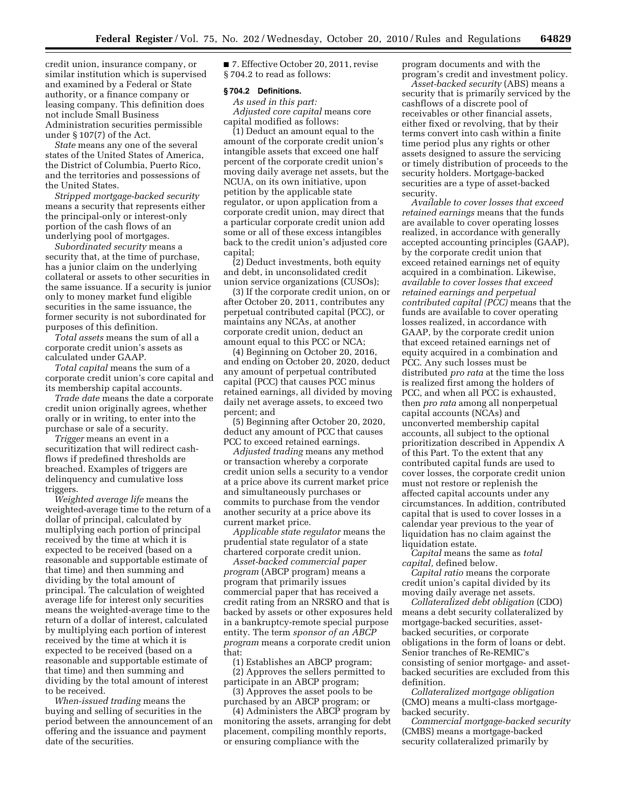credit union, insurance company, or similar institution which is supervised and examined by a Federal or State authority, or a finance company or leasing company. This definition does not include Small Business Administration securities permissible under § 107(7) of the Act.

*State* means any one of the several states of the United States of America, the District of Columbia, Puerto Rico, and the territories and possessions of the United States.

*Stripped mortgage-backed security*  means a security that represents either the principal-only or interest-only portion of the cash flows of an underlying pool of mortgages.

*Subordinated security* means a security that, at the time of purchase, has a junior claim on the underlying collateral or assets to other securities in the same issuance. If a security is junior only to money market fund eligible securities in the same issuance, the former security is not subordinated for purposes of this definition.

*Total assets* means the sum of all a corporate credit union's assets as calculated under GAAP.

*Total capital* means the sum of a corporate credit union's core capital and its membership capital accounts.

*Trade date* means the date a corporate credit union originally agrees, whether orally or in writing, to enter into the purchase or sale of a security.

*Trigger* means an event in a securitization that will redirect cashflows if predefined thresholds are breached. Examples of triggers are delinquency and cumulative loss triggers.

*Weighted average life* means the weighted-average time to the return of a dollar of principal, calculated by multiplying each portion of principal received by the time at which it is expected to be received (based on a reasonable and supportable estimate of that time) and then summing and dividing by the total amount of principal. The calculation of weighted average life for interest only securities means the weighted-average time to the return of a dollar of interest, calculated by multiplying each portion of interest received by the time at which it is expected to be received (based on a reasonable and supportable estimate of that time) and then summing and dividing by the total amount of interest to be received.

*When-issued trading* means the buying and selling of securities in the period between the announcement of an offering and the issuance and payment date of the securities.

■ 7. Effective October 20, 2011, revise § 704.2 to read as follows:

# **§ 704.2 Definitions.**

*As used in this part: Adjusted core capital* means core capital modified as follows:

(1) Deduct an amount equal to the amount of the corporate credit union's intangible assets that exceed one half percent of the corporate credit union's moving daily average net assets, but the NCUA, on its own initiative, upon petition by the applicable state regulator, or upon application from a corporate credit union, may direct that a particular corporate credit union add some or all of these excess intangibles back to the credit union's adjusted core capital;

(2) Deduct investments, both equity and debt, in unconsolidated credit union service organizations (CUSOs);

(3) If the corporate credit union, on or after October 20, 2011, contributes any perpetual contributed capital (PCC), or maintains any NCAs, at another corporate credit union, deduct an amount equal to this PCC or NCA;

(4) Beginning on October 20, 2016, and ending on October 20, 2020, deduct any amount of perpetual contributed capital (PCC) that causes PCC minus retained earnings, all divided by moving daily net average assets, to exceed two percent; and

(5) Beginning after October 20, 2020, deduct any amount of PCC that causes PCC to exceed retained earnings.

*Adjusted trading* means any method or transaction whereby a corporate credit union sells a security to a vendor at a price above its current market price and simultaneously purchases or commits to purchase from the vendor another security at a price above its current market price.

*Applicable state regulator* means the prudential state regulator of a state chartered corporate credit union.

*Asset-backed commercial paper program* (ABCP program) means a program that primarily issues commercial paper that has received a credit rating from an NRSRO and that is backed by assets or other exposures held in a bankruptcy-remote special purpose entity. The term *sponsor of an ABCP program* means a corporate credit union that:

(1) Establishes an ABCP program; (2) Approves the sellers permitted to participate in an ABCP program;

(3) Approves the asset pools to be purchased by an ABCP program; or

(4) Administers the ABCP program by monitoring the assets, arranging for debt placement, compiling monthly reports, or ensuring compliance with the

program documents and with the program's credit and investment policy.

*Asset-backed security* (ABS) means a security that is primarily serviced by the cashflows of a discrete pool of receivables or other financial assets, either fixed or revolving, that by their terms convert into cash within a finite time period plus any rights or other assets designed to assure the servicing or timely distribution of proceeds to the security holders. Mortgage-backed securities are a type of asset-backed security.

*Available to cover losses that exceed retained earnings* means that the funds are available to cover operating losses realized, in accordance with generally accepted accounting principles (GAAP), by the corporate credit union that exceed retained earnings net of equity acquired in a combination. Likewise, *available to cover losses that exceed retained earnings and perpetual contributed capital (PCC)* means that the funds are available to cover operating losses realized, in accordance with GAAP, by the corporate credit union that exceed retained earnings net of equity acquired in a combination and PCC. Any such losses must be distributed *pro rata* at the time the loss is realized first among the holders of PCC, and when all PCC is exhausted, then *pro rata* among all nonperpetual capital accounts (NCAs) and unconverted membership capital accounts, all subject to the optional prioritization described in Appendix A of this Part. To the extent that any contributed capital funds are used to cover losses, the corporate credit union must not restore or replenish the affected capital accounts under any circumstances. In addition, contributed capital that is used to cover losses in a calendar year previous to the year of liquidation has no claim against the liquidation estate.

*Capital* means the same as *total capital,* defined below.

*Capital ratio* means the corporate credit union's capital divided by its moving daily average net assets.

*Collateralized debt obligation* (CDO) means a debt security collateralized by mortgage-backed securities, assetbacked securities, or corporate obligations in the form of loans or debt. Senior tranches of Re-REMIC's consisting of senior mortgage- and assetbacked securities are excluded from this definition.

*Collateralized mortgage obligation*  (CMO) means a multi-class mortgagebacked security.

*Commercial mortgage-backed security*  (CMBS) means a mortgage-backed security collateralized primarily by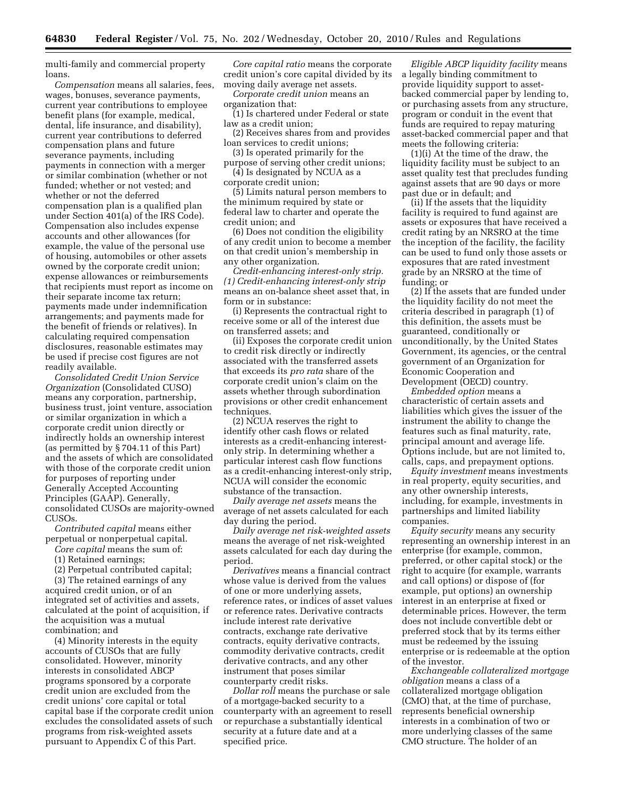multi-family and commercial property loans.

*Compensation* means all salaries, fees, wages, bonuses, severance payments, current year contributions to employee benefit plans (for example, medical, dental, life insurance, and disability), current year contributions to deferred compensation plans and future severance payments, including payments in connection with a merger or similar combination (whether or not funded; whether or not vested; and whether or not the deferred compensation plan is a qualified plan under Section 401(a) of the IRS Code). Compensation also includes expense accounts and other allowances (for example, the value of the personal use of housing, automobiles or other assets owned by the corporate credit union; expense allowances or reimbursements that recipients must report as income on their separate income tax return; payments made under indemnification arrangements; and payments made for the benefit of friends or relatives). In calculating required compensation disclosures, reasonable estimates may be used if precise cost figures are not readily available.

*Consolidated Credit Union Service Organization* (Consolidated CUSO) means any corporation, partnership, business trust, joint venture, association or similar organization in which a corporate credit union directly or indirectly holds an ownership interest (as permitted by § 704.11 of this Part) and the assets of which are consolidated with those of the corporate credit union for purposes of reporting under Generally Accepted Accounting Principles (GAAP). Generally, consolidated CUSOs are majority-owned CUSOs.

*Contributed capital* means either

perpetual or nonperpetual capital. *Core capital* means the sum of:

(1) Retained earnings;

combination; and

(2) Perpetual contributed capital;

(3) The retained earnings of any acquired credit union, or of an integrated set of activities and assets, calculated at the point of acquisition, if the acquisition was a mutual

(4) Minority interests in the equity accounts of CUSOs that are fully consolidated. However, minority interests in consolidated ABCP programs sponsored by a corporate credit union are excluded from the credit unions' core capital or total capital base if the corporate credit union excludes the consolidated assets of such programs from risk-weighted assets pursuant to Appendix C of this Part.

*Core capital ratio* means the corporate credit union's core capital divided by its moving daily average net assets.

*Corporate credit union* means an organization that:

(1) Is chartered under Federal or state law as a credit union;

(2) Receives shares from and provides loan services to credit unions;

(3) Is operated primarily for the

purpose of serving other credit unions; (4) Is designated by NCUA as a corporate credit union;

(5) Limits natural person members to the minimum required by state or federal law to charter and operate the credit union; and

(6) Does not condition the eligibility of any credit union to become a member on that credit union's membership in any other organization.

*Credit-enhancing interest-only strip. (1) Credit-enhancing interest-only strip*  means an on-balance sheet asset that, in form or in substance:

(i) Represents the contractual right to receive some or all of the interest due on transferred assets; and

(ii) Exposes the corporate credit union to credit risk directly or indirectly associated with the transferred assets that exceeds its *pro rata* share of the corporate credit union's claim on the assets whether through subordination provisions or other credit enhancement techniques.

(2) NCUA reserves the right to identify other cash flows or related interests as a credit-enhancing interestonly strip. In determining whether a particular interest cash flow functions as a credit-enhancing interest-only strip, NCUA will consider the economic substance of the transaction.

*Daily average net assets* means the average of net assets calculated for each day during the period.

*Daily average net risk-weighted assets*  means the average of net risk-weighted assets calculated for each day during the period.

*Derivatives* means a financial contract whose value is derived from the values of one or more underlying assets, reference rates, or indices of asset values or reference rates. Derivative contracts include interest rate derivative contracts, exchange rate derivative contracts, equity derivative contracts, commodity derivative contracts, credit derivative contracts, and any other instrument that poses similar counterparty credit risks.

*Dollar roll* means the purchase or sale of a mortgage-backed security to a counterparty with an agreement to resell or repurchase a substantially identical security at a future date and at a specified price.

*Eligible ABCP liquidity facility* means a legally binding commitment to provide liquidity support to assetbacked commercial paper by lending to, or purchasing assets from any structure, program or conduit in the event that funds are required to repay maturing asset-backed commercial paper and that meets the following criteria:

(1)(i) At the time of the draw, the liquidity facility must be subject to an asset quality test that precludes funding against assets that are 90 days or more past due or in default; and

(ii) If the assets that the liquidity facility is required to fund against are assets or exposures that have received a credit rating by an NRSRO at the time the inception of the facility, the facility can be used to fund only those assets or exposures that are rated investment grade by an NRSRO at the time of funding; or

(2) If the assets that are funded under the liquidity facility do not meet the criteria described in paragraph (1) of this definition, the assets must be guaranteed, conditionally or unconditionally, by the United States Government, its agencies, or the central government of an Organization for Economic Cooperation and Development (OECD) country.

*Embedded option* means a characteristic of certain assets and liabilities which gives the issuer of the instrument the ability to change the features such as final maturity, rate, principal amount and average life. Options include, but are not limited to, calls, caps, and prepayment options.

*Equity investment* means investments in real property, equity securities, and any other ownership interests, including, for example, investments in partnerships and limited liability companies.

*Equity security* means any security representing an ownership interest in an enterprise (for example, common, preferred, or other capital stock) or the right to acquire (for example, warrants and call options) or dispose of (for example, put options) an ownership interest in an enterprise at fixed or determinable prices. However, the term does not include convertible debt or preferred stock that by its terms either must be redeemed by the issuing enterprise or is redeemable at the option of the investor.

*Exchangeable collateralized mortgage obligation* means a class of a collateralized mortgage obligation (CMO) that, at the time of purchase, represents beneficial ownership interests in a combination of two or more underlying classes of the same CMO structure. The holder of an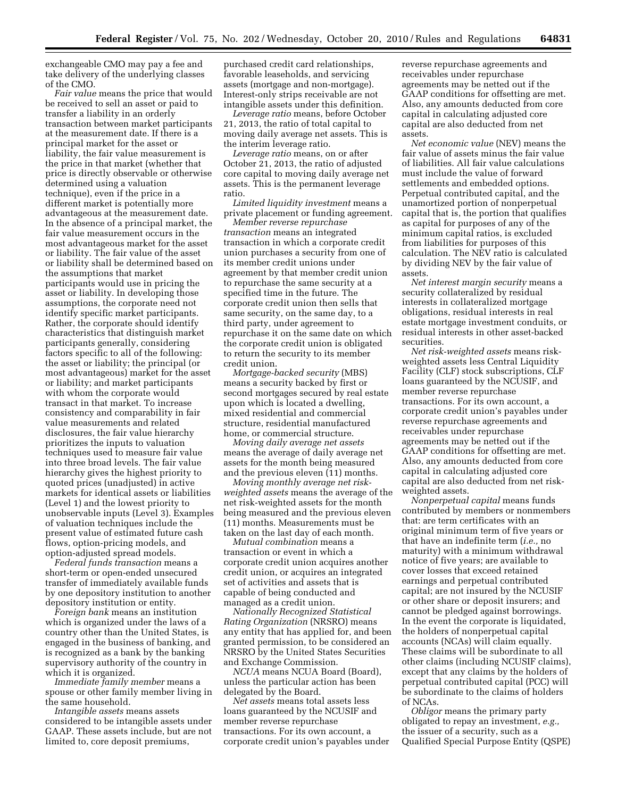exchangeable CMO may pay a fee and take delivery of the underlying classes of the CMO.

*Fair value* means the price that would be received to sell an asset or paid to transfer a liability in an orderly transaction between market participants at the measurement date. If there is a principal market for the asset or liability, the fair value measurement is the price in that market (whether that price is directly observable or otherwise determined using a valuation technique), even if the price in a different market is potentially more advantageous at the measurement date. In the absence of a principal market, the fair value measurement occurs in the most advantageous market for the asset or liability. The fair value of the asset or liability shall be determined based on the assumptions that market participants would use in pricing the asset or liability. In developing those assumptions, the corporate need not identify specific market participants. Rather, the corporate should identify characteristics that distinguish market participants generally, considering factors specific to all of the following: the asset or liability; the principal (or most advantageous) market for the asset or liability; and market participants with whom the corporate would transact in that market. To increase consistency and comparability in fair value measurements and related disclosures, the fair value hierarchy prioritizes the inputs to valuation techniques used to measure fair value into three broad levels. The fair value hierarchy gives the highest priority to quoted prices (unadjusted) in active markets for identical assets or liabilities (Level 1) and the lowest priority to unobservable inputs (Level 3). Examples of valuation techniques include the present value of estimated future cash flows, option-pricing models, and option-adjusted spread models.

*Federal funds transaction* means a short-term or open-ended unsecured transfer of immediately available funds by one depository institution to another depository institution or entity.

*Foreign bank* means an institution which is organized under the laws of a country other than the United States, is engaged in the business of banking, and is recognized as a bank by the banking supervisory authority of the country in which it is organized.

*Immediate family member* means a spouse or other family member living in the same household.

*Intangible assets* means assets considered to be intangible assets under GAAP. These assets include, but are not limited to, core deposit premiums,

purchased credit card relationships, favorable leaseholds, and servicing assets (mortgage and non-mortgage). Interest-only strips receivable are not intangible assets under this definition.

*Leverage ratio* means, before October 21, 2013, the ratio of total capital to moving daily average net assets. This is the interim leverage ratio.

*Leverage ratio* means, on or after October 21, 2013, the ratio of adjusted core capital to moving daily average net assets. This is the permanent leverage ratio.

*Limited liquidity investment* means a private placement or funding agreement.

*Member reverse repurchase transaction* means an integrated transaction in which a corporate credit union purchases a security from one of its member credit unions under agreement by that member credit union to repurchase the same security at a specified time in the future. The corporate credit union then sells that same security, on the same day, to a third party, under agreement to repurchase it on the same date on which the corporate credit union is obligated to return the security to its member credit union.

*Mortgage-backed security* (MBS) means a security backed by first or second mortgages secured by real estate upon which is located a dwelling, mixed residential and commercial structure, residential manufactured home, or commercial structure.

*Moving daily average net assets*  means the average of daily average net assets for the month being measured and the previous eleven (11) months.

*Moving monthly average net riskweighted assets* means the average of the net risk-weighted assets for the month being measured and the previous eleven (11) months. Measurements must be taken on the last day of each month.

*Mutual combination* means a transaction or event in which a corporate credit union acquires another credit union, or acquires an integrated set of activities and assets that is capable of being conducted and managed as a credit union.

*Nationally Recognized Statistical Rating Organization* (NRSRO) means any entity that has applied for, and been granted permission, to be considered an NRSRO by the United States Securities and Exchange Commission.

*NCUA* means NCUA Board (Board), unless the particular action has been delegated by the Board.

*Net assets* means total assets less loans guaranteed by the NCUSIF and member reverse repurchase transactions. For its own account, a corporate credit union's payables under reverse repurchase agreements and receivables under repurchase agreements may be netted out if the GAAP conditions for offsetting are met. Also, any amounts deducted from core capital in calculating adjusted core capital are also deducted from net assets.

*Net economic value* (NEV) means the fair value of assets minus the fair value of liabilities. All fair value calculations must include the value of forward settlements and embedded options. Perpetual contributed capital, and the unamortized portion of nonperpetual capital that is, the portion that qualifies as capital for purposes of any of the minimum capital ratios, is excluded from liabilities for purposes of this calculation. The NEV ratio is calculated by dividing NEV by the fair value of assets.

*Net interest margin security* means a security collateralized by residual interests in collateralized mortgage obligations, residual interests in real estate mortgage investment conduits, or residual interests in other asset-backed securities.

*Net risk-weighted assets* means riskweighted assets less Central Liquidity Facility (CLF) stock subscriptions, CLF loans guaranteed by the NCUSIF, and member reverse repurchase transactions. For its own account, a corporate credit union's payables under reverse repurchase agreements and receivables under repurchase agreements may be netted out if the GAAP conditions for offsetting are met. Also, any amounts deducted from core capital in calculating adjusted core capital are also deducted from net riskweighted assets.

*Nonperpetual capital* means funds contributed by members or nonmembers that: are term certificates with an original minimum term of five years or that have an indefinite term (*i.e.,* no maturity) with a minimum withdrawal notice of five years; are available to cover losses that exceed retained earnings and perpetual contributed capital; are not insured by the NCUSIF or other share or deposit insurers; and cannot be pledged against borrowings. In the event the corporate is liquidated, the holders of nonperpetual capital accounts (NCAs) will claim equally. These claims will be subordinate to all other claims (including NCUSIF claims), except that any claims by the holders of perpetual contributed capital (PCC) will be subordinate to the claims of holders of NCAs.

*Obligor* means the primary party obligated to repay an investment, *e.g.,*  the issuer of a security, such as a Qualified Special Purpose Entity (QSPE)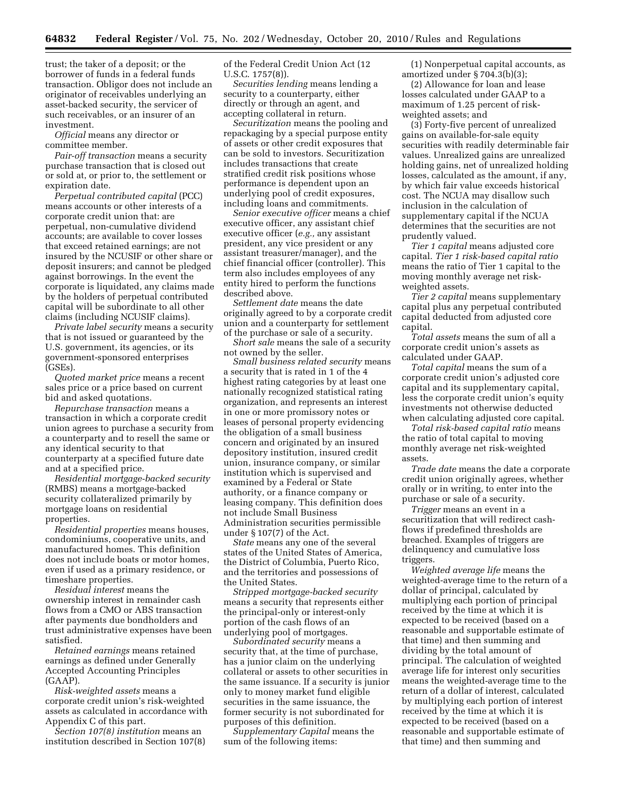trust; the taker of a deposit; or the borrower of funds in a federal funds transaction. Obligor does not include an originator of receivables underlying an asset-backed security, the servicer of such receivables, or an insurer of an investment.

*Official* means any director or committee member.

*Pair-off transaction* means a security purchase transaction that is closed out or sold at, or prior to, the settlement or expiration date.

*Perpetual contributed capital* (PCC) means accounts or other interests of a corporate credit union that: are perpetual, non-cumulative dividend accounts; are available to cover losses that exceed retained earnings; are not insured by the NCUSIF or other share or deposit insurers; and cannot be pledged against borrowings. In the event the corporate is liquidated, any claims made by the holders of perpetual contributed capital will be subordinate to all other claims (including NCUSIF claims).

*Private label security* means a security that is not issued or guaranteed by the U.S. government, its agencies, or its government-sponsored enterprises (GSEs).

*Quoted market price* means a recent sales price or a price based on current bid and asked quotations.

*Repurchase transaction* means a transaction in which a corporate credit union agrees to purchase a security from a counterparty and to resell the same or any identical security to that counterparty at a specified future date and at a specified price.

*Residential mortgage-backed security*  (RMBS) means a mortgage-backed security collateralized primarily by mortgage loans on residential properties.

*Residential properties* means houses, condominiums, cooperative units, and manufactured homes. This definition does not include boats or motor homes, even if used as a primary residence, or timeshare properties.

*Residual interest* means the ownership interest in remainder cash flows from a CMO or ABS transaction after payments due bondholders and trust administrative expenses have been satisfied.

*Retained earnings* means retained earnings as defined under Generally Accepted Accounting Principles (GAAP).

*Risk-weighted assets* means a corporate credit union's risk-weighted assets as calculated in accordance with Appendix C of this part.

*Section 107(8) institution* means an institution described in Section 107(8) of the Federal Credit Union Act (12 U.S.C. 1757(8)).

*Securities lending* means lending a security to a counterparty, either directly or through an agent, and accepting collateral in return.

*Securitization* means the pooling and repackaging by a special purpose entity of assets or other credit exposures that can be sold to investors. Securitization includes transactions that create stratified credit risk positions whose performance is dependent upon an underlying pool of credit exposures, including loans and commitments.

*Senior executive officer* means a chief executive officer, any assistant chief executive officer (*e.g.,* any assistant president, any vice president or any assistant treasurer/manager), and the chief financial officer (controller). This term also includes employees of any entity hired to perform the functions described above.

*Settlement date* means the date originally agreed to by a corporate credit union and a counterparty for settlement of the purchase or sale of a security.

*Short sale* means the sale of a security not owned by the seller.

*Small business related security* means a security that is rated in 1 of the 4 highest rating categories by at least one nationally recognized statistical rating organization, and represents an interest in one or more promissory notes or leases of personal property evidencing the obligation of a small business concern and originated by an insured depository institution, insured credit union, insurance company, or similar institution which is supervised and examined by a Federal or State authority, or a finance company or leasing company. This definition does not include Small Business Administration securities permissible under § 107(7) of the Act.

*State* means any one of the several states of the United States of America, the District of Columbia, Puerto Rico, and the territories and possessions of the United States.

*Stripped mortgage-backed security*  means a security that represents either the principal-only or interest-only portion of the cash flows of an underlying pool of mortgages.

*Subordinated security* means a security that, at the time of purchase, has a junior claim on the underlying collateral or assets to other securities in the same issuance. If a security is junior only to money market fund eligible securities in the same issuance, the former security is not subordinated for purposes of this definition.

*Supplementary Capital* means the sum of the following items:

(1) Nonperpetual capital accounts, as amortized under § 704.3(b)(3);

(2) Allowance for loan and lease losses calculated under GAAP to a maximum of 1.25 percent of riskweighted assets; and

(3) Forty-five percent of unrealized gains on available-for-sale equity securities with readily determinable fair values. Unrealized gains are unrealized holding gains, net of unrealized holding losses, calculated as the amount, if any, by which fair value exceeds historical cost. The NCUA may disallow such inclusion in the calculation of supplementary capital if the NCUA determines that the securities are not prudently valued.

*Tier 1 capital* means adjusted core capital. *Tier 1 risk-based capital ratio*  means the ratio of Tier 1 capital to the moving monthly average net riskweighted assets.

*Tier 2 capital* means supplementary capital plus any perpetual contributed capital deducted from adjusted core capital.

*Total assets* means the sum of all a corporate credit union's assets as calculated under GAAP.

*Total capital* means the sum of a corporate credit union's adjusted core capital and its supplementary capital, less the corporate credit union's equity investments not otherwise deducted when calculating adjusted core capital.

*Total risk-based capital ratio* means the ratio of total capital to moving monthly average net risk-weighted assets.

*Trade date* means the date a corporate credit union originally agrees, whether orally or in writing, to enter into the purchase or sale of a security.

*Trigger* means an event in a securitization that will redirect cashflows if predefined thresholds are breached. Examples of triggers are delinquency and cumulative loss triggers.

*Weighted average life* means the weighted-average time to the return of a dollar of principal, calculated by multiplying each portion of principal received by the time at which it is expected to be received (based on a reasonable and supportable estimate of that time) and then summing and dividing by the total amount of principal. The calculation of weighted average life for interest only securities means the weighted-average time to the return of a dollar of interest, calculated by multiplying each portion of interest received by the time at which it is expected to be received (based on a reasonable and supportable estimate of that time) and then summing and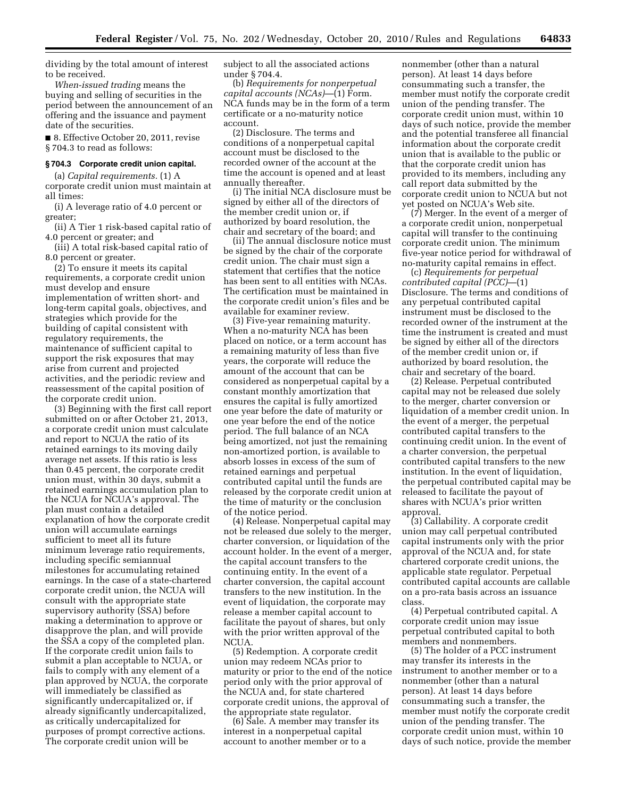dividing by the total amount of interest to be received.

*When-issued trading* means the buying and selling of securities in the period between the announcement of an offering and the issuance and payment date of the securities.

■ 8. Effective October 20, 2011, revise § 704.3 to read as follows:

## **§ 704.3 Corporate credit union capital.**

(a) *Capital requirements.* (1) A corporate credit union must maintain at all times:

(i) A leverage ratio of 4.0 percent or greater;

(ii) A Tier 1 risk-based capital ratio of 4.0 percent or greater; and

(iii) A total risk-based capital ratio of 8.0 percent or greater.

(2) To ensure it meets its capital requirements, a corporate credit union must develop and ensure implementation of written short- and long-term capital goals, objectives, and strategies which provide for the building of capital consistent with regulatory requirements, the maintenance of sufficient capital to support the risk exposures that may arise from current and projected activities, and the periodic review and reassessment of the capital position of the corporate credit union.

(3) Beginning with the first call report submitted on or after October 21, 2013, a corporate credit union must calculate and report to NCUA the ratio of its retained earnings to its moving daily average net assets. If this ratio is less than 0.45 percent, the corporate credit union must, within 30 days, submit a retained earnings accumulation plan to the NCUA for NCUA's approval. The plan must contain a detailed explanation of how the corporate credit union will accumulate earnings sufficient to meet all its future minimum leverage ratio requirements, including specific semiannual milestones for accumulating retained earnings. In the case of a state-chartered corporate credit union, the NCUA will consult with the appropriate state supervisory authority (SSA) before making a determination to approve or disapprove the plan, and will provide the SSA a copy of the completed plan. If the corporate credit union fails to submit a plan acceptable to NCUA, or fails to comply with any element of a plan approved by NCUA, the corporate will immediately be classified as significantly undercapitalized or, if already significantly undercapitalized, as critically undercapitalized for purposes of prompt corrective actions. The corporate credit union will be

subject to all the associated actions under § 704.4.

(b) *Requirements for nonperpetual capital accounts (NCAs)*—(1) Form. NCA funds may be in the form of a term certificate or a no-maturity notice account.

(2) Disclosure. The terms and conditions of a nonperpetual capital account must be disclosed to the recorded owner of the account at the time the account is opened and at least annually thereafter.

(i) The initial NCA disclosure must be signed by either all of the directors of the member credit union or, if authorized by board resolution, the chair and secretary of the board; and

(ii) The annual disclosure notice must be signed by the chair of the corporate credit union. The chair must sign a statement that certifies that the notice has been sent to all entities with NCAs. The certification must be maintained in the corporate credit union's files and be available for examiner review.

(3) Five-year remaining maturity. When a no-maturity NCA has been placed on notice, or a term account has a remaining maturity of less than five years, the corporate will reduce the amount of the account that can be considered as nonperpetual capital by a constant monthly amortization that ensures the capital is fully amortized one year before the date of maturity or one year before the end of the notice period. The full balance of an NCA being amortized, not just the remaining non-amortized portion, is available to absorb losses in excess of the sum of retained earnings and perpetual contributed capital until the funds are released by the corporate credit union at the time of maturity or the conclusion of the notice period.

(4) Release. Nonperpetual capital may not be released due solely to the merger, charter conversion, or liquidation of the account holder. In the event of a merger, the capital account transfers to the continuing entity. In the event of a charter conversion, the capital account transfers to the new institution. In the event of liquidation, the corporate may release a member capital account to facilitate the payout of shares, but only with the prior written approval of the NCUA.

(5) Redemption. A corporate credit union may redeem NCAs prior to maturity or prior to the end of the notice period only with the prior approval of the NCUA and, for state chartered corporate credit unions, the approval of the appropriate state regulator.

(6) Sale. A member may transfer its interest in a nonperpetual capital account to another member or to a

nonmember (other than a natural person). At least 14 days before consummating such a transfer, the member must notify the corporate credit union of the pending transfer. The corporate credit union must, within 10 days of such notice, provide the member and the potential transferee all financial information about the corporate credit union that is available to the public or that the corporate credit union has provided to its members, including any call report data submitted by the corporate credit union to NCUA but not yet posted on NCUA's Web site.

(7) Merger. In the event of a merger of a corporate credit union, nonperpetual capital will transfer to the continuing corporate credit union. The minimum five-year notice period for withdrawal of no-maturity capital remains in effect.

(c) *Requirements for perpetual contributed capital (PCC)*—(1) Disclosure. The terms and conditions of any perpetual contributed capital instrument must be disclosed to the recorded owner of the instrument at the time the instrument is created and must be signed by either all of the directors of the member credit union or, if authorized by board resolution, the chair and secretary of the board.

(2) Release. Perpetual contributed capital may not be released due solely to the merger, charter conversion or liquidation of a member credit union. In the event of a merger, the perpetual contributed capital transfers to the continuing credit union. In the event of a charter conversion, the perpetual contributed capital transfers to the new institution. In the event of liquidation, the perpetual contributed capital may be released to facilitate the payout of shares with NCUA's prior written approval.

(3) Callability. A corporate credit union may call perpetual contributed capital instruments only with the prior approval of the NCUA and, for state chartered corporate credit unions, the applicable state regulator. Perpetual contributed capital accounts are callable on a pro-rata basis across an issuance class.

(4) Perpetual contributed capital. A corporate credit union may issue perpetual contributed capital to both members and nonmembers.

(5) The holder of a PCC instrument may transfer its interests in the instrument to another member or to a nonmember (other than a natural person). At least 14 days before consummating such a transfer, the member must notify the corporate credit union of the pending transfer. The corporate credit union must, within 10 days of such notice, provide the member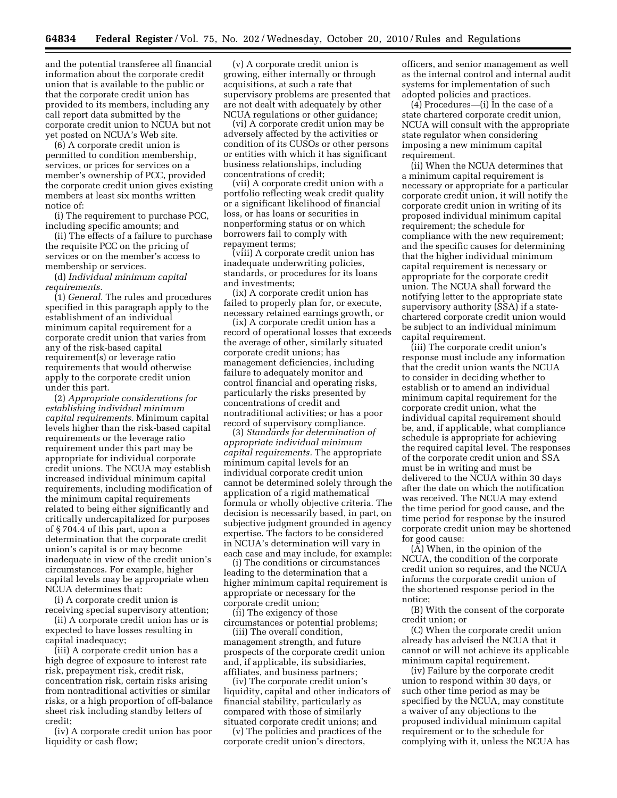and the potential transferee all financial information about the corporate credit union that is available to the public or that the corporate credit union has provided to its members, including any call report data submitted by the corporate credit union to NCUA but not yet posted on NCUA's Web site.

(6) A corporate credit union is permitted to condition membership, services, or prices for services on a member's ownership of PCC, provided the corporate credit union gives existing members at least six months written notice of:

(i) The requirement to purchase PCC, including specific amounts; and

(ii) The effects of a failure to purchase the requisite PCC on the pricing of services or on the member's access to membership or services.

(d) *Individual minimum capital requirements.* 

(1) *General.* The rules and procedures specified in this paragraph apply to the establishment of an individual minimum capital requirement for a corporate credit union that varies from any of the risk-based capital requirement(s) or leverage ratio requirements that would otherwise apply to the corporate credit union under this part.

(2) *Appropriate considerations for establishing individual minimum capital requirements.* Minimum capital levels higher than the risk-based capital requirements or the leverage ratio requirement under this part may be appropriate for individual corporate credit unions. The NCUA may establish increased individual minimum capital requirements, including modification of the minimum capital requirements related to being either significantly and critically undercapitalized for purposes of § 704.4 of this part, upon a determination that the corporate credit union's capital is or may become inadequate in view of the credit union's circumstances. For example, higher capital levels may be appropriate when NCUA determines that:

(i) A corporate credit union is receiving special supervisory attention;

(ii) A corporate credit union has or is expected to have losses resulting in capital inadequacy;

(iii) A corporate credit union has a high degree of exposure to interest rate risk, prepayment risk, credit risk, concentration risk, certain risks arising from nontraditional activities or similar risks, or a high proportion of off-balance sheet risk including standby letters of credit;

(iv) A corporate credit union has poor liquidity or cash flow;

(v) A corporate credit union is growing, either internally or through acquisitions, at such a rate that supervisory problems are presented that are not dealt with adequately by other NCUA regulations or other guidance;

(vi) A corporate credit union may be adversely affected by the activities or condition of its CUSOs or other persons or entities with which it has significant business relationships, including concentrations of credit;

(vii) A corporate credit union with a portfolio reflecting weak credit quality or a significant likelihood of financial loss, or has loans or securities in nonperforming status or on which borrowers fail to comply with repayment terms;

(viii) A corporate credit union has inadequate underwriting policies, standards, or procedures for its loans and investments;

(ix) A corporate credit union has failed to properly plan for, or execute, necessary retained earnings growth, or

(ix) A corporate credit union has a record of operational losses that exceeds the average of other, similarly situated corporate credit unions; has management deficiencies, including failure to adequately monitor and control financial and operating risks, particularly the risks presented by concentrations of credit and nontraditional activities; or has a poor record of supervisory compliance.

(3) *Standards for determination of appropriate individual minimum capital requirements.* The appropriate minimum capital levels for an individual corporate credit union cannot be determined solely through the application of a rigid mathematical formula or wholly objective criteria. The decision is necessarily based, in part, on subjective judgment grounded in agency expertise. The factors to be considered in NCUA's determination will vary in each case and may include, for example:

(i) The conditions or circumstances leading to the determination that a higher minimum capital requirement is appropriate or necessary for the corporate credit union;

(ii) The exigency of those circumstances or potential problems;

(iii) The overall condition, management strength, and future prospects of the corporate credit union and, if applicable, its subsidiaries, affiliates, and business partners;

(iv) The corporate credit union's liquidity, capital and other indicators of financial stability, particularly as compared with those of similarly situated corporate credit unions; and

(v) The policies and practices of the corporate credit union's directors,

officers, and senior management as well as the internal control and internal audit systems for implementation of such adopted policies and practices.

(4) Procedures—(i) In the case of a state chartered corporate credit union, NCUA will consult with the appropriate state regulator when considering imposing a new minimum capital requirement.

(ii) When the NCUA determines that a minimum capital requirement is necessary or appropriate for a particular corporate credit union, it will notify the corporate credit union in writing of its proposed individual minimum capital requirement; the schedule for compliance with the new requirement; and the specific causes for determining that the higher individual minimum capital requirement is necessary or appropriate for the corporate credit union. The NCUA shall forward the notifying letter to the appropriate state supervisory authority (SSA) if a statechartered corporate credit union would be subject to an individual minimum capital requirement.

(iii) The corporate credit union's response must include any information that the credit union wants the NCUA to consider in deciding whether to establish or to amend an individual minimum capital requirement for the corporate credit union, what the individual capital requirement should be, and, if applicable, what compliance schedule is appropriate for achieving the required capital level. The responses of the corporate credit union and SSA must be in writing and must be delivered to the NCUA within 30 days after the date on which the notification was received. The NCUA may extend the time period for good cause, and the time period for response by the insured corporate credit union may be shortened for good cause:

(A) When, in the opinion of the NCUA, the condition of the corporate credit union so requires, and the NCUA informs the corporate credit union of the shortened response period in the notice;

(B) With the consent of the corporate credit union; or

(C) When the corporate credit union already has advised the NCUA that it cannot or will not achieve its applicable minimum capital requirement.

(iv) Failure by the corporate credit union to respond within 30 days, or such other time period as may be specified by the NCUA, may constitute a waiver of any objections to the proposed individual minimum capital requirement or to the schedule for complying with it, unless the NCUA has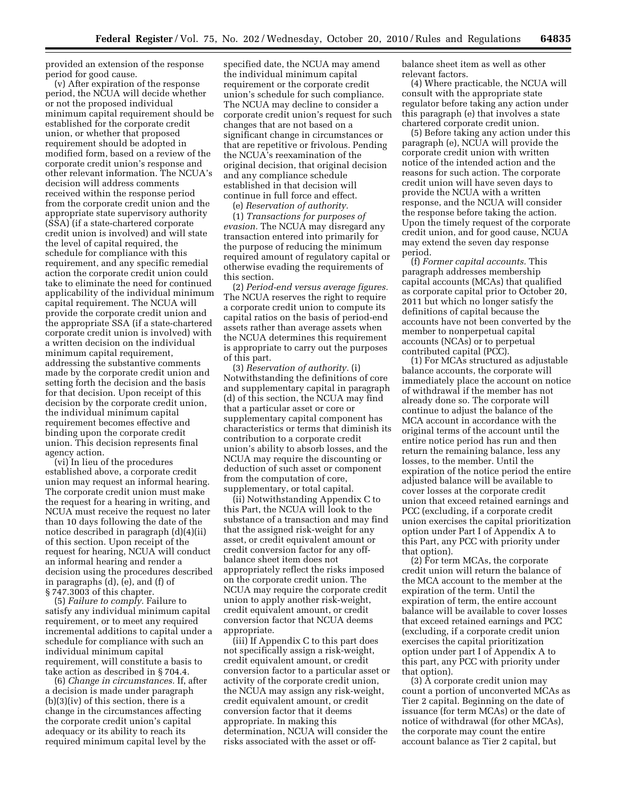provided an extension of the response period for good cause.

(v) After expiration of the response period, the NCUA will decide whether or not the proposed individual minimum capital requirement should be established for the corporate credit union, or whether that proposed requirement should be adopted in modified form, based on a review of the corporate credit union's response and other relevant information. The NCUA's decision will address comments received within the response period from the corporate credit union and the appropriate state supervisory authority (SSA) (if a state-chartered corporate credit union is involved) and will state the level of capital required, the schedule for compliance with this requirement, and any specific remedial action the corporate credit union could take to eliminate the need for continued applicability of the individual minimum capital requirement. The NCUA will provide the corporate credit union and the appropriate SSA (if a state-chartered corporate credit union is involved) with a written decision on the individual minimum capital requirement, addressing the substantive comments made by the corporate credit union and setting forth the decision and the basis for that decision. Upon receipt of this decision by the corporate credit union, the individual minimum capital requirement becomes effective and binding upon the corporate credit union. This decision represents final agency action.

(vi) In lieu of the procedures established above, a corporate credit union may request an informal hearing. The corporate credit union must make the request for a hearing in writing, and NCUA must receive the request no later than 10 days following the date of the notice described in paragraph (d)(4)(ii) of this section. Upon receipt of the request for hearing, NCUA will conduct an informal hearing and render a decision using the procedures described in paragraphs (d), (e), and (f) of § 747.3003 of this chapter.

(5) *Failure to comply.* Failure to satisfy any individual minimum capital requirement, or to meet any required incremental additions to capital under a schedule for compliance with such an individual minimum capital requirement, will constitute a basis to take action as described in § 704.4.

(6) *Change in circumstances.* If, after a decision is made under paragraph (b)(3)(iv) of this section, there is a change in the circumstances affecting the corporate credit union's capital adequacy or its ability to reach its required minimum capital level by the

specified date, the NCUA may amend the individual minimum capital requirement or the corporate credit union's schedule for such compliance. The NCUA may decline to consider a corporate credit union's request for such changes that are not based on a significant change in circumstances or that are repetitive or frivolous. Pending the NCUA's reexamination of the original decision, that original decision and any compliance schedule established in that decision will continue in full force and effect.

(e) *Reservation of authority.* 

(1) *Transactions for purposes of evasion.* The NCUA may disregard any transaction entered into primarily for the purpose of reducing the minimum required amount of regulatory capital or otherwise evading the requirements of this section.

(2) *Period-end versus average figures.*  The NCUA reserves the right to require a corporate credit union to compute its capital ratios on the basis of period-end assets rather than average assets when the NCUA determines this requirement is appropriate to carry out the purposes of this part.

(3) *Reservation of authority.* (i) Notwithstanding the definitions of core and supplementary capital in paragraph (d) of this section, the NCUA may find that a particular asset or core or supplementary capital component has characteristics or terms that diminish its contribution to a corporate credit union's ability to absorb losses, and the NCUA may require the discounting or deduction of such asset or component from the computation of core, supplementary, or total capital.

(ii) Notwithstanding Appendix C to this Part, the NCUA will look to the substance of a transaction and may find that the assigned risk-weight for any asset, or credit equivalent amount or credit conversion factor for any offbalance sheet item does not appropriately reflect the risks imposed on the corporate credit union. The NCUA may require the corporate credit union to apply another risk-weight, credit equivalent amount, or credit conversion factor that NCUA deems appropriate.

(iii) If Appendix C to this part does not specifically assign a risk-weight, credit equivalent amount, or credit conversion factor to a particular asset or activity of the corporate credit union, the NCUA may assign any risk-weight, credit equivalent amount, or credit conversion factor that it deems appropriate. In making this determination, NCUA will consider the risks associated with the asset or offbalance sheet item as well as other relevant factors.

(4) Where practicable, the NCUA will consult with the appropriate state regulator before taking any action under this paragraph (e) that involves a state chartered corporate credit union.

(5) Before taking any action under this paragraph (e), NCUA will provide the corporate credit union with written notice of the intended action and the reasons for such action. The corporate credit union will have seven days to provide the NCUA with a written response, and the NCUA will consider the response before taking the action. Upon the timely request of the corporate credit union, and for good cause, NCUA may extend the seven day response period.

(f) *Former capital accounts.* This paragraph addresses membership capital accounts (MCAs) that qualified as corporate capital prior to October 20, 2011 but which no longer satisfy the definitions of capital because the accounts have not been converted by the member to nonperpetual capital accounts (NCAs) or to perpetual contributed capital (PCC).

(1) For MCAs structured as adjustable balance accounts, the corporate will immediately place the account on notice of withdrawal if the member has not already done so. The corporate will continue to adjust the balance of the MCA account in accordance with the original terms of the account until the entire notice period has run and then return the remaining balance, less any losses, to the member. Until the expiration of the notice period the entire adjusted balance will be available to cover losses at the corporate credit union that exceed retained earnings and PCC (excluding, if a corporate credit union exercises the capital prioritization option under Part I of Appendix A to this Part, any PCC with priority under that option).

(2) For term MCAs, the corporate credit union will return the balance of the MCA account to the member at the expiration of the term. Until the expiration of term, the entire account balance will be available to cover losses that exceed retained earnings and PCC (excluding, if a corporate credit union exercises the capital prioritization option under part I of Appendix A to this part, any PCC with priority under that option).

(3) A corporate credit union may count a portion of unconverted MCAs as Tier 2 capital. Beginning on the date of issuance (for term MCAs) or the date of notice of withdrawal (for other MCAs), the corporate may count the entire account balance as Tier 2 capital, but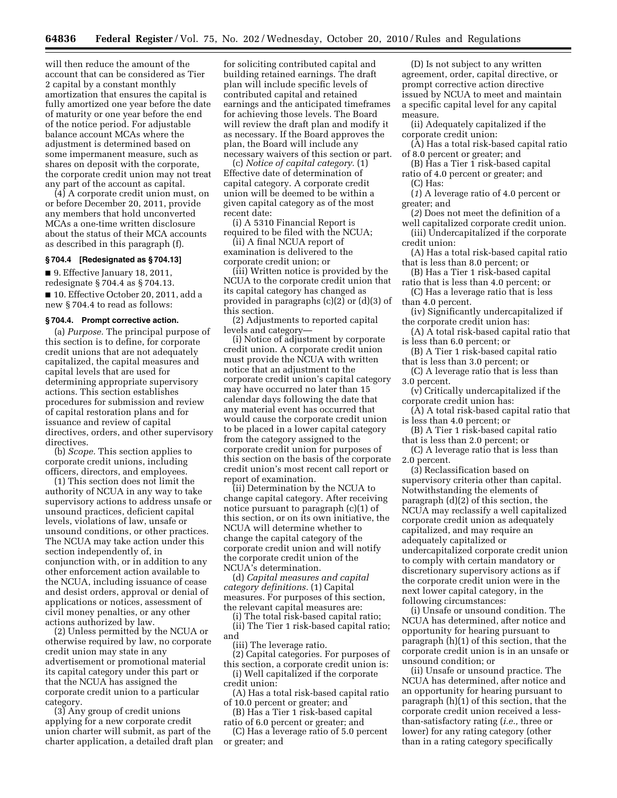will then reduce the amount of the account that can be considered as Tier 2 capital by a constant monthly amortization that ensures the capital is fully amortized one year before the date of maturity or one year before the end of the notice period. For adjustable balance account MCAs where the adjustment is determined based on some impermanent measure, such as shares on deposit with the corporate, the corporate credit union may not treat any part of the account as capital.

(4) A corporate credit union must, on or before December 20, 2011, provide any members that hold unconverted MCAs a one-time written disclosure about the status of their MCA accounts as described in this paragraph (f).

## **§ 704.4 [Redesignated as § 704.13]**

■ 9. Effective January 18, 2011, redesignate § 704.4 as § 704.13. ■ 10. Effective October 20, 2011, add a new § 704.4 to read as follows:

#### **§ 704.4. Prompt corrective action.**

(a) *Purpose.* The principal purpose of this section is to define, for corporate credit unions that are not adequately capitalized, the capital measures and capital levels that are used for determining appropriate supervisory actions. This section establishes procedures for submission and review of capital restoration plans and for issuance and review of capital directives, orders, and other supervisory directives.

(b) *Scope.* This section applies to corporate credit unions, including officers, directors, and employees.

(1) This section does not limit the authority of NCUA in any way to take supervisory actions to address unsafe or unsound practices, deficient capital levels, violations of law, unsafe or unsound conditions, or other practices. The NCUA may take action under this section independently of, in conjunction with, or in addition to any other enforcement action available to the NCUA, including issuance of cease and desist orders, approval or denial of applications or notices, assessment of civil money penalties, or any other actions authorized by law.

(2) Unless permitted by the NCUA or otherwise required by law, no corporate credit union may state in any advertisement or promotional material its capital category under this part or that the NCUA has assigned the corporate credit union to a particular category.

(3) Any group of credit unions applying for a new corporate credit union charter will submit, as part of the charter application, a detailed draft plan

for soliciting contributed capital and building retained earnings. The draft plan will include specific levels of contributed capital and retained earnings and the anticipated timeframes for achieving those levels. The Board will review the draft plan and modify it as necessary. If the Board approves the plan, the Board will include any necessary waivers of this section or part.

(c) *Notice of capital category.* (1) Effective date of determination of capital category. A corporate credit union will be deemed to be within a given capital category as of the most recent date:

(i) A 5310 Financial Report is required to be filed with the NCUA;

(ii) A final NCUA report of examination is delivered to the

corporate credit union; or (iii) Written notice is provided by the

NCUA to the corporate credit union that its capital category has changed as provided in paragraphs (c)(2) or (d)(3) of this section.

(2) Adjustments to reported capital levels and category—

(i) Notice of adjustment by corporate credit union. A corporate credit union must provide the NCUA with written notice that an adjustment to the corporate credit union's capital category may have occurred no later than 15 calendar days following the date that any material event has occurred that would cause the corporate credit union to be placed in a lower capital category from the category assigned to the corporate credit union for purposes of this section on the basis of the corporate credit union's most recent call report or report of examination.

(ii) Determination by the NCUA to change capital category. After receiving notice pursuant to paragraph (c)(1) of this section, or on its own initiative, the NCUA will determine whether to change the capital category of the corporate credit union and will notify the corporate credit union of the NCUA's determination.

(d) *Capital measures and capital category definitions.* (1) Capital measures. For purposes of this section, the relevant capital measures are:

(i) The total risk-based capital ratio;

(ii) The Tier 1 risk-based capital ratio; and

(iii) The leverage ratio.

(2) Capital categories. For purposes of this section, a corporate credit union is:

(i) Well capitalized if the corporate credit union:

(A) Has a total risk-based capital ratio of 10.0 percent or greater; and

(B) Has a Tier 1 risk-based capital

ratio of 6.0 percent or greater; and (C) Has a leverage ratio of 5.0 percent or greater; and

(D) Is not subject to any written agreement, order, capital directive, or prompt corrective action directive issued by NCUA to meet and maintain a specific capital level for any capital measure.

(ii) Adequately capitalized if the corporate credit union:

- (A) Has a total risk-based capital ratio of 8.0 percent or greater; and
- (B) Has a Tier 1 risk-based capital ratio of 4.0 percent or greater; and (C) Has:

(*1*) A leverage ratio of 4.0 percent or greater; and

- (*2*) Does not meet the definition of a well capitalized corporate credit union.
- (iii) Undercapitalized if the corporate credit union:
- (A) Has a total risk-based capital ratio that is less than 8.0 percent; or
- (B) Has a Tier 1 risk-based capital ratio that is less than 4.0 percent; or

(C) Has a leverage ratio that is less than 4.0 percent.

- (iv) Significantly undercapitalized if the corporate credit union has:
- (A) A total risk-based capital ratio that is less than 6.0 percent; or
- (B) A Tier 1 risk-based capital ratio that is less than 3.0 percent; or
- (C) A leverage ratio that is less than 3.0 percent.

(v) Critically undercapitalized if the corporate credit union has:

(A) A total risk-based capital ratio that is less than 4.0 percent; or

(B) A Tier 1 risk-based capital ratio that is less than 2.0 percent; or

(C) A leverage ratio that is less than 2.0 percent.

(3) Reclassification based on supervisory criteria other than capital. Notwithstanding the elements of paragraph (d)(2) of this section, the NCUA may reclassify a well capitalized corporate credit union as adequately capitalized, and may require an adequately capitalized or undercapitalized corporate credit union to comply with certain mandatory or discretionary supervisory actions as if the corporate credit union were in the next lower capital category, in the following circumstances:

(i) Unsafe or unsound condition. The NCUA has determined, after notice and opportunity for hearing pursuant to paragraph (h)(1) of this section, that the corporate credit union is in an unsafe or unsound condition; or

(ii) Unsafe or unsound practice. The NCUA has determined, after notice and an opportunity for hearing pursuant to paragraph (h)(1) of this section, that the corporate credit union received a lessthan-satisfactory rating (*i.e.,* three or lower) for any rating category (other than in a rating category specifically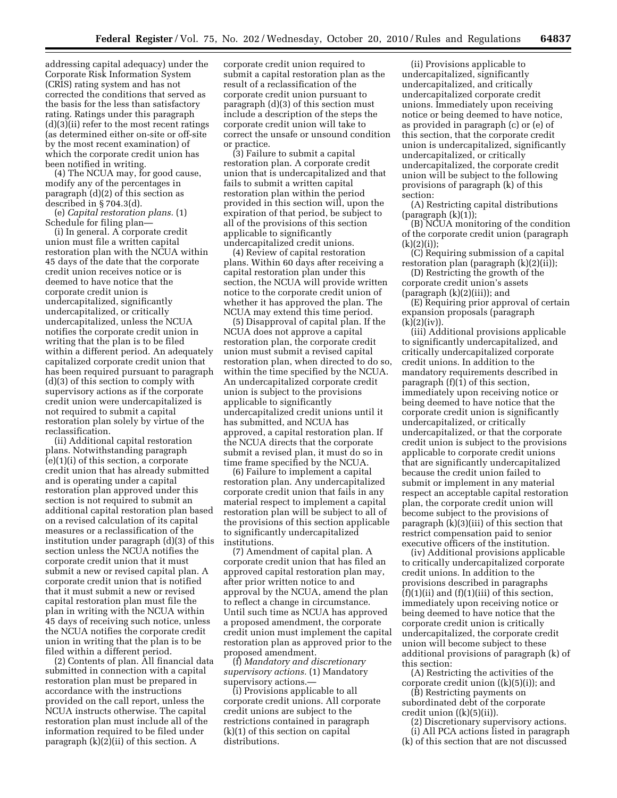addressing capital adequacy) under the Corporate Risk Information System (CRIS) rating system and has not corrected the conditions that served as the basis for the less than satisfactory rating. Ratings under this paragraph (d)(3)(ii) refer to the most recent ratings (as determined either on-site or off-site by the most recent examination) of which the corporate credit union has been notified in writing.

(4) The NCUA may, for good cause, modify any of the percentages in paragraph (d)(2) of this section as described in § 704.3(d).

(e) *Capital restoration plans.* (1) Schedule for filing plan—

(i) In general. A corporate credit union must file a written capital restoration plan with the NCUA within 45 days of the date that the corporate credit union receives notice or is deemed to have notice that the corporate credit union is undercapitalized, significantly undercapitalized, or critically undercapitalized, unless the NCUA notifies the corporate credit union in writing that the plan is to be filed within a different period. An adequately capitalized corporate credit union that has been required pursuant to paragraph (d)(3) of this section to comply with supervisory actions as if the corporate credit union were undercapitalized is not required to submit a capital restoration plan solely by virtue of the reclassification.

(ii) Additional capital restoration plans. Notwithstanding paragraph (e)(1)(i) of this section, a corporate credit union that has already submitted and is operating under a capital restoration plan approved under this section is not required to submit an additional capital restoration plan based on a revised calculation of its capital measures or a reclassification of the institution under paragraph (d)(3) of this section unless the NCUA notifies the corporate credit union that it must submit a new or revised capital plan. A corporate credit union that is notified that it must submit a new or revised capital restoration plan must file the plan in writing with the NCUA within 45 days of receiving such notice, unless the NCUA notifies the corporate credit union in writing that the plan is to be filed within a different period.

(2) Contents of plan. All financial data submitted in connection with a capital restoration plan must be prepared in accordance with the instructions provided on the call report, unless the NCUA instructs otherwise. The capital restoration plan must include all of the information required to be filed under paragraph (k)(2)(ii) of this section. A

corporate credit union required to submit a capital restoration plan as the result of a reclassification of the corporate credit union pursuant to paragraph (d)(3) of this section must include a description of the steps the corporate credit union will take to correct the unsafe or unsound condition or practice.

(3) Failure to submit a capital restoration plan. A corporate credit union that is undercapitalized and that fails to submit a written capital restoration plan within the period provided in this section will, upon the expiration of that period, be subject to all of the provisions of this section applicable to significantly undercapitalized credit unions.

(4) Review of capital restoration plans. Within 60 days after receiving a capital restoration plan under this section, the NCUA will provide written notice to the corporate credit union of whether it has approved the plan. The NCUA may extend this time period.

(5) Disapproval of capital plan. If the NCUA does not approve a capital restoration plan, the corporate credit union must submit a revised capital restoration plan, when directed to do so, within the time specified by the NCUA. An undercapitalized corporate credit union is subject to the provisions applicable to significantly undercapitalized credit unions until it has submitted, and NCUA has approved, a capital restoration plan. If the NCUA directs that the corporate submit a revised plan, it must do so in time frame specified by the NCUA.

(6) Failure to implement a capital restoration plan. Any undercapitalized corporate credit union that fails in any material respect to implement a capital restoration plan will be subject to all of the provisions of this section applicable to significantly undercapitalized institutions.

(7) Amendment of capital plan. A corporate credit union that has filed an approved capital restoration plan may, after prior written notice to and approval by the NCUA, amend the plan to reflect a change in circumstance. Until such time as NCUA has approved a proposed amendment, the corporate credit union must implement the capital restoration plan as approved prior to the proposed amendment.

(f) *Mandatory and discretionary supervisory actions.* (1) Mandatory supervisory actions.—

(i) Provisions applicable to all corporate credit unions. All corporate credit unions are subject to the restrictions contained in paragraph (k)(1) of this section on capital distributions.

(ii) Provisions applicable to undercapitalized, significantly undercapitalized, and critically undercapitalized corporate credit unions. Immediately upon receiving notice or being deemed to have notice, as provided in paragraph (c) or (e) of this section, that the corporate credit union is undercapitalized, significantly undercapitalized, or critically undercapitalized, the corporate credit union will be subject to the following provisions of paragraph (k) of this section:

(A) Restricting capital distributions (paragraph  $(k)(1)$ );

(B) NCUA monitoring of the condition of the corporate credit union (paragraph  $(k)(2)(i)$ ;

(C) Requiring submission of a capital restoration plan (paragraph (k)(2)(ii));

(D) Restricting the growth of the corporate credit union's assets

(paragraph  $(k)(2)(iii)$ ); and (E) Requiring prior approval of certain expansion proposals (paragraph  $(k)(2)(iv)$ .

(iii) Additional provisions applicable to significantly undercapitalized, and critically undercapitalized corporate credit unions. In addition to the mandatory requirements described in paragraph (f)(1) of this section, immediately upon receiving notice or being deemed to have notice that the corporate credit union is significantly undercapitalized, or critically undercapitalized, or that the corporate credit union is subject to the provisions applicable to corporate credit unions that are significantly undercapitalized because the credit union failed to submit or implement in any material respect an acceptable capital restoration plan, the corporate credit union will become subject to the provisions of paragraph (k)(3)(iii) of this section that restrict compensation paid to senior executive officers of the institution.

(iv) Additional provisions applicable to critically undercapitalized corporate credit unions. In addition to the provisions described in paragraphs  $(f)(1)(ii)$  and  $(f)(1)(iii)$  of this section, immediately upon receiving notice or being deemed to have notice that the corporate credit union is critically undercapitalized, the corporate credit union will become subject to these additional provisions of paragraph (k) of this section:

(A) Restricting the activities of the corporate credit union ((k)(5)(i)); and

(B) Restricting payments on subordinated debt of the corporate credit union  $((k)(5)(ii))$ .

(2) Discretionary supervisory actions. (i) All PCA actions listed in paragraph (k) of this section that are not discussed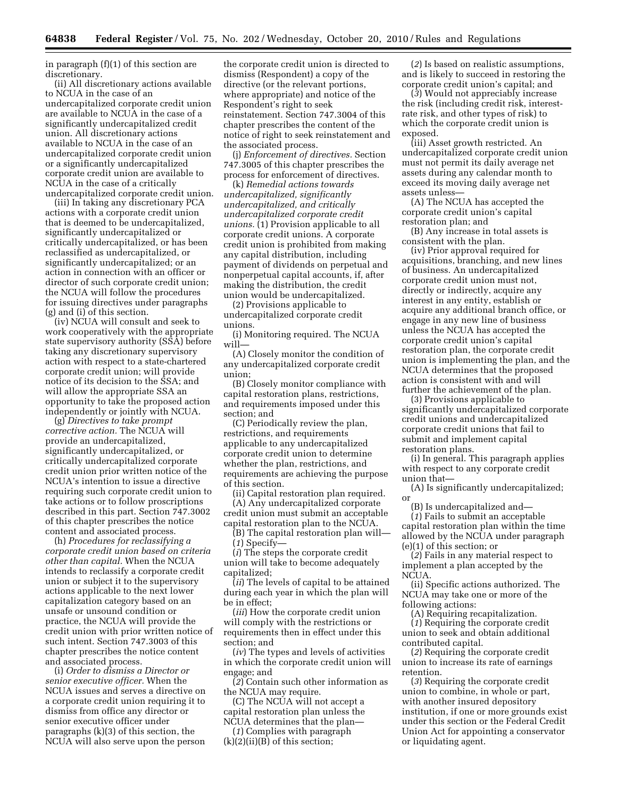in paragraph (f)(1) of this section are discretionary.

(ii) All discretionary actions available to NCUA in the case of an undercapitalized corporate credit union are available to NCUA in the case of a significantly undercapitalized credit union. All discretionary actions available to NCUA in the case of an undercapitalized corporate credit union or a significantly undercapitalized corporate credit union are available to NCUA in the case of a critically undercapitalized corporate credit union.

(iii) In taking any discretionary PCA actions with a corporate credit union that is deemed to be undercapitalized, significantly undercapitalized or critically undercapitalized, or has been reclassified as undercapitalized, or significantly undercapitalized; or an action in connection with an officer or director of such corporate credit union; the NCUA will follow the procedures for issuing directives under paragraphs (g) and (i) of this section.

(iv) NCUA will consult and seek to work cooperatively with the appropriate state supervisory authority (SSA) before taking any discretionary supervisory action with respect to a state-chartered corporate credit union; will provide notice of its decision to the SSA; and will allow the appropriate SSA an opportunity to take the proposed action independently or jointly with NCUA.

(g) *Directives to take prompt corrective action.* The NCUA will provide an undercapitalized, significantly undercapitalized, or critically undercapitalized corporate credit union prior written notice of the NCUA's intention to issue a directive requiring such corporate credit union to take actions or to follow proscriptions described in this part. Section 747.3002 of this chapter prescribes the notice content and associated process.

(h) *Procedures for reclassifying a corporate credit union based on criteria other than capital.* When the NCUA intends to reclassify a corporate credit union or subject it to the supervisory actions applicable to the next lower capitalization category based on an unsafe or unsound condition or practice, the NCUA will provide the credit union with prior written notice of such intent. Section 747.3003 of this chapter prescribes the notice content and associated process.

(i) *Order to dismiss a Director or senior executive officer.* When the NCUA issues and serves a directive on a corporate credit union requiring it to dismiss from office any director or senior executive officer under paragraphs (k)(3) of this section, the NCUA will also serve upon the person

the corporate credit union is directed to dismiss (Respondent) a copy of the directive (or the relevant portions, where appropriate) and notice of the Respondent's right to seek reinstatement. Section 747.3004 of this chapter prescribes the content of the notice of right to seek reinstatement and the associated process.

(j) *Enforcement of directives.* Section 747.3005 of this chapter prescribes the process for enforcement of directives.

(k) *Remedial actions towards undercapitalized, significantly undercapitalized, and critically undercapitalized corporate credit unions.* (1) Provision applicable to all corporate credit unions. A corporate credit union is prohibited from making any capital distribution, including payment of dividends on perpetual and nonperpetual capital accounts, if, after making the distribution, the credit union would be undercapitalized.

(2) Provisions applicable to undercapitalized corporate credit unions.

(i) Monitoring required. The NCUA will—

(A) Closely monitor the condition of any undercapitalized corporate credit union;

(B) Closely monitor compliance with capital restoration plans, restrictions, and requirements imposed under this section; and

(C) Periodically review the plan, restrictions, and requirements applicable to any undercapitalized corporate credit union to determine whether the plan, restrictions, and requirements are achieving the purpose of this section.

(ii) Capital restoration plan required. (A) Any undercapitalized corporate credit union must submit an acceptable capital restoration plan to the NCUA.

(B) The capital restoration plan will— (*1*) Specify—

(*i*) The steps the corporate credit union will take to become adequately capitalized;

(*ii*) The levels of capital to be attained during each year in which the plan will be in effect;

(*iii*) How the corporate credit union will comply with the restrictions or requirements then in effect under this section; and

(*iv*) The types and levels of activities in which the corporate credit union will engage; and

(*2*) Contain such other information as the NCUA may require.

(C) The NCUA will not accept a capital restoration plan unless the NCUA determines that the plan—

(*1*) Complies with paragraph  $(k)(2)(ii)(B)$  of this section;

(*2*) Is based on realistic assumptions, and is likely to succeed in restoring the corporate credit union's capital; and

(*3*) Would not appreciably increase the risk (including credit risk, interestrate risk, and other types of risk) to which the corporate credit union is exposed.

(iii) Asset growth restricted. An undercapitalized corporate credit union must not permit its daily average net assets during any calendar month to exceed its moving daily average net assets unless—

(A) The NCUA has accepted the corporate credit union's capital restoration plan; and

(B) Any increase in total assets is consistent with the plan.

(iv) Prior approval required for acquisitions, branching, and new lines of business. An undercapitalized corporate credit union must not, directly or indirectly, acquire any interest in any entity, establish or acquire any additional branch office, or engage in any new line of business unless the NCUA has accepted the corporate credit union's capital restoration plan, the corporate credit union is implementing the plan, and the NCUA determines that the proposed action is consistent with and will further the achievement of the plan.

(3) Provisions applicable to significantly undercapitalized corporate credit unions and undercapitalized corporate credit unions that fail to submit and implement capital restoration plans.

(i) In general. This paragraph applies with respect to any corporate credit union that—

(A) Is significantly undercapitalized; or

(B) Is undercapitalized and—

(*1*) Fails to submit an acceptable capital restoration plan within the time allowed by the NCUA under paragraph (e)(1) of this section; or

(*2*) Fails in any material respect to implement a plan accepted by the NCUA.

(ii) Specific actions authorized. The NCUA may take one or more of the following actions:

(A) Requiring recapitalization.

(*1*) Requiring the corporate credit union to seek and obtain additional contributed capital.

(*2*) Requiring the corporate credit union to increase its rate of earnings retention.

(*3*) Requiring the corporate credit union to combine, in whole or part, with another insured depository institution, if one or more grounds exist under this section or the Federal Credit Union Act for appointing a conservator or liquidating agent.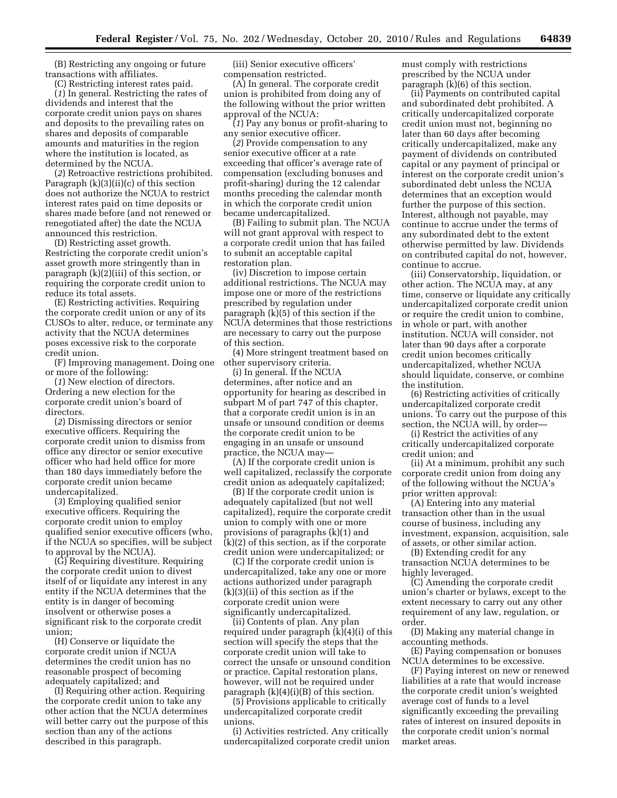(B) Restricting any ongoing or future transactions with affiliates.

(C) Restricting interest rates paid. (*1*) In general. Restricting the rates of dividends and interest that the corporate credit union pays on shares and deposits to the prevailing rates on shares and deposits of comparable amounts and maturities in the region where the institution is located, as determined by the NCUA.

(*2*) Retroactive restrictions prohibited. Paragraph (k)(3)(ii)(c) of this section does not authorize the NCUA to restrict interest rates paid on time deposits or shares made before (and not renewed or renegotiated after) the date the NCUA announced this restriction.

(D) Restricting asset growth. Restricting the corporate credit union's asset growth more stringently than in paragraph (k)(2)(iii) of this section, or requiring the corporate credit union to reduce its total assets.

(E) Restricting activities. Requiring the corporate credit union or any of its CUSOs to alter, reduce, or terminate any activity that the NCUA determines poses excessive risk to the corporate credit union.

(F) Improving management. Doing one or more of the following:

(*1*) New election of directors. Ordering a new election for the corporate credit union's board of directors.

(*2*) Dismissing directors or senior executive officers. Requiring the corporate credit union to dismiss from office any director or senior executive officer who had held office for more than 180 days immediately before the corporate credit union became undercapitalized.

(*3*) Employing qualified senior executive officers. Requiring the corporate credit union to employ qualified senior executive officers (who, if the NCUA so specifies, will be subject to approval by the NCUA).

(G) Requiring divestiture. Requiring the corporate credit union to divest itself of or liquidate any interest in any entity if the NCUA determines that the entity is in danger of becoming insolvent or otherwise poses a significant risk to the corporate credit union;

(H) Conserve or liquidate the corporate credit union if NCUA determines the credit union has no reasonable prospect of becoming adequately capitalized; and

(I) Requiring other action. Requiring the corporate credit union to take any other action that the NCUA determines will better carry out the purpose of this section than any of the actions described in this paragraph.

(iii) Senior executive officers' compensation restricted.

(A) In general. The corporate credit union is prohibited from doing any of the following without the prior written approval of the NCUA:

(*1*) Pay any bonus or profit-sharing to any senior executive officer.

(*2*) Provide compensation to any senior executive officer at a rate exceeding that officer's average rate of compensation (excluding bonuses and profit-sharing) during the 12 calendar months preceding the calendar month in which the corporate credit union became undercapitalized.

(B) Failing to submit plan. The NCUA will not grant approval with respect to a corporate credit union that has failed to submit an acceptable capital restoration plan.

(iv) Discretion to impose certain additional restrictions. The NCUA may impose one or more of the restrictions prescribed by regulation under paragraph (k)(5) of this section if the NCUA determines that those restrictions are necessary to carry out the purpose of this section.

(4) More stringent treatment based on other supervisory criteria.

(i) In general. If the NCUA determines, after notice and an opportunity for hearing as described in subpart M of part 747 of this chapter, that a corporate credit union is in an unsafe or unsound condition or deems the corporate credit union to be engaging in an unsafe or unsound practice, the NCUA may—

(A) If the corporate credit union is well capitalized, reclassify the corporate credit union as adequately capitalized;

(B) If the corporate credit union is adequately capitalized (but not well capitalized), require the corporate credit union to comply with one or more provisions of paragraphs (k)(1) and (k)(2) of this section, as if the corporate credit union were undercapitalized; or

(C) If the corporate credit union is undercapitalized, take any one or more actions authorized under paragraph (k)(3)(ii) of this section as if the corporate credit union were significantly undercapitalized.

(ii) Contents of plan. Any plan required under paragraph (k)(4)(i) of this section will specify the steps that the corporate credit union will take to correct the unsafe or unsound condition or practice. Capital restoration plans, however, will not be required under paragraph (k)(4)(i)(B) of this section.

(5) Provisions applicable to critically undercapitalized corporate credit unions.

(i) Activities restricted. Any critically undercapitalized corporate credit union must comply with restrictions prescribed by the NCUA under paragraph (k)(6) of this section.

(ii) Payments on contributed capital and subordinated debt prohibited. A critically undercapitalized corporate credit union must not, beginning no later than 60 days after becoming critically undercapitalized, make any payment of dividends on contributed capital or any payment of principal or interest on the corporate credit union's subordinated debt unless the NCUA determines that an exception would further the purpose of this section. Interest, although not payable, may continue to accrue under the terms of any subordinated debt to the extent otherwise permitted by law. Dividends on contributed capital do not, however, continue to accrue.

(iii) Conservatorship, liquidation, or other action. The NCUA may, at any time, conserve or liquidate any critically undercapitalized corporate credit union or require the credit union to combine, in whole or part, with another institution. NCUA will consider, not later than 90 days after a corporate credit union becomes critically undercapitalized, whether NCUA should liquidate, conserve, or combine the institution.

(6) Restricting activities of critically undercapitalized corporate credit unions. To carry out the purpose of this section, the NCUA will, by order—

(i) Restrict the activities of any critically undercapitalized corporate credit union; and

(ii) At a minimum, prohibit any such corporate credit union from doing any of the following without the NCUA's prior written approval:

(A) Entering into any material transaction other than in the usual course of business, including any investment, expansion, acquisition, sale of assets, or other similar action.

(B) Extending credit for any transaction NCUA determines to be highly leveraged.

(C) Amending the corporate credit union's charter or bylaws, except to the extent necessary to carry out any other requirement of any law, regulation, or order.

(D) Making any material change in accounting methods.

(E) Paying compensation or bonuses NCUA determines to be excessive.

(F) Paying interest on new or renewed liabilities at a rate that would increase the corporate credit union's weighted average cost of funds to a level significantly exceeding the prevailing rates of interest on insured deposits in the corporate credit union's normal market areas.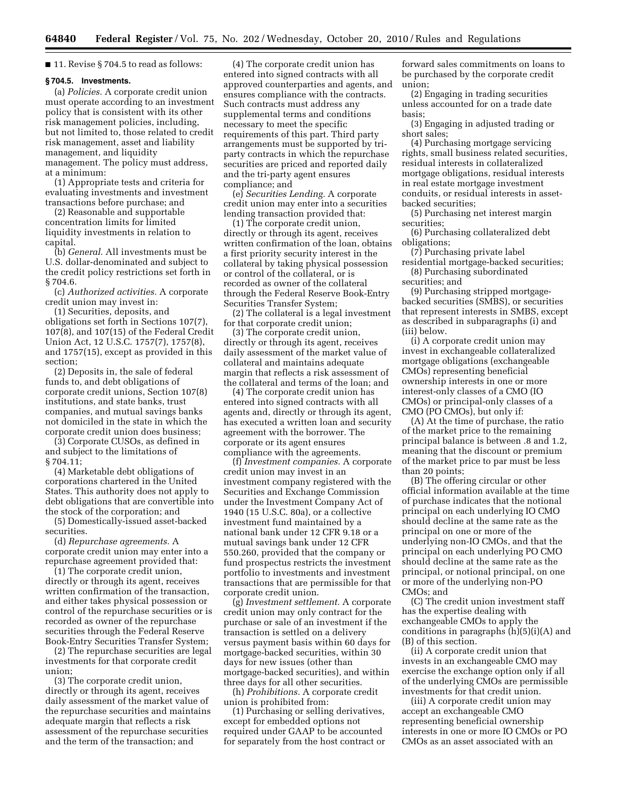■ 11. Revise § 704.5 to read as follows:

#### **§ 704.5. Investments.**

(a) *Policies.* A corporate credit union must operate according to an investment policy that is consistent with its other risk management policies, including, but not limited to, those related to credit risk management, asset and liability management, and liquidity management. The policy must address, at a minimum:

(1) Appropriate tests and criteria for evaluating investments and investment transactions before purchase; and

(2) Reasonable and supportable concentration limits for limited liquidity investments in relation to capital.

(b) *General.* All investments must be U.S. dollar-denominated and subject to the credit policy restrictions set forth in § 704.6.

(c) *Authorized activities.* A corporate credit union may invest in:

(1) Securities, deposits, and obligations set forth in Sections 107(7), 107(8), and 107(15) of the Federal Credit Union Act, 12 U.S.C. 1757(7), 1757(8), and 1757(15), except as provided in this section;

(2) Deposits in, the sale of federal funds to, and debt obligations of corporate credit unions, Section 107(8) institutions, and state banks, trust companies, and mutual savings banks not domiciled in the state in which the corporate credit union does business;

(3) Corporate CUSOs, as defined in and subject to the limitations of § 704.11;

(4) Marketable debt obligations of corporations chartered in the United States. This authority does not apply to debt obligations that are convertible into the stock of the corporation; and

(5) Domestically-issued asset-backed securities.

(d) *Repurchase agreements.* A corporate credit union may enter into a repurchase agreement provided that:

(1) The corporate credit union, directly or through its agent, receives written confirmation of the transaction, and either takes physical possession or control of the repurchase securities or is recorded as owner of the repurchase securities through the Federal Reserve Book-Entry Securities Transfer System;

(2) The repurchase securities are legal investments for that corporate credit union;

(3) The corporate credit union, directly or through its agent, receives daily assessment of the market value of the repurchase securities and maintains adequate margin that reflects a risk assessment of the repurchase securities and the term of the transaction; and

(4) The corporate credit union has entered into signed contracts with all approved counterparties and agents, and ensures compliance with the contracts. Such contracts must address any supplemental terms and conditions necessary to meet the specific requirements of this part. Third party arrangements must be supported by triparty contracts in which the repurchase securities are priced and reported daily and the tri-party agent ensures compliance; and

(e) *Securities Lending.* A corporate credit union may enter into a securities lending transaction provided that:

(1) The corporate credit union, directly or through its agent, receives written confirmation of the loan, obtains a first priority security interest in the collateral by taking physical possession or control of the collateral, or is recorded as owner of the collateral through the Federal Reserve Book-Entry Securities Transfer System;

(2) The collateral is a legal investment for that corporate credit union;

(3) The corporate credit union, directly or through its agent, receives daily assessment of the market value of collateral and maintains adequate margin that reflects a risk assessment of the collateral and terms of the loan; and

(4) The corporate credit union has entered into signed contracts with all agents and, directly or through its agent, has executed a written loan and security agreement with the borrower. The corporate or its agent ensures compliance with the agreements.

(f) *Investment companies.* A corporate credit union may invest in an investment company registered with the Securities and Exchange Commission under the Investment Company Act of 1940 (15 U.S.C. 80a), or a collective investment fund maintained by a national bank under 12 CFR 9.18 or a mutual savings bank under 12 CFR 550.260, provided that the company or fund prospectus restricts the investment portfolio to investments and investment transactions that are permissible for that corporate credit union.

(g) *Investment settlement.* A corporate credit union may only contract for the purchase or sale of an investment if the transaction is settled on a delivery versus payment basis within 60 days for mortgage-backed securities, within 30 days for new issues (other than mortgage-backed securities), and within three days for all other securities.

(h) *Prohibitions.* A corporate credit union is prohibited from:

(1) Purchasing or selling derivatives, except for embedded options not required under GAAP to be accounted for separately from the host contract or

forward sales commitments on loans to be purchased by the corporate credit union;

(2) Engaging in trading securities unless accounted for on a trade date basis;

(3) Engaging in adjusted trading or short sales;

(4) Purchasing mortgage servicing rights, small business related securities, residual interests in collateralized mortgage obligations, residual interests in real estate mortgage investment conduits, or residual interests in assetbacked securities;

(5) Purchasing net interest margin securities;

(6) Purchasing collateralized debt obligations;

(7) Purchasing private label residential mortgage-backed securities;

(8) Purchasing subordinated securities; and

(9) Purchasing stripped mortgagebacked securities (SMBS), or securities that represent interests in SMBS, except as described in subparagraphs (i) and (iii) below.

(i) A corporate credit union may invest in exchangeable collateralized mortgage obligations (exchangeable CMOs) representing beneficial ownership interests in one or more interest-only classes of a CMO (IO CMOs) or principal-only classes of a CMO (PO CMOs), but only if:

(A) At the time of purchase, the ratio of the market price to the remaining principal balance is between .8 and 1.2, meaning that the discount or premium of the market price to par must be less than 20 points;

(B) The offering circular or other official information available at the time of purchase indicates that the notional principal on each underlying IO CMO should decline at the same rate as the principal on one or more of the underlying non-IO CMOs, and that the principal on each underlying PO CMO should decline at the same rate as the principal, or notional principal, on one or more of the underlying non-PO CMOs; and

(C) The credit union investment staff has the expertise dealing with exchangeable CMOs to apply the conditions in paragraphs (h)(5)(i)(A) and (B) of this section.

(ii) A corporate credit union that invests in an exchangeable CMO may exercise the exchange option only if all of the underlying CMOs are permissible investments for that credit union.

(iii) A corporate credit union may accept an exchangeable CMO representing beneficial ownership interests in one or more IO CMOs or PO CMOs as an asset associated with an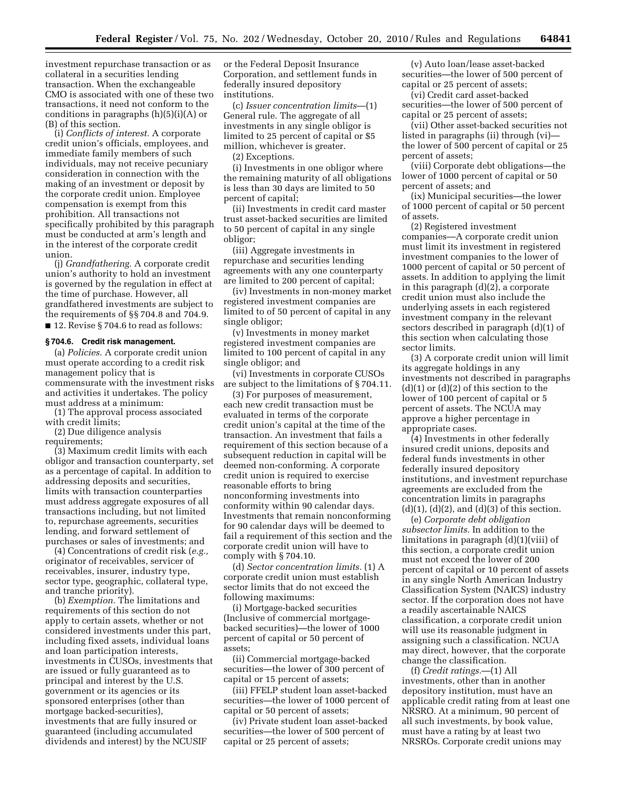investment repurchase transaction or as collateral in a securities lending transaction. When the exchangeable CMO is associated with one of these two transactions, it need not conform to the conditions in paragraphs (h)(5)(i)(A) or (B) of this section.

(i) *Conflicts of interest.* A corporate credit union's officials, employees, and immediate family members of such individuals, may not receive pecuniary consideration in connection with the making of an investment or deposit by the corporate credit union. Employee compensation is exempt from this prohibition. All transactions not specifically prohibited by this paragraph must be conducted at arm's length and in the interest of the corporate credit union.

(j) *Grandfathering.* A corporate credit union's authority to hold an investment is governed by the regulation in effect at the time of purchase. However, all grandfathered investments are subject to the requirements of §§ 704.8 and 704.9. ■ 12. Revise § 704.6 to read as follows:

#### **§ 704.6. Credit risk management.**

(a) *Policies.* A corporate credit union must operate according to a credit risk management policy that is commensurate with the investment risks and activities it undertakes. The policy must address at a minimum:

(1) The approval process associated with credit limits;

(2) Due diligence analysis requirements;

(3) Maximum credit limits with each obligor and transaction counterparty, set as a percentage of capital. In addition to addressing deposits and securities, limits with transaction counterparties must address aggregate exposures of all transactions including, but not limited to, repurchase agreements, securities lending, and forward settlement of purchases or sales of investments; and

(4) Concentrations of credit risk (*e.g.,*  originator of receivables, servicer of receivables, insurer, industry type, sector type, geographic, collateral type, and tranche priority).

(b) *Exemption.* The limitations and requirements of this section do not apply to certain assets, whether or not considered investments under this part, including fixed assets, individual loans and loan participation interests, investments in CUSOs, investments that are issued or fully guaranteed as to principal and interest by the U.S. government or its agencies or its sponsored enterprises (other than mortgage backed-securities), investments that are fully insured or guaranteed (including accumulated dividends and interest) by the NCUSIF

or the Federal Deposit Insurance Corporation, and settlement funds in federally insured depository institutions.

(c) *Issuer concentration limits*—(1) General rule. The aggregate of all investments in any single obligor is limited to 25 percent of capital or \$5 million, whichever is greater.

(2) Exceptions.

(i) Investments in one obligor where the remaining maturity of all obligations is less than 30 days are limited to 50 percent of capital;

(ii) Investments in credit card master trust asset-backed securities are limited to 50 percent of capital in any single obligor;

(iii) Aggregate investments in repurchase and securities lending agreements with any one counterparty are limited to 200 percent of capital;

(iv) Investments in non-money market registered investment companies are limited to of 50 percent of capital in any single obligor;

(v) Investments in money market registered investment companies are limited to 100 percent of capital in any single obligor; and

(vi) Investments in corporate CUSOs are subject to the limitations of § 704.11.

(3) For purposes of measurement, each new credit transaction must be evaluated in terms of the corporate credit union's capital at the time of the transaction. An investment that fails a requirement of this section because of a subsequent reduction in capital will be deemed non-conforming. A corporate credit union is required to exercise reasonable efforts to bring nonconforming investments into conformity within 90 calendar days. Investments that remain nonconforming for 90 calendar days will be deemed to fail a requirement of this section and the corporate credit union will have to comply with § 704.10.

(d) *Sector concentration limits.* (1) A corporate credit union must establish sector limits that do not exceed the following maximums:

(i) Mortgage-backed securities (Inclusive of commercial mortgagebacked securities)—the lower of 1000 percent of capital or 50 percent of assets;

(ii) Commercial mortgage-backed securities—the lower of 300 percent of capital or 15 percent of assets;

(iii) FFELP student loan asset-backed securities—the lower of 1000 percent of capital or 50 percent of assets;

(iv) Private student loan asset-backed securities—the lower of 500 percent of capital or 25 percent of assets;

(v) Auto loan/lease asset-backed securities—the lower of 500 percent of capital or 25 percent of assets;

(vi) Credit card asset-backed securities—the lower of 500 percent of capital or 25 percent of assets;

(vii) Other asset-backed securities not listed in paragraphs (ii) through (vi) the lower of 500 percent of capital or 25 percent of assets;

(viii) Corporate debt obligations—the lower of 1000 percent of capital or 50 percent of assets; and

(ix) Municipal securities—the lower of 1000 percent of capital or 50 percent of assets.

(2) Registered investment companies—A corporate credit union must limit its investment in registered investment companies to the lower of 1000 percent of capital or 50 percent of assets. In addition to applying the limit in this paragraph (d)(2), a corporate credit union must also include the underlying assets in each registered investment company in the relevant sectors described in paragraph (d)(1) of this section when calculating those sector limits.

(3) A corporate credit union will limit its aggregate holdings in any investments not described in paragraphs  $(d)(1)$  or  $(d)(2)$  of this section to the lower of 100 percent of capital or 5 percent of assets. The NCUA may approve a higher percentage in appropriate cases.

(4) Investments in other federally insured credit unions, deposits and federal funds investments in other federally insured depository institutions, and investment repurchase agreements are excluded from the concentration limits in paragraphs  $(d)(1), (d)(2),$  and  $(d)(3)$  of this section.

(e) *Corporate debt obligation subsector limits.* In addition to the limitations in paragraph (d)(1)(viii) of this section, a corporate credit union must not exceed the lower of 200 percent of capital or 10 percent of assets in any single North American Industry Classification System (NAICS) industry sector. If the corporation does not have a readily ascertainable NAICS classification, a corporate credit union will use its reasonable judgment in assigning such a classification. NCUA may direct, however, that the corporate change the classification.

(f) *Credit ratings.*—(1) All investments, other than in another depository institution, must have an applicable credit rating from at least one NRSRO. At a minimum, 90 percent of all such investments, by book value, must have a rating by at least two NRSROs. Corporate credit unions may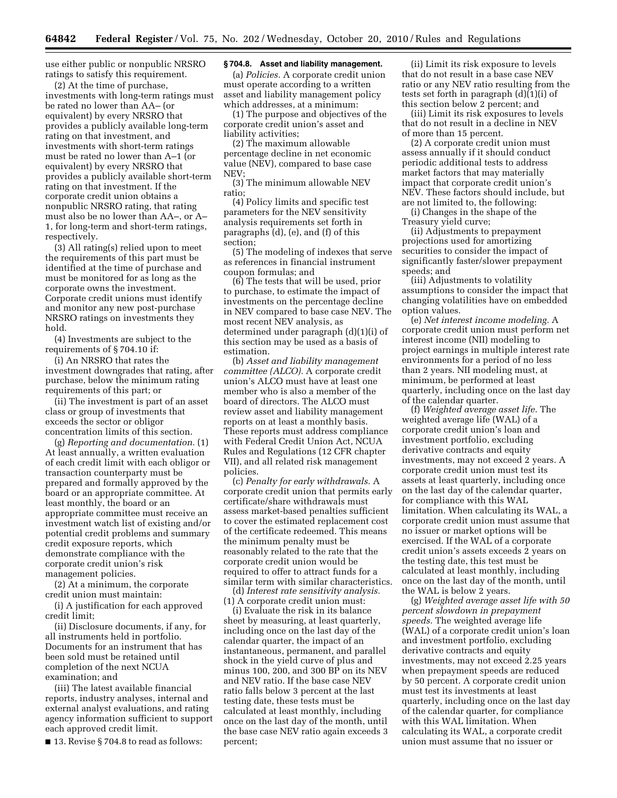use either public or nonpublic NRSRO ratings to satisfy this requirement.

(2) At the time of purchase, investments with long-term ratings must be rated no lower than AA– (or equivalent) by every NRSRO that provides a publicly available long-term rating on that investment, and investments with short-term ratings must be rated no lower than A–1 (or equivalent) by every NRSRO that provides a publicly available short-term rating on that investment. If the corporate credit union obtains a nonpublic NRSRO rating, that rating must also be no lower than AA–, or A– 1, for long-term and short-term ratings, respectively.

(3) All rating(s) relied upon to meet the requirements of this part must be identified at the time of purchase and must be monitored for as long as the corporate owns the investment. Corporate credit unions must identify and monitor any new post-purchase NRSRO ratings on investments they hold.

(4) Investments are subject to the requirements of § 704.10 if:

(i) An NRSRO that rates the investment downgrades that rating, after purchase, below the minimum rating requirements of this part; or

(ii) The investment is part of an asset class or group of investments that exceeds the sector or obligor concentration limits of this section.

(g) *Reporting and documentation.* (1) At least annually, a written evaluation of each credit limit with each obligor or transaction counterparty must be prepared and formally approved by the board or an appropriate committee. At least monthly, the board or an appropriate committee must receive an investment watch list of existing and/or potential credit problems and summary credit exposure reports, which demonstrate compliance with the corporate credit union's risk management policies.

(2) At a minimum, the corporate credit union must maintain:

(i) A justification for each approved credit limit;

(ii) Disclosure documents, if any, for all instruments held in portfolio. Documents for an instrument that has been sold must be retained until completion of the next NCUA examination; and

(iii) The latest available financial reports, industry analyses, internal and external analyst evaluations, and rating agency information sufficient to support each approved credit limit.

■ 13. Revise § 704.8 to read as follows:

# **§ 704.8. Asset and liability management.**

(a) *Policies.* A corporate credit union must operate according to a written asset and liability management policy which addresses, at a minimum:

(1) The purpose and objectives of the corporate credit union's asset and liability activities;

(2) The maximum allowable percentage decline in net economic value (NEV), compared to base case NEV;

(3) The minimum allowable NEV ratio;

(4) Policy limits and specific test parameters for the NEV sensitivity analysis requirements set forth in paragraphs (d), (e), and (f) of this section;

(5) The modeling of indexes that serve as references in financial instrument coupon formulas; and

(6) The tests that will be used, prior to purchase, to estimate the impact of investments on the percentage decline in NEV compared to base case NEV. The most recent NEV analysis, as determined under paragraph (d)(1)(i) of this section may be used as a basis of estimation.

(b) *Asset and liability management committee (ALCO).* A corporate credit union's ALCO must have at least one member who is also a member of the board of directors. The ALCO must review asset and liability management reports on at least a monthly basis. These reports must address compliance with Federal Credit Union Act, NCUA Rules and Regulations (12 CFR chapter VII), and all related risk management policies.

(c) *Penalty for early withdrawals.* A corporate credit union that permits early certificate/share withdrawals must assess market-based penalties sufficient to cover the estimated replacement cost of the certificate redeemed. This means the minimum penalty must be reasonably related to the rate that the corporate credit union would be required to offer to attract funds for a similar term with similar characteristics.

(d) *Interest rate sensitivity analysis.*  (1) A corporate credit union must:

(i) Evaluate the risk in its balance sheet by measuring, at least quarterly, including once on the last day of the calendar quarter, the impact of an instantaneous, permanent, and parallel shock in the yield curve of plus and minus 100, 200, and 300 BP on its NEV and NEV ratio. If the base case NEV ratio falls below 3 percent at the last testing date, these tests must be calculated at least monthly, including once on the last day of the month, until the base case NEV ratio again exceeds 3 percent;

(ii) Limit its risk exposure to levels that do not result in a base case NEV ratio or any NEV ratio resulting from the tests set forth in paragraph (d)(1)(i) of this section below 2 percent; and

(iii) Limit its risk exposures to levels that do not result in a decline in NEV of more than 15 percent.

(2) A corporate credit union must assess annually if it should conduct periodic additional tests to address market factors that may materially impact that corporate credit union's NEV. These factors should include, but are not limited to, the following:

(i) Changes in the shape of the Treasury yield curve;

(ii) Adjustments to prepayment projections used for amortizing securities to consider the impact of significantly faster/slower prepayment speeds; and

(iii) Adjustments to volatility assumptions to consider the impact that changing volatilities have on embedded option values.

(e) *Net interest income modeling.* A corporate credit union must perform net interest income (NII) modeling to project earnings in multiple interest rate environments for a period of no less than 2 years. NII modeling must, at minimum, be performed at least quarterly, including once on the last day of the calendar quarter.

(f) *Weighted average asset life.* The weighted average life (WAL) of a corporate credit union's loan and investment portfolio, excluding derivative contracts and equity investments, may not exceed 2 years. A corporate credit union must test its assets at least quarterly, including once on the last day of the calendar quarter, for compliance with this WAL limitation. When calculating its WAL, a corporate credit union must assume that no issuer or market options will be exercised. If the WAL of a corporate credit union's assets exceeds 2 years on the testing date, this test must be calculated at least monthly, including once on the last day of the month, until the WAL is below 2 years.

(g) *Weighted average asset life with 50 percent slowdown in prepayment speeds.* The weighted average life (WAL) of a corporate credit union's loan and investment portfolio, excluding derivative contracts and equity investments, may not exceed 2.25 years when prepayment speeds are reduced by 50 percent. A corporate credit union must test its investments at least quarterly, including once on the last day of the calendar quarter, for compliance with this WAL limitation. When calculating its WAL, a corporate credit union must assume that no issuer or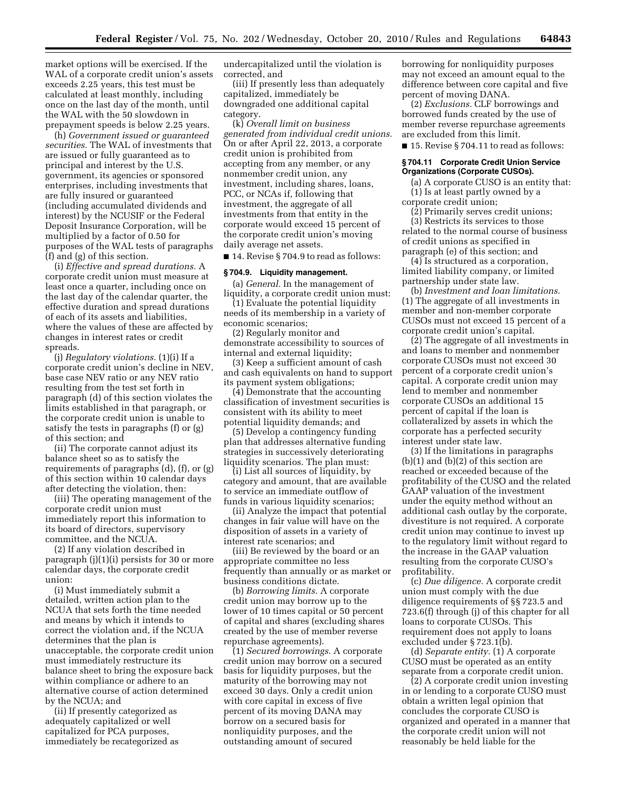market options will be exercised. If the WAL of a corporate credit union's assets exceeds 2.25 years, this test must be calculated at least monthly, including once on the last day of the month, until the WAL with the 50 slowdown in prepayment speeds is below 2.25 years.

(h) *Government issued or guaranteed securities.* The WAL of investments that are issued or fully guaranteed as to principal and interest by the U.S. government, its agencies or sponsored enterprises, including investments that are fully insured or guaranteed (including accumulated dividends and interest) by the NCUSIF or the Federal Deposit Insurance Corporation, will be multiplied by a factor of 0.50 for purposes of the WAL tests of paragraphs (f) and (g) of this section.

(i) *Effective and spread durations.* A corporate credit union must measure at least once a quarter, including once on the last day of the calendar quarter, the effective duration and spread durations of each of its assets and liabilities, where the values of these are affected by changes in interest rates or credit spreads.

(j) *Regulatory violations.* (1)(i) If a corporate credit union's decline in NEV, base case NEV ratio or any NEV ratio resulting from the test set forth in paragraph (d) of this section violates the limits established in that paragraph, or the corporate credit union is unable to satisfy the tests in paragraphs (f) or (g) of this section; and

(ii) The corporate cannot adjust its balance sheet so as to satisfy the requirements of paragraphs (d), (f), or (g) of this section within 10 calendar days after detecting the violation, then:

(iii) The operating management of the corporate credit union must immediately report this information to its board of directors, supervisory committee, and the NCUA.

(2) If any violation described in paragraph (j)(1)(i) persists for 30 or more calendar days, the corporate credit union:

(i) Must immediately submit a detailed, written action plan to the NCUA that sets forth the time needed and means by which it intends to correct the violation and, if the NCUA determines that the plan is unacceptable, the corporate credit union must immediately restructure its balance sheet to bring the exposure back within compliance or adhere to an alternative course of action determined by the NCUA; and

(ii) If presently categorized as adequately capitalized or well capitalized for PCA purposes, immediately be recategorized as undercapitalized until the violation is corrected, and

(iii) If presently less than adequately capitalized, immediately be downgraded one additional capital category.

(k) *Overall limit on business generated from individual credit unions.*  On or after April 22, 2013, a corporate credit union is prohibited from accepting from any member, or any nonmember credit union, any investment, including shares, loans, PCC, or NCAs if, following that investment, the aggregate of all investments from that entity in the corporate would exceed 15 percent of the corporate credit union's moving daily average net assets.

■ 14. Revise § 704.9 to read as follows:

## **§ 704.9. Liquidity management.**

(a) *General.* In the management of liquidity, a corporate credit union must:

(1) Evaluate the potential liquidity needs of its membership in a variety of economic scenarios;

(2) Regularly monitor and demonstrate accessibility to sources of internal and external liquidity;

(3) Keep a sufficient amount of cash and cash equivalents on hand to support its payment system obligations;

(4) Demonstrate that the accounting classification of investment securities is consistent with its ability to meet potential liquidity demands; and

(5) Develop a contingency funding plan that addresses alternative funding strategies in successively deteriorating liquidity scenarios. The plan must:

(i) List all sources of liquidity, by category and amount, that are available to service an immediate outflow of funds in various liquidity scenarios;

(ii) Analyze the impact that potential changes in fair value will have on the disposition of assets in a variety of interest rate scenarios; and

(iii) Be reviewed by the board or an appropriate committee no less frequently than annually or as market or business conditions dictate.

(b) *Borrowing limits.* A corporate credit union may borrow up to the lower of 10 times capital or 50 percent of capital and shares (excluding shares created by the use of member reverse repurchase agreements).

(1) *Secured borrowings.* A corporate credit union may borrow on a secured basis for liquidity purposes, but the maturity of the borrowing may not exceed 30 days. Only a credit union with core capital in excess of five percent of its moving DANA may borrow on a secured basis for nonliquidity purposes, and the outstanding amount of secured

borrowing for nonliquidity purposes may not exceed an amount equal to the difference between core capital and five percent of moving DANA.

(2) *Exclusions.* CLF borrowings and borrowed funds created by the use of member reverse repurchase agreements are excluded from this limit.

■ 15. Revise § 704.11 to read as follows:

#### **§ 704.11 Corporate Credit Union Service Organizations (Corporate CUSOs).**

(a) A corporate CUSO is an entity that: (1) Is at least partly owned by a corporate credit union;

(2) Primarily serves credit unions; (3) Restricts its services to those related to the normal course of business of credit unions as specified in paragraph (e) of this section; and

 $(4)$  Is structured as a corporation, limited liability company, or limited partnership under state law.

(b) *Investment and loan limitations.*  (1) The aggregate of all investments in member and non-member corporate CUSOs must not exceed 15 percent of a corporate credit union's capital.

(2) The aggregate of all investments in and loans to member and nonmember corporate CUSOs must not exceed 30 percent of a corporate credit union's capital. A corporate credit union may lend to member and nonmember corporate CUSOs an additional 15 percent of capital if the loan is collateralized by assets in which the corporate has a perfected security interest under state law.

(3) If the limitations in paragraphs (b)(1) and (b)(2) of this section are reached or exceeded because of the profitability of the CUSO and the related GAAP valuation of the investment under the equity method without an additional cash outlay by the corporate, divestiture is not required. A corporate credit union may continue to invest up to the regulatory limit without regard to the increase in the GAAP valuation resulting from the corporate CUSO's profitability.

(c) *Due diligence.* A corporate credit union must comply with the due diligence requirements of §§ 723.5 and 723.6(f) through (j) of this chapter for all loans to corporate CUSOs. This requirement does not apply to loans excluded under § 723.1(b).

(d) *Separate entity.* (1) A corporate CUSO must be operated as an entity separate from a corporate credit union.

(2) A corporate credit union investing in or lending to a corporate CUSO must obtain a written legal opinion that concludes the corporate CUSO is organized and operated in a manner that the corporate credit union will not reasonably be held liable for the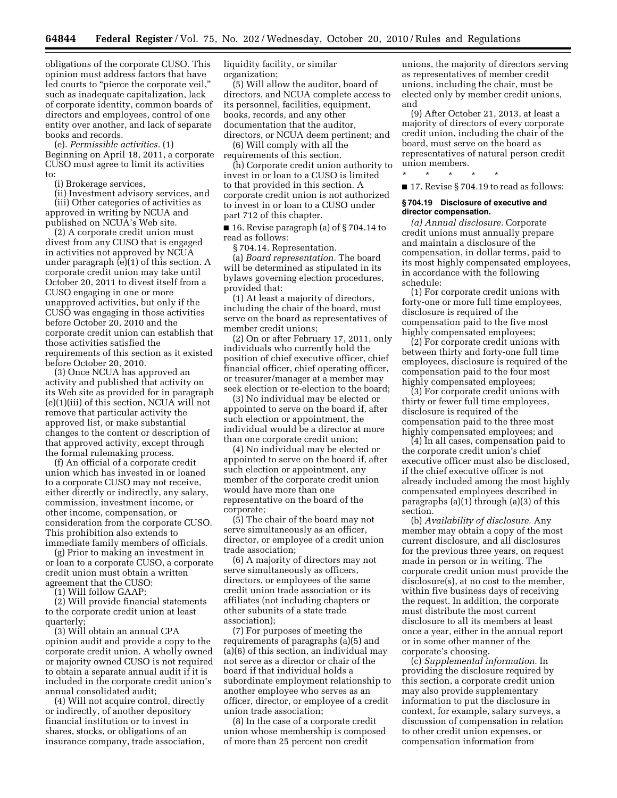obligations of the corporate CUSO. This opinion must address factors that have led courts to "pierce the corporate veil," such as inadequate capitalization, lack of corporate identity, common boards of directors and employees, control of one entity over another, and lack of separate books and records.

(e). *Permissible activities.* (1) Beginning on April 18, 2011, a corporate CUSO must agree to limit its activities to:

(i) Brokerage services,

(ii) Investment advisory services, and (iii) Other categories of activities as

approved in writing by NCUA and published on NCUA's Web site.

(2) A corporate credit union must divest from any CUSO that is engaged in activities not approved by NCUA under paragraph (e)(1) of this section. A corporate credit union may take until October 20, 2011 to divest itself from a CUSO engaging in one or more unapproved activities, but only if the CUSO was engaging in those activities before October 20, 2010 and the corporate credit union can establish that those activities satisfied the requirements of this section as it existed before October 20, 2010.

(3) Once NCUA has approved an activity and published that activity on its Web site as provided for in paragraph (e)(1)(iii) of this section, NCUA will not remove that particular activity the approved list, or make substantial changes to the content or description of that approved activity, except through the formal rulemaking process.

(f) An official of a corporate credit union which has invested in or loaned to a corporate CUSO may not receive, either directly or indirectly, any salary, commission, investment income, or other income, compensation, or consideration from the corporate CUSO. This prohibition also extends to immediate family members of officials.

(g) Prior to making an investment in or loan to a corporate CUSO, a corporate credit union must obtain a written agreement that the CUSO:

(1) Will follow GAAP;

(2) Will provide financial statements to the corporate credit union at least quarterly;

(3) Will obtain an annual CPA opinion audit and provide a copy to the corporate credit union. A wholly owned or majority owned CUSO is not required to obtain a separate annual audit if it is included in the corporate credit union's annual consolidated audit;

(4) Will not acquire control, directly or indirectly, of another depository financial institution or to invest in shares, stocks, or obligations of an insurance company, trade association,

liquidity facility, or similar organization;

(5) Will allow the auditor, board of directors, and NCUA complete access to its personnel, facilities, equipment, books, records, and any other documentation that the auditor, directors, or NCUA deem pertinent; and

(6) Will comply with all the requirements of this section.

(h) Corporate credit union authority to invest in or loan to a CUSO is limited to that provided in this section. A corporate credit union is not authorized to invest in or loan to a CUSO under part 712 of this chapter.

■ 16. Revise paragraph (a) of § 704.14 to read as follows:

§ 704.14. Representation.

(a) *Board representation.* The board will be determined as stipulated in its bylaws governing election procedures, provided that:

(1) At least a majority of directors, including the chair of the board, must serve on the board as representatives of member credit unions;

(2) On or after February 17, 2011, only individuals who currently hold the position of chief executive officer, chief financial officer, chief operating officer, or treasurer/manager at a member may seek election or re-election to the board;

(3) No individual may be elected or appointed to serve on the board if, after such election or appointment, the individual would be a director at more than one corporate credit union;

(4) No individual may be elected or appointed to serve on the board if, after such election or appointment, any member of the corporate credit union would have more than one representative on the board of the corporate;

(5) The chair of the board may not serve simultaneously as an officer, director, or employee of a credit union trade association;

(6) A majority of directors may not serve simultaneously as officers, directors, or employees of the same credit union trade association or its affiliates (not including chapters or other subunits of a state trade association);

(7) For purposes of meeting the requirements of paragraphs (a)(5) and (a)(6) of this section, an individual may not serve as a director or chair of the board if that individual holds a subordinate employment relationship to another employee who serves as an officer, director, or employee of a credit union trade association;

(8) In the case of a corporate credit union whose membership is composed of more than 25 percent non credit

unions, the majority of directors serving as representatives of member credit unions, including the chair, must be elected only by member credit unions, and

(9) After October 21, 2013, at least a majority of directors of every corporate credit union, including the chair of the board, must serve on the board as representatives of natural person credit union members.

\* \* \* \* \*

■ 17. Revise § 704.19 to read as follows:

#### **§ 704.19 Disclosure of executive and director compensation.**

*(a) Annual disclosure.* Corporate credit unions must annually prepare and maintain a disclosure of the compensation, in dollar terms, paid to its most highly compensated employees, in accordance with the following schedule:

(1) For corporate credit unions with forty-one or more full time employees, disclosure is required of the compensation paid to the five most highly compensated employees;

(2) For corporate credit unions with between thirty and forty-one full time employees, disclosure is required of the compensation paid to the four most highly compensated employees;

(3) For corporate credit unions with thirty or fewer full time employees, disclosure is required of the compensation paid to the three most highly compensated employees; and

(4) In all cases, compensation paid to the corporate credit union's chief executive officer must also be disclosed, if the chief executive officer is not already included among the most highly compensated employees described in paragraphs (a)(1) through (a)(3) of this section.

(b) *Availability of disclosure.* Any member may obtain a copy of the most current disclosure, and all disclosures for the previous three years, on request made in person or in writing. The corporate credit union must provide the disclosure(s), at no cost to the member, within five business days of receiving the request. In addition, the corporate must distribute the most current disclosure to all its members at least once a year, either in the annual report or in some other manner of the corporate's choosing.

(c) *Supplemental information.* In providing the disclosure required by this section, a corporate credit union may also provide supplementary information to put the disclosure in context, for example, salary surveys, a discussion of compensation in relation to other credit union expenses, or compensation information from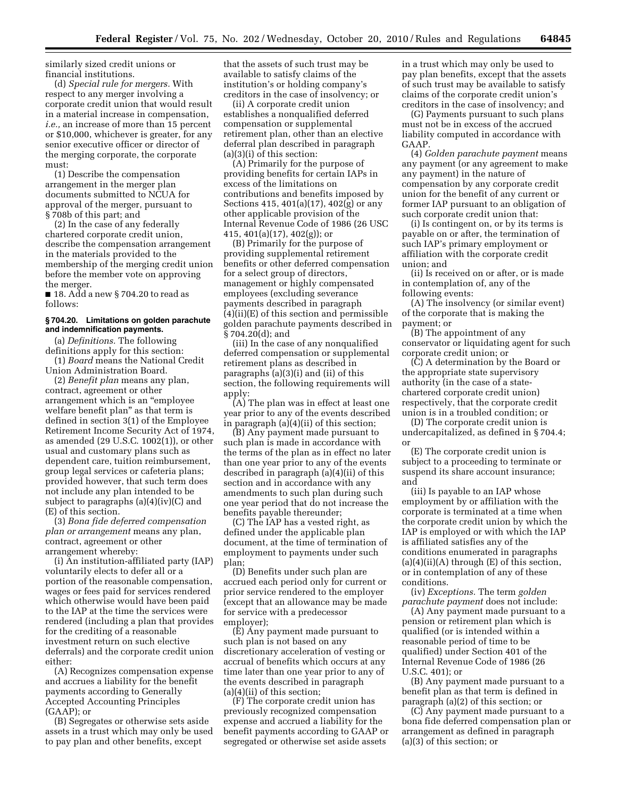similarly sized credit unions or financial institutions.

(d) *Special rule for mergers.* With respect to any merger involving a corporate credit union that would result in a material increase in compensation, *i.e.,* an increase of more than 15 percent or \$10,000, whichever is greater, for any senior executive officer or director of the merging corporate, the corporate must:

(1) Describe the compensation arrangement in the merger plan documents submitted to NCUA for approval of the merger, pursuant to § 708b of this part; and

(2) In the case of any federally chartered corporate credit union, describe the compensation arrangement in the materials provided to the membership of the merging credit union before the member vote on approving the merger.

 $\blacksquare$  18. Add a new § 704.20 to read as follows:

## **§ 704.20. Limitations on golden parachute and indemnification payments.**

(a) *Definitions.* The following definitions apply for this section:

(1) *Board* means the National Credit Union Administration Board.

(2) *Benefit plan* means any plan, contract, agreement or other arrangement which is an ''employee welfare benefit plan'' as that term is defined in section 3(1) of the Employee Retirement Income Security Act of 1974, as amended (29 U.S.C. 1002(1)), or other usual and customary plans such as dependent care, tuition reimbursement, group legal services or cafeteria plans; provided however, that such term does not include any plan intended to be subject to paragraphs (a)(4)(iv)(C) and (E) of this section.

(3) *Bona fide deferred compensation plan or arrangement* means any plan, contract, agreement or other arrangement whereby:

(i) An institution-affiliated party (IAP) voluntarily elects to defer all or a portion of the reasonable compensation, wages or fees paid for services rendered which otherwise would have been paid to the IAP at the time the services were rendered (including a plan that provides for the crediting of a reasonable investment return on such elective deferrals) and the corporate credit union either:

(A) Recognizes compensation expense and accrues a liability for the benefit payments according to Generally Accepted Accounting Principles (GAAP); or

(B) Segregates or otherwise sets aside assets in a trust which may only be used to pay plan and other benefits, except

that the assets of such trust may be available to satisfy claims of the institution's or holding company's creditors in the case of insolvency; or

(ii) A corporate credit union establishes a nonqualified deferred compensation or supplemental retirement plan, other than an elective deferral plan described in paragraph (a)(3)(i) of this section:

(A) Primarily for the purpose of providing benefits for certain IAPs in excess of the limitations on contributions and benefits imposed by Sections 415, 401(a)(17), 402(g) or any other applicable provision of the Internal Revenue Code of 1986 (26 USC 415,  $401(a)(17)$ ,  $402(g)$ ; or

(B) Primarily for the purpose of providing supplemental retirement benefits or other deferred compensation for a select group of directors, management or highly compensated employees (excluding severance payments described in paragraph (4)(ii)(E) of this section and permissible golden parachute payments described in § 704.20(d); and

(iii) In the case of any nonqualified deferred compensation or supplemental retirement plans as described in paragraphs (a)(3)(i) and (ii) of this section, the following requirements will apply:

(A) The plan was in effect at least one year prior to any of the events described in paragraph (a)(4)(ii) of this section;

(B) Any payment made pursuant to such plan is made in accordance with the terms of the plan as in effect no later than one year prior to any of the events described in paragraph (a)(4)(ii) of this section and in accordance with any amendments to such plan during such one year period that do not increase the benefits payable thereunder;

(C) The IAP has a vested right, as defined under the applicable plan document, at the time of termination of employment to payments under such plan;

(D) Benefits under such plan are accrued each period only for current or prior service rendered to the employer (except that an allowance may be made for service with a predecessor employer);

(E) Any payment made pursuant to such plan is not based on any discretionary acceleration of vesting or accrual of benefits which occurs at any time later than one year prior to any of the events described in paragraph (a)(4)(ii) of this section;

(F) The corporate credit union has previously recognized compensation expense and accrued a liability for the benefit payments according to GAAP or segregated or otherwise set aside assets

in a trust which may only be used to pay plan benefits, except that the assets of such trust may be available to satisfy claims of the corporate credit union's creditors in the case of insolvency; and

(G) Payments pursuant to such plans must not be in excess of the accrued liability computed in accordance with GAAP.

(4) *Golden parachute payment* means any payment (or any agreement to make any payment) in the nature of compensation by any corporate credit union for the benefit of any current or former IAP pursuant to an obligation of such corporate credit union that:

(i) Is contingent on, or by its terms is payable on or after, the termination of such IAP's primary employment or affiliation with the corporate credit union; and

(ii) Is received on or after, or is made in contemplation of, any of the following events:

(A) The insolvency (or similar event) of the corporate that is making the payment; or

(B) The appointment of any conservator or liquidating agent for such corporate credit union; or

(C) A determination by the Board or the appropriate state supervisory authority (in the case of a statechartered corporate credit union) respectively, that the corporate credit union is in a troubled condition; or

(D) The corporate credit union is undercapitalized, as defined in § 704.4; or

(E) The corporate credit union is subject to a proceeding to terminate or suspend its share account insurance; and

(iii) Is payable to an IAP whose employment by or affiliation with the corporate is terminated at a time when the corporate credit union by which the IAP is employed or with which the IAP is affiliated satisfies any of the conditions enumerated in paragraphs  $(a)(4)(ii)(A)$  through  $(E)$  of this section, or in contemplation of any of these conditions.

(iv) *Exceptions.* The term *golden parachute payment* does not include:

(A) Any payment made pursuant to a pension or retirement plan which is qualified (or is intended within a reasonable period of time to be qualified) under Section 401 of the Internal Revenue Code of 1986 (26 U.S.C. 401); or

(B) Any payment made pursuant to a benefit plan as that term is defined in paragraph (a)(2) of this section; or

(C) Any payment made pursuant to a bona fide deferred compensation plan or arrangement as defined in paragraph (a)(3) of this section; or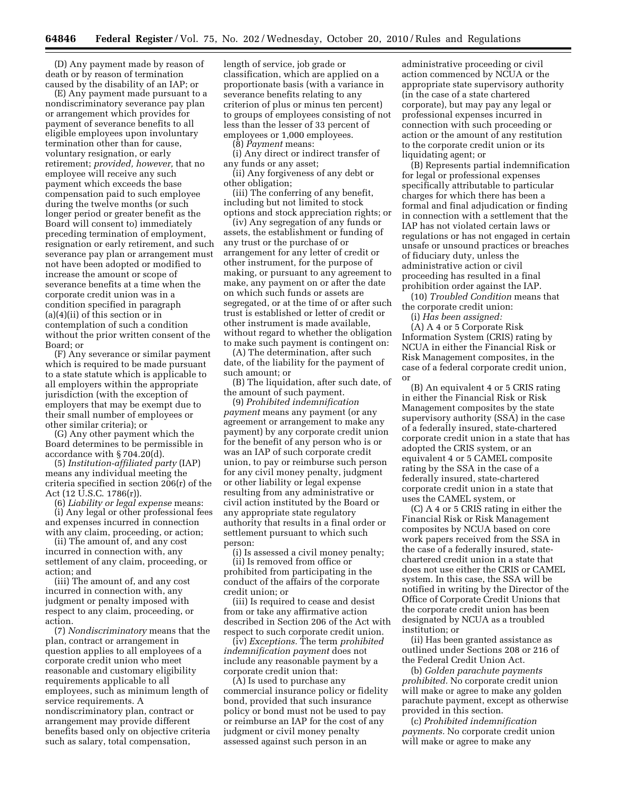(D) Any payment made by reason of death or by reason of termination caused by the disability of an IAP; or

(E) Any payment made pursuant to a nondiscriminatory severance pay plan or arrangement which provides for payment of severance benefits to all eligible employees upon involuntary termination other than for cause, voluntary resignation, or early retirement; *provided, however,* that no employee will receive any such payment which exceeds the base compensation paid to such employee during the twelve months (or such longer period or greater benefit as the Board will consent to) immediately preceding termination of employment, resignation or early retirement, and such severance pay plan or arrangement must not have been adopted or modified to increase the amount or scope of severance benefits at a time when the corporate credit union was in a condition specified in paragraph (a)(4)(ii) of this section or in contemplation of such a condition without the prior written consent of the Board; or

(F) Any severance or similar payment which is required to be made pursuant to a state statute which is applicable to all employers within the appropriate jurisdiction (with the exception of employers that may be exempt due to their small number of employees or other similar criteria); or

(G) Any other payment which the Board determines to be permissible in accordance with § 704.20(d).

(5) *Institution-affiliated party* (IAP) means any individual meeting the criteria specified in section 206(r) of the Act (12 U.S.C. 1786(r)).

(6) *Liability or legal expense* means: (i) Any legal or other professional fees and expenses incurred in connection with any claim, proceeding, or action;

(ii) The amount of, and any cost incurred in connection with, any settlement of any claim, proceeding, or action; and

(iii) The amount of, and any cost incurred in connection with, any judgment or penalty imposed with respect to any claim, proceeding, or action.

(7) *Nondiscriminatory* means that the plan, contract or arrangement in question applies to all employees of a corporate credit union who meet reasonable and customary eligibility requirements applicable to all employees, such as minimum length of service requirements. A nondiscriminatory plan, contract or arrangement may provide different benefits based only on objective criteria such as salary, total compensation,

length of service, job grade or classification, which are applied on a proportionate basis (with a variance in severance benefits relating to any criterion of plus or minus ten percent) to groups of employees consisting of not less than the lesser of 33 percent of employees or 1,000 employees.

(8) *Payment* means:

(i) Any direct or indirect transfer of any funds or any asset;

(ii) Any forgiveness of any debt or other obligation;

(iii) The conferring of any benefit, including but not limited to stock options and stock appreciation rights; or

(iv) Any segregation of any funds or assets, the establishment or funding of any trust or the purchase of or arrangement for any letter of credit or other instrument, for the purpose of making, or pursuant to any agreement to make, any payment on or after the date on which such funds or assets are segregated, or at the time of or after such trust is established or letter of credit or other instrument is made available, without regard to whether the obligation to make such payment is contingent on:

(A) The determination, after such date, of the liability for the payment of such amount; or

(B) The liquidation, after such date, of the amount of such payment.

(9) *Prohibited indemnification payment* means any payment (or any agreement or arrangement to make any payment) by any corporate credit union for the benefit of any person who is or was an IAP of such corporate credit union, to pay or reimburse such person for any civil money penalty, judgment or other liability or legal expense resulting from any administrative or civil action instituted by the Board or any appropriate state regulatory authority that results in a final order or settlement pursuant to which such person:

(i) Is assessed a civil money penalty; (ii) Is removed from office or prohibited from participating in the conduct of the affairs of the corporate

credit union; or (iii) Is required to cease and desist from or take any affirmative action described in Section 206 of the Act with respect to such corporate credit union.

(iv) *Exceptions.* The term *prohibited indemnification payment* does not include any reasonable payment by a corporate credit union that:

(A) Is used to purchase any commercial insurance policy or fidelity bond, provided that such insurance policy or bond must not be used to pay or reimburse an IAP for the cost of any judgment or civil money penalty assessed against such person in an

administrative proceeding or civil action commenced by NCUA or the appropriate state supervisory authority (in the case of a state chartered corporate), but may pay any legal or professional expenses incurred in connection with such proceeding or action or the amount of any restitution to the corporate credit union or its liquidating agent; or

(B) Represents partial indemnification for legal or professional expenses specifically attributable to particular charges for which there has been a formal and final adjudication or finding in connection with a settlement that the IAP has not violated certain laws or regulations or has not engaged in certain unsafe or unsound practices or breaches of fiduciary duty, unless the administrative action or civil proceeding has resulted in a final prohibition order against the IAP.

(10) *Troubled Condition* means that the corporate credit union:

(i) *Has been assigned:* 

(A) A 4 or 5 Corporate Risk Information System (CRIS) rating by NCUA in either the Financial Risk or Risk Management composites, in the case of a federal corporate credit union, or

(B) An equivalent 4 or 5 CRIS rating in either the Financial Risk or Risk Management composites by the state supervisory authority (SSA) in the case of a federally insured, state-chartered corporate credit union in a state that has adopted the CRIS system, or an equivalent 4 or 5 CAMEL composite rating by the SSA in the case of a federally insured, state-chartered corporate credit union in a state that uses the CAMEL system, or

(C) A 4 or 5 CRIS rating in either the Financial Risk or Risk Management composites by NCUA based on core work papers received from the SSA in the case of a federally insured, statechartered credit union in a state that does not use either the CRIS or CAMEL system. In this case, the SSA will be notified in writing by the Director of the Office of Corporate Credit Unions that the corporate credit union has been designated by NCUA as a troubled institution; or

(ii) Has been granted assistance as outlined under Sections 208 or 216 of the Federal Credit Union Act.

(b) *Golden parachute payments prohibited.* No corporate credit union will make or agree to make any golden parachute payment, except as otherwise provided in this section.

(c) *Prohibited indemnification payments.* No corporate credit union will make or agree to make any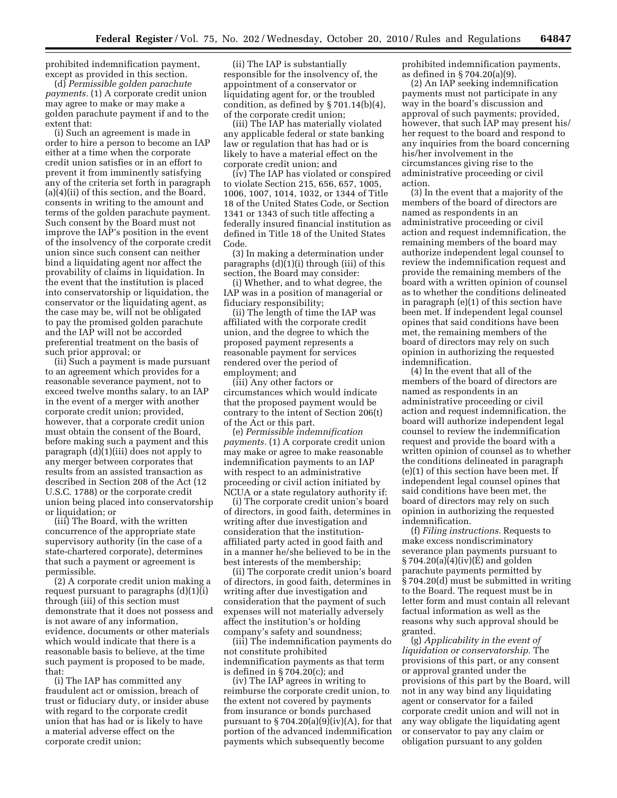prohibited indemnification payment, except as provided in this section.

(d) *Permissible golden parachute payments.* (1) A corporate credit union may agree to make or may make a golden parachute payment if and to the extent that:

(i) Such an agreement is made in order to hire a person to become an IAP either at a time when the corporate credit union satisfies or in an effort to prevent it from imminently satisfying any of the criteria set forth in paragraph (a)(4)(ii) of this section, and the Board, consents in writing to the amount and terms of the golden parachute payment. Such consent by the Board must not improve the IAP's position in the event of the insolvency of the corporate credit union since such consent can neither bind a liquidating agent nor affect the provability of claims in liquidation. In the event that the institution is placed into conservatorship or liquidation, the conservator or the liquidating agent, as the case may be, will not be obligated to pay the promised golden parachute and the IAP will not be accorded preferential treatment on the basis of such prior approval; or

(ii) Such a payment is made pursuant to an agreement which provides for a reasonable severance payment, not to exceed twelve months salary, to an IAP in the event of a merger with another corporate credit union; provided, however, that a corporate credit union must obtain the consent of the Board, before making such a payment and this paragraph (d)(1)(iii) does not apply to any merger between corporates that results from an assisted transaction as described in Section 208 of the Act (12 U.S.C. 1788) or the corporate credit union being placed into conservatorship or liquidation; or

(iii) The Board, with the written concurrence of the appropriate state supervisory authority (in the case of a state-chartered corporate), determines that such a payment or agreement is permissible.

(2) A corporate credit union making a request pursuant to paragraphs (d)(1)(i) through (iii) of this section must demonstrate that it does not possess and is not aware of any information, evidence, documents or other materials which would indicate that there is a reasonable basis to believe, at the time such payment is proposed to be made, that:

(i) The IAP has committed any fraudulent act or omission, breach of trust or fiduciary duty, or insider abuse with regard to the corporate credit union that has had or is likely to have a material adverse effect on the corporate credit union;

(ii) The IAP is substantially responsible for the insolvency of, the appointment of a conservator or liquidating agent for, or the troubled condition, as defined by  $\S 701.14(b)(4)$ , of the corporate credit union;

(iii) The IAP has materially violated any applicable federal or state banking law or regulation that has had or is likely to have a material effect on the corporate credit union; and

(iv) The IAP has violated or conspired to violate Section 215, 656, 657, 1005, 1006, 1007, 1014, 1032, or 1344 of Title 18 of the United States Code, or Section 1341 or 1343 of such title affecting a federally insured financial institution as defined in Title 18 of the United States Code.

(3) In making a determination under paragraphs (d)(1)(i) through (iii) of this section, the Board may consider:

(i) Whether, and to what degree, the IAP was in a position of managerial or fiduciary responsibility;

(ii) The length of time the IAP was affiliated with the corporate credit union, and the degree to which the proposed payment represents a reasonable payment for services rendered over the period of employment; and

(iii) Any other factors or circumstances which would indicate that the proposed payment would be contrary to the intent of Section 206(t) of the Act or this part.

(e) *Permissible indemnification payments.* (1) A corporate credit union may make or agree to make reasonable indemnification payments to an IAP with respect to an administrative proceeding or civil action initiated by NCUA or a state regulatory authority if:

(i) The corporate credit union's board of directors, in good faith, determines in writing after due investigation and consideration that the institutionaffiliated party acted in good faith and in a manner he/she believed to be in the best interests of the membership;

(ii) The corporate credit union's board of directors, in good faith, determines in writing after due investigation and consideration that the payment of such expenses will not materially adversely affect the institution's or holding company's safety and soundness;

(iii) The indemnification payments do not constitute prohibited indemnification payments as that term is defined in § 704.20(c); and

(iv) The IAP agrees in writing to reimburse the corporate credit union, to the extent not covered by payments from insurance or bonds purchased pursuant to  $\S 704.20(a)(9)(iv)(A)$ , for that portion of the advanced indemnification payments which subsequently become

prohibited indemnification payments, as defined in § 704.20(a)(9).

(2) An IAP seeking indemnification payments must not participate in any way in the board's discussion and approval of such payments; provided, however, that such IAP may present his/ her request to the board and respond to any inquiries from the board concerning his/her involvement in the circumstances giving rise to the administrative proceeding or civil action.

(3) In the event that a majority of the members of the board of directors are named as respondents in an administrative proceeding or civil action and request indemnification, the remaining members of the board may authorize independent legal counsel to review the indemnification request and provide the remaining members of the board with a written opinion of counsel as to whether the conditions delineated in paragraph (e)(1) of this section have been met. If independent legal counsel opines that said conditions have been met, the remaining members of the board of directors may rely on such opinion in authorizing the requested indemnification.

(4) In the event that all of the members of the board of directors are named as respondents in an administrative proceeding or civil action and request indemnification, the board will authorize independent legal counsel to review the indemnification request and provide the board with a written opinion of counsel as to whether the conditions delineated in paragraph (e)(1) of this section have been met. If independent legal counsel opines that said conditions have been met, the board of directors may rely on such opinion in authorizing the requested indemnification.

(f) *Filing instructions.* Requests to make excess nondiscriminatory severance plan payments pursuant to § 704.20(a)(4)(iv)(E) and golden parachute payments permitted by § 704.20(d) must be submitted in writing to the Board. The request must be in letter form and must contain all relevant factual information as well as the reasons why such approval should be granted.

(g) *Applicability in the event of liquidation or conservatorship.* The provisions of this part, or any consent or approval granted under the provisions of this part by the Board, will not in any way bind any liquidating agent or conservator for a failed corporate credit union and will not in any way obligate the liquidating agent or conservator to pay any claim or obligation pursuant to any golden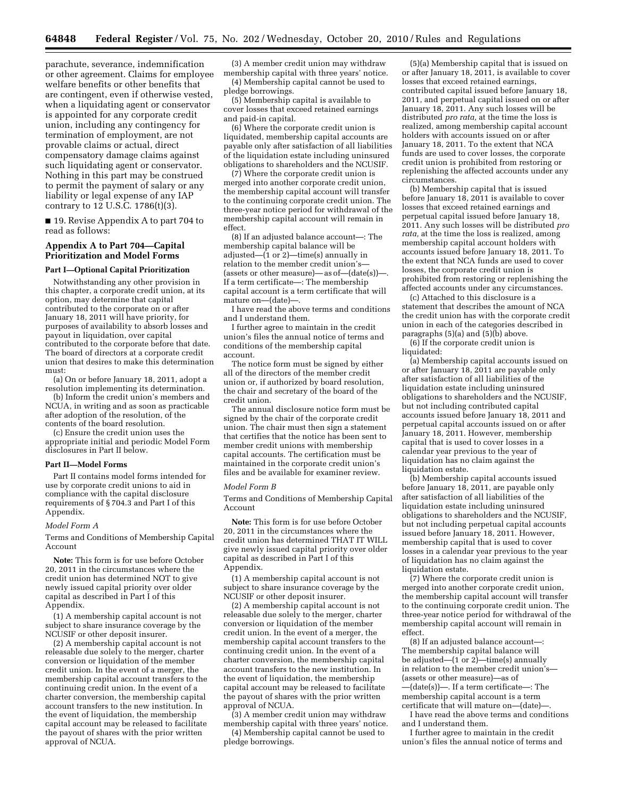parachute, severance, indemnification or other agreement. Claims for employee welfare benefits or other benefits that are contingent, even if otherwise vested, when a liquidating agent or conservator is appointed for any corporate credit union, including any contingency for termination of employment, are not provable claims or actual, direct compensatory damage claims against such liquidating agent or conservator. Nothing in this part may be construed to permit the payment of salary or any liability or legal expense of any IAP contrary to 12 U.S.C. 1786(t)(3).

■ 19. Revise Appendix A to part 704 to read as follows:

## **Appendix A to Part 704—Capital Prioritization and Model Forms**

#### **Part I—Optional Capital Prioritization**

Notwithstanding any other provision in this chapter, a corporate credit union, at its option, may determine that capital contributed to the corporate on or after January 18, 2011 will have priority, for purposes of availability to absorb losses and payout in liquidation, over capital contributed to the corporate before that date. The board of directors at a corporate credit union that desires to make this determination must:

(a) On or before January 18, 2011, adopt a resolution implementing its determination.

(b) Inform the credit union's members and NCUA, in writing and as soon as practicable after adoption of the resolution, of the contents of the board resolution.

(c) Ensure the credit union uses the appropriate initial and periodic Model Form disclosures in Part II below.

#### **Part II—Model Forms**

Part II contains model forms intended for use by corporate credit unions to aid in compliance with the capital disclosure requirements of § 704.3 and Part I of this Appendix.

#### *Model Form A*

Terms and Conditions of Membership Capital Account

**Note:** This form is for use before October 20, 2011 in the circumstances where the credit union has determined NOT to give newly issued capital priority over older capital as described in Part I of this Appendix.

(1) A membership capital account is not subject to share insurance coverage by the NCUSIF or other deposit insurer.

(2) A membership capital account is not releasable due solely to the merger, charter conversion or liquidation of the member credit union. In the event of a merger, the membership capital account transfers to the continuing credit union. In the event of a charter conversion, the membership capital account transfers to the new institution. In the event of liquidation, the membership capital account may be released to facilitate the payout of shares with the prior written approval of NCUA.

(3) A member credit union may withdraw membership capital with three years' notice.

(4) Membership capital cannot be used to pledge borrowings.

(5) Membership capital is available to cover losses that exceed retained earnings and paid-in capital.

(6) Where the corporate credit union is liquidated, membership capital accounts are payable only after satisfaction of all liabilities of the liquidation estate including uninsured obligations to shareholders and the NCUSIF.

(7) Where the corporate credit union is merged into another corporate credit union, the membership capital account will transfer to the continuing corporate credit union. The three-year notice period for withdrawal of the membership capital account will remain in effect.

(8) If an adjusted balance account—: The membership capital balance will be adjusted— $(1 \text{ or } 2)$ —time(s) annually in relation to the member credit union's— (assets or other measure)—as of— $(data(s))$ -If a term certificate—: The membership capital account is a term certificate that will mature on—(date)—.

I have read the above terms and conditions and I understand them.

I further agree to maintain in the credit union's files the annual notice of terms and conditions of the membership capital account.

The notice form must be signed by either all of the directors of the member credit union or, if authorized by board resolution, the chair and secretary of the board of the credit union.

The annual disclosure notice form must be signed by the chair of the corporate credit union. The chair must then sign a statement that certifies that the notice has been sent to member credit unions with membership capital accounts. The certification must be maintained in the corporate credit union's files and be available for examiner review.

### *Model Form B*

Terms and Conditions of Membership Capital Account

**Note:** This form is for use before October 20, 2011 in the circumstances where the credit union has determined THAT IT WILL give newly issued capital priority over older capital as described in Part I of this Appendix.

(1) A membership capital account is not subject to share insurance coverage by the NCUSIF or other deposit insurer.

(2) A membership capital account is not releasable due solely to the merger, charter conversion or liquidation of the member credit union. In the event of a merger, the membership capital account transfers to the continuing credit union. In the event of a charter conversion, the membership capital account transfers to the new institution. In the event of liquidation, the membership capital account may be released to facilitate the payout of shares with the prior written approval of NCUA.

(3) A member credit union may withdraw membership capital with three years' notice. (4) Membership capital cannot be used to

pledge borrowings.

(5)(a) Membership capital that is issued on or after January 18, 2011, is available to cover losses that exceed retained earnings, contributed capital issued before January 18, 2011, and perpetual capital issued on or after January 18, 2011. Any such losses will be distributed *pro rata,* at the time the loss is realized, among membership capital account holders with accounts issued on or after January 18, 2011. To the extent that NCA funds are used to cover losses, the corporate credit union is prohibited from restoring or replenishing the affected accounts under any circumstances.

(b) Membership capital that is issued before January 18, 2011 is available to cover losses that exceed retained earnings and perpetual capital issued before January 18, 2011. Any such losses will be distributed *pro rata,* at the time the loss is realized, among membership capital account holders with accounts issued before January 18, 2011. To the extent that NCA funds are used to cover losses, the corporate credit union is prohibited from restoring or replenishing the affected accounts under any circumstances.

(c) Attached to this disclosure is a statement that describes the amount of NCA the credit union has with the corporate credit union in each of the categories described in paragraphs (5)(a) and (5)(b) above.

(6) If the corporate credit union is liquidated:

(a) Membership capital accounts issued on or after January 18, 2011 are payable only after satisfaction of all liabilities of the liquidation estate including uninsured obligations to shareholders and the NCUSIF, but not including contributed capital accounts issued before January 18, 2011 and perpetual capital accounts issued on or after January 18, 2011. However, membership capital that is used to cover losses in a calendar year previous to the year of liquidation has no claim against the liquidation estate.

(b) Membership capital accounts issued before January  $18, 2011$ , are payable only after satisfaction of all liabilities of the liquidation estate including uninsured obligations to shareholders and the NCUSIF, but not including perpetual capital accounts issued before January 18, 2011. However, membership capital that is used to cover losses in a calendar year previous to the year of liquidation has no claim against the liquidation estate.

(7) Where the corporate credit union is merged into another corporate credit union, the membership capital account will transfer to the continuing corporate credit union. The three-year notice period for withdrawal of the membership capital account will remain in effect.

(8) If an adjusted balance account—: The membership capital balance will be adjusted— $(1 \text{ or } 2)$ —time(s) annually in relation to the member credit union's— (assets or other measure)—as of —(date(s))—. If a term certificate—: The membership capital account is a term certificate that will mature on-(date)-

I have read the above terms and conditions and I understand them.

I further agree to maintain in the credit union's files the annual notice of terms and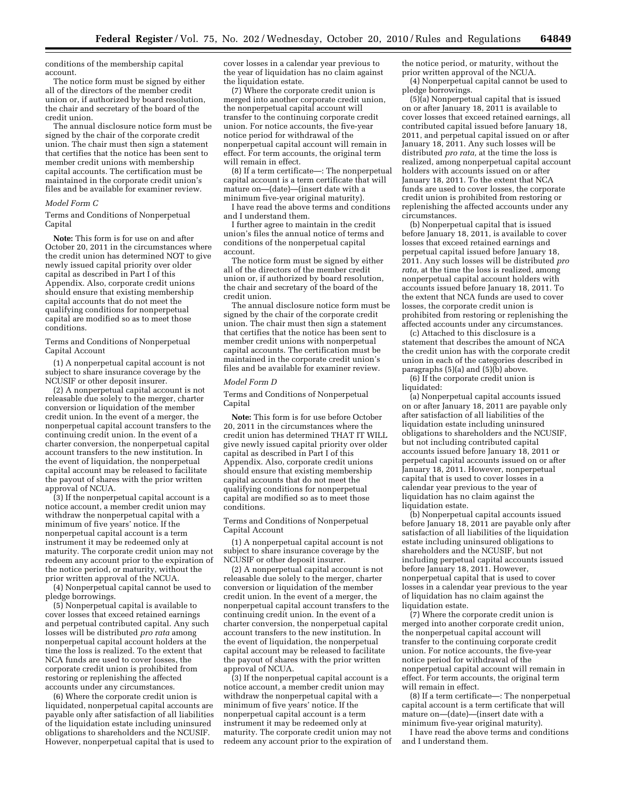conditions of the membership capital account.

The notice form must be signed by either all of the directors of the member credit union or, if authorized by board resolution, the chair and secretary of the board of the credit union.

The annual disclosure notice form must be signed by the chair of the corporate credit union. The chair must then sign a statement that certifies that the notice has been sent to member credit unions with membership capital accounts. The certification must be maintained in the corporate credit union's files and be available for examiner review.

#### *Model Form C*

Terms and Conditions of Nonperpetual Capital

**Note:** This form is for use on and after October 20, 2011 in the circumstances where the credit union has determined NOT to give newly issued capital priority over older capital as described in Part I of this Appendix. Also, corporate credit unions should ensure that existing membership capital accounts that do not meet the qualifying conditions for nonperpetual capital are modified so as to meet those conditions.

Terms and Conditions of Nonperpetual Capital Account

(1) A nonperpetual capital account is not subject to share insurance coverage by the NCUSIF or other deposit insurer.

(2) A nonperpetual capital account is not releasable due solely to the merger, charter conversion or liquidation of the member credit union. In the event of a merger, the nonperpetual capital account transfers to the continuing credit union. In the event of a charter conversion, the nonperpetual capital account transfers to the new institution. In the event of liquidation, the nonperpetual capital account may be released to facilitate the payout of shares with the prior written approval of NCUA.

(3) If the nonperpetual capital account is a notice account, a member credit union may withdraw the nonperpetual capital with a minimum of five years' notice. If the nonperpetual capital account is a term instrument it may be redeemed only at maturity. The corporate credit union may not redeem any account prior to the expiration of the notice period, or maturity, without the prior written approval of the NCUA.

(4) Nonperpetual capital cannot be used to pledge borrowings.

(5) Nonperpetual capital is available to cover losses that exceed retained earnings and perpetual contributed capital. Any such losses will be distributed *pro rata* among nonperpetual capital account holders at the time the loss is realized. To the extent that NCA funds are used to cover losses, the corporate credit union is prohibited from restoring or replenishing the affected accounts under any circumstances.

(6) Where the corporate credit union is liquidated, nonperpetual capital accounts are payable only after satisfaction of all liabilities of the liquidation estate including uninsured obligations to shareholders and the NCUSIF. However, nonperpetual capital that is used to cover losses in a calendar year previous to the year of liquidation has no claim against the liquidation estate.

(7) Where the corporate credit union is merged into another corporate credit union, the nonperpetual capital account will transfer to the continuing corporate credit union. For notice accounts, the five-year notice period for withdrawal of the nonperpetual capital account will remain in effect. For term accounts, the original term will remain in effect.

(8) If a term certificate—: The nonperpetual capital account is a term certificate that will mature on—(date)—(insert date with a minimum five-year original maturity).

I have read the above terms and conditions and I understand them.

I further agree to maintain in the credit union's files the annual notice of terms and conditions of the nonperpetual capital account.

The notice form must be signed by either all of the directors of the member credit union or, if authorized by board resolution, the chair and secretary of the board of the credit union.

The annual disclosure notice form must be signed by the chair of the corporate credit union. The chair must then sign a statement that certifies that the notice has been sent to member credit unions with nonperpetual capital accounts. The certification must be maintained in the corporate credit union's files and be available for examiner review.

#### *Model Form D*

Terms and Conditions of Nonperpetual Capital

**Note:** This form is for use before October 20, 2011 in the circumstances where the credit union has determined THAT IT WILL give newly issued capital priority over older capital as described in Part I of this Appendix. Also, corporate credit unions should ensure that existing membership capital accounts that do not meet the qualifying conditions for nonperpetual capital are modified so as to meet those conditions.

Terms and Conditions of Nonperpetual Capital Account

(1) A nonperpetual capital account is not subject to share insurance coverage by the NCUSIF or other deposit insurer.

(2) A nonperpetual capital account is not releasable due solely to the merger, charter conversion or liquidation of the member credit union. In the event of a merger, the nonperpetual capital account transfers to the continuing credit union. In the event of a charter conversion, the nonperpetual capital account transfers to the new institution. In the event of liquidation, the nonperpetual capital account may be released to facilitate the payout of shares with the prior written approval of NCUA.

(3) If the nonperpetual capital account is a notice account, a member credit union may withdraw the nonperpetual capital with a minimum of five years' notice. If the nonperpetual capital account is a term instrument it may be redeemed only at maturity. The corporate credit union may not redeem any account prior to the expiration of

the notice period, or maturity, without the prior written approval of the NCUA.

(4) Nonperpetual capital cannot be used to pledge borrowings.

(5)(a) Nonperpetual capital that is issued on or after January 18, 2011 is available to cover losses that exceed retained earnings, all contributed capital issued before January 18, 2011, and perpetual capital issued on or after January 18, 2011. Any such losses will be distributed *pro rata,* at the time the loss is realized, among nonperpetual capital account holders with accounts issued on or after January 18, 2011. To the extent that NCA funds are used to cover losses, the corporate credit union is prohibited from restoring or replenishing the affected accounts under any circumstances.

(b) Nonperpetual capital that is issued before January 18, 2011, is available to cover losses that exceed retained earnings and perpetual capital issued before January 18, 2011. Any such losses will be distributed *pro rata,* at the time the loss is realized, among nonperpetual capital account holders with accounts issued before January 18, 2011. To the extent that NCA funds are used to cover losses, the corporate credit union is prohibited from restoring or replenishing the affected accounts under any circumstances.

(c) Attached to this disclosure is a statement that describes the amount of NCA the credit union has with the corporate credit union in each of the categories described in paragraphs (5)(a) and (5)(b) above.

(6) If the corporate credit union is liquidated:

(a) Nonperpetual capital accounts issued on or after January 18, 2011 are payable only after satisfaction of all liabilities of the liquidation estate including uninsured obligations to shareholders and the NCUSIF, but not including contributed capital accounts issued before January 18, 2011 or perpetual capital accounts issued on or after January 18, 2011. However, nonperpetual capital that is used to cover losses in a calendar year previous to the year of liquidation has no claim against the liquidation estate.

(b) Nonperpetual capital accounts issued before January 18, 2011 are payable only after satisfaction of all liabilities of the liquidation estate including uninsured obligations to shareholders and the NCUSIF, but not including perpetual capital accounts issued before January 18, 2011. However, nonperpetual capital that is used to cover losses in a calendar year previous to the year of liquidation has no claim against the liquidation estate.

(7) Where the corporate credit union is merged into another corporate credit union, the nonperpetual capital account will transfer to the continuing corporate credit union. For notice accounts, the five-year notice period for withdrawal of the nonperpetual capital account will remain in effect. For term accounts, the original term will remain in effect.

(8) If a term certificate—: The nonperpetual capital account is a term certificate that will mature on—(date)—(insert date with a minimum five-year original maturity).

I have read the above terms and conditions and I understand them.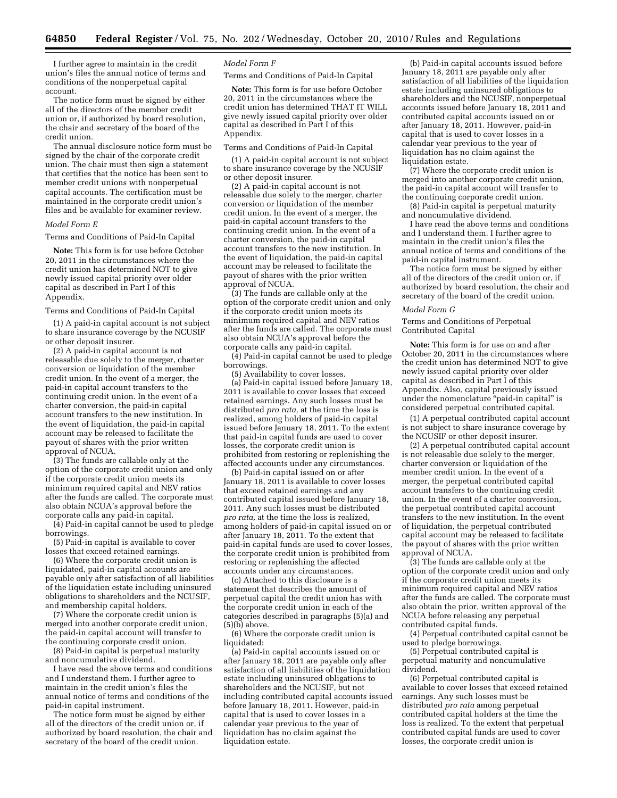I further agree to maintain in the credit union's files the annual notice of terms and conditions of the nonperpetual capital account.

The notice form must be signed by either all of the directors of the member credit union or, if authorized by board resolution, the chair and secretary of the board of the credit union.

The annual disclosure notice form must be signed by the chair of the corporate credit union. The chair must then sign a statement that certifies that the notice has been sent to member credit unions with nonperpetual capital accounts. The certification must be maintained in the corporate credit union's files and be available for examiner review.

## *Model Form E*

Terms and Conditions of Paid-In Capital

**Note:** This form is for use before October 20, 2011 in the circumstances where the credit union has determined NOT to give newly issued capital priority over older capital as described in Part I of this Appendix.

## Terms and Conditions of Paid-In Capital

(1) A paid-in capital account is not subject to share insurance coverage by the NCUSIF or other deposit insurer.

(2) A paid-in capital account is not releasable due solely to the merger, charter conversion or liquidation of the member credit union. In the event of a merger, the paid-in capital account transfers to the continuing credit union. In the event of a charter conversion, the paid-in capital account transfers to the new institution. In the event of liquidation, the paid-in capital account may be released to facilitate the payout of shares with the prior written approval of NCUA.

(3) The funds are callable only at the option of the corporate credit union and only if the corporate credit union meets its minimum required capital and NEV ratios after the funds are called. The corporate must also obtain NCUA's approval before the corporate calls any paid-in capital.

(4) Paid-in capital cannot be used to pledge borrowings.

(5) Paid-in capital is available to cover losses that exceed retained earnings.

(6) Where the corporate credit union is liquidated, paid-in capital accounts are payable only after satisfaction of all liabilities of the liquidation estate including uninsured obligations to shareholders and the NCUSIF, and membership capital holders.

(7) Where the corporate credit union is merged into another corporate credit union, the paid-in capital account will transfer to the continuing corporate credit union.

(8) Paid-in capital is perpetual maturity and noncumulative dividend.

I have read the above terms and conditions and I understand them. I further agree to maintain in the credit union's files the annual notice of terms and conditions of the paid-in capital instrument.

The notice form must be signed by either all of the directors of the credit union or, if authorized by board resolution, the chair and secretary of the board of the credit union.

## *Model Form F*

Terms and Conditions of Paid-In Capital

**Note:** This form is for use before October 20, 2011 in the circumstances where the credit union has determined THAT IT WILL give newly issued capital priority over older capital as described in Part I of this Appendix.

Terms and Conditions of Paid-In Capital

(1) A paid-in capital account is not subject to share insurance coverage by the NCUSIF or other deposit insurer.

(2) A paid-in capital account is not releasable due solely to the merger, charter conversion or liquidation of the member credit union. In the event of a merger, the paid-in capital account transfers to the continuing credit union. In the event of a charter conversion, the paid-in capital account transfers to the new institution. In the event of liquidation, the paid-in capital account may be released to facilitate the payout of shares with the prior written approval of NCUA.

(3) The funds are callable only at the option of the corporate credit union and only if the corporate credit union meets its minimum required capital and NEV ratios after the funds are called. The corporate must also obtain NCUA's approval before the corporate calls any paid-in capital.

 $(4)$  Paid-in capital cannot be used to pledge borrowings.

(5) Availability to cover losses.

(a) Paid-in capital issued before January 18, 2011 is available to cover losses that exceed retained earnings. Any such losses must be distributed *pro rata,* at the time the loss is realized, among holders of paid-in capital issued before January 18, 2011. To the extent that paid-in capital funds are used to cover losses, the corporate credit union is prohibited from restoring or replenishing the affected accounts under any circumstances.

(b) Paid-in capital issued on or after January 18, 2011 is available to cover losses that exceed retained earnings and any contributed capital issued before January 18, 2011. Any such losses must be distributed *pro rata,* at the time the loss is realized, among holders of paid-in capital issued on or after January 18, 2011. To the extent that paid-in capital funds are used to cover losses, the corporate credit union is prohibited from restoring or replenishing the affected accounts under any circumstances.

(c) Attached to this disclosure is a statement that describes the amount of perpetual capital the credit union has with the corporate credit union in each of the categories described in paragraphs (5)(a) and (5)(b) above.

(6) Where the corporate credit union is liquidated:

(a) Paid-in capital accounts issued on or after January 18, 2011 are payable only after satisfaction of all liabilities of the liquidation estate including uninsured obligations to shareholders and the NCUSIF, but not including contributed capital accounts issued before January 18, 2011. However, paid-in capital that is used to cover losses in a calendar year previous to the year of liquidation has no claim against the liquidation estate.

(b) Paid-in capital accounts issued before January 18, 2011 are payable only after satisfaction of all liabilities of the liquidation estate including uninsured obligations to shareholders and the NCUSIF, nonperpetual accounts issued before January 18, 2011 and contributed capital accounts issued on or after January 18, 2011. However, paid-in capital that is used to cover losses in a calendar year previous to the year of liquidation has no claim against the liquidation estate.

(7) Where the corporate credit union is merged into another corporate credit union, the paid-in capital account will transfer to the continuing corporate credit union.

(8) Paid-in capital is perpetual maturity and noncumulative dividend.

I have read the above terms and conditions and I understand them. I further agree to maintain in the credit union's files the annual notice of terms and conditions of the paid-in capital instrument.

The notice form must be signed by either all of the directors of the credit union or, if authorized by board resolution, the chair and secretary of the board of the credit union.

#### *Model Form G*

Terms and Conditions of Perpetual Contributed Capital

**Note:** This form is for use on and after October 20, 2011 in the circumstances where the credit union has determined NOT to give newly issued capital priority over older capital as described in Part I of this Appendix. Also, capital previously issued under the nomenclature ''paid-in capital'' is considered perpetual contributed capital.

(1) A perpetual contributed capital account is not subject to share insurance coverage by the NCUSIF or other deposit insurer.

(2) A perpetual contributed capital account is not releasable due solely to the merger, charter conversion or liquidation of the member credit union. In the event of a merger, the perpetual contributed capital account transfers to the continuing credit union. In the event of a charter conversion, the perpetual contributed capital account transfers to the new institution. In the event of liquidation, the perpetual contributed capital account may be released to facilitate the payout of shares with the prior written approval of NCUA.

(3) The funds are callable only at the option of the corporate credit union and only if the corporate credit union meets its minimum required capital and NEV ratios after the funds are called. The corporate must also obtain the prior, written approval of the NCUA before releasing any perpetual contributed capital funds.

(4) Perpetual contributed capital cannot be used to pledge borrowings.

(5) Perpetual contributed capital is perpetual maturity and noncumulative dividend.

(6) Perpetual contributed capital is available to cover losses that exceed retained earnings. Any such losses must be distributed *pro rata* among perpetual contributed capital holders at the time the loss is realized. To the extent that perpetual contributed capital funds are used to cover losses, the corporate credit union is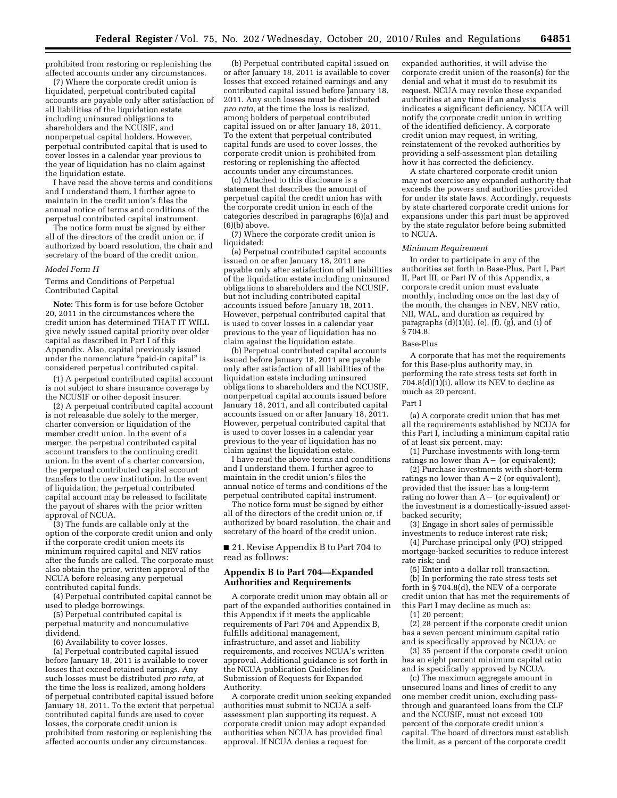prohibited from restoring or replenishing the affected accounts under any circumstances.

(7) Where the corporate credit union is liquidated, perpetual contributed capital accounts are payable only after satisfaction of all liabilities of the liquidation estate including uninsured obligations to shareholders and the NCUSIF, and nonperpetual capital holders. However, perpetual contributed capital that is used to cover losses in a calendar year previous to the year of liquidation has no claim against the liquidation estate.

I have read the above terms and conditions and I understand them. I further agree to maintain in the credit union's files the annual notice of terms and conditions of the perpetual contributed capital instrument.

The notice form must be signed by either all of the directors of the credit union or, if authorized by board resolution, the chair and secretary of the board of the credit union.

#### *Model Form H*

Terms and Conditions of Perpetual Contributed Capital

**Note:** This form is for use before October 20, 2011 in the circumstances where the credit union has determined THAT IT WILL give newly issued capital priority over older capital as described in Part I of this Appendix. Also, capital previously issued under the nomenclature ''paid-in capital'' is considered perpetual contributed capital.

(1) A perpetual contributed capital account is not subject to share insurance coverage by the NCUSIF or other deposit insurer.

(2) A perpetual contributed capital account is not releasable due solely to the merger, charter conversion or liquidation of the member credit union. In the event of a merger, the perpetual contributed capital account transfers to the continuing credit union. In the event of a charter conversion, the perpetual contributed capital account transfers to the new institution. In the event of liquidation, the perpetual contributed capital account may be released to facilitate the payout of shares with the prior written approval of NCUA.

(3) The funds are callable only at the option of the corporate credit union and only if the corporate credit union meets its minimum required capital and NEV ratios after the funds are called. The corporate must also obtain the prior, written approval of the NCUA before releasing any perpetual contributed capital funds.

(4) Perpetual contributed capital cannot be used to pledge borrowings.

(5) Perpetual contributed capital is perpetual maturity and noncumulative dividend.

(6) Availability to cover losses.

(a) Perpetual contributed capital issued before January 18, 2011 is available to cover losses that exceed retained earnings. Any such losses must be distributed *pro rata,* at the time the loss is realized, among holders of perpetual contributed capital issued before January 18, 2011. To the extent that perpetual contributed capital funds are used to cover losses, the corporate credit union is prohibited from restoring or replenishing the affected accounts under any circumstances.

(b) Perpetual contributed capital issued on or after January 18, 2011 is available to cover losses that exceed retained earnings and any contributed capital issued before January 18, 2011. Any such losses must be distributed *pro rata,* at the time the loss is realized, among holders of perpetual contributed capital issued on or after January 18, 2011. To the extent that perpetual contributed capital funds are used to cover losses, the corporate credit union is prohibited from restoring or replenishing the affected accounts under any circumstances.

(c) Attached to this disclosure is a statement that describes the amount of perpetual capital the credit union has with the corporate credit union in each of the categories described in paragraphs (6)(a) and  $(6)(b)$  above.

(7) Where the corporate credit union is liquidated:

(a) Perpetual contributed capital accounts issued on or after January 18, 2011 are payable only after satisfaction of all liabilities of the liquidation estate including uninsured obligations to shareholders and the NCUSIF, but not including contributed capital accounts issued before January 18, 2011. However, perpetual contributed capital that is used to cover losses in a calendar year previous to the year of liquidation has no claim against the liquidation estate.

(b) Perpetual contributed capital accounts issued before January 18, 2011 are payable only after satisfaction of all liabilities of the liquidation estate including uninsured obligations to shareholders and the NCUSIF, nonperpetual capital accounts issued before January 18, 2011, and all contributed capital accounts issued on or after January 18, 2011. However, perpetual contributed capital that is used to cover losses in a calendar year previous to the year of liquidation has no claim against the liquidation estate.

I have read the above terms and conditions and I understand them. I further agree to maintain in the credit union's files the annual notice of terms and conditions of the perpetual contributed capital instrument.

The notice form must be signed by either all of the directors of the credit union or, if authorized by board resolution, the chair and secretary of the board of the credit union.

■ 21. Revise Appendix B to Part 704 to read as follows:

# **Appendix B to Part 704—Expanded Authorities and Requirements**

A corporate credit union may obtain all or part of the expanded authorities contained in this Appendix if it meets the applicable requirements of Part 704 and Appendix B, fulfills additional management, infrastructure, and asset and liability requirements, and receives NCUA's written approval. Additional guidance is set forth in the NCUA publication Guidelines for Submission of Requests for Expanded Authority.

A corporate credit union seeking expanded authorities must submit to NCUA a selfassessment plan supporting its request. A corporate credit union may adopt expanded authorities when NCUA has provided final approval. If NCUA denies a request for

expanded authorities, it will advise the corporate credit union of the reason(s) for the denial and what it must do to resubmit its request. NCUA may revoke these expanded authorities at any time if an analysis indicates a significant deficiency. NCUA will notify the corporate credit union in writing of the identified deficiency. A corporate credit union may request, in writing, reinstatement of the revoked authorities by providing a self-assessment plan detailing how it has corrected the deficiency.

A state chartered corporate credit union may not exercise any expanded authority that exceeds the powers and authorities provided for under its state laws. Accordingly, requests by state chartered corporate credit unions for expansions under this part must be approved by the state regulator before being submitted to NCUA.

## *Minimum Requirement*

In order to participate in any of the authorities set forth in Base-Plus, Part I, Part II, Part III, or Part IV of this Appendix, a corporate credit union must evaluate monthly, including once on the last day of the month, the changes in NEV, NEV ratio, NII, WAL, and duration as required by paragraphs  $(d)(1)(i)$ ,  $(e)$ ,  $(f)$ ,  $(g)$ , and  $(i)$  of  $\S 704.8.$ 

#### Base-Plus

A corporate that has met the requirements for this Base-plus authority may, in performing the rate stress tests set forth in  $704.8(d)(1)(i)$ , allow its NEV to decline as much as 20 percent.

#### Part I

(a) A corporate credit union that has met all the requirements established by NCUA for this Part I, including a minimum capital ratio of at least six percent, may:

(1) Purchase investments with long-term ratings no lower than  $A-$  (or equivalent);

(2) Purchase investments with short-term ratings no lower than  $A-2$  (or equivalent), provided that the issuer has a long-term rating no lower than  $A-$  (or equivalent) or the investment is a domestically-issued assetbacked security;

(3) Engage in short sales of permissible investments to reduce interest rate risk;

(4) Purchase principal only (PO) stripped mortgage-backed securities to reduce interest rate risk; and

(5) Enter into a dollar roll transaction. (b) In performing the rate stress tests set forth in  $\S 704.8(d)$ , the NEV of a corporate credit union that has met the requirements of this Part I may decline as much as:

(1) 20 percent;

(2) 28 percent if the corporate credit union has a seven percent minimum capital ratio and is specifically approved by NCUA; or

(3) 35 percent if the corporate credit union has an eight percent minimum capital ratio and is specifically approved by NCUA.

(c) The maximum aggregate amount in unsecured loans and lines of credit to any one member credit union, excluding passthrough and guaranteed loans from the CLF and the NCUSIF, must not exceed 100 percent of the corporate credit union's capital. The board of directors must establish the limit, as a percent of the corporate credit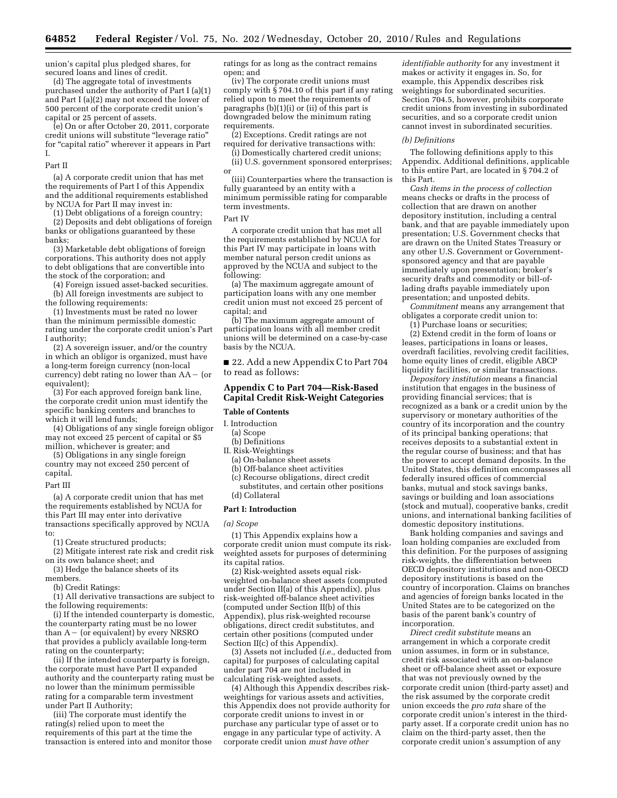union's capital plus pledged shares, for secured loans and lines of credit.

(d) The aggregate total of investments purchased under the authority of Part I (a)(1) and Part I (a)(2) may not exceed the lower of 500 percent of the corporate credit union's capital or 25 percent of assets.

(e) On or after October 20, 2011, corporate credit unions will substitute ''leverage ratio'' for "capital ratio" wherever it appears in Part I.

Part II

(a) A corporate credit union that has met the requirements of Part I of this Appendix and the additional requirements established by NCUA for Part II may invest in:

(1) Debt obligations of a foreign country;

(2) Deposits and debt obligations of foreign banks or obligations guaranteed by these banks;

(3) Marketable debt obligations of foreign corporations. This authority does not apply to debt obligations that are convertible into the stock of the corporation; and

(4) Foreign issued asset-backed securities.

(b) All foreign investments are subject to the following requirements:

(1) Investments must be rated no lower than the minimum permissible domestic rating under the corporate credit union's Part I authority;

(2) A sovereign issuer, and/or the country in which an obligor is organized, must have a long-term foreign currency (non-local currency) debt rating no lower than  $AA - (or$ equivalent);

(3) For each approved foreign bank line, the corporate credit union must identify the specific banking centers and branches to which it will lend funds;

(4) Obligations of any single foreign obligor may not exceed 25 percent of capital or \$5 million, whichever is greater; and

(5) Obligations in any single foreign country may not exceed 250 percent of capital.

#### Part III

(a) A corporate credit union that has met the requirements established by NCUA for this Part III may enter into derivative transactions specifically approved by NCUA to:

(1) Create structured products;

(2) Mitigate interest rate risk and credit risk on its own balance sheet; and

(3) Hedge the balance sheets of its members.

(b) Credit Ratings:

(1) All derivative transactions are subject to the following requirements:

(i) If the intended counterparty is domestic, the counterparty rating must be no lower than  $A-$  (or equivalent) by every NRSRO that provides a publicly available long-term rating on the counterparty;

(ii) If the intended counterparty is foreign, the corporate must have Part II expanded authority and the counterparty rating must be no lower than the minimum permissible rating for a comparable term investment under Part II Authority;

(iii) The corporate must identify the rating(s) relied upon to meet the requirements of this part at the time the transaction is entered into and monitor those ratings for as long as the contract remains open; and

(iv) The corporate credit unions must comply with § 704.10 of this part if any rating relied upon to meet the requirements of paragraphs (b)(1)(i) or (ii) of this part is downgraded below the minimum rating requirements.

(2) Exceptions. Credit ratings are not required for derivative transactions with:

(i) Domestically chartered credit unions;

(ii) U.S. government sponsored enterprises; or

(iii) Counterparties where the transaction is fully guaranteed by an entity with a minimum permissible rating for comparable term investments.

#### Part IV

A corporate credit union that has met all the requirements established by NCUA for this Part IV may participate in loans with member natural person credit unions as approved by the NCUA and subject to the following:

(a) The maximum aggregate amount of participation loans with any one member credit union must not exceed 25 percent of capital; and

(b) The maximum aggregate amount of participation loans with all member credit unions will be determined on a case-by-case basis by the NCUA.

■ 22. Add a new Appendix C to Part 704 to read as follows:

## **Appendix C to Part 704—Risk-Based Capital Credit Risk-Weight Categories**

#### **Table of Contents**

# I. Introduction

- (a) Scope
- (b) Definitions
- II. Risk-Weightings
	- (a) On-balance sheet assets (b) Off-balance sheet activities
	-
	- (c) Recourse obligations, direct credit substitutes, and certain other positions (d) Collateral

#### **Part I: Introduction**

#### *(a) Scope*

(1) This Appendix explains how a corporate credit union must compute its riskweighted assets for purposes of determining its capital ratios.

(2) Risk-weighted assets equal riskweighted on-balance sheet assets (computed under Section II(a) of this Appendix), plus risk-weighted off-balance sheet activities (computed under Section II(b) of this Appendix), plus risk-weighted recourse obligations, direct credit substitutes, and certain other positions (computed under Section II(c) of this Appendix).

(3) Assets not included (*i.e.,* deducted from capital) for purposes of calculating capital under part 704 are not included in calculating risk-weighted assets.

(4) Although this Appendix describes riskweightings for various assets and activities, this Appendix does not provide authority for corporate credit unions to invest in or purchase any particular type of asset or to engage in any particular type of activity. A corporate credit union *must have other* 

*identifiable authority* for any investment it makes or activity it engages in. So, for example, this Appendix describes risk weightings for subordinated securities. Section 704.5, however, prohibits corporate credit unions from investing in subordinated securities, and so a corporate credit union cannot invest in subordinated securities.

### *(b) Definitions*

The following definitions apply to this Appendix. Additional definitions, applicable to this entire Part, are located in § 704.2 of this Part.

*Cash items in the process of collection*  means checks or drafts in the process of collection that are drawn on another depository institution, including a central bank, and that are payable immediately upon presentation; U.S. Government checks that are drawn on the United States Treasury or any other U.S. Government or Governmentsponsored agency and that are payable immediately upon presentation; broker's security drafts and commodity or bill-oflading drafts payable immediately upon presentation; and unposted debits.

*Commitment* means any arrangement that obligates a corporate credit union to: (1) Purchase loans or securities;

(2) Extend credit in the form of loans or leases, participations in loans or leases, overdraft facilities, revolving credit facilities, home equity lines of credit, eligible ABCP liquidity facilities, or similar transactions.

*Depository institution* means a financial institution that engages in the business of providing financial services; that is recognized as a bank or a credit union by the supervisory or monetary authorities of the country of its incorporation and the country of its principal banking operations; that receives deposits to a substantial extent in the regular course of business; and that has the power to accept demand deposits. In the United States, this definition encompasses all federally insured offices of commercial banks, mutual and stock savings banks, savings or building and loan associations (stock and mutual), cooperative banks, credit unions, and international banking facilities of domestic depository institutions.

Bank holding companies and savings and loan holding companies are excluded from this definition. For the purposes of assigning risk-weights, the differentiation between OECD depository institutions and non-OECD depository institutions is based on the country of incorporation. Claims on branches and agencies of foreign banks located in the United States are to be categorized on the basis of the parent bank's country of incorporation.

*Direct credit substitute* means an arrangement in which a corporate credit union assumes, in form or in substance, credit risk associated with an on-balance sheet or off-balance sheet asset or exposure that was not previously owned by the corporate credit union (third-party asset) and the risk assumed by the corporate credit union exceeds the *pro rata* share of the corporate credit union's interest in the thirdparty asset. If a corporate credit union has no claim on the third-party asset, then the corporate credit union's assumption of any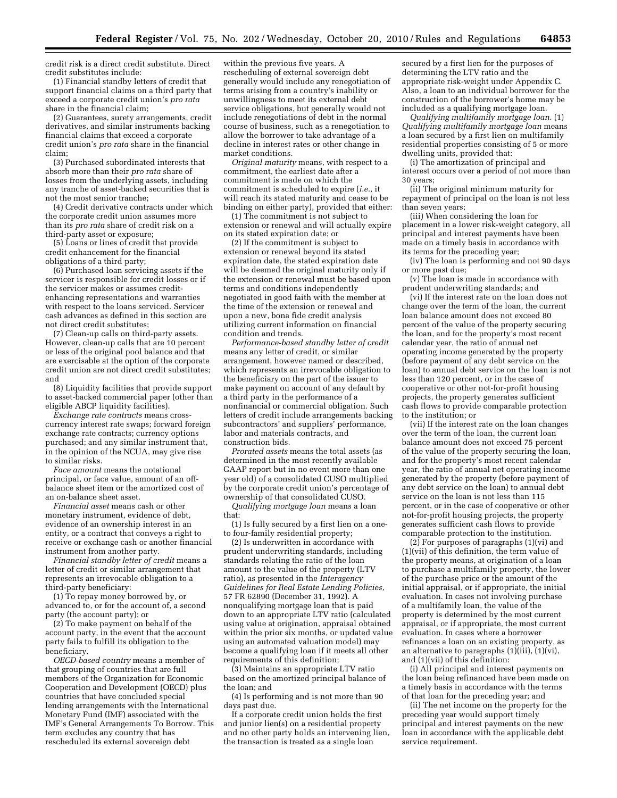credit risk is a direct credit substitute. Direct credit substitutes include:

(1) Financial standby letters of credit that support financial claims on a third party that exceed a corporate credit union's *pro rata*  share in the financial claim;

(2) Guarantees, surety arrangements, credit derivatives, and similar instruments backing financial claims that exceed a corporate credit union's *pro rata* share in the financial claim;

(3) Purchased subordinated interests that absorb more than their *pro rata* share of losses from the underlying assets, including any tranche of asset-backed securities that is not the most senior tranche;

(4) Credit derivative contracts under which the corporate credit union assumes more than its *pro rata* share of credit risk on a third-party asset or exposure;

(5) Loans or lines of credit that provide credit enhancement for the financial obligations of a third party;

(6) Purchased loan servicing assets if the servicer is responsible for credit losses or if the servicer makes or assumes creditenhancing representations and warranties with respect to the loans serviced. Servicer cash advances as defined in this section are not direct credit substitutes;

(7) Clean-up calls on third-party assets. However, clean-up calls that are 10 percent or less of the original pool balance and that are exercisable at the option of the corporate credit union are not direct credit substitutes; and

(8) Liquidity facilities that provide support to asset-backed commercial paper (other than eligible ABCP liquidity facilities).

*Exchange rate contracts* means crosscurrency interest rate swaps; forward foreign exchange rate contracts; currency options purchased; and any similar instrument that, in the opinion of the NCUA, may give rise to similar risks.

*Face amount* means the notational principal, or face value, amount of an offbalance sheet item or the amortized cost of an on-balance sheet asset.

*Financial asset* means cash or other monetary instrument, evidence of debt, evidence of an ownership interest in an entity, or a contract that conveys a right to receive or exchange cash or another financial instrument from another party.

*Financial standby letter of credit* means a letter of credit or similar arrangement that represents an irrevocable obligation to a third-party beneficiary:

(1) To repay money borrowed by, or advanced to, or for the account of, a second party (the account party); or

(2) To make payment on behalf of the account party, in the event that the account party fails to fulfill its obligation to the beneficiary.

*OECD-based country* means a member of that grouping of countries that are full members of the Organization for Economic Cooperation and Development (OECD) plus countries that have concluded special lending arrangements with the International Monetary Fund (IMF) associated with the IMF's General Arrangements To Borrow. This term excludes any country that has rescheduled its external sovereign debt

within the previous five years. A rescheduling of external sovereign debt generally would include any renegotiation of terms arising from a country's inability or unwillingness to meet its external debt service obligations, but generally would not include renegotiations of debt in the normal course of business, such as a renegotiation to allow the borrower to take advantage of a decline in interest rates or other change in market conditions.

*Original maturity* means, with respect to a commitment, the earliest date after a commitment is made on which the commitment is scheduled to expire (*i.e.,* it will reach its stated maturity and cease to be binding on either party), provided that either:

(1) The commitment is not subject to extension or renewal and will actually expire on its stated expiration date; or

(2) If the commitment is subject to extension or renewal beyond its stated expiration date, the stated expiration date will be deemed the original maturity only if the extension or renewal must be based upon terms and conditions independently negotiated in good faith with the member at the time of the extension or renewal and upon a new, bona fide credit analysis utilizing current information on financial condition and trends.

*Performance-based standby letter of credit*  means any letter of credit, or similar arrangement, however named or described, which represents an irrevocable obligation to the beneficiary on the part of the issuer to make payment on account of any default by a third party in the performance of a nonfinancial or commercial obligation. Such letters of credit include arrangements backing subcontractors' and suppliers' performance, labor and materials contracts, and construction bids.

*Prorated assets* means the total assets (as determined in the most recently available GAAP report but in no event more than one year old) of a consolidated CUSO multiplied by the corporate credit union's percentage of ownership of that consolidated CUSO.

*Qualifying mortgage loan* means a loan that:

(1) Is fully secured by a first lien on a oneto four-family residential property;

(2) Is underwritten in accordance with prudent underwriting standards, including standards relating the ratio of the loan amount to the value of the property (LTV ratio), as presented in the *Interagency Guidelines for Real Estate Lending Policies,*  57 FR 62890 (December 31, 1992). A nonqualifying mortgage loan that is paid down to an appropriate LTV ratio (calculated using value at origination, appraisal obtained within the prior six months, or updated value using an automated valuation model) may become a qualifying loan if it meets all other requirements of this definition;

(3) Maintains an appropriate LTV ratio based on the amortized principal balance of the loan; and

(4) Is performing and is not more than 90 days past due.

If a corporate credit union holds the first and junior lien(s) on a residential property and no other party holds an intervening lien, the transaction is treated as a single loan

secured by a first lien for the purposes of determining the LTV ratio and the appropriate risk-weight under Appendix C. Also, a loan to an individual borrower for the construction of the borrower's home may be included as a qualifying mortgage loan.

*Qualifying multifamily mortgage loan.* (1) *Qualifying multifamily mortgage loan* means a loan secured by a first lien on multifamily residential properties consisting of 5 or more dwelling units, provided that:

(i) The amortization of principal and interest occurs over a period of not more than 30 years;

(ii) The original minimum maturity for repayment of principal on the loan is not less than seven years;

(iii) When considering the loan for placement in a lower risk-weight category, all principal and interest payments have been made on a timely basis in accordance with its terms for the preceding year;

(iv) The loan is performing and not 90 days or more past due;

(v) The loan is made in accordance with prudent underwriting standards; and

(vi) If the interest rate on the loan does not change over the term of the loan, the current loan balance amount does not exceed 80 percent of the value of the property securing the loan, and for the property's most recent calendar year, the ratio of annual net operating income generated by the property (before payment of any debt service on the loan) to annual debt service on the loan is not less than 120 percent, or in the case of cooperative or other not-for-profit housing projects, the property generates sufficient cash flows to provide comparable protection to the institution; or

(vii) If the interest rate on the loan changes over the term of the loan, the current loan balance amount does not exceed 75 percent of the value of the property securing the loan, and for the property's most recent calendar year, the ratio of annual net operating income generated by the property (before payment of any debt service on the loan) to annual debt service on the loan is not less than 115 percent, or in the case of cooperative or other not-for-profit housing projects, the property generates sufficient cash flows to provide comparable protection to the institution.

 $(2)$  For purposes of paragraphs  $(1)(vi)$  and (1)(vii) of this definition, the term value of the property means, at origination of a loan to purchase a multifamily property, the lower of the purchase price or the amount of the initial appraisal, or if appropriate, the initial evaluation. In cases not involving purchase of a multifamily loan, the value of the property is determined by the most current appraisal, or if appropriate, the most current evaluation. In cases where a borrower refinances a loan on an existing property, as an alternative to paragraphs (1)(iii), (1)(vi), and (1)(vii) of this definition:

(i) All principal and interest payments on the loan being refinanced have been made on a timely basis in accordance with the terms of that loan for the preceding year; and

(ii) The net income on the property for the preceding year would support timely principal and interest payments on the new loan in accordance with the applicable debt service requirement.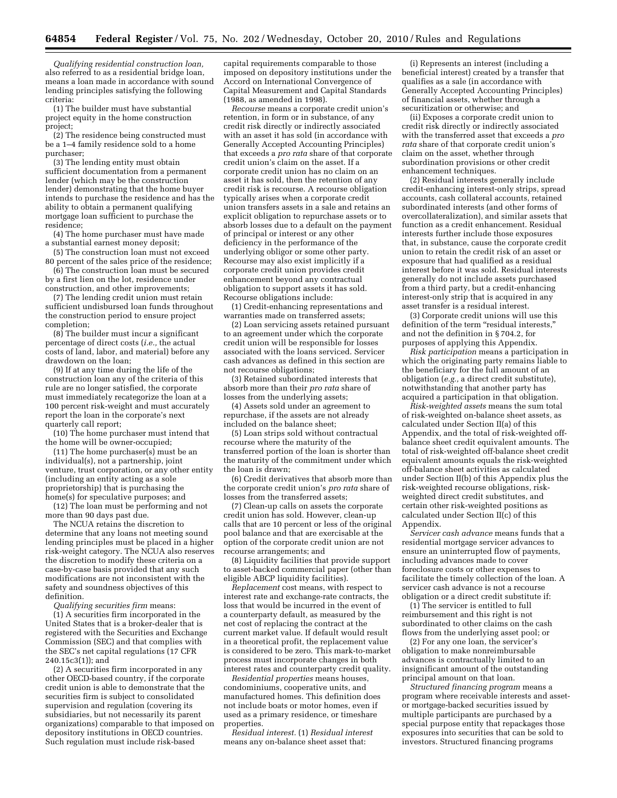*Qualifying residential construction loan,*  also referred to as a residential bridge loan, means a loan made in accordance with sound lending principles satisfying the following criteria:

(1) The builder must have substantial project equity in the home construction project;

(2) The residence being constructed must be a 1–4 family residence sold to a home purchaser;

(3) The lending entity must obtain sufficient documentation from a permanent lender (which may be the construction lender) demonstrating that the home buyer intends to purchase the residence and has the ability to obtain a permanent qualifying mortgage loan sufficient to purchase the residence;

(4) The home purchaser must have made a substantial earnest money deposit;

(5) The construction loan must not exceed 80 percent of the sales price of the residence;

(6) The construction loan must be secured by a first lien on the lot, residence under construction, and other improvements;

(7) The lending credit union must retain sufficient undisbursed loan funds throughout the construction period to ensure project completion;

(8) The builder must incur a significant percentage of direct costs (*i.e.,* the actual costs of land, labor, and material) before any drawdown on the loan;

(9) If at any time during the life of the construction loan any of the criteria of this rule are no longer satisfied, the corporate must immediately recategorize the loan at a 100 percent risk-weight and must accurately report the loan in the corporate's next quarterly call report;

(10) The home purchaser must intend that the home will be owner-occupied;

(11) The home purchaser(s) must be an individual(s), not a partnership, joint venture, trust corporation, or any other entity (including an entity acting as a sole proprietorship) that is purchasing the home(s) for speculative purposes; and

(12) The loan must be performing and not more than 90 days past due.

The NCUA retains the discretion to determine that any loans not meeting sound lending principles must be placed in a higher risk-weight category. The NCUA also reserves the discretion to modify these criteria on a case-by-case basis provided that any such modifications are not inconsistent with the safety and soundness objectives of this definition.

*Qualifying securities firm* means:

(1) A securities firm incorporated in the United States that is a broker-dealer that is registered with the Securities and Exchange Commission (SEC) and that complies with the SEC's net capital regulations (17 CFR 240.15c3(1)); and

(2) A securities firm incorporated in any other OECD-based country, if the corporate credit union is able to demonstrate that the securities firm is subject to consolidated supervision and regulation (covering its subsidiaries, but not necessarily its parent organizations) comparable to that imposed on depository institutions in OECD countries. Such regulation must include risk-based

capital requirements comparable to those imposed on depository institutions under the Accord on International Convergence of Capital Measurement and Capital Standards (1988, as amended in 1998).

*Recourse* means a corporate credit union's retention, in form or in substance, of any credit risk directly or indirectly associated with an asset it has sold (in accordance with Generally Accepted Accounting Principles) that exceeds a *pro rata* share of that corporate credit union's claim on the asset. If a corporate credit union has no claim on an asset it has sold, then the retention of any credit risk is recourse. A recourse obligation typically arises when a corporate credit union transfers assets in a sale and retains an explicit obligation to repurchase assets or to absorb losses due to a default on the payment of principal or interest or any other deficiency in the performance of the underlying obligor or some other party. Recourse may also exist implicitly if a corporate credit union provides credit enhancement beyond any contractual obligation to support assets it has sold. Recourse obligations include:

(1) Credit-enhancing representations and warranties made on transferred assets;

(2) Loan servicing assets retained pursuant to an agreement under which the corporate credit union will be responsible for losses associated with the loans serviced. Servicer cash advances as defined in this section are not recourse obligations;

(3) Retained subordinated interests that absorb more than their *pro rata* share of losses from the underlying assets;

(4) Assets sold under an agreement to repurchase, if the assets are not already included on the balance sheet;

(5) Loan strips sold without contractual recourse where the maturity of the transferred portion of the loan is shorter than the maturity of the commitment under which the loan is drawn;

(6) Credit derivatives that absorb more than the corporate credit union's *pro rata* share of losses from the transferred assets;

(7) Clean-up calls on assets the corporate credit union has sold. However, clean-up calls that are 10 percent or less of the original pool balance and that are exercisable at the option of the corporate credit union are not recourse arrangements; and

(8) Liquidity facilities that provide support to asset-backed commercial paper (other than eligible ABCP liquidity facilities).

*Replacement* cost means, with respect to interest rate and exchange-rate contracts, the loss that would be incurred in the event of a counterparty default, as measured by the net cost of replacing the contract at the current market value. If default would result in a theoretical profit, the replacement value is considered to be zero. This mark-to-market process must incorporate changes in both interest rates and counterparty credit quality.

*Residential properties* means houses, condominiums, cooperative units, and manufactured homes. This definition does not include boats or motor homes, even if used as a primary residence, or timeshare properties.

*Residual interest.* (1) *Residual interest*  means any on-balance sheet asset that:

(i) Represents an interest (including a beneficial interest) created by a transfer that qualifies as a sale (in accordance with Generally Accepted Accounting Principles) of financial assets, whether through a securitization or otherwise; and

(ii) Exposes a corporate credit union to credit risk directly or indirectly associated with the transferred asset that exceeds a *pro rata* share of that corporate credit union's claim on the asset, whether through subordination provisions or other credit enhancement techniques.

(2) Residual interests generally include credit-enhancing interest-only strips, spread accounts, cash collateral accounts, retained subordinated interests (and other forms of overcollateralization), and similar assets that function as a credit enhancement. Residual interests further include those exposures that, in substance, cause the corporate credit union to retain the credit risk of an asset or exposure that had qualified as a residual interest before it was sold. Residual interests generally do not include assets purchased from a third party, but a credit-enhancing interest-only strip that is acquired in any asset transfer is a residual interest.

(3) Corporate credit unions will use this definition of the term "residual interests," and not the definition in § 704.2, for purposes of applying this Appendix.

*Risk participation* means a participation in which the originating party remains liable to the beneficiary for the full amount of an obligation (*e.g.,* a direct credit substitute), notwithstanding that another party has acquired a participation in that obligation.

*Risk-weighted assets* means the sum total of risk-weighted on-balance sheet assets, as calculated under Section II(a) of this Appendix, and the total of risk-weighted offbalance sheet credit equivalent amounts. The total of risk-weighted off-balance sheet credit equivalent amounts equals the risk-weighted off-balance sheet activities as calculated under Section II(b) of this Appendix plus the risk-weighted recourse obligations, riskweighted direct credit substitutes, and certain other risk-weighted positions as calculated under Section II(c) of this Appendix.

*Servicer cash advance* means funds that a residential mortgage servicer advances to ensure an uninterrupted flow of payments, including advances made to cover foreclosure costs or other expenses to facilitate the timely collection of the loan. A servicer cash advance is not a recourse obligation or a direct credit substitute if:

(1) The servicer is entitled to full reimbursement and this right is not subordinated to other claims on the cash flows from the underlying asset pool; or

(2) For any one loan, the servicer's obligation to make nonreimbursable advances is contractually limited to an insignificant amount of the outstanding principal amount on that loan.

*Structured financing program* means a program where receivable interests and assetor mortgage-backed securities issued by multiple participants are purchased by a special purpose entity that repackages those exposures into securities that can be sold to investors. Structured financing programs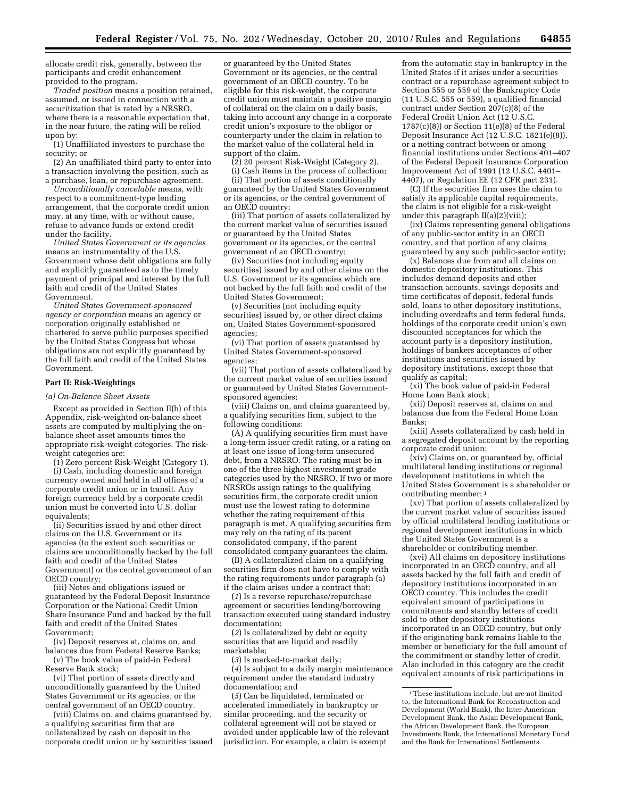allocate credit risk, generally, between the participants and credit enhancement provided to the program.

*Traded position* means a position retained, assumed, or issued in connection with a securitization that is rated by a NRSRO, where there is a reasonable expectation that, in the near future, the rating will be relied upon by:

(1) Unaffiliated investors to purchase the security; or

(2) An unaffiliated third party to enter into a transaction involving the position, such as a purchase, loan, or repurchase agreement.

*Unconditionally cancelable* means, with respect to a commitment-type lending arrangement, that the corporate credit union may, at any time, with or without cause, refuse to advance funds or extend credit under the facility.

*United States Government or its agencies*  means an instrumentality of the U.S. Government whose debt obligations are fully and explicitly guaranteed as to the timely payment of principal and interest by the full faith and credit of the United States Government.

*United States Government-sponsored agency or corporation* means an agency or corporation originally established or chartered to serve public purposes specified by the United States Congress but whose obligations are not explicitly guaranteed by the full faith and credit of the United States Government.

## **Part II: Risk-Weightings**

*(a) On-Balance Sheet Assets* 

Except as provided in Section II(b) of this Appendix, risk-weighted on-balance sheet assets are computed by multiplying the onbalance sheet asset amounts times the appropriate risk-weight categories. The riskweight categories are:

(1) Zero percent Risk-Weight (Category 1). (i) Cash, including domestic and foreign currency owned and held in all offices of a

corporate credit union or in transit. Any foreign currency held by a corporate credit union must be converted into U.S. dollar equivalents;

(ii) Securities issued by and other direct claims on the U.S. Government or its agencies (to the extent such securities or claims are unconditionally backed by the full faith and credit of the United States Government) or the central government of an OECD country;

(iii) Notes and obligations issued or guaranteed by the Federal Deposit Insurance Corporation or the National Credit Union Share Insurance Fund and backed by the full faith and credit of the United States Government;

(iv) Deposit reserves at, claims on, and balances due from Federal Reserve Banks; (v) The book value of paid-in Federal

Reserve Bank stock;

(vi) That portion of assets directly and unconditionally guaranteed by the United States Government or its agencies, or the central government of an OECD country.

(viii) Claims on, and claims guaranteed by, a qualifying securities firm that are collateralized by cash on deposit in the corporate credit union or by securities issued

or guaranteed by the United States Government or its agencies, or the central government of an OECD country. To be eligible for this risk-weight, the corporate credit union must maintain a positive margin of collateral on the claim on a daily basis, taking into account any change in a corporate credit union's exposure to the obligor or counterparty under the claim in relation to the market value of the collateral held in support of the claim.

(2) 20 percent Risk-Weight (Category 2).

(i) Cash items in the process of collection;

(ii) That portion of assets conditionally guaranteed by the United States Government or its agencies, or the central government of an OECD country;

(iii) That portion of assets collateralized by the current market value of securities issued or guaranteed by the United States government or its agencies, or the central government of an OECD country;

(iv) Securities (not including equity securities) issued by and other claims on the U.S. Government or its agencies which are not backed by the full faith and credit of the United States Government;

(v) Securities (not including equity securities) issued by, or other direct claims on, United States Government-sponsored agencies;

(vi) That portion of assets guaranteed by United States Government-sponsored agencies;

(vii) That portion of assets collateralized by the current market value of securities issued or guaranteed by United States Governmentsponsored agencies;

(viii) Claims on, and claims guaranteed by, a qualifying securities firm, subject to the following conditions:

(A) A qualifying securities firm must have a long-term issuer credit rating, or a rating on at least one issue of long-term unsecured debt, from a NRSRO. The rating must be in one of the three highest investment grade categories used by the NRSRO. If two or more NRSROs assign ratings to the qualifying securities firm, the corporate credit union must use the lowest rating to determine whether the rating requirement of this paragraph is met. A qualifying securities firm may rely on the rating of its parent consolidated company, if the parent consolidated company guarantees the claim.

(B) A collateralized claim on a qualifying securities firm does not have to comply with the rating requirements under paragraph (a) if the claim arises under a contract that:

(*1*) Is a reverse repurchase/repurchase agreement or securities lending/borrowing transaction executed using standard industry documentation;

(*2*) Is collateralized by debt or equity securities that are liquid and readily marketable;

(*3*) Is marked-to-market daily;

(*4*) Is subject to a daily margin maintenance requirement under the standard industry documentation; and

(*5*) Can be liquidated, terminated or accelerated immediately in bankruptcy or similar proceeding, and the security or collateral agreement will not be stayed or avoided under applicable law of the relevant jurisdiction. For example, a claim is exempt

from the automatic stay in bankruptcy in the United States if it arises under a securities contract or a repurchase agreement subject to Section 555 or 559 of the Bankruptcy Code (11 U.S.C. 555 or 559), a qualified financial contract under Section 207(c)(8) of the Federal Credit Union Act (12 U.S.C. 1787(c)(8)) or Section 11(e)(8) of the Federal Deposit Insurance Act (12 U.S.C. 1821(e)(8)), or a netting contract between or among financial institutions under Sections 401–407 of the Federal Deposit Insurance Corporation Improvement Act of 1991 (12 U.S.C. 4401– 4407), or Regulation EE (12 CFR part 231).

(C) If the securities firm uses the claim to satisfy its applicable capital requirements, the claim is not eligible for a risk-weight under this paragraph II(a)(2)(viii);

(ix) Claims representing general obligations of any public-sector entity in an OECD country, and that portion of any claims guaranteed by any such public-sector entity;

(x) Balances due from and all claims on domestic depository institutions. This includes demand deposits and other transaction accounts, savings deposits and time certificates of deposit, federal funds sold, loans to other depository institutions, including overdrafts and term federal funds, holdings of the corporate credit union's own discounted acceptances for which the account party is a depository institution, holdings of bankers acceptances of other institutions and securities issued by depository institutions, except those that qualify as capital;

(xi) The book value of paid-in Federal Home Loan Bank stock;

(xii) Deposit reserves at, claims on and balances due from the Federal Home Loan Banks;

(xiii) Assets collateralized by cash held in a segregated deposit account by the reporting corporate credit union;

(xiv) Claims on, or guaranteed by, official multilateral lending institutions or regional development institutions in which the United States Government is a shareholder or contributing member; 1

(xv) That portion of assets collateralized by the current market value of securities issued by official multilateral lending institutions or regional development institutions in which the United States Government is a shareholder or contributing member.

(xvi) All claims on depository institutions incorporated in an OECD country, and all assets backed by the full faith and credit of depository institutions incorporated in an OECD country. This includes the credit equivalent amount of participations in commitments and standby letters of credit sold to other depository institutions incorporated in an OECD country, but only if the originating bank remains liable to the member or beneficiary for the full amount of the commitment or standby letter of credit. Also included in this category are the credit equivalent amounts of risk participations in

<sup>1</sup>These institutions include, but are not limited to, the International Bank for Reconstruction and Development (World Bank), the Inter-American Development Bank, the Asian Development Bank, the African Development Bank, the European Investments Bank, the International Monetary Fund and the Bank for International Settlements.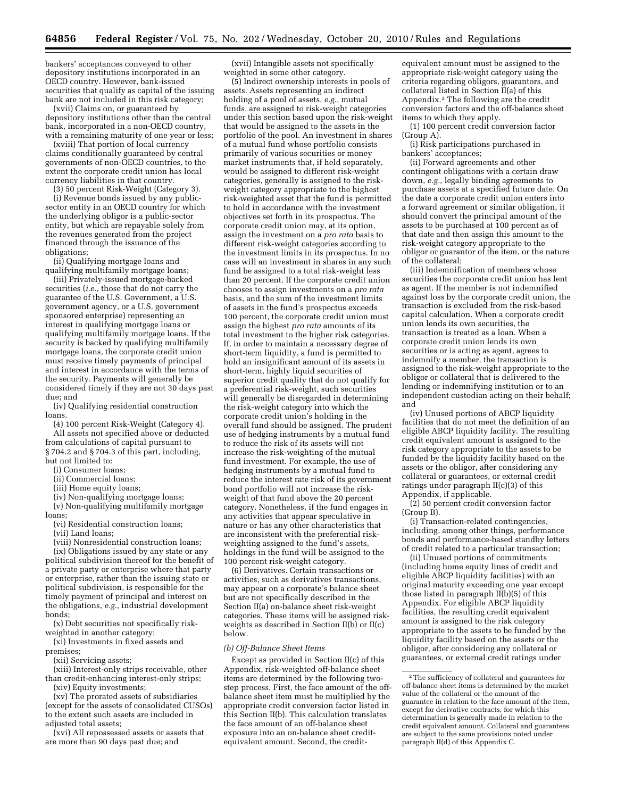bankers' acceptances conveyed to other depository institutions incorporated in an OECD country. However, bank-issued securities that qualify as capital of the issuing bank are not included in this risk category;

(xvii) Claims on, or guaranteed by depository institutions other than the central bank, incorporated in a non-OECD country, with a remaining maturity of one year or less;

(xviii) That portion of local currency claims conditionally guaranteed by central governments of non-OECD countries, to the extent the corporate credit union has local currency liabilities in that country.

(3) 50 percent Risk-Weight (Category 3).

(i) Revenue bonds issued by any publicsector entity in an OECD country for which the underlying obligor is a public-sector entity, but which are repayable solely from the revenues generated from the project financed through the issuance of the obligations;

(ii) Qualifying mortgage loans and qualifying multifamily mortgage loans;

(iii) Privately-issued mortgage-backed securities (*i.e.,* those that do not carry the guarantee of the U.S. Government, a U.S. government agency, or a U.S. government sponsored enterprise) representing an interest in qualifying mortgage loans or qualifying multifamily mortgage loans. If the security is backed by qualifying multifamily mortgage loans, the corporate credit union must receive timely payments of principal and interest in accordance with the terms of the security. Payments will generally be considered timely if they are not 30 days past due; and

(iv) Qualifying residential construction loans.

(4) 100 percent Risk-Weight (Category 4). All assets not specified above or deducted from calculations of capital pursuant to § 704.2 and § 704.3 of this part, including, but not limited to:

(i) Consumer loans;

- 
- (ii) Commercial loans;
- (iii) Home equity loans;

(iv) Non-qualifying mortgage loans; (v) Non-qualifying multifamily mortgage

loans;

(vi) Residential construction loans;

(vii) Land loans;

(viii) Nonresidential construction loans;

(ix) Obligations issued by any state or any political subdivision thereof for the benefit of a private party or enterprise where that party or enterprise, rather than the issuing state or political subdivision, is responsible for the timely payment of principal and interest on the obligations, *e.g.,* industrial development bonds;

(x) Debt securities not specifically riskweighted in another category;

(xi) Investments in fixed assets and premises;

(xii) Servicing assets;

(xiii) Interest-only strips receivable, other than credit-enhancing interest-only strips; (xiv) Equity investments;

(xv) The prorated assets of subsidiaries (except for the assets of consolidated CUSOs) to the extent such assets are included in adjusted total assets;

(xvi) All repossessed assets or assets that are more than 90 days past due; and

(xvii) Intangible assets not specifically weighted in some other category.

(5) Indirect ownership interests in pools of assets. Assets representing an indirect holding of a pool of assets, *e.g.,* mutual funds, are assigned to risk-weight categories under this section based upon the risk-weight that would be assigned to the assets in the portfolio of the pool. An investment in shares of a mutual fund whose portfolio consists primarily of various securities or money market instruments that, if held separately, would be assigned to different risk-weight categories, generally is assigned to the riskweight category appropriate to the highest risk-weighted asset that the fund is permitted to hold in accordance with the investment objectives set forth in its prospectus. The corporate credit union may, at its option, assign the investment on a *pro rata* basis to different risk-weight categories according to the investment limits in its prospectus. In no case will an investment in shares in any such fund be assigned to a total risk-weight less than 20 percent. If the corporate credit union chooses to assign investments on a *pro rata*  basis, and the sum of the investment limits of assets in the fund's prospectus exceeds 100 percent, the corporate credit union must assign the highest *pro rata* amounts of its total investment to the higher risk categories. If, in order to maintain a necessary degree of short-term liquidity, a fund is permitted to hold an insignificant amount of its assets in short-term, highly liquid securities of superior credit quality that do not qualify for a preferential risk-weight, such securities will generally be disregarded in determining the risk-weight category into which the corporate credit union's holding in the overall fund should be assigned. The prudent use of hedging instruments by a mutual fund to reduce the risk of its assets will not increase the risk-weighting of the mutual fund investment. For example, the use of hedging instruments by a mutual fund to reduce the interest rate risk of its government bond portfolio will not increase the riskweight of that fund above the 20 percent category. Nonetheless, if the fund engages in any activities that appear speculative in nature or has any other characteristics that are inconsistent with the preferential riskweighting assigned to the fund's assets, holdings in the fund will be assigned to the 100 percent risk-weight category.

(6) Derivatives. Certain transactions or activities, such as derivatives transactions, may appear on a corporate's balance sheet but are not specifically described in the Section II(a) on-balance sheet risk-weight categories. These items will be assigned riskweights as described in Section II(b) or II(c) below.

#### *(b) Off-Balance Sheet Items*

Except as provided in Section II(c) of this Appendix, risk-weighted off-balance sheet items are determined by the following twostep process. First, the face amount of the offbalance sheet item must be multiplied by the appropriate credit conversion factor listed in this Section II(b). This calculation translates the face amount of an off-balance sheet exposure into an on-balance sheet creditequivalent amount. Second, the creditequivalent amount must be assigned to the appropriate risk-weight category using the criteria regarding obligors, guarantors, and collateral listed in Section  $\overline{II}(a)$  of this Appendix.2 The following are the credit conversion factors and the off-balance sheet items to which they apply.

(1) 100 percent credit conversion factor (Group A).

(i) Risk participations purchased in bankers' acceptances;

(ii) Forward agreements and other contingent obligations with a certain draw down, *e.g.,* legally binding agreements to purchase assets at a specified future date. On the date a corporate credit union enters into a forward agreement or similar obligation, it should convert the principal amount of the assets to be purchased at 100 percent as of that date and then assign this amount to the risk-weight category appropriate to the obligor or guarantor of the item, or the nature of the collateral;

(iii) Indemnification of members whose securities the corporate credit union has lent as agent. If the member is not indemnified against loss by the corporate credit union, the transaction is excluded from the risk-based capital calculation. When a corporate credit union lends its own securities, the transaction is treated as a loan. When a corporate credit union lends its own securities or is acting as agent, agrees to indemnify a member, the transaction is assigned to the risk-weight appropriate to the obligor or collateral that is delivered to the lending or indemnifying institution or to an independent custodian acting on their behalf; and

(iv) Unused portions of ABCP liquidity facilities that do not meet the definition of an eligible ABCP liquidity facility. The resulting credit equivalent amount is assigned to the risk category appropriate to the assets to be funded by the liquidity facility based on the assets or the obligor, after considering any collateral or guarantees, or external credit ratings under paragraph II(c)(3) of this Appendix, if applicable.

(2) 50 percent credit conversion factor (Group B).

(i) Transaction-related contingencies, including, among other things, performance bonds and performance-based standby letters of credit related to a particular transaction;

(ii) Unused portions of commitments (including home equity lines of credit and eligible ABCP liquidity facilities) with an original maturity exceeding one year except those listed in paragraph II(b)(5) of this Appendix. For eligible ABCP liquidity facilities, the resulting credit equivalent amount is assigned to the risk category appropriate to the assets to be funded by the liquidity facility based on the assets or the obligor, after considering any collateral or guarantees, or external credit ratings under

<sup>2</sup>The sufficiency of collateral and guarantees for off-balance sheet items is determined by the market value of the collateral or the amount of the guarantee in relation to the face amount of the item, except for derivative contracts, for which this determination is generally made in relation to the credit equivalent amount. Collateral and guarantees are subject to the same provisions noted under paragraph II(d) of this Appendix C.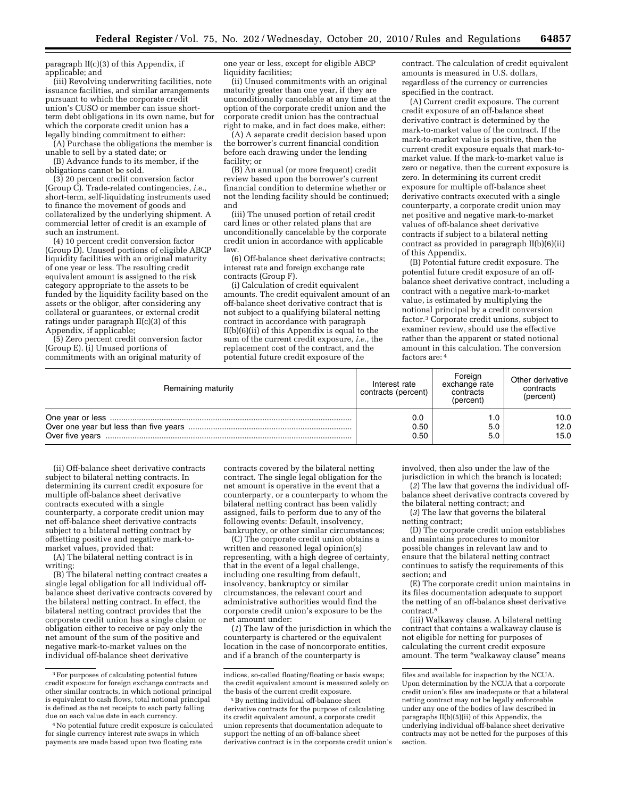paragraph II(c)(3) of this Appendix, if applicable; and

(iii) Revolving underwriting facilities, note issuance facilities, and similar arrangements pursuant to which the corporate credit union's CUSO or member can issue shortterm debt obligations in its own name, but for which the corporate credit union has a legally binding commitment to either:

(A) Purchase the obligations the member is unable to sell by a stated date; or

(B) Advance funds to its member, if the obligations cannot be sold.

(3) 20 percent credit conversion factor (Group C). Trade-related contingencies, *i.e.,*  short-term, self-liquidating instruments used to finance the movement of goods and collateralized by the underlying shipment. A commercial letter of credit is an example of such an instrument.

(4) 10 percent credit conversion factor (Group D). Unused portions of eligible ABCP liquidity facilities with an original maturity of one year or less. The resulting credit equivalent amount is assigned to the risk category appropriate to the assets to be funded by the liquidity facility based on the assets or the obligor, after considering any collateral or guarantees, or external credit ratings under paragraph II(c)(3) of this Appendix, if applicable;

(5) Zero percent credit conversion factor (Group E). (i) Unused portions of commitments with an original maturity of

one year or less, except for eligible ABCP liquidity facilities;

(ii) Unused commitments with an original maturity greater than one year, if they are unconditionally cancelable at any time at the option of the corporate credit union and the corporate credit union has the contractual right to make, and in fact does make, either:

(A) A separate credit decision based upon the borrower's current financial condition before each drawing under the lending facility; or

(B) An annual (or more frequent) credit review based upon the borrower's current financial condition to determine whether or not the lending facility should be continued; and

(iii) The unused portion of retail credit card lines or other related plans that are unconditionally cancelable by the corporate credit union in accordance with applicable law.

(6) Off-balance sheet derivative contracts; interest rate and foreign exchange rate contracts (Group F).

(i) Calculation of credit equivalent amounts. The credit equivalent amount of an off-balance sheet derivative contract that is not subject to a qualifying bilateral netting contract in accordance with paragraph II(b)(6)(ii) of this Appendix is equal to the sum of the current credit exposure, *i.e.,* the replacement cost of the contract, and the potential future credit exposure of the

contract. The calculation of credit equivalent amounts is measured in U.S. dollars, regardless of the currency or currencies specified in the contract.

(A) Current credit exposure. The current credit exposure of an off-balance sheet derivative contract is determined by the mark-to-market value of the contract. If the mark-to-market value is positive, then the current credit exposure equals that mark-tomarket value. If the mark-to-market value is zero or negative, then the current exposure is zero. In determining its current credit exposure for multiple off-balance sheet derivative contracts executed with a single counterparty, a corporate credit union may net positive and negative mark-to-market values of off-balance sheet derivative contracts if subject to a bilateral netting contract as provided in paragraph II(b)(6)(ii) of this Appendix.

(B) Potential future credit exposure. The potential future credit exposure of an offbalance sheet derivative contract, including a contract with a negative mark-to-market value, is estimated by multiplying the notional principal by a credit conversion factor.3 Corporate credit unions, subject to examiner review, should use the effective rather than the apparent or stated notional amount in this calculation. The conversion factors are: 4

| Remaining maturity | Interest rate<br>contracts (percent) | Foreign<br>exchange rate<br>contracts<br>(percent) | Other derivative<br>contracts<br>(percent) |
|--------------------|--------------------------------------|----------------------------------------------------|--------------------------------------------|
|                    | 0.0                                  | 0. ا                                               | 10.0                                       |
|                    | 0.50                                 | 5.0                                                | 12.0                                       |
|                    | 0.50                                 | 5.0                                                | 15.0                                       |

(ii) Off-balance sheet derivative contracts subject to bilateral netting contracts. In determining its current credit exposure for multiple off-balance sheet derivative contracts executed with a single counterparty, a corporate credit union may net off-balance sheet derivative contracts subject to a bilateral netting contract by offsetting positive and negative mark-tomarket values, provided that:

(A) The bilateral netting contract is in writing;

(B) The bilateral netting contract creates a single legal obligation for all individual offbalance sheet derivative contracts covered by the bilateral netting contract. In effect, the bilateral netting contract provides that the corporate credit union has a single claim or obligation either to receive or pay only the net amount of the sum of the positive and negative mark-to-market values on the individual off-balance sheet derivative

contracts covered by the bilateral netting contract. The single legal obligation for the net amount is operative in the event that a counterparty, or a counterparty to whom the bilateral netting contract has been validly assigned, fails to perform due to any of the following events: Default, insolvency, bankruptcy, or other similar circumstances;

(C) The corporate credit union obtains a written and reasoned legal opinion(s) representing, with a high degree of certainty, that in the event of a legal challenge, including one resulting from default, insolvency, bankruptcy or similar circumstances, the relevant court and administrative authorities would find the corporate credit union's exposure to be the net amount under:

(*1*) The law of the jurisdiction in which the counterparty is chartered or the equivalent location in the case of noncorporate entities, and if a branch of the counterparty is

involved, then also under the law of the jurisdiction in which the branch is located;

(*2*) The law that governs the individual offbalance sheet derivative contracts covered by the bilateral netting contract; and

(*3*) The law that governs the bilateral netting contract;

(D) The corporate credit union establishes and maintains procedures to monitor possible changes in relevant law and to ensure that the bilateral netting contract continues to satisfy the requirements of this section; and

(E) The corporate credit union maintains in its files documentation adequate to support the netting of an off-balance sheet derivative contract.5

(iii) Walkaway clause. A bilateral netting contract that contains a walkaway clause is not eligible for netting for purposes of calculating the current credit exposure amount. The term "walkaway clause" means

<sup>3</sup>For purposes of calculating potential future credit exposure for foreign exchange contracts and other similar contracts, in which notional principal is equivalent to cash flows, total notional principal is defined as the net receipts to each party falling due on each value date in each currency.

<sup>4</sup>No potential future credit exposure is calculated for single currency interest rate swaps in which payments are made based upon two floating rate

indices, so-called floating/floating or basis swaps; the credit equivalent amount is measured solely on the basis of the current credit exposure.

<sup>5</sup>By netting individual off-balance sheet derivative contracts for the purpose of calculating its credit equivalent amount, a corporate credit union represents that documentation adequate to support the netting of an off-balance sheet derivative contract is in the corporate credit union's

files and available for inspection by the NCUA. Upon determination by the NCUA that a corporate credit union's files are inadequate or that a bilateral netting contract may not be legally enforceable under any one of the bodies of law described in paragraphs II(b)(5)(ii) of this Appendix, the underlying individual off-balance sheet derivative contracts may not be netted for the purposes of this section.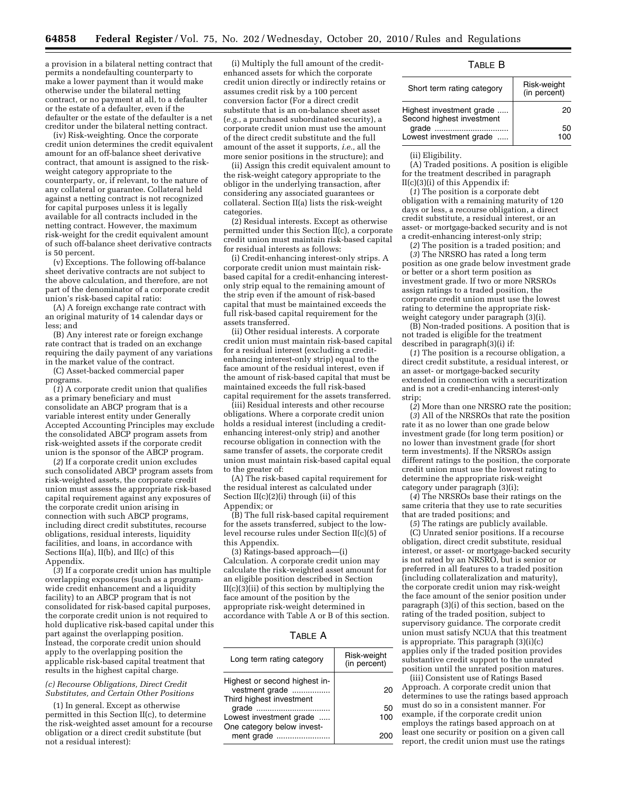a provision in a bilateral netting contract that permits a nondefaulting counterparty to make a lower payment than it would make otherwise under the bilateral netting contract, or no payment at all, to a defaulter or the estate of a defaulter, even if the defaulter or the estate of the defaulter is a net creditor under the bilateral netting contract.

(iv) Risk-weighting. Once the corporate credit union determines the credit equivalent amount for an off-balance sheet derivative contract, that amount is assigned to the riskweight category appropriate to the counterparty, or, if relevant, to the nature of any collateral or guarantee. Collateral held against a netting contract is not recognized for capital purposes unless it is legally available for all contracts included in the netting contract. However, the maximum risk-weight for the credit equivalent amount of such off-balance sheet derivative contracts is 50 percent.

(v) Exceptions. The following off-balance sheet derivative contracts are not subject to the above calculation, and therefore, are not part of the denominator of a corporate credit union's risk-based capital ratio:

(A) A foreign exchange rate contract with an original maturity of 14 calendar days or less; and

(B) Any interest rate or foreign exchange rate contract that is traded on an exchange requiring the daily payment of any variations in the market value of the contract.

(C) Asset-backed commercial paper programs.

(*1*) A corporate credit union that qualifies as a primary beneficiary and must consolidate an ABCP program that is a variable interest entity under Generally Accepted Accounting Principles may exclude the consolidated ABCP program assets from risk-weighted assets if the corporate credit union is the sponsor of the ABCP program.

(*2*) If a corporate credit union excludes such consolidated ABCP program assets from risk-weighted assets, the corporate credit union must assess the appropriate risk-based capital requirement against any exposures of the corporate credit union arising in connection with such ABCP programs, including direct credit substitutes, recourse obligations, residual interests, liquidity facilities, and loans, in accordance with Sections II(a), II(b), and II(c) of this Appendix.

(*3*) If a corporate credit union has multiple overlapping exposures (such as a programwide credit enhancement and a liquidity facility) to an ABCP program that is not consolidated for risk-based capital purposes, the corporate credit union is not required to hold duplicative risk-based capital under this part against the overlapping position. Instead, the corporate credit union should apply to the overlapping position the applicable risk-based capital treatment that results in the highest capital charge.

#### *(c) Recourse Obligations, Direct Credit Substitutes, and Certain Other Positions*

(1) In general. Except as otherwise permitted in this Section II(c), to determine the risk-weighted asset amount for a recourse obligation or a direct credit substitute (but not a residual interest):

(i) Multiply the full amount of the creditenhanced assets for which the corporate credit union directly or indirectly retains or assumes credit risk by a 100 percent conversion factor (For a direct credit substitute that is an on-balance sheet asset (*e.g.,* a purchased subordinated security), a corporate credit union must use the amount of the direct credit substitute and the full amount of the asset it supports, *i.e.,* all the more senior positions in the structure); and

(ii) Assign this credit equivalent amount to the risk-weight category appropriate to the obligor in the underlying transaction, after considering any associated guarantees or collateral. Section II(a) lists the risk-weight categories.

(2) Residual interests. Except as otherwise permitted under this Section II(c), a corporate credit union must maintain risk-based capital for residual interests as follows:

(i) Credit-enhancing interest-only strips. A corporate credit union must maintain riskbased capital for a credit-enhancing interestonly strip equal to the remaining amount of the strip even if the amount of risk-based capital that must be maintained exceeds the full risk-based capital requirement for the assets transferred.

(ii) Other residual interests. A corporate credit union must maintain risk-based capital for a residual interest (excluding a creditenhancing interest-only strip) equal to the face amount of the residual interest, even if the amount of risk-based capital that must be maintained exceeds the full risk-based capital requirement for the assets transferred.

(iii) Residual interests and other recourse obligations. Where a corporate credit union holds a residual interest (including a creditenhancing interest-only strip) and another recourse obligation in connection with the same transfer of assets, the corporate credit union must maintain risk-based capital equal to the greater of:

(A) The risk-based capital requirement for the residual interest as calculated under Section II(c)(2)(i) through (ii) of this Appendix; or

(B) The full risk-based capital requirement for the assets transferred, subject to the lowlevel recourse rules under Section II(c)(5) of this Appendix.

(3) Ratings-based approach—(i) Calculation. A corporate credit union may calculate the risk-weighted asset amount for an eligible position described in Section  $II(c)(3)(ii)$  of this section by multiplying the face amount of the position by the appropriate risk-weight determined in accordance with Table A or B of this section.

| Long term rating category                                                   | Risk-weight<br>(in percent) |
|-----------------------------------------------------------------------------|-----------------------------|
| Highest or second highest in-<br>vestment grade<br>Third highest investment | 20                          |
| grade                                                                       | 50                          |
| Lowest investment grade<br>One category below invest-                       | 100                         |
| ment grade                                                                  |                             |

## TABLE B

| Short term rating category                            | Risk-weight<br>(in percent) |
|-------------------------------------------------------|-----------------------------|
| Highest investment grade<br>Second highest investment | 20                          |
|                                                       | 50                          |
| Lowest investment grade                               |                             |

#### (ii) Eligibility.

(A) Traded positions. A position is eligible for the treatment described in paragraph II(c)(3)(i) of this Appendix if:

(*1*) The position is a corporate debt obligation with a remaining maturity of 120 days or less, a recourse obligation, a direct credit substitute, a residual interest, or an asset- or mortgage-backed security and is not a credit-enhancing interest-only strip;

(*2*) The position is a traded position; and (*3*) The NRSRO has rated a long term position as one grade below investment grade or better or a short term position as investment grade. If two or more NRSROs assign ratings to a traded position, the corporate credit union must use the lowest rating to determine the appropriate riskweight category under paragraph (3)(i).

(B) Non-traded positions. A position that is not traded is eligible for the treatment described in paragraph(3)(i) if:

(*1*) The position is a recourse obligation, a direct credit substitute, a residual interest, or an asset- or mortgage-backed security extended in connection with a securitization and is not a credit-enhancing interest-only strip;

(*2*) More than one NRSRO rate the position; (*3*) All of the NRSROs that rate the position rate it as no lower than one grade below investment grade (for long term position) or no lower than investment grade (for short term investments). If the NRSROs assign different ratings to the position, the corporate credit union must use the lowest rating to determine the appropriate risk-weight category under paragraph (3)(i);

(*4*) The NRSROs base their ratings on the same criteria that they use to rate securities that are traded positions; and

(*5*) The ratings are publicly available.

(C) Unrated senior positions. If a recourse obligation, direct credit substitute, residual interest, or asset- or mortgage-backed security is not rated by an NRSRO, but is senior or preferred in all features to a traded position (including collateralization and maturity), the corporate credit union may risk-weight the face amount of the senior position under paragraph (3)(i) of this section, based on the rating of the traded position, subject to supervisory guidance. The corporate credit union must satisfy NCUA that this treatment is appropriate. This paragraph (3)(i)(c) applies only if the traded position provides substantive credit support to the unrated position until the unrated position matures.

(iii) Consistent use of Ratings Based Approach. A corporate credit union that determines to use the ratings based approach must do so in a consistent manner. For example, if the corporate credit union employs the ratings based approach on at least one security or position on a given call report, the credit union must use the ratings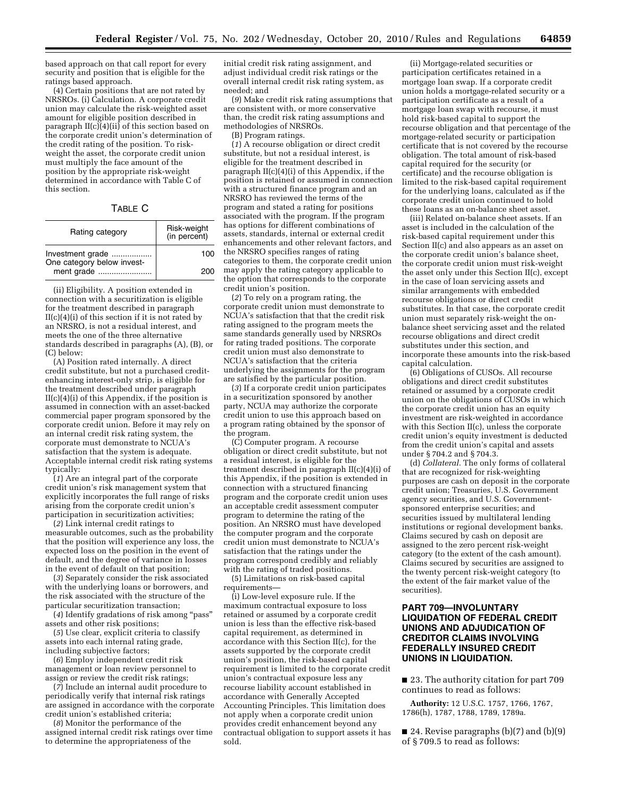based approach on that call report for every security and position that is eligible for the ratings based approach.

(4) Certain positions that are not rated by NRSROs. (i) Calculation. A corporate credit union may calculate the risk-weighted asset amount for eligible position described in paragraph II(c)(4)(ii) of this section based on the corporate credit union's determination of the credit rating of the position. To riskweight the asset, the corporate credit union must multiply the face amount of the position by the appropriate risk-weight determined in accordance with Table C of this section.

TABLE C

| Rating category                                              | Risk-weight<br>(in percent) |
|--------------------------------------------------------------|-----------------------------|
| Investment grade<br>One category below invest-<br>ment grade | 100                         |
|                                                              | 200                         |

(ii) Eligibility. A position extended in connection with a securitization is eligible for the treatment described in paragraph  $II(c)(4)(i)$  of this section if it is not rated by an NRSRO, is not a residual interest, and meets the one of the three alternative standards described in paragraphs (A), (B), or (C) below:

(A) Position rated internally. A direct credit substitute, but not a purchased creditenhancing interest-only strip, is eligible for the treatment described under paragraph II(c)(4)(i) of this Appendix, if the position is assumed in connection with an asset-backed commercial paper program sponsored by the corporate credit union. Before it may rely on an internal credit risk rating system, the corporate must demonstrate to NCUA's satisfaction that the system is adequate. Acceptable internal credit risk rating systems typically:

(*1*) Are an integral part of the corporate credit union's risk management system that explicitly incorporates the full range of risks arising from the corporate credit union's participation in securitization activities;

(*2*) Link internal credit ratings to measurable outcomes, such as the probability that the position will experience any loss, the expected loss on the position in the event of default, and the degree of variance in losses in the event of default on that position;

(*3*) Separately consider the risk associated with the underlying loans or borrowers, and the risk associated with the structure of the particular securitization transaction;

(*4*) Identify gradations of risk among ''pass'' assets and other risk positions;

(*5*) Use clear, explicit criteria to classify assets into each internal rating grade, including subjective factors;

(*6*) Employ independent credit risk management or loan review personnel to assign or review the credit risk ratings;

(*7*) Include an internal audit procedure to periodically verify that internal risk ratings are assigned in accordance with the corporate credit union's established criteria;

(*8*) Monitor the performance of the assigned internal credit risk ratings over time to determine the appropriateness of the

initial credit risk rating assignment, and adjust individual credit risk ratings or the overall internal credit risk rating system, as needed; and

(*9*) Make credit risk rating assumptions that are consistent with, or more conservative than, the credit risk rating assumptions and methodologies of NRSROs.

(B) Program ratings.

(*1*) A recourse obligation or direct credit substitute, but not a residual interest, is eligible for the treatment described in paragraph II(c)(4)(i) of this Appendix, if the position is retained or assumed in connection with a structured finance program and an NRSRO has reviewed the terms of the program and stated a rating for positions associated with the program. If the program has options for different combinations of assets, standards, internal or external credit enhancements and other relevant factors, and the NRSRO specifies ranges of rating categories to them, the corporate credit union may apply the rating category applicable to the option that corresponds to the corporate credit union's position.

(*2*) To rely on a program rating, the corporate credit union must demonstrate to NCUA's satisfaction that that the credit risk rating assigned to the program meets the same standards generally used by NRSROs for rating traded positions. The corporate credit union must also demonstrate to NCUA's satisfaction that the criteria underlying the assignments for the program are satisfied by the particular position.

(*3*) If a corporate credit union participates in a securitization sponsored by another party, NCUA may authorize the corporate credit union to use this approach based on a program rating obtained by the sponsor of the program.

(C) Computer program. A recourse obligation or direct credit substitute, but not a residual interest, is eligible for the treatment described in paragraph II(c)(4)(i) of this Appendix, if the position is extended in connection with a structured financing program and the corporate credit union uses an acceptable credit assessment computer program to determine the rating of the position. An NRSRO must have developed the computer program and the corporate credit union must demonstrate to NCUA's satisfaction that the ratings under the program correspond credibly and reliably with the rating of traded positions.

(5) Limitations on risk-based capital requirements—

(i) Low-level exposure rule. If the maximum contractual exposure to loss retained or assumed by a corporate credit union is less than the effective risk-based capital requirement, as determined in accordance with this Section II(c), for the assets supported by the corporate credit union's position, the risk-based capital requirement is limited to the corporate credit union's contractual exposure less any recourse liability account established in accordance with Generally Accepted Accounting Principles. This limitation does not apply when a corporate credit union provides credit enhancement beyond any contractual obligation to support assets it has sold.

(ii) Mortgage-related securities or participation certificates retained in a mortgage loan swap. If a corporate credit union holds a mortgage-related security or a participation certificate as a result of a mortgage loan swap with recourse, it must hold risk-based capital to support the recourse obligation and that percentage of the mortgage-related security or participation certificate that is not covered by the recourse obligation. The total amount of risk-based capital required for the security (or certificate) and the recourse obligation is limited to the risk-based capital requirement for the underlying loans, calculated as if the corporate credit union continued to hold these loans as an on-balance sheet asset.

(iii) Related on-balance sheet assets. If an asset is included in the calculation of the risk-based capital requirement under this Section II(c) and also appears as an asset on the corporate credit union's balance sheet, the corporate credit union must risk-weight the asset only under this Section II(c), except in the case of loan servicing assets and similar arrangements with embedded recourse obligations or direct credit substitutes. In that case, the corporate credit union must separately risk-weight the onbalance sheet servicing asset and the related recourse obligations and direct credit substitutes under this section, and incorporate these amounts into the risk-based capital calculation.

(6) Obligations of CUSOs. All recourse obligations and direct credit substitutes retained or assumed by a corporate credit union on the obligations of CUSOs in which the corporate credit union has an equity investment are risk-weighted in accordance with this Section II(c), unless the corporate credit union's equity investment is deducted from the credit union's capital and assets under § 704.2 and § 704.3.

(d) *Collateral.* The only forms of collateral that are recognized for risk-weighting purposes are cash on deposit in the corporate credit union; Treasuries, U.S. Government agency securities, and U.S. Governmentsponsored enterprise securities; and securities issued by multilateral lending institutions or regional development banks. Claims secured by cash on deposit are assigned to the zero percent risk-weight category (to the extent of the cash amount). Claims secured by securities are assigned to the twenty percent risk-weight category (to the extent of the fair market value of the securities).

## **PART 709—INVOLUNTARY LIQUIDATION OF FEDERAL CREDIT UNIONS AND ADJUDICATION OF CREDITOR CLAIMS INVOLVING FEDERALLY INSURED CREDIT UNIONS IN LIQUIDATION.**

■ 23. The authority citation for part 709 continues to read as follows:

**Authority:** 12 U.S.C. 1757, 1766, 1767, 1786(h), 1787, 1788, 1789, 1789a.

 $\blacksquare$  24. Revise paragraphs (b)(7) and (b)(9) of § 709.5 to read as follows: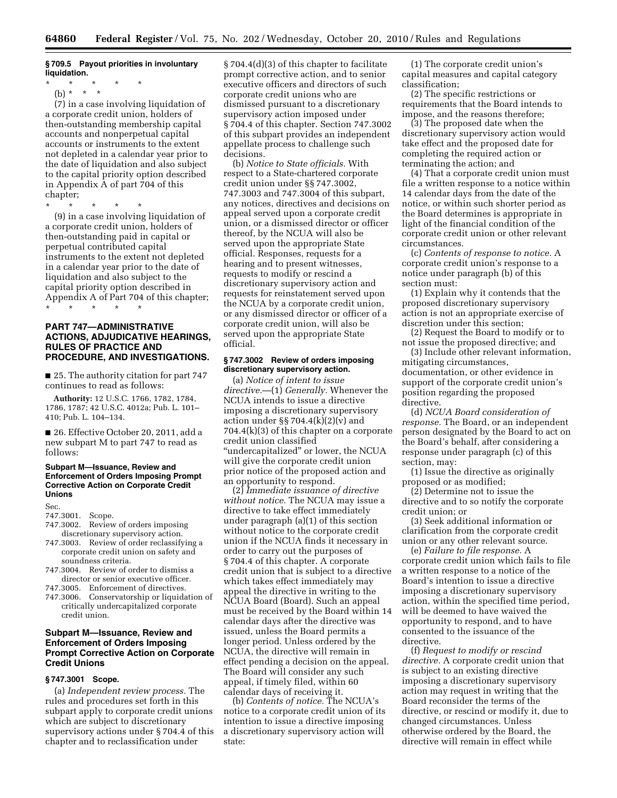### **§ 709.5 Payout priorities in involuntary liquidation.**

\* \* \* \* \*

(b) \* \* \*

(7) in a case involving liquidation of a corporate credit union, holders of then-outstanding membership capital accounts and nonperpetual capital accounts or instruments to the extent not depleted in a calendar year prior to the date of liquidation and also subject to the capital priority option described in Appendix A of part 704 of this chapter;

\* \* \* \* \*

(9) in a case involving liquidation of a corporate credit union, holders of then-outstanding paid in capital or perpetual contributed capital instruments to the extent not depleted in a calendar year prior to the date of liquidation and also subject to the capital priority option described in Appendix A of Part 704 of this chapter; \* \* \* \* \*

## **PART 747—ADMINISTRATIVE ACTIONS, ADJUDICATIVE HEARINGS, RULES OF PRACTICE AND PROCEDURE, AND INVESTIGATIONS.**

■ 25. The authority citation for part 747 continues to read as follows:

**Authority:** 12 U.S.C. 1766, 1782, 1784, 1786, 1787; 42 U.S.C. 4012a; Pub. L. 101– 410; Pub. L. 104–134.

■ 26. Effective October 20, 2011, add a new subpart M to part 747 to read as follows:

#### **Subpart M—Issuance, Review and Enforcement of Orders Imposing Prompt Corrective Action on Corporate Credit Unions**

Sec.

# 747.3001. Scope.

- 747.3002. Review of orders imposing discretionary supervisory action.
- 747.3003. Review of order reclassifying a corporate credit union on safety and soundness criteria.
- 747.3004. Review of order to dismiss a director or senior executive officer.
- 747.3005. Enforcement of directives.
- 747.3006. Conservatorship or liquidation of critically undercapitalized corporate credit union.

## **Subpart M—Issuance, Review and Enforcement of Orders Imposing Prompt Corrective Action on Corporate Credit Unions**

## **§ 747.3001 Scope.**

(a) *Independent review process.* The rules and procedures set forth in this subpart apply to corporate credit unions which are subject to discretionary supervisory actions under § 704.4 of this chapter and to reclassification under

§ 704.4(d)(3) of this chapter to facilitate prompt corrective action, and to senior executive officers and directors of such corporate credit unions who are dismissed pursuant to a discretionary supervisory action imposed under § 704.4 of this chapter. Section 747.3002 of this subpart provides an independent appellate process to challenge such decisions.

(b) *Notice to State officials.* With respect to a State-chartered corporate credit union under §§ 747.3002, 747.3003 and 747.3004 of this subpart, any notices, directives and decisions on appeal served upon a corporate credit union, or a dismissed director or officer thereof, by the NCUA will also be served upon the appropriate State official. Responses, requests for a hearing and to present witnesses, requests to modify or rescind a discretionary supervisory action and requests for reinstatement served upon the NCUA by a corporate credit union, or any dismissed director or officer of a corporate credit union, will also be served upon the appropriate State official.

## **§ 747.3002 Review of orders imposing discretionary supervisory action.**

(a) *Notice of intent to issue directive.*—(1) *Generally.* Whenever the NCUA intends to issue a directive imposing a discretionary supervisory action under §§ 704.4 $(k)(2)(v)$  and 704.4(k)(3) of this chapter on a corporate credit union classified ''undercapitalized'' or lower, the NCUA will give the corporate credit union prior notice of the proposed action and an opportunity to respond.

(2) *Immediate issuance of directive without notice.* The NCUA may issue a directive to take effect immediately under paragraph (a)(1) of this section without notice to the corporate credit union if the NCUA finds it necessary in order to carry out the purposes of § 704.4 of this chapter. A corporate credit union that is subject to a directive which takes effect immediately may appeal the directive in writing to the NCUA Board (Board). Such an appeal must be received by the Board within 14 calendar days after the directive was issued, unless the Board permits a longer period. Unless ordered by the NCUA, the directive will remain in effect pending a decision on the appeal. The Board will consider any such appeal, if timely filed, within 60 calendar days of receiving it.

(b) *Contents of notice.* The NCUA's notice to a corporate credit union of its intention to issue a directive imposing a discretionary supervisory action will state:

(1) The corporate credit union's capital measures and capital category classification;

(2) The specific restrictions or requirements that the Board intends to impose, and the reasons therefore;

(3) The proposed date when the discretionary supervisory action would take effect and the proposed date for completing the required action or terminating the action; and

(4) That a corporate credit union must file a written response to a notice within 14 calendar days from the date of the notice, or within such shorter period as the Board determines is appropriate in light of the financial condition of the corporate credit union or other relevant circumstances.

(c) *Contents of response to notice.* A corporate credit union's response to a notice under paragraph (b) of this section must:

(1) Explain why it contends that the proposed discretionary supervisory action is not an appropriate exercise of discretion under this section;

(2) Request the Board to modify or to not issue the proposed directive; and

(3) Include other relevant information, mitigating circumstances, documentation, or other evidence in support of the corporate credit union's position regarding the proposed directive.

(d) *NCUA Board consideration of response.* The Board, or an independent person designated by the Board to act on the Board's behalf, after considering a response under paragraph (c) of this section, may:

(1) Issue the directive as originally proposed or as modified;

(2) Determine not to issue the directive and to so notify the corporate credit union; or

(3) Seek additional information or clarification from the corporate credit union or any other relevant source.

(e) *Failure to file response.* A corporate credit union which fails to file a written response to a notice of the Board's intention to issue a directive imposing a discretionary supervisory action, within the specified time period, will be deemed to have waived the opportunity to respond, and to have consented to the issuance of the directive.

(f) *Request to modify or rescind directive.* A corporate credit union that is subject to an existing directive imposing a discretionary supervisory action may request in writing that the Board reconsider the terms of the directive, or rescind or modify it, due to changed circumstances. Unless otherwise ordered by the Board, the directive will remain in effect while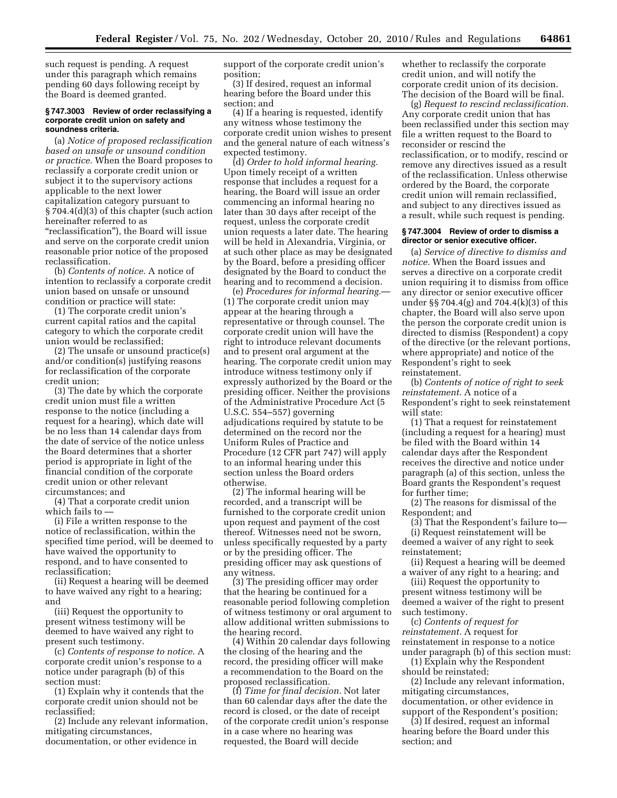such request is pending. A request under this paragraph which remains pending 60 days following receipt by the Board is deemed granted.

#### **§ 747.3003 Review of order reclassifying a corporate credit union on safety and soundness criteria.**

(a) *Notice of proposed reclassification based on unsafe or unsound condition or practice.* When the Board proposes to reclassify a corporate credit union or subject it to the supervisory actions applicable to the next lower capitalization category pursuant to § 704.4(d)(3) of this chapter (such action hereinafter referred to as "reclassification"), the Board will issue and serve on the corporate credit union reasonable prior notice of the proposed reclassification.

(b) *Contents of notice.* A notice of intention to reclassify a corporate credit union based on unsafe or unsound condition or practice will state:

(1) The corporate credit union's current capital ratios and the capital category to which the corporate credit union would be reclassified;

(2) The unsafe or unsound practice(s) and/or condition(s) justifying reasons for reclassification of the corporate credit union;

(3) The date by which the corporate credit union must file a written response to the notice (including a request for a hearing), which date will be no less than 14 calendar days from the date of service of the notice unless the Board determines that a shorter period is appropriate in light of the financial condition of the corporate credit union or other relevant circumstances; and

(4) That a corporate credit union which fails to —

(i) File a written response to the notice of reclassification, within the specified time period, will be deemed to have waived the opportunity to respond, and to have consented to reclassification;

(ii) Request a hearing will be deemed to have waived any right to a hearing; and

(iii) Request the opportunity to present witness testimony will be deemed to have waived any right to present such testimony.

(c) *Contents of response to notice.* A corporate credit union's response to a notice under paragraph (b) of this section must:

(1) Explain why it contends that the corporate credit union should not be reclassified;

(2) Include any relevant information, mitigating circumstances, documentation, or other evidence in

support of the corporate credit union's position;

(3) If desired, request an informal hearing before the Board under this section; and

(4) If a hearing is requested, identify any witness whose testimony the corporate credit union wishes to present and the general nature of each witness's expected testimony.

(d) *Order to hold informal hearing.*  Upon timely receipt of a written response that includes a request for a hearing, the Board will issue an order commencing an informal hearing no later than 30 days after receipt of the request, unless the corporate credit union requests a later date. The hearing will be held in Alexandria, Virginia, or at such other place as may be designated by the Board, before a presiding officer designated by the Board to conduct the hearing and to recommend a decision.

(e) *Procedures for informal hearing.*— (1) The corporate credit union may appear at the hearing through a representative or through counsel. The corporate credit union will have the right to introduce relevant documents and to present oral argument at the hearing. The corporate credit union may introduce witness testimony only if expressly authorized by the Board or the presiding officer. Neither the provisions of the Administrative Procedure Act (5 U.S.C. 554–557) governing adjudications required by statute to be determined on the record nor the Uniform Rules of Practice and Procedure (12 CFR part 747) will apply to an informal hearing under this section unless the Board orders otherwise.

(2) The informal hearing will be recorded, and a transcript will be furnished to the corporate credit union upon request and payment of the cost thereof. Witnesses need not be sworn, unless specifically requested by a party or by the presiding officer. The presiding officer may ask questions of any witness.

(3) The presiding officer may order that the hearing be continued for a reasonable period following completion of witness testimony or oral argument to allow additional written submissions to the hearing record.

(4) Within 20 calendar days following the closing of the hearing and the record, the presiding officer will make a recommendation to the Board on the proposed reclassification.

(f) *Time for final decision.* Not later than 60 calendar days after the date the record is closed, or the date of receipt of the corporate credit union's response in a case where no hearing was requested, the Board will decide

whether to reclassify the corporate credit union, and will notify the corporate credit union of its decision. The decision of the Board will be final.

(g) *Request to rescind reclassification.*  Any corporate credit union that has been reclassified under this section may file a written request to the Board to reconsider or rescind the reclassification, or to modify, rescind or remove any directives issued as a result of the reclassification. Unless otherwise ordered by the Board, the corporate credit union will remain reclassified, and subject to any directives issued as a result, while such request is pending.

#### **§ 747.3004 Review of order to dismiss a director or senior executive officer.**

(a) *Service of directive to dismiss and notice.* When the Board issues and serves a directive on a corporate credit union requiring it to dismiss from office any director or senior executive officer under §§ 704.4(g) and 704.4(k)(3) of this chapter, the Board will also serve upon the person the corporate credit union is directed to dismiss (Respondent) a copy of the directive (or the relevant portions, where appropriate) and notice of the Respondent's right to seek reinstatement.

(b) *Contents of notice of right to seek reinstatement.* A notice of a Respondent's right to seek reinstatement will state:

(1) That a request for reinstatement (including a request for a hearing) must be filed with the Board within 14 calendar days after the Respondent receives the directive and notice under paragraph (a) of this section, unless the Board grants the Respondent's request for further time;

(2) The reasons for dismissal of the Respondent; and

(3) That the Respondent's failure to— (i) Request reinstatement will be deemed a waiver of any right to seek reinstatement;

(ii) Request a hearing will be deemed a waiver of any right to a hearing; and

(iii) Request the opportunity to present witness testimony will be deemed a waiver of the right to present such testimony.

(c) *Contents of request for reinstatement.* A request for reinstatement in response to a notice under paragraph (b) of this section must:

(1) Explain why the Respondent should be reinstated;

(2) Include any relevant information, mitigating circumstances, documentation, or other evidence in

support of the Respondent's position; (3) If desired, request an informal hearing before the Board under this section; and